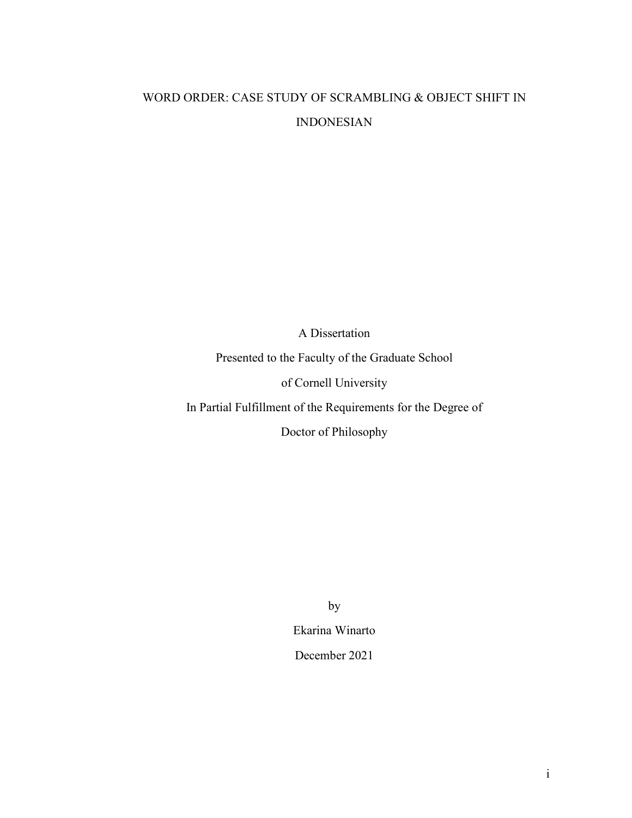# WORD ORDER: CASE STUDY OF SCRAMBLING & OBJECT SHIFT IN INDONESIAN

A Dissertation Presented to the Faculty of the Graduate School of Cornell University In Partial Fulfillment of the Requirements for the Degree of Doctor of Philosophy

by

Ekarina Winarto December 2021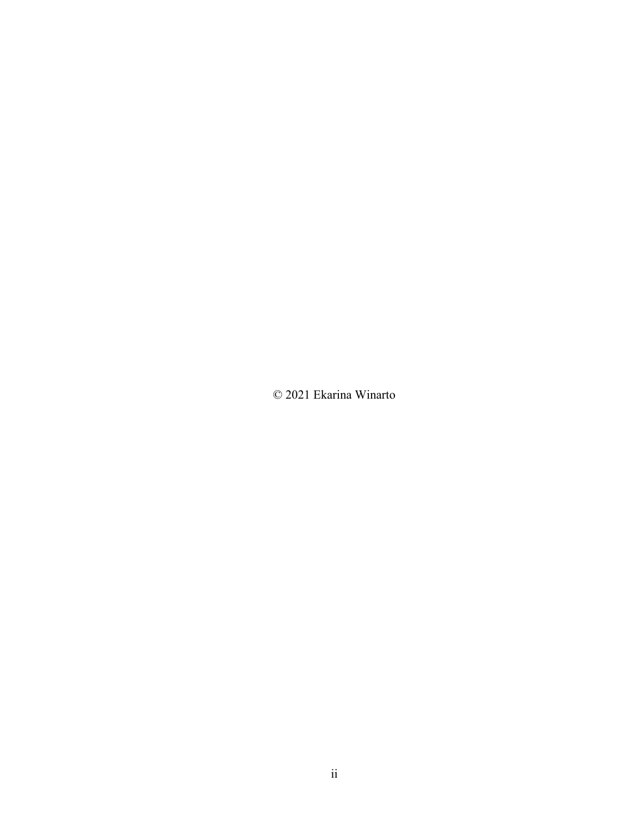© 2021 Ekarina Winarto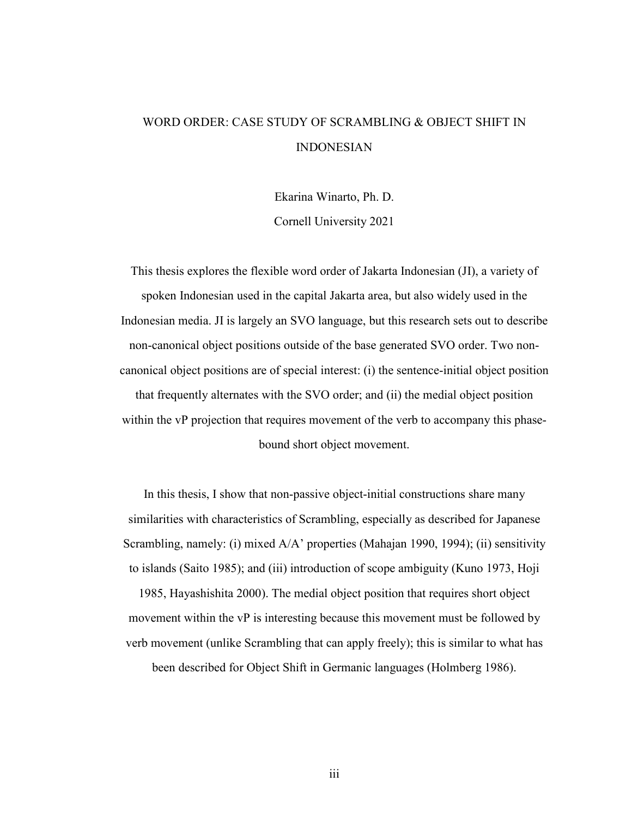# WORD ORDER: CASE STUDY OF SCRAMBLING & OBJECT SHIFT IN INDONESIAN

Ekarina Winarto, Ph. D. Cornell University 2021

This thesis explores the flexible word order of Jakarta Indonesian (JI), a variety of spoken Indonesian used in the capital Jakarta area, but also widely used in the Indonesian media. JI is largely an SVO language, but this research sets out to describe non-canonical object positions outside of the base generated SVO order. Two noncanonical object positions are of special interest: (i) the sentence-initial object position that frequently alternates with the SVO order; and (ii) the medial object position within the vP projection that requires movement of the verb to accompany this phasebound short object movement.

In this thesis, I show that non-passive object-initial constructions share many similarities with characteristics of Scrambling, especially as described for Japanese Scrambling, namely: (i) mixed A/A' properties (Mahajan 1990, 1994); (ii) sensitivity to islands (Saito 1985); and (iii) introduction of scope ambiguity (Kuno 1973, Hoji

1985, Hayashishita 2000). The medial object position that requires short object movement within the vP is interesting because this movement must be followed by verb movement (unlike Scrambling that can apply freely); this is similar to what has been described for Object Shift in Germanic languages (Holmberg 1986).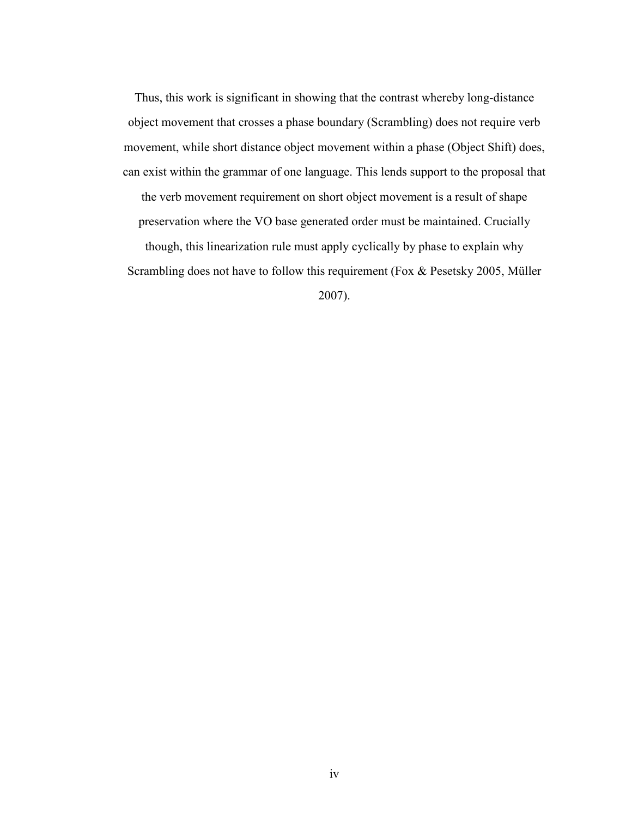Thus, this work is significant in showing that the contrast whereby long-distance object movement that crosses a phase boundary (Scrambling) does not require verb movement, while short distance object movement within a phase (Object Shift) does, can exist within the grammar of one language. This lends support to the proposal that the verb movement requirement on short object movement is a result of shape preservation where the VO base generated order must be maintained. Crucially though, this linearization rule must apply cyclically by phase to explain why Scrambling does not have to follow this requirement (Fox & Pesetsky 2005, Müller

2007).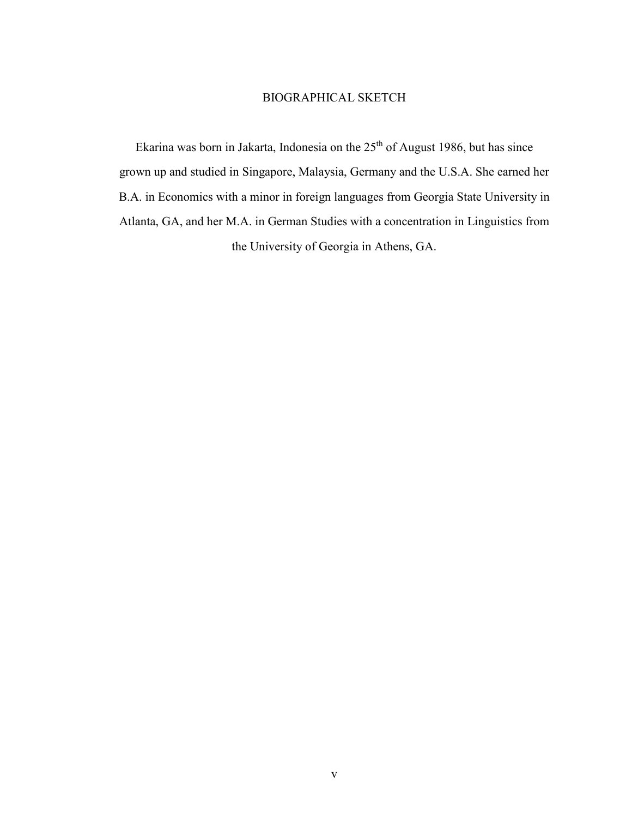## BIOGRAPHICAL SKETCH

Ekarina was born in Jakarta, Indonesia on the 25<sup>th</sup> of August 1986, but has since grown up and studied in Singapore, Malaysia, Germany and the U.S.A. She earned her B.A. in Economics with a minor in foreign languages from Georgia State University in Atlanta, GA, and her M.A. in German Studies with a concentration in Linguistics from the University of Georgia in Athens, GA.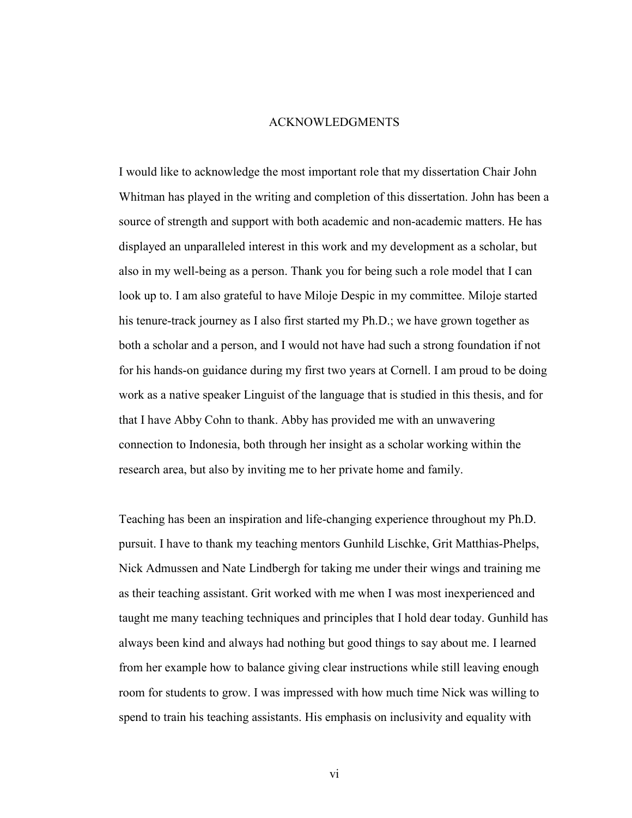#### ACKNOWLEDGMENTS

I would like to acknowledge the most important role that my dissertation Chair John Whitman has played in the writing and completion of this dissertation. John has been a source of strength and support with both academic and non-academic matters. He has displayed an unparalleled interest in this work and my development as a scholar, but also in my well-being as a person. Thank you for being such a role model that I can look up to. I am also grateful to have Miloje Despic in my committee. Miloje started his tenure-track journey as I also first started my Ph.D.; we have grown together as both a scholar and a person, and I would not have had such a strong foundation if not for his hands-on guidance during my first two years at Cornell. I am proud to be doing work as a native speaker Linguist of the language that is studied in this thesis, and for that I have Abby Cohn to thank. Abby has provided me with an unwavering connection to Indonesia, both through her insight as a scholar working within the research area, but also by inviting me to her private home and family.

Teaching has been an inspiration and life-changing experience throughout my Ph.D. pursuit. I have to thank my teaching mentors Gunhild Lischke, Grit Matthias-Phelps, Nick Admussen and Nate Lindbergh for taking me under their wings and training me as their teaching assistant. Grit worked with me when I was most inexperienced and taught me many teaching techniques and principles that I hold dear today. Gunhild has always been kind and always had nothing but good things to say about me. I learned from her example how to balance giving clear instructions while still leaving enough room for students to grow. I was impressed with how much time Nick was willing to spend to train his teaching assistants. His emphasis on inclusivity and equality with

vi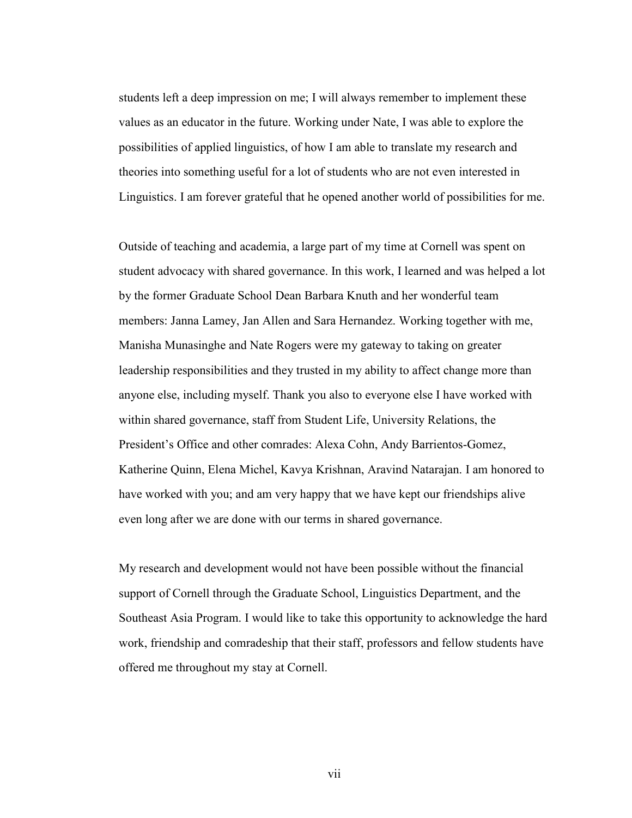students left a deep impression on me; I will always remember to implement these values as an educator in the future. Working under Nate, I was able to explore the possibilities of applied linguistics, of how I am able to translate my research and theories into something useful for a lot of students who are not even interested in Linguistics. I am forever grateful that he opened another world of possibilities for me.

Outside of teaching and academia, a large part of my time at Cornell was spent on student advocacy with shared governance. In this work, I learned and was helped a lot by the former Graduate School Dean Barbara Knuth and her wonderful team members: Janna Lamey, Jan Allen and Sara Hernandez. Working together with me, Manisha Munasinghe and Nate Rogers were my gateway to taking on greater leadership responsibilities and they trusted in my ability to affect change more than anyone else, including myself. Thank you also to everyone else I have worked with within shared governance, staff from Student Life, University Relations, the President's Office and other comrades: Alexa Cohn, Andy Barrientos-Gomez, Katherine Quinn, Elena Michel, Kavya Krishnan, Aravind Natarajan. I am honored to have worked with you; and am very happy that we have kept our friendships alive even long after we are done with our terms in shared governance.

My research and development would not have been possible without the financial support of Cornell through the Graduate School, Linguistics Department, and the Southeast Asia Program. I would like to take this opportunity to acknowledge the hard work, friendship and comradeship that their staff, professors and fellow students have offered me throughout my stay at Cornell.

vii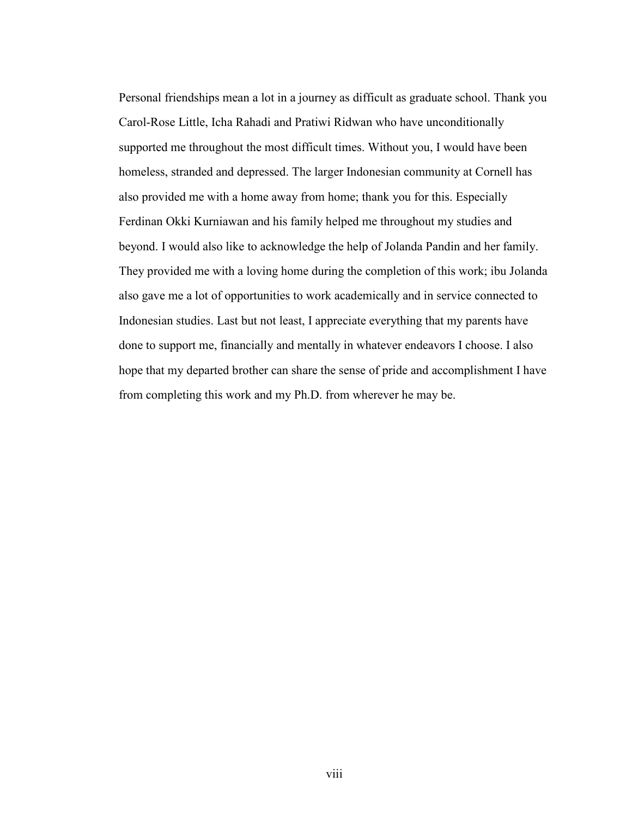Personal friendships mean a lot in a journey as difficult as graduate school. Thank you Carol-Rose Little, Icha Rahadi and Pratiwi Ridwan who have unconditionally supported me throughout the most difficult times. Without you, I would have been homeless, stranded and depressed. The larger Indonesian community at Cornell has also provided me with a home away from home; thank you for this. Especially Ferdinan Okki Kurniawan and his family helped me throughout my studies and beyond. I would also like to acknowledge the help of Jolanda Pandin and her family. They provided me with a loving home during the completion of this work; ibu Jolanda also gave me a lot of opportunities to work academically and in service connected to Indonesian studies. Last but not least, I appreciate everything that my parents have done to support me, financially and mentally in whatever endeavors I choose. I also hope that my departed brother can share the sense of pride and accomplishment I have from completing this work and my Ph.D. from wherever he may be.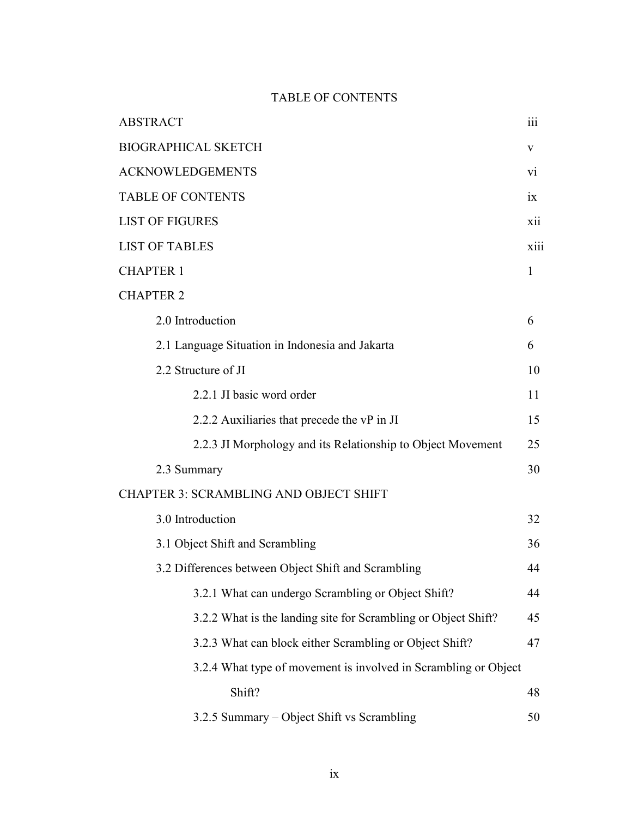# TABLE OF CONTENTS

| <b>ABSTRACT</b>                                         | iii                                                                  |      |
|---------------------------------------------------------|----------------------------------------------------------------------|------|
| <b>BIOGRAPHICAL SKETCH</b>                              | V                                                                    |      |
| <b>ACKNOWLEDGEMENTS</b>                                 | V <sub>1</sub>                                                       |      |
| <b>TABLE OF CONTENTS</b>                                | $\overline{1}X$                                                      |      |
| <b>LIST OF FIGURES</b>                                  | xii                                                                  |      |
| <b>LIST OF TABLES</b>                                   |                                                                      | xiii |
| <b>CHAPTER 1</b>                                        | $\mathbf{1}$                                                         |      |
| <b>CHAPTER 2</b>                                        |                                                                      |      |
| 2.0 Introduction                                        | 6                                                                    |      |
| 2.1 Language Situation in Indonesia and Jakarta         | 6                                                                    |      |
| 2.2 Structure of JI                                     | 10                                                                   |      |
| 2.2.1 JI basic word order                               | 11                                                                   |      |
| 2.2.2 Auxiliaries that precede the vP in JI             | 15                                                                   |      |
|                                                         | 2.2.3 JI Morphology and its Relationship to Object Movement<br>25    |      |
| 2.3 Summary                                             | 30                                                                   |      |
| <b>CHAPTER 3: SCRAMBLING AND OBJECT SHIFT</b>           |                                                                      |      |
| 3.0 Introduction                                        | 32                                                                   |      |
| 3.1 Object Shift and Scrambling                         | 36                                                                   |      |
| 3.2 Differences between Object Shift and Scrambling     | 44                                                                   |      |
| 3.2.1 What can undergo Scrambling or Object Shift?      | 44                                                                   |      |
|                                                         | 3.2.2 What is the landing site for Scrambling or Object Shift?<br>45 |      |
| 3.2.3 What can block either Scrambling or Object Shift? | 47                                                                   |      |
|                                                         | 3.2.4 What type of movement is involved in Scrambling or Object      |      |
| Shift?                                                  | 48                                                                   |      |
| 3.2.5 Summary – Object Shift vs Scrambling              | 50                                                                   |      |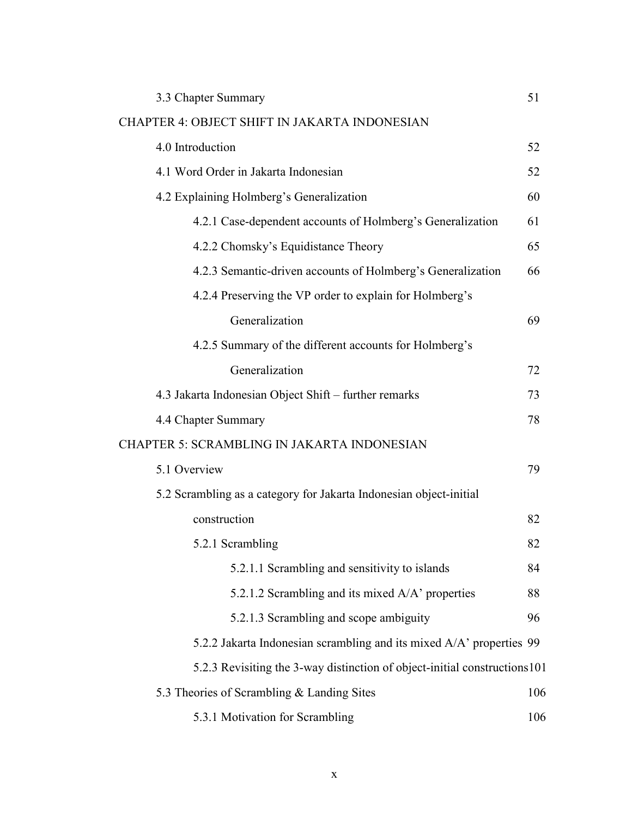| 3.3 Chapter Summary                                                       | 51  |
|---------------------------------------------------------------------------|-----|
| <b>CHAPTER 4: OBJECT SHIFT IN JAKARTA INDONESIAN</b>                      |     |
| 4.0 Introduction                                                          | 52  |
| 4.1 Word Order in Jakarta Indonesian                                      | 52  |
| 4.2 Explaining Holmberg's Generalization                                  | 60  |
| 4.2.1 Case-dependent accounts of Holmberg's Generalization                | 61  |
| 4.2.2 Chomsky's Equidistance Theory                                       | 65  |
| 4.2.3 Semantic-driven accounts of Holmberg's Generalization               | 66  |
| 4.2.4 Preserving the VP order to explain for Holmberg's                   |     |
| Generalization                                                            | 69  |
| 4.2.5 Summary of the different accounts for Holmberg's                    |     |
| Generalization                                                            | 72  |
| 4.3 Jakarta Indonesian Object Shift – further remarks                     | 73  |
| 4.4 Chapter Summary                                                       | 78  |
| <b>CHAPTER 5: SCRAMBLING IN JAKARTA INDONESIAN</b>                        |     |
| 5.1 Overview                                                              | 79  |
| 5.2 Scrambling as a category for Jakarta Indonesian object-initial        |     |
| construction                                                              | 82  |
| 5.2.1 Scrambling                                                          | 82  |
| 5.2.1.1 Scrambling and sensitivity to islands                             | 84  |
| 5.2.1.2 Scrambling and its mixed A/A' properties                          | 88  |
| 5.2.1.3 Scrambling and scope ambiguity                                    | 96  |
| 5.2.2 Jakarta Indonesian scrambling and its mixed A/A' properties 99      |     |
| 5.2.3 Revisiting the 3-way distinction of object-initial constructions101 |     |
| 5.3 Theories of Scrambling & Landing Sites                                | 106 |
| 5.3.1 Motivation for Scrambling                                           | 106 |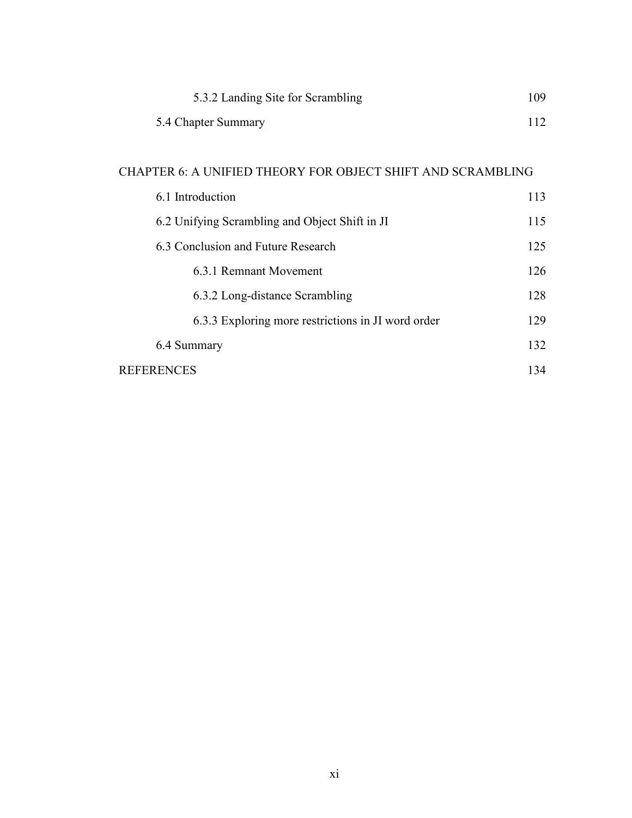| 5.3.2 Landing Site for Scrambling | 109 |
|-----------------------------------|-----|
| 5.4 Chapter Summary               |     |

# CHAPTER 6: A UNIFIED THEORY FOR OBJECT SHIFT AND SCRAMBLING

| 6.1 Introduction                                   | 113 |
|----------------------------------------------------|-----|
| 6.2 Unifying Scrambling and Object Shift in JI     | 115 |
| 6.3 Conclusion and Future Research                 | 125 |
| 6.3.1 Remnant Movement                             | 126 |
| 6.3.2 Long-distance Scrambling                     | 128 |
| 6.3.3 Exploring more restrictions in JI word order | 129 |
| 6.4 Summary                                        | 132 |
| <b>REFERENCES</b>                                  | 134 |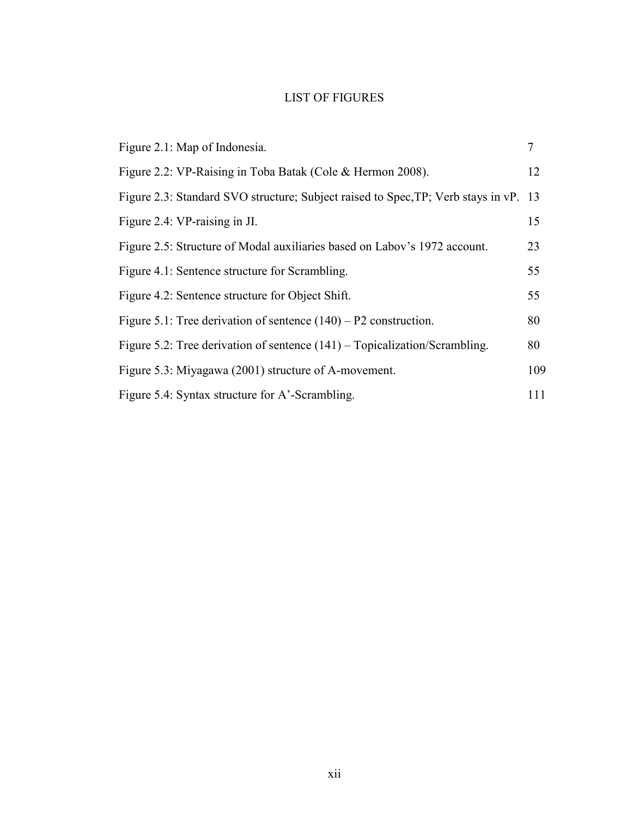# LIST OF FIGURES

| Figure 2.1: Map of Indonesia.                                                        | 7   |
|--------------------------------------------------------------------------------------|-----|
| Figure 2.2: VP-Raising in Toba Batak (Cole & Hermon 2008).                           | 12  |
| Figure 2.3: Standard SVO structure; Subject raised to Spec, TP; Verb stays in vP. 13 |     |
| Figure 2.4: VP-raising in JI.                                                        | 15  |
| Figure 2.5: Structure of Modal auxiliaries based on Labov's 1972 account.            | 23  |
| Figure 4.1: Sentence structure for Scrambling.                                       | 55  |
| Figure 4.2: Sentence structure for Object Shift.                                     | 55  |
| Figure 5.1: Tree derivation of sentence $(140) - P2$ construction.                   | 80  |
| Figure 5.2: Tree derivation of sentence $(141)$ – Topicalization/Scrambling.         | 80  |
| Figure 5.3: Miyagawa (2001) structure of A-movement.                                 | 109 |
| Figure 5.4: Syntax structure for A'-Scrambling.                                      | 111 |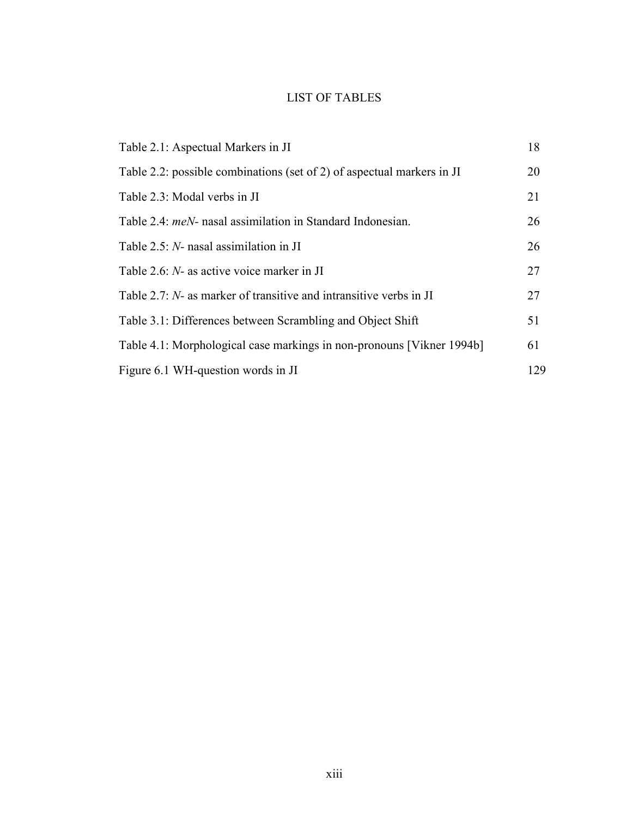# LIST OF TABLES

| Table 2.1: Aspectual Markers in JI                                     | 18  |
|------------------------------------------------------------------------|-----|
| Table 2.2: possible combinations (set of 2) of aspectual markers in JI | 20  |
| Table 2.3: Modal verbs in JI                                           | 21  |
| Table 2.4: <i>meN</i> - nasal assimilation in Standard Indonesian.     | 26  |
| Table $2.5$ : N- nasal assimilation in JI                              | 26  |
| Table 2.6: N- as active voice marker in JI                             | 27  |
| Table 2.7: N- as marker of transitive and intransitive verbs in JI     | 27  |
| Table 3.1: Differences between Scrambling and Object Shift             | 51  |
| Table 4.1: Morphological case markings in non-pronouns [Vikner 1994b]  | 61  |
| Figure 6.1 WH-question words in JI                                     | 129 |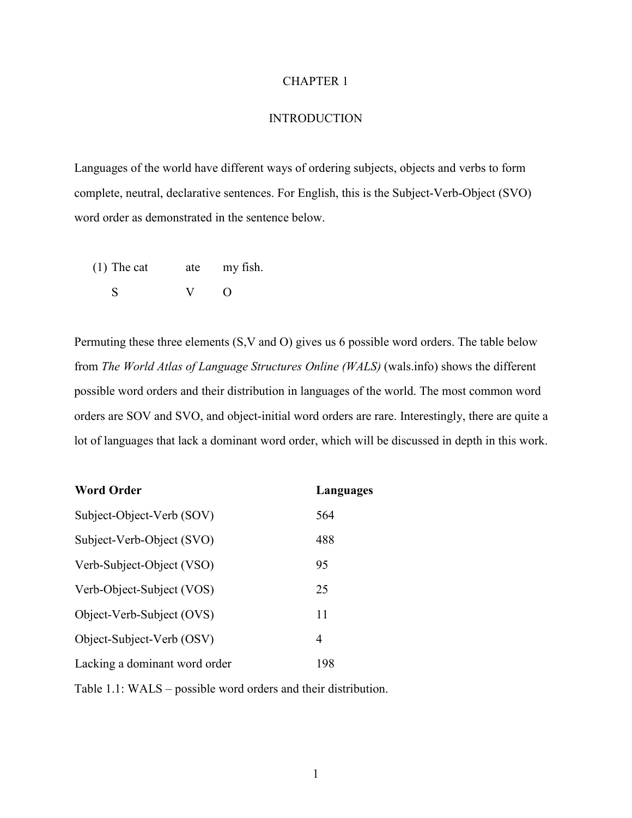## CHAPTER 1

### **INTRODUCTION**

Languages of the world have different ways of ordering subjects, objects and verbs to form complete, neutral, declarative sentences. For English, this is the Subject-Verb-Object (SVO) word order as demonstrated in the sentence below.

(1) The cat ate my fish. S V O

Permuting these three elements (S,V and O) gives us 6 possible word orders. The table below from *The World Atlas of Language Structures Online (WALS)* (wals.info) shows the different possible word orders and their distribution in languages of the world. The most common word orders are SOV and SVO, and object-initial word orders are rare. Interestingly, there are quite a lot of languages that lack a dominant word order, which will be discussed in depth in this work.

| <b>Word Order</b>             | Languages |
|-------------------------------|-----------|
| Subject-Object-Verb (SOV)     | 564       |
| Subject-Verb-Object (SVO)     | 488       |
| Verb-Subject-Object (VSO)     | 95        |
| Verb-Object-Subject (VOS)     | 25        |
| Object-Verb-Subject (OVS)     | 11        |
| Object-Subject-Verb (OSV)     | 4         |
| Lacking a dominant word order | 198       |

Table 1.1: WALS – possible word orders and their distribution.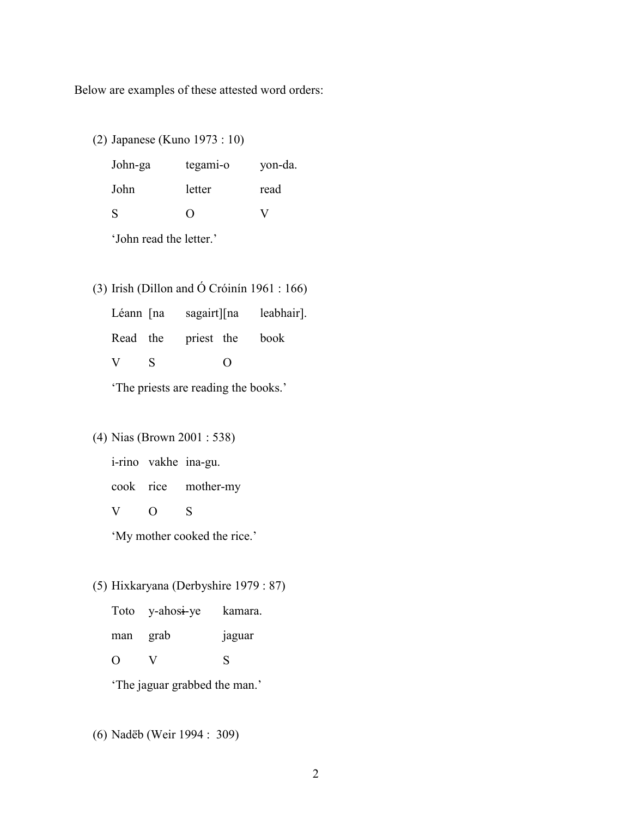Below are examples of these attested word orders:

(2) Japanese (Kuno 1973 : 10)

| John-ga      | tegami-o           | yon-da. |
|--------------|--------------------|---------|
| John         | letter             | read    |
| <sup>S</sup> | $\left( \ \right)$ | V       |

'John read the letter.'

(3) Irish (Dillon and Ó Cróinín 1961 : 166)

Léann [na sagairt][na leabhair]. Read the priest the book V S O

'The priests are reading the books.'

## (4) Nias (Brown 2001 : 538)

i-rino vakhe ina-gu.

cook rice mother-my

V O S

'My mother cooked the rice.'

## (5) Hixkaryana (Derbyshire 1979 : 87)

|                  | Toto y-ahosi-ye | kamara.       |
|------------------|-----------------|---------------|
| man              | grab            | <b>Jaguar</b> |
| $\left( \right)$ | V               | S             |

'The jaguar grabbed the man.'

(6) Nadëb (Weir 1994 : 309)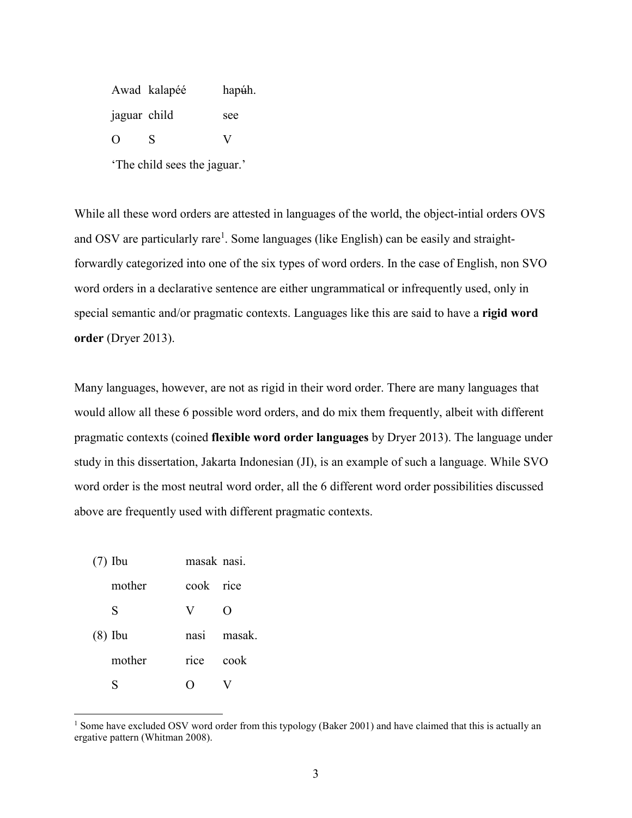Awad kalapéé hapúh. jaguar child see O S V

'The child sees the jaguar.'

While all these word orders are attested in languages of the world, the object-intial orders OVS and OSV are particularly rare<sup>1</sup>. Some languages (like English) can be easily and straightforwardly categorized into one of the six types of word orders. In the case of English, non SVO word orders in a declarative sentence are either ungrammatical or infrequently used, only in special semantic and/or pragmatic contexts. Languages like this are said to have a **rigid word order** (Dryer 2013).

Many languages, however, are not as rigid in their word order. There are many languages that would allow all these 6 possible word orders, and do mix them frequently, albeit with different pragmatic contexts (coined **flexible word order languages** by Dryer 2013). The language under study in this dissertation, Jakarta Indonesian (JI), is an example of such a language. While SVO word order is the most neutral word order, all the 6 different word order possibilities discussed above are frequently used with different pragmatic contexts.

| $(7)$ Ibu | masak nasi. |                    |
|-----------|-------------|--------------------|
| mother    | cook rice   |                    |
| S         | V           | $\left( \ \right)$ |
| $(8)$ Ibu | nasi        | masak.             |
| mother    | rice        | cook               |
|           |             |                    |

 $\overline{a}$ 

<sup>&</sup>lt;sup>1</sup> Some have excluded OSV word order from this typology (Baker 2001) and have claimed that this is actually an ergative pattern (Whitman 2008).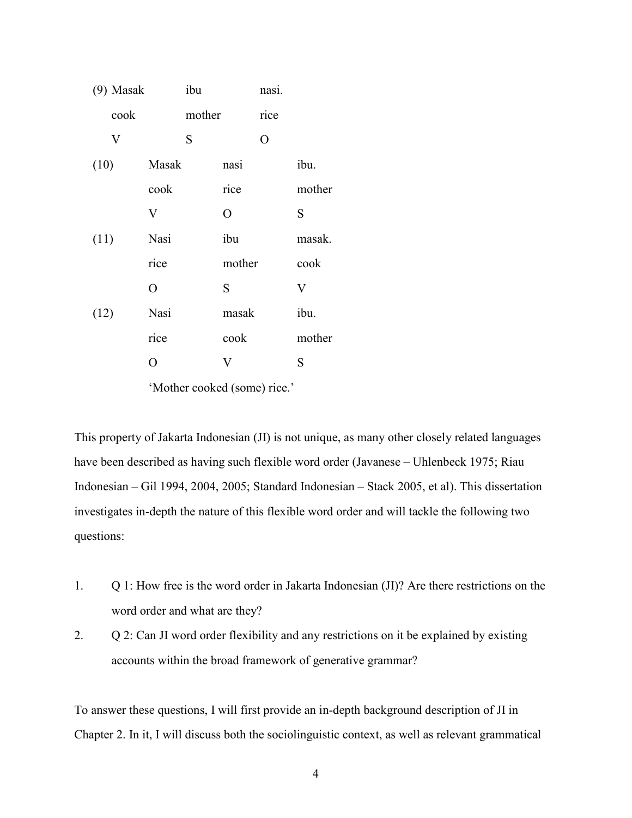| $(9)$ Masak |       | ibu    |        | nasi.          |             |
|-------------|-------|--------|--------|----------------|-------------|
| cook        |       | mother |        | rice           |             |
| $\mathbf V$ |       | S      |        | $\overline{O}$ |             |
| (10)        | Masak |        | nasi   |                | ibu.        |
|             | cook  |        | rice   |                | mother      |
|             | V     |        | O      |                | S           |
| (11)        | Nasi  |        | ibu    |                | masak.      |
|             | rice  |        | mother |                | cook        |
|             | O     |        | S      |                | $\mathbf V$ |
| (12)        | Nasi  |        | masak  |                | ibu.        |
|             | rice  |        | cook   |                | mother      |
|             | O     |        | V      |                | S           |
|             |       |        |        |                |             |

'Mother cooked (some) rice.'

This property of Jakarta Indonesian (JI) is not unique, as many other closely related languages have been described as having such flexible word order (Javanese – Uhlenbeck 1975; Riau Indonesian – Gil 1994, 2004, 2005; Standard Indonesian – Stack 2005, et al). This dissertation investigates in-depth the nature of this flexible word order and will tackle the following two questions:

- 1. Q 1: How free is the word order in Jakarta Indonesian (JI)? Are there restrictions on the word order and what are they?
- 2. Q 2: Can JI word order flexibility and any restrictions on it be explained by existing accounts within the broad framework of generative grammar?

To answer these questions, I will first provide an in-depth background description of JI in Chapter 2. In it, I will discuss both the sociolinguistic context, as well as relevant grammatical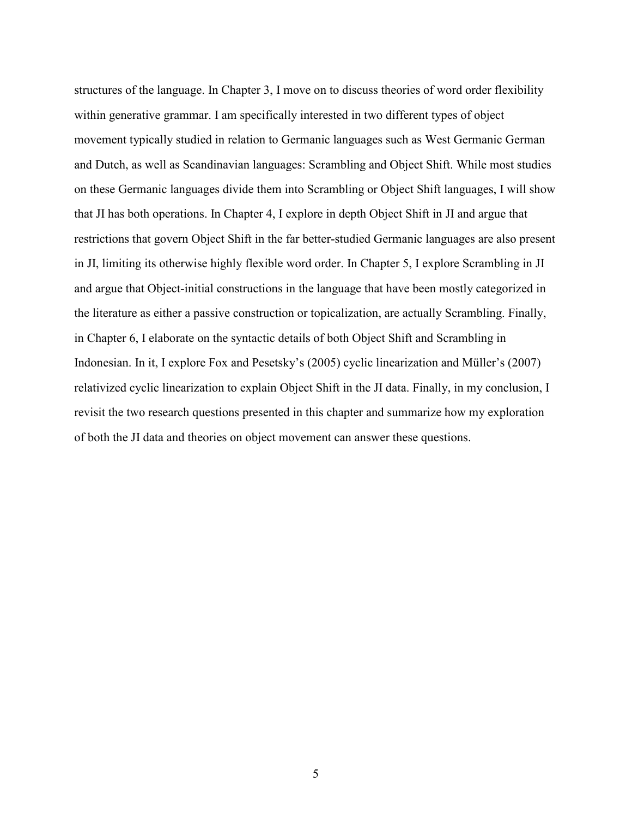structures of the language. In Chapter 3, I move on to discuss theories of word order flexibility within generative grammar. I am specifically interested in two different types of object movement typically studied in relation to Germanic languages such as West Germanic German and Dutch, as well as Scandinavian languages: Scrambling and Object Shift. While most studies on these Germanic languages divide them into Scrambling or Object Shift languages, I will show that JI has both operations. In Chapter 4, I explore in depth Object Shift in JI and argue that restrictions that govern Object Shift in the far better-studied Germanic languages are also present in JI, limiting its otherwise highly flexible word order. In Chapter 5, I explore Scrambling in JI and argue that Object-initial constructions in the language that have been mostly categorized in the literature as either a passive construction or topicalization, are actually Scrambling. Finally, in Chapter 6, I elaborate on the syntactic details of both Object Shift and Scrambling in Indonesian. In it, I explore Fox and Pesetsky's (2005) cyclic linearization and Müller's (2007) relativized cyclic linearization to explain Object Shift in the JI data. Finally, in my conclusion, I revisit the two research questions presented in this chapter and summarize how my exploration of both the JI data and theories on object movement can answer these questions.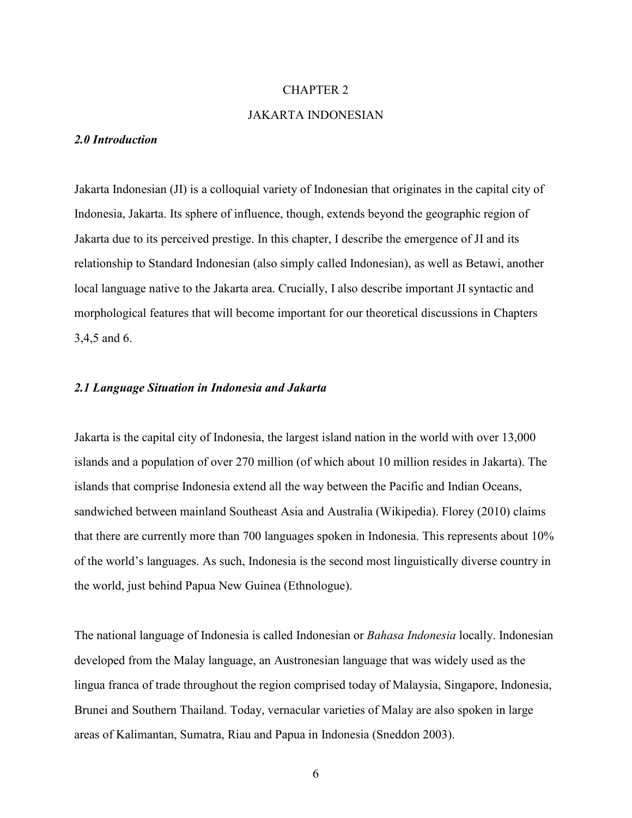## CHAPTER 2

## JAKARTA INDONESIAN

#### *2.0 Introduction*

Jakarta Indonesian (JI) is a colloquial variety of Indonesian that originates in the capital city of Indonesia, Jakarta. Its sphere of influence, though, extends beyond the geographic region of Jakarta due to its perceived prestige. In this chapter, I describe the emergence of JI and its relationship to Standard Indonesian (also simply called Indonesian), as well as Betawi, another local language native to the Jakarta area. Crucially, I also describe important JI syntactic and morphological features that will become important for our theoretical discussions in Chapters 3,4,5 and 6.

### *2.1 Language Situation in Indonesia and Jakarta*

Jakarta is the capital city of Indonesia, the largest island nation in the world with over 13,000 islands and a population of over 270 million (of which about 10 million resides in Jakarta). The islands that comprise Indonesia extend all the way between the Pacific and Indian Oceans, sandwiched between mainland Southeast Asia and Australia (Wikipedia). Florey (2010) claims that there are currently more than 700 languages spoken in Indonesia. This represents about 10% of the world's languages. As such, Indonesia is the second most linguistically diverse country in the world, just behind Papua New Guinea (Ethnologue).

The national language of Indonesia is called Indonesian or *Bahasa Indonesia* locally. Indonesian developed from the Malay language, an Austronesian language that was widely used as the lingua franca of trade throughout the region comprised today of Malaysia, Singapore, Indonesia, Brunei and Southern Thailand. Today, vernacular varieties of Malay are also spoken in large areas of Kalimantan, Sumatra, Riau and Papua in Indonesia (Sneddon 2003).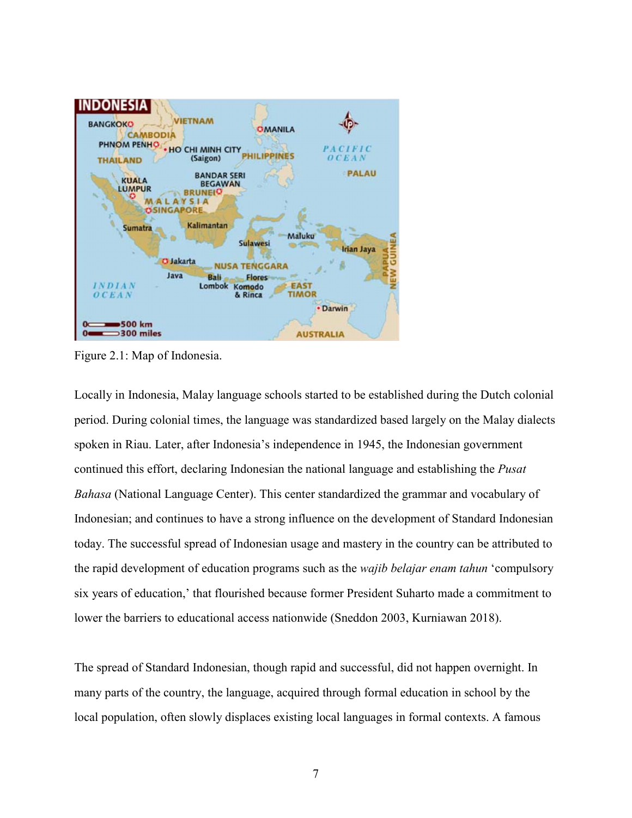

Figure 2.1: Map of Indonesia.

Locally in Indonesia, Malay language schools started to be established during the Dutch colonial period. During colonial times, the language was standardized based largely on the Malay dialects spoken in Riau. Later, after Indonesia's independence in 1945, the Indonesian government continued this effort, declaring Indonesian the national language and establishing the *Pusat Bahasa* (National Language Center). This center standardized the grammar and vocabulary of Indonesian; and continues to have a strong influence on the development of Standard Indonesian today. The successful spread of Indonesian usage and mastery in the country can be attributed to the rapid development of education programs such as the *wajib belajar enam tahun* 'compulsory six years of education,' that flourished because former President Suharto made a commitment to lower the barriers to educational access nationwide (Sneddon 2003, Kurniawan 2018).

The spread of Standard Indonesian, though rapid and successful, did not happen overnight. In many parts of the country, the language, acquired through formal education in school by the local population, often slowly displaces existing local languages in formal contexts. A famous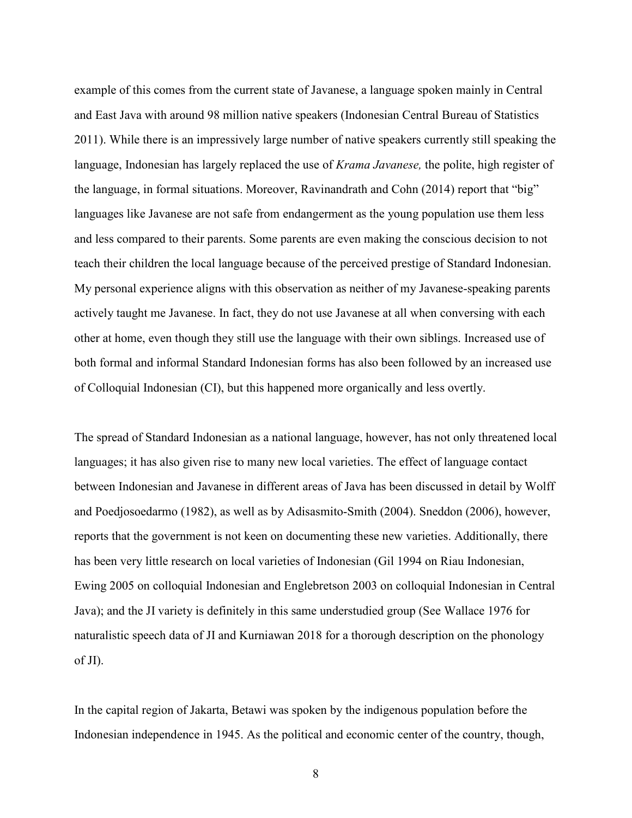example of this comes from the current state of Javanese, a language spoken mainly in Central and East Java with around 98 million native speakers (Indonesian Central Bureau of Statistics 2011). While there is an impressively large number of native speakers currently still speaking the language, Indonesian has largely replaced the use of *Krama Javanese,* the polite, high register of the language, in formal situations. Moreover, Ravinandrath and Cohn (2014) report that "big" languages like Javanese are not safe from endangerment as the young population use them less and less compared to their parents. Some parents are even making the conscious decision to not teach their children the local language because of the perceived prestige of Standard Indonesian. My personal experience aligns with this observation as neither of my Javanese-speaking parents actively taught me Javanese. In fact, they do not use Javanese at all when conversing with each other at home, even though they still use the language with their own siblings. Increased use of both formal and informal Standard Indonesian forms has also been followed by an increased use of Colloquial Indonesian (CI), but this happened more organically and less overtly.

The spread of Standard Indonesian as a national language, however, has not only threatened local languages; it has also given rise to many new local varieties. The effect of language contact between Indonesian and Javanese in different areas of Java has been discussed in detail by Wolff and Poedjosoedarmo (1982), as well as by Adisasmito-Smith (2004). Sneddon (2006), however, reports that the government is not keen on documenting these new varieties. Additionally, there has been very little research on local varieties of Indonesian (Gil 1994 on Riau Indonesian, Ewing 2005 on colloquial Indonesian and Englebretson 2003 on colloquial Indonesian in Central Java); and the JI variety is definitely in this same understudied group (See Wallace 1976 for naturalistic speech data of JI and Kurniawan 2018 for a thorough description on the phonology of JI).

In the capital region of Jakarta, Betawi was spoken by the indigenous population before the Indonesian independence in 1945. As the political and economic center of the country, though,

8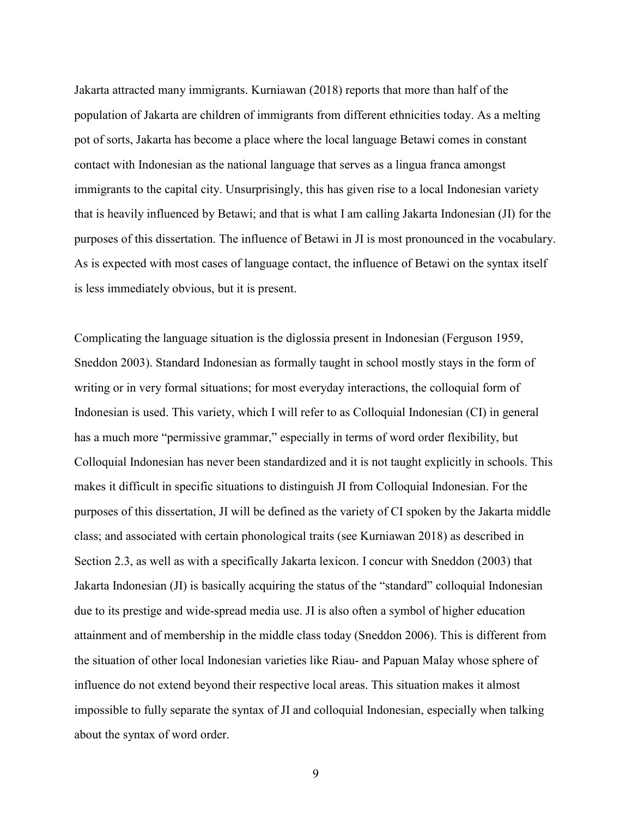Jakarta attracted many immigrants. Kurniawan (2018) reports that more than half of the population of Jakarta are children of immigrants from different ethnicities today. As a melting pot of sorts, Jakarta has become a place where the local language Betawi comes in constant contact with Indonesian as the national language that serves as a lingua franca amongst immigrants to the capital city. Unsurprisingly, this has given rise to a local Indonesian variety that is heavily influenced by Betawi; and that is what I am calling Jakarta Indonesian (JI) for the purposes of this dissertation. The influence of Betawi in JI is most pronounced in the vocabulary. As is expected with most cases of language contact, the influence of Betawi on the syntax itself is less immediately obvious, but it is present.

Complicating the language situation is the diglossia present in Indonesian (Ferguson 1959, Sneddon 2003). Standard Indonesian as formally taught in school mostly stays in the form of writing or in very formal situations; for most everyday interactions, the colloquial form of Indonesian is used. This variety, which I will refer to as Colloquial Indonesian (CI) in general has a much more "permissive grammar," especially in terms of word order flexibility, but Colloquial Indonesian has never been standardized and it is not taught explicitly in schools. This makes it difficult in specific situations to distinguish JI from Colloquial Indonesian. For the purposes of this dissertation, JI will be defined as the variety of CI spoken by the Jakarta middle class; and associated with certain phonological traits (see Kurniawan 2018) as described in Section 2.3, as well as with a specifically Jakarta lexicon. I concur with Sneddon (2003) that Jakarta Indonesian (JI) is basically acquiring the status of the "standard" colloquial Indonesian due to its prestige and wide-spread media use. JI is also often a symbol of higher education attainment and of membership in the middle class today (Sneddon 2006). This is different from the situation of other local Indonesian varieties like Riau- and Papuan Malay whose sphere of influence do not extend beyond their respective local areas. This situation makes it almost impossible to fully separate the syntax of JI and colloquial Indonesian, especially when talking about the syntax of word order.

9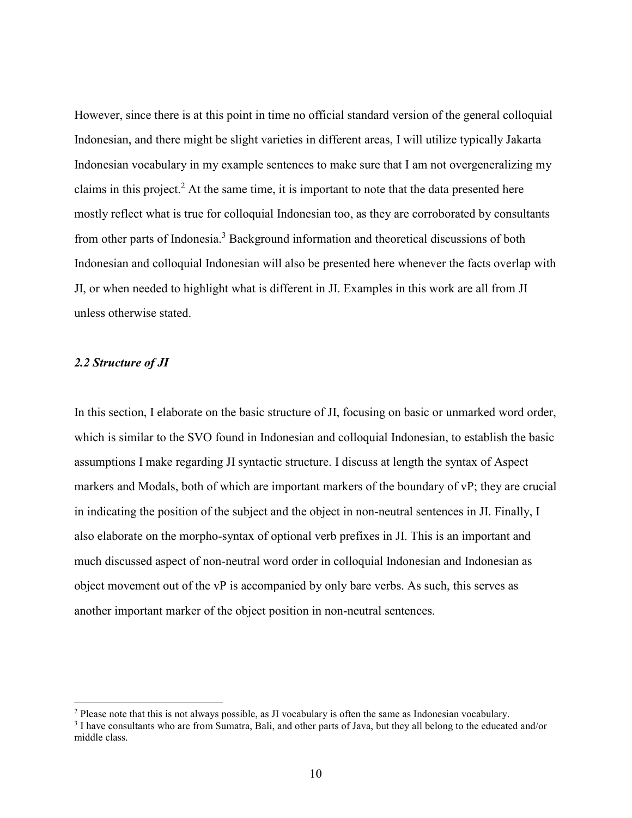However, since there is at this point in time no official standard version of the general colloquial Indonesian, and there might be slight varieties in different areas, I will utilize typically Jakarta Indonesian vocabulary in my example sentences to make sure that I am not overgeneralizing my claims in this project.<sup>2</sup> At the same time, it is important to note that the data presented here mostly reflect what is true for colloquial Indonesian too, as they are corroborated by consultants from other parts of Indonesia.<sup>3</sup> Background information and theoretical discussions of both Indonesian and colloquial Indonesian will also be presented here whenever the facts overlap with JI, or when needed to highlight what is different in JI. Examples in this work are all from JI unless otherwise stated.

## *2.2 Structure of JI*

 $\overline{a}$ 

In this section, I elaborate on the basic structure of JI, focusing on basic or unmarked word order, which is similar to the SVO found in Indonesian and colloquial Indonesian, to establish the basic assumptions I make regarding JI syntactic structure. I discuss at length the syntax of Aspect markers and Modals, both of which are important markers of the boundary of vP; they are crucial in indicating the position of the subject and the object in non-neutral sentences in JI. Finally, I also elaborate on the morpho-syntax of optional verb prefixes in JI. This is an important and much discussed aspect of non-neutral word order in colloquial Indonesian and Indonesian as object movement out of the vP is accompanied by only bare verbs. As such, this serves as another important marker of the object position in non-neutral sentences.

<sup>&</sup>lt;sup>2</sup> Please note that this is not always possible, as JI vocabulary is often the same as Indonesian vocabulary.

<sup>&</sup>lt;sup>3</sup> I have consultants who are from Sumatra, Bali, and other parts of Java, but they all belong to the educated and/or middle class.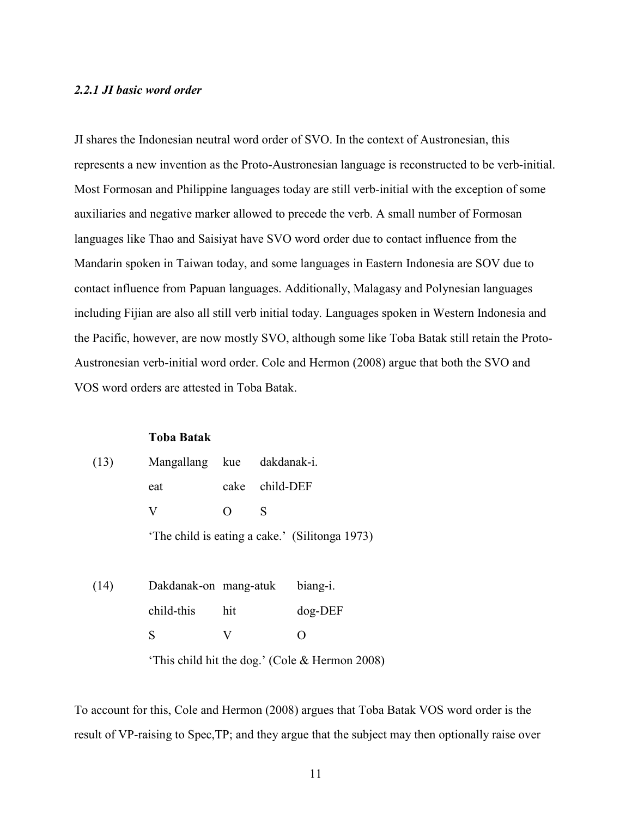## *2.2.1 JI basic word order*

JI shares the Indonesian neutral word order of SVO. In the context of Austronesian, this represents a new invention as the Proto-Austronesian language is reconstructed to be verb-initial. Most Formosan and Philippine languages today are still verb-initial with the exception of some auxiliaries and negative marker allowed to precede the verb. A small number of Formosan languages like Thao and Saisiyat have SVO word order due to contact influence from the Mandarin spoken in Taiwan today, and some languages in Eastern Indonesia are SOV due to contact influence from Papuan languages. Additionally, Malagasy and Polynesian languages including Fijian are also all still verb initial today. Languages spoken in Western Indonesia and the Pacific, however, are now mostly SVO, although some like Toba Batak still retain the Proto-Austronesian verb-initial word order. Cole and Hermon (2008) argue that both the SVO and VOS word orders are attested in Toba Batak.

## **Toba Batak**

| (13) | Mangallang            | kue              | dakdanak-i. |                                                |
|------|-----------------------|------------------|-------------|------------------------------------------------|
|      | eat                   | cake             | child-DEF   |                                                |
|      | V                     | $\left( \right)$ | S           |                                                |
|      |                       |                  |             | 'The child is eating a cake.' (Silitonga 1973) |
|      |                       |                  |             |                                                |
| (14) | Dakdanak-on mang-atuk |                  |             | biang-i.                                       |
|      | child-this            | hit              |             | $dog$ -DEF                                     |
|      | S                     |                  |             |                                                |

'This child hit the dog.' (Cole & Hermon 2008)

To account for this, Cole and Hermon (2008) argues that Toba Batak VOS word order is the result of VP-raising to Spec,TP; and they argue that the subject may then optionally raise over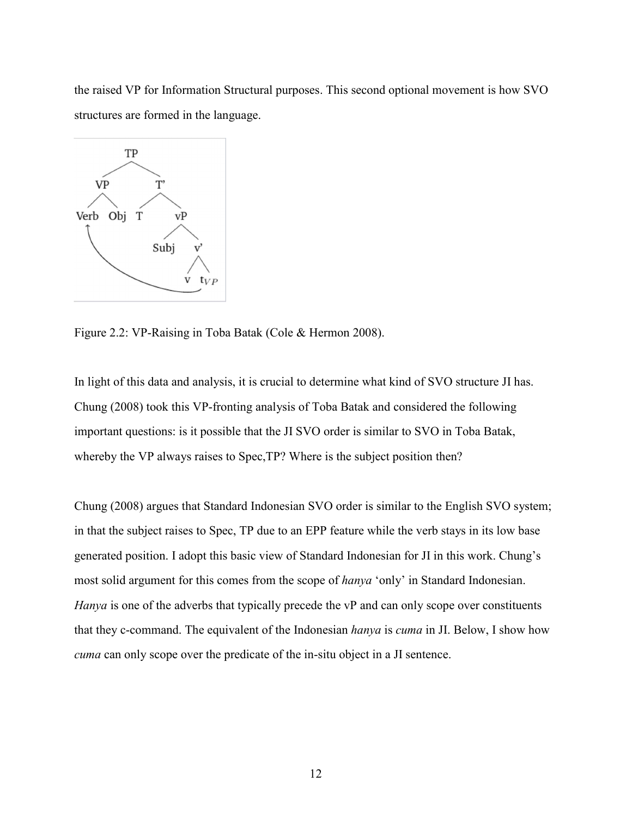the raised VP for Information Structural purposes. This second optional movement is how SVO structures are formed in the language.



Figure 2.2: VP-Raising in Toba Batak (Cole & Hermon 2008).

In light of this data and analysis, it is crucial to determine what kind of SVO structure JI has. Chung (2008) took this VP-fronting analysis of Toba Batak and considered the following important questions: is it possible that the JI SVO order is similar to SVO in Toba Batak, whereby the VP always raises to Spec, TP? Where is the subject position then?

Chung (2008) argues that Standard Indonesian SVO order is similar to the English SVO system; in that the subject raises to Spec, TP due to an EPP feature while the verb stays in its low base generated position. I adopt this basic view of Standard Indonesian for JI in this work. Chung's most solid argument for this comes from the scope of *hanya* 'only' in Standard Indonesian. *Hanya* is one of the adverbs that typically precede the vP and can only scope over constituents that they c-command. The equivalent of the Indonesian *hanya* is *cuma* in JI. Below, I show how *cuma* can only scope over the predicate of the in-situ object in a JI sentence.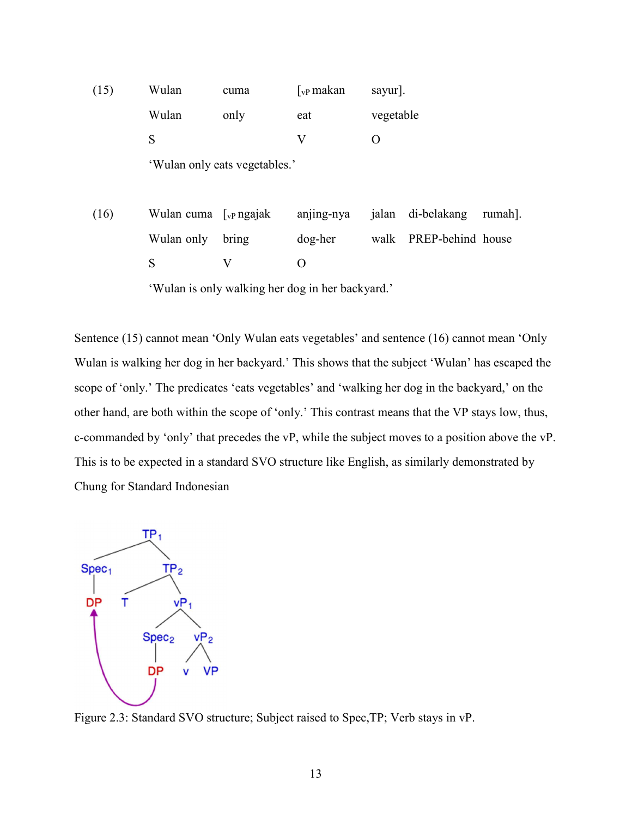| (15) | Wulan                                                  | cuma                          | $\int_{\rm vP}$ makan | sayur].   |                   |         |
|------|--------------------------------------------------------|-------------------------------|-----------------------|-----------|-------------------|---------|
|      | Wulan                                                  | only                          | eat                   | vegetable |                   |         |
|      | S                                                      |                               | V                     | O         |                   |         |
|      |                                                        | 'Wulan only eats vegetables.' |                       |           |                   |         |
|      |                                                        |                               |                       |           |                   |         |
| (16) | Wulan cuma $\int_{\mathbf{v} \cdot \mathbf{P}}$ ngajak |                               | anjing-nya            | jalan     | di-belakang       | rumah]. |
|      | Wulan only                                             | bring                         | dog-her               | walk      | PREP-behind house |         |
|      | S                                                      | V                             | $\overline{O}$        |           |                   |         |
|      | 'Wulan is only walking her dog in her backyard.'       |                               |                       |           |                   |         |

Sentence (15) cannot mean 'Only Wulan eats vegetables' and sentence (16) cannot mean 'Only Wulan is walking her dog in her backyard.' This shows that the subject 'Wulan' has escaped the scope of 'only.' The predicates 'eats vegetables' and 'walking her dog in the backyard,' on the other hand, are both within the scope of 'only.' This contrast means that the VP stays low, thus, c-commanded by 'only' that precedes the vP, while the subject moves to a position above the vP. This is to be expected in a standard SVO structure like English, as similarly demonstrated by Chung for Standard Indonesian



Figure 2.3: Standard SVO structure; Subject raised to Spec,TP; Verb stays in vP.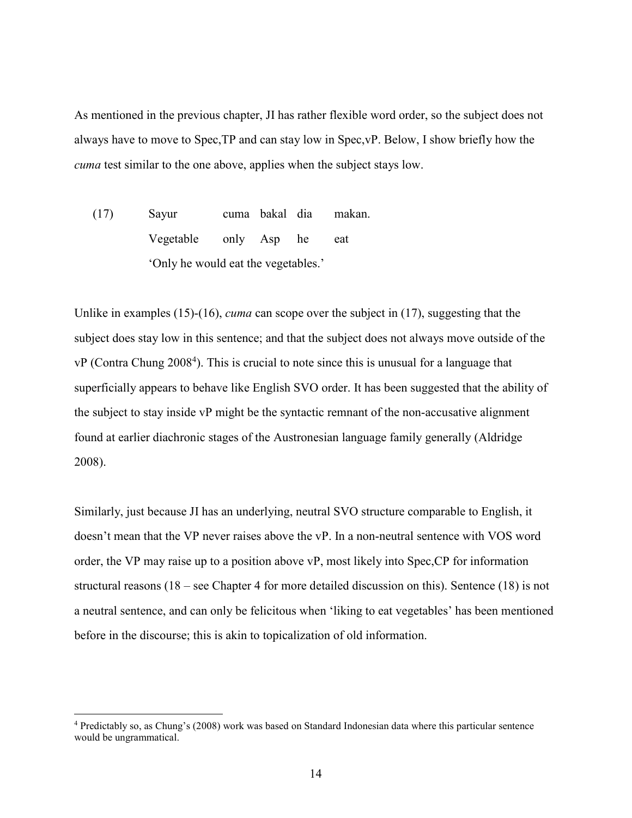As mentioned in the previous chapter, JI has rather flexible word order, so the subject does not always have to move to Spec,TP and can stay low in Spec,vP. Below, I show briefly how the *cuma* test similar to the one above, applies when the subject stays low.

(17) Sayur cuma bakal dia makan. Vegetable only Asp he eat 'Only he would eat the vegetables.'

Unlike in examples (15)-(16), *cuma* can scope over the subject in (17), suggesting that the subject does stay low in this sentence; and that the subject does not always move outside of the vP (Contra Chung 2008<sup>4</sup>). This is crucial to note since this is unusual for a language that superficially appears to behave like English SVO order. It has been suggested that the ability of the subject to stay inside vP might be the syntactic remnant of the non-accusative alignment found at earlier diachronic stages of the Austronesian language family generally (Aldridge 2008).

Similarly, just because JI has an underlying, neutral SVO structure comparable to English, it doesn't mean that the VP never raises above the vP. In a non-neutral sentence with VOS word order, the VP may raise up to a position above vP, most likely into Spec,CP for information structural reasons (18 – see Chapter 4 for more detailed discussion on this). Sentence (18) is not a neutral sentence, and can only be felicitous when 'liking to eat vegetables' has been mentioned before in the discourse; this is akin to topicalization of old information.

-

<sup>&</sup>lt;sup>4</sup> Predictably so, as Chung's (2008) work was based on Standard Indonesian data where this particular sentence would be ungrammatical.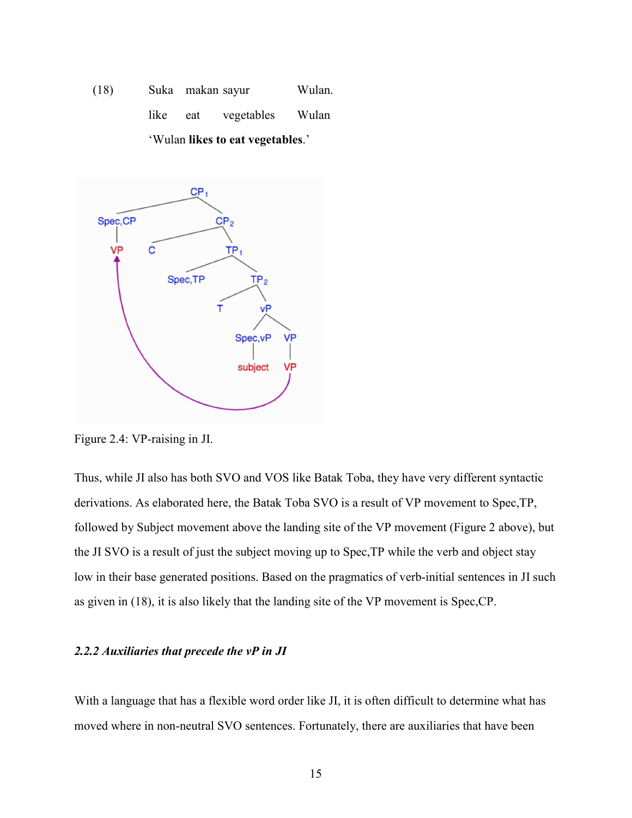(18) Suka makan sayur Wulan. like eat vegetables Wulan 'Wulan **likes to eat vegetables**.'



Figure 2.4: VP-raising in JI.

Thus, while JI also has both SVO and VOS like Batak Toba, they have very different syntactic derivations. As elaborated here, the Batak Toba SVO is a result of VP movement to Spec,TP, followed by Subject movement above the landing site of the VP movement (Figure 2 above), but the JI SVO is a result of just the subject moving up to Spec,TP while the verb and object stay low in their base generated positions. Based on the pragmatics of verb-initial sentences in JI such as given in (18), it is also likely that the landing site of the VP movement is Spec,CP.

### *2.2.2 Auxiliaries that precede the vP in JI*

With a language that has a flexible word order like JI, it is often difficult to determine what has moved where in non-neutral SVO sentences. Fortunately, there are auxiliaries that have been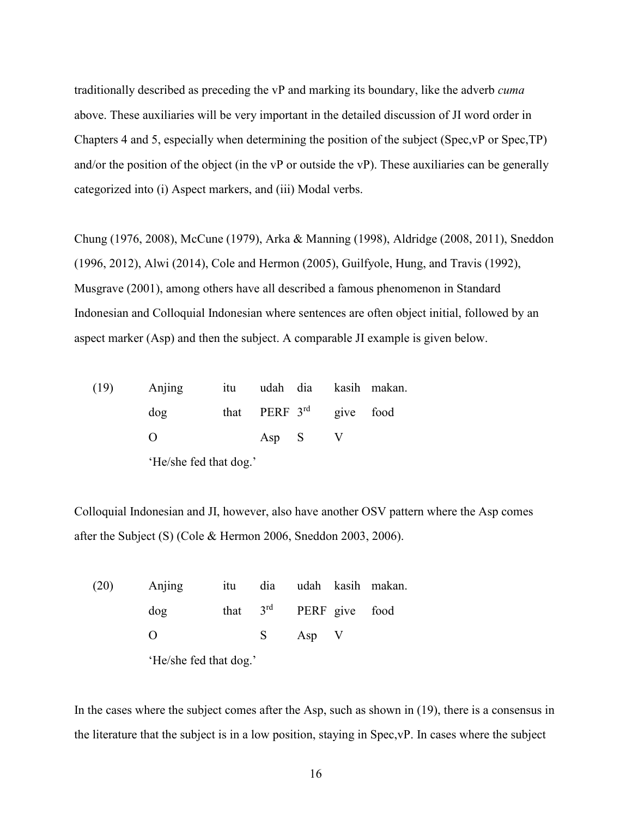traditionally described as preceding the vP and marking its boundary, like the adverb *cuma* above. These auxiliaries will be very important in the detailed discussion of JI word order in Chapters 4 and 5, especially when determining the position of the subject (Spec,vP or Spec,TP) and/or the position of the object (in the vP or outside the vP). These auxiliaries can be generally categorized into (i) Aspect markers, and (iii) Modal verbs.

Chung (1976, 2008), McCune (1979), Arka & Manning (1998), Aldridge (2008, 2011), Sneddon (1996, 2012), Alwi (2014), Cole and Hermon (2005), Guilfyole, Hung, and Travis (1992), Musgrave (2001), among others have all described a famous phenomenon in Standard Indonesian and Colloquial Indonesian where sentences are often object initial, followed by an aspect marker (Asp) and then the subject. A comparable JI example is given below.

| (19) | Anjing                 |  |                           |  |  | itu udah dia kasih makan. |
|------|------------------------|--|---------------------------|--|--|---------------------------|
|      | dog                    |  | that PERF $3rd$ give food |  |  |                           |
|      |                        |  | Asp S                     |  |  |                           |
|      | 'He/she fed that dog.' |  |                           |  |  |                           |

Colloquial Indonesian and JI, however, also have another OSV pattern where the Asp comes after the Subject (S) (Cole & Hermon 2006, Sneddon 2003, 2006).

| (20) | Anjing                 |  |   |                           |  | itu dia udah kasih makan. |  |  |
|------|------------------------|--|---|---------------------------|--|---------------------------|--|--|
|      | $\log$                 |  |   | that $3rd$ PERF give food |  |                           |  |  |
|      |                        |  | S | Asp V                     |  |                           |  |  |
|      | 'He/she fed that dog.' |  |   |                           |  |                           |  |  |

In the cases where the subject comes after the Asp, such as shown in (19), there is a consensus in the literature that the subject is in a low position, staying in Spec,vP. In cases where the subject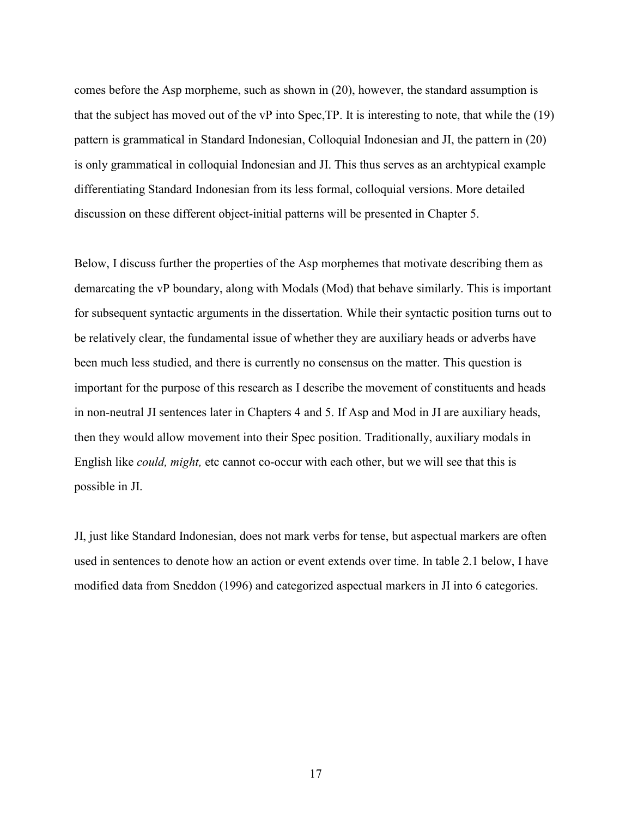comes before the Asp morpheme, such as shown in (20), however, the standard assumption is that the subject has moved out of the vP into Spec,TP. It is interesting to note, that while the (19) pattern is grammatical in Standard Indonesian, Colloquial Indonesian and JI, the pattern in (20) is only grammatical in colloquial Indonesian and JI. This thus serves as an archtypical example differentiating Standard Indonesian from its less formal, colloquial versions. More detailed discussion on these different object-initial patterns will be presented in Chapter 5.

Below, I discuss further the properties of the Asp morphemes that motivate describing them as demarcating the vP boundary, along with Modals (Mod) that behave similarly. This is important for subsequent syntactic arguments in the dissertation. While their syntactic position turns out to be relatively clear, the fundamental issue of whether they are auxiliary heads or adverbs have been much less studied, and there is currently no consensus on the matter. This question is important for the purpose of this research as I describe the movement of constituents and heads in non-neutral JI sentences later in Chapters 4 and 5. If Asp and Mod in JI are auxiliary heads, then they would allow movement into their Spec position. Traditionally, auxiliary modals in English like *could, might,* etc cannot co-occur with each other, but we will see that this is possible in JI.

JI, just like Standard Indonesian, does not mark verbs for tense, but aspectual markers are often used in sentences to denote how an action or event extends over time. In table 2.1 below, I have modified data from Sneddon (1996) and categorized aspectual markers in JI into 6 categories.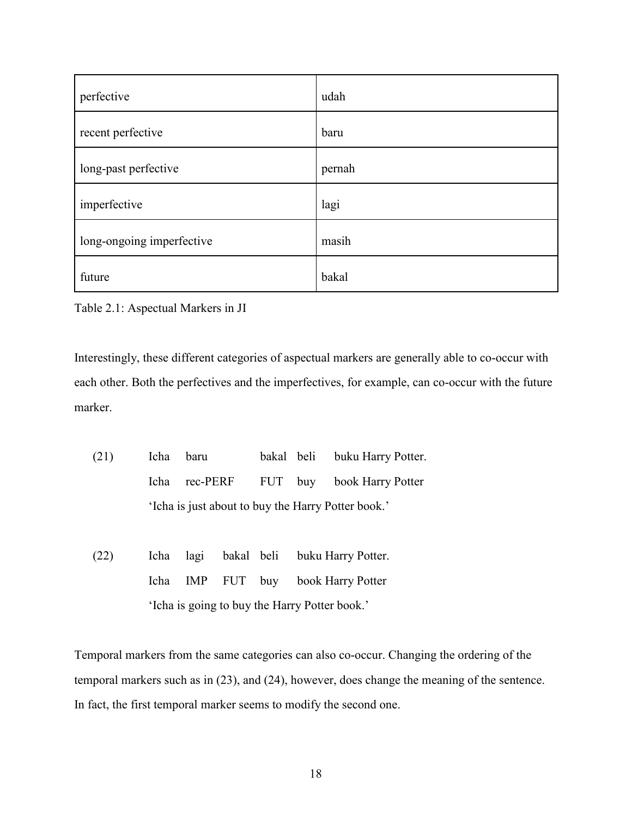| perfective                | udah   |
|---------------------------|--------|
| recent perfective         | baru   |
| long-past perfective      | pernah |
| imperfective              | lagi   |
| long-ongoing imperfective | masih  |
| future                    | bakal  |

Table 2.1: Aspectual Markers in JI

Interestingly, these different categories of aspectual markers are generally able to co-occur with each other. Both the perfectives and the imperfectives, for example, can co-occur with the future marker.

- (21) Icha baru bakal beli buku Harry Potter. Icha rec-PERF FUT buy book Harry Potter 'Icha is just about to buy the Harry Potter book.'
- (22) Icha lagi bakal beli buku Harry Potter. Icha IMP FUT buy book Harry Potter 'Icha is going to buy the Harry Potter book.'

Temporal markers from the same categories can also co-occur. Changing the ordering of the temporal markers such as in (23), and (24), however, does change the meaning of the sentence. In fact, the first temporal marker seems to modify the second one.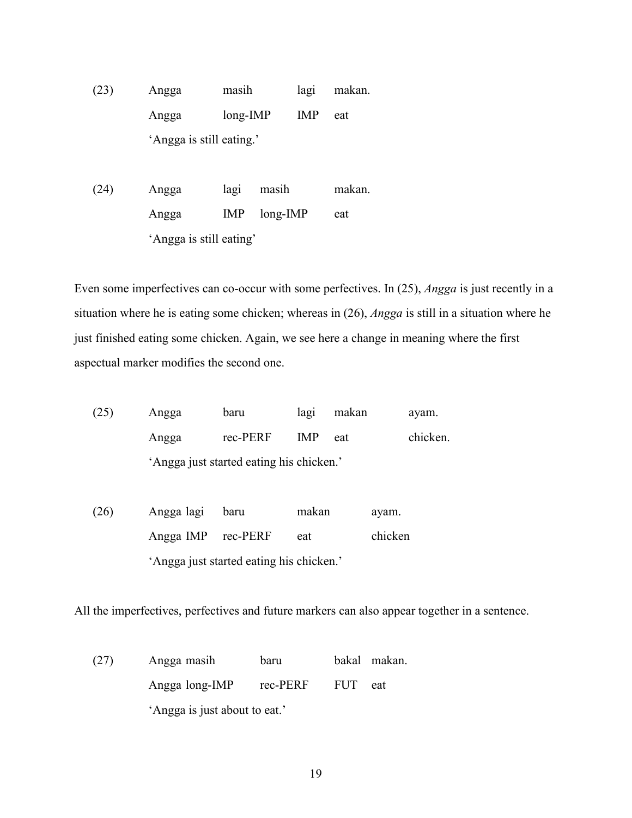(23) Angga masih lagi makan. Angga long-IMP IMP eat 'Angga is still eating.'

(24) Angga lagi masih makan. Angga IMP long-IMP eat 'Angga is still eating'

Even some imperfectives can co-occur with some perfectives. In (25), *Angga* is just recently in a situation where he is eating some chicken; whereas in (26), *Angga* is still in a situation where he just finished eating some chicken. Again, we see here a change in meaning where the first aspectual marker modifies the second one.

| (25) | Angga                                    | baru     | lag1       | makan | avam.    |  |  |
|------|------------------------------------------|----------|------------|-------|----------|--|--|
|      | Angga                                    | rec-PERF | <b>IMP</b> | eat   | chicken. |  |  |
|      | 'Angga just started eating his chicken.' |          |            |       |          |  |  |

(26) Angga lagi baru makan ayam. Angga IMP rec-PERF eat chicken 'Angga just started eating his chicken.'

All the imperfectives, perfectives and future markers can also appear together in a sentence.

(27) Angga masih baru bakal makan. Angga long-IMP rec-PERF FUT eat 'Angga is just about to eat.'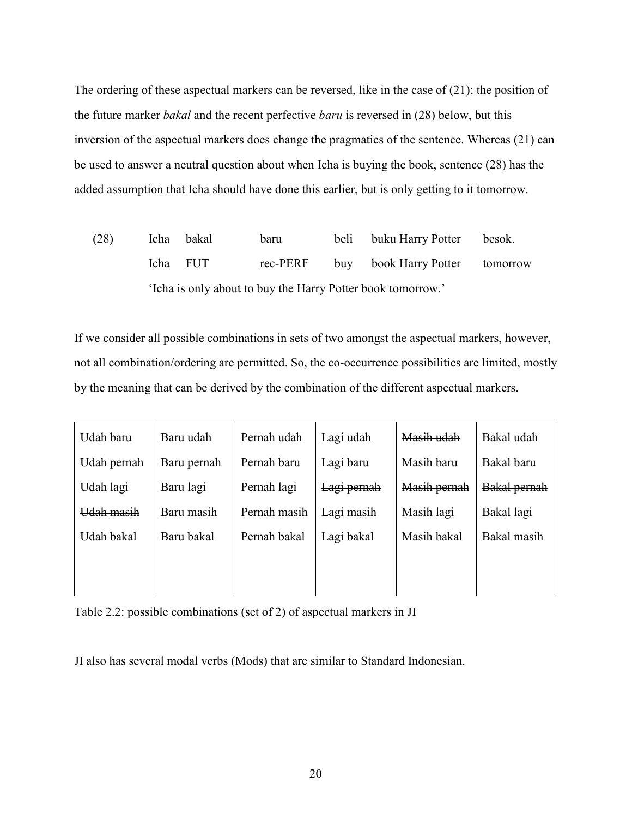The ordering of these aspectual markers can be reversed, like in the case of (21); the position of the future marker *bakal* and the recent perfective *baru* is reversed in (28) below, but this inversion of the aspectual markers does change the pragmatics of the sentence. Whereas (21) can be used to answer a neutral question about when Icha is buying the book, sentence (28) has the added assumption that Icha should have done this earlier, but is only getting to it tomorrow.

(28) Icha bakal baru beli buku Harry Potter besok. Icha FUT rec-PERF buy book Harry Potter tomorrow 'Icha is only about to buy the Harry Potter book tomorrow.'

If we consider all possible combinations in sets of two amongst the aspectual markers, however, not all combination/ordering are permitted. So, the co-occurrence possibilities are limited, mostly by the meaning that can be derived by the combination of the different aspectual markers.

| Udah baru   | Baru udah   | Pernah udah  | Lagi udah   | Masih udah   | Bakal udah   |
|-------------|-------------|--------------|-------------|--------------|--------------|
| Udah pernah | Baru pernah | Pernah baru  | Lagi baru   | Masih baru   | Bakal baru   |
| Udah lagi   | Baru lagi   | Pernah lagi  | Lagi pernah | Masih pernah | Bakal pernah |
| Udah masih  | Baru masih  | Pernah masih | Lagi masih  | Masih lagi   | Bakal lagi   |
| Udah bakal  | Baru bakal  | Pernah bakal | Lagi bakal  | Masih bakal  | Bakal masih  |
|             |             |              |             |              |              |
|             |             |              |             |              |              |

Table 2.2: possible combinations (set of 2) of aspectual markers in JI

JI also has several modal verbs (Mods) that are similar to Standard Indonesian.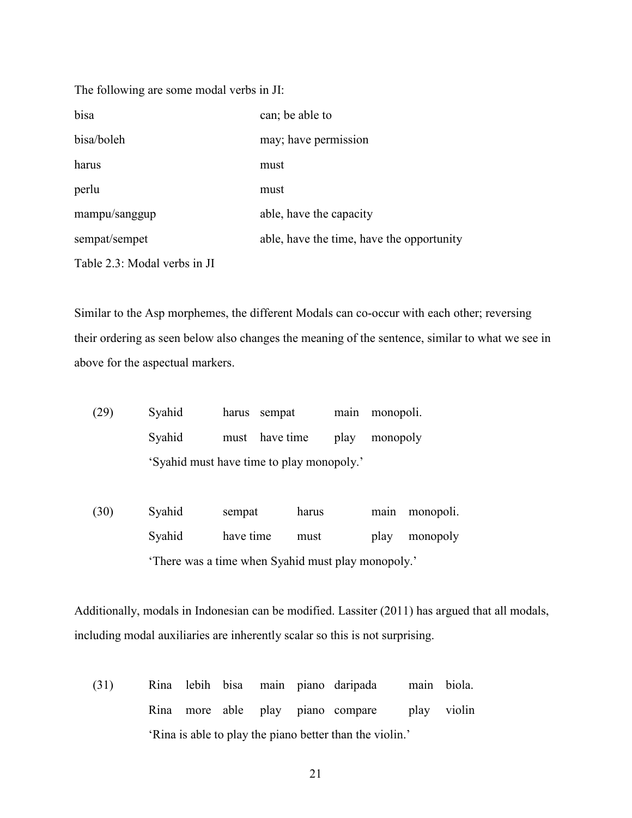| The following are some modal verbs in JI: |                                           |  |  |  |
|-------------------------------------------|-------------------------------------------|--|--|--|
| bisa                                      | can; be able to                           |  |  |  |
| bisa/boleh                                | may; have permission                      |  |  |  |
| harus                                     | must                                      |  |  |  |
| perlu                                     | must                                      |  |  |  |
| mampu/sanggup                             | able, have the capacity                   |  |  |  |
| sempat/sempet                             | able, have the time, have the opportunity |  |  |  |
| Table 2.3: Modal verbs in JI              |                                           |  |  |  |

Similar to the Asp morphemes, the different Modals can co-occur with each other; reversing their ordering as seen below also changes the meaning of the sentence, similar to what we see in above for the aspectual markers.

| (29) | Syahid                                    |  | harus sempat   |  | main monopoli. |  |
|------|-------------------------------------------|--|----------------|--|----------------|--|
|      | Syahid                                    |  | must have time |  | play monopoly  |  |
|      | 'Syahid must have time to play monopoly.' |  |                |  |                |  |

(30) Syahid sempat harus main monopoli. Syahid have time must play monopoly 'There was a time when Syahid must play monopoly.'

Additionally, modals in Indonesian can be modified. Lassiter (2011) has argued that all modals, including modal auxiliaries are inherently scalar so this is not surprising.

(31) Rina lebih bisa main piano daripada main biola. Rina more able play piano compare play violin 'Rina is able to play the piano better than the violin.'

21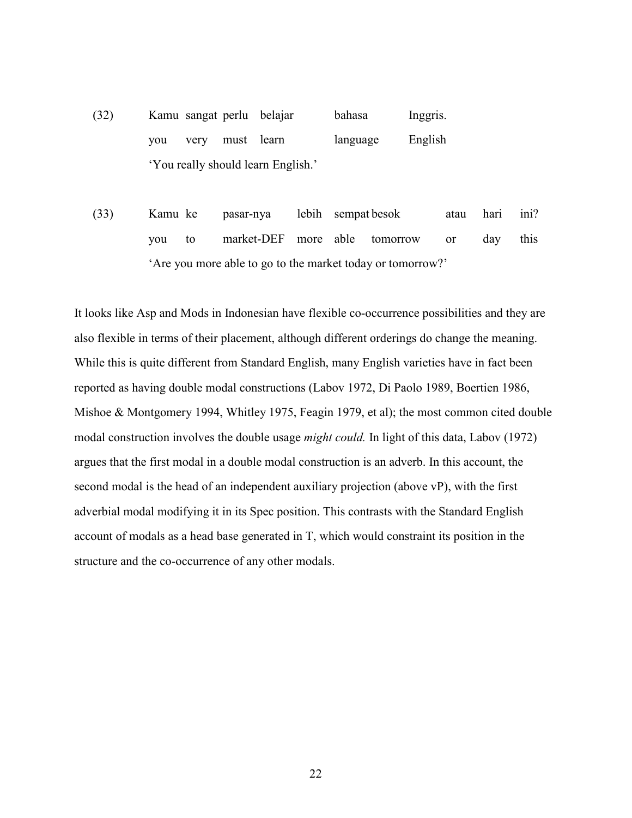- (32) Kamu sangat perlu belajar bahasa Inggris. you very must learn language English 'You really should learn English.'
- (33) Kamu ke pasar-nya lebih sempat besok atau hari ini? you to market-DEF more able tomorrow or day this 'Are you more able to go to the market today or tomorrow?'

It looks like Asp and Mods in Indonesian have flexible co-occurrence possibilities and they are also flexible in terms of their placement, although different orderings do change the meaning. While this is quite different from Standard English, many English varieties have in fact been reported as having double modal constructions (Labov 1972, Di Paolo 1989, Boertien 1986, Mishoe & Montgomery 1994, Whitley 1975, Feagin 1979, et al); the most common cited double modal construction involves the double usage *might could.* In light of this data, Labov (1972) argues that the first modal in a double modal construction is an adverb. In this account, the second modal is the head of an independent auxiliary projection (above vP), with the first adverbial modal modifying it in its Spec position. This contrasts with the Standard English account of modals as a head base generated in T, which would constraint its position in the structure and the co-occurrence of any other modals.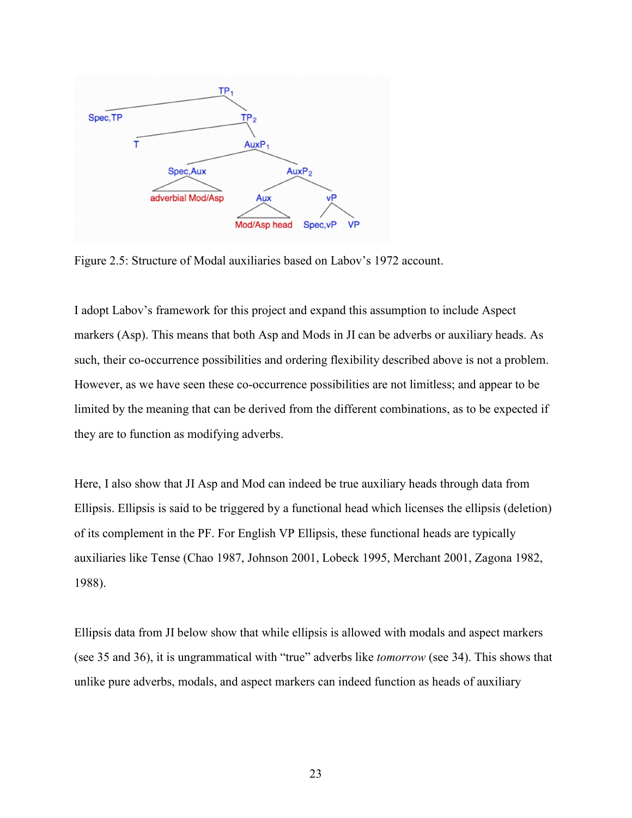

Figure 2.5: Structure of Modal auxiliaries based on Labov's 1972 account.

I adopt Labov's framework for this project and expand this assumption to include Aspect markers (Asp). This means that both Asp and Mods in JI can be adverbs or auxiliary heads. As such, their co-occurrence possibilities and ordering flexibility described above is not a problem. However, as we have seen these co-occurrence possibilities are not limitless; and appear to be limited by the meaning that can be derived from the different combinations, as to be expected if they are to function as modifying adverbs.

Here, I also show that JI Asp and Mod can indeed be true auxiliary heads through data from Ellipsis. Ellipsis is said to be triggered by a functional head which licenses the ellipsis (deletion) of its complement in the PF. For English VP Ellipsis, these functional heads are typically auxiliaries like Tense (Chao 1987, Johnson 2001, Lobeck 1995, Merchant 2001, Zagona 1982, 1988).

Ellipsis data from JI below show that while ellipsis is allowed with modals and aspect markers (see 35 and 36), it is ungrammatical with "true" adverbs like *tomorrow* (see 34). This shows that unlike pure adverbs, modals, and aspect markers can indeed function as heads of auxiliary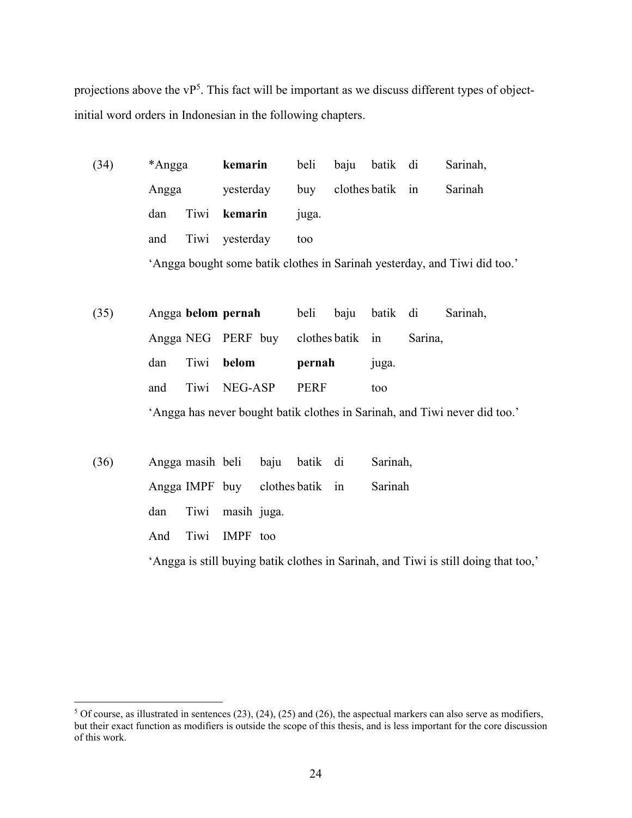projections above the  $VP<sup>5</sup>$ . This fact will be important as we discuss different types of objectinitial word orders in Indonesian in the following chapters.

| (34) | *Angga               |      | kemarin   | beli  | baju | batik di         |  | Sarinah,                                                                  |
|------|----------------------|------|-----------|-------|------|------------------|--|---------------------------------------------------------------------------|
|      | Angga<br>Tiwi<br>dan |      | yesterday | buy   |      | clothes batik in |  | Sarinah                                                                   |
|      |                      |      | kemarin   | juga. |      |                  |  |                                                                           |
|      | and                  | Tiwi | yesterday | too   |      |                  |  |                                                                           |
|      |                      |      |           |       |      |                  |  | 'Angga bought some batik clothes in Sarinah yesterday, and Tiwi did too.' |
|      |                      |      |           |       |      |                  |  |                                                                           |

(35) Angga **belom pernah** beli baju batik di Sarinah, Angga NEG PERF buy clothes batik in Sarina, dan Tiwi **belom pernah** juga. and Tiwi NEG-ASP PERF too 'Angga has never bought batik clothes in Sarinah, and Tiwi never did too.'

| (36) |  |                      | Angga masih beli baju batik di  | Sarinah,                                                                            |
|------|--|----------------------|---------------------------------|-------------------------------------------------------------------------------------|
|      |  |                      | Angga IMPF buy clothes batik in | Sarinah                                                                             |
|      |  | dan Tiwi masih juga. |                                 |                                                                                     |
|      |  | And Tiwi IMPF too    |                                 |                                                                                     |
|      |  |                      |                                 | 'Angga is still buying batik clothes in Sarinah, and Tiwi is still doing that too,' |

 $\overline{a}$ 

 $5$  Of course, as illustrated in sentences (23), (24), (25) and (26), the aspectual markers can also serve as modifiers, but their exact function as modifiers is outside the scope of this thesis, and is less important for the core discussion of this work.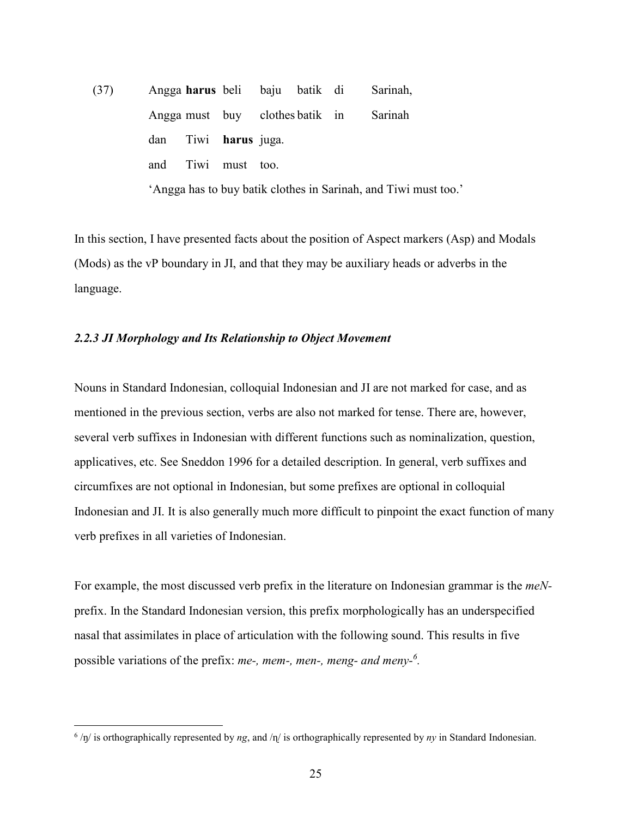(37) Angga **harus** beli baju batik di Sarinah, Angga must buy clothes batik in Sarinah dan Tiwi **harus** juga. and Tiwi must too. 'Angga has to buy batik clothes in Sarinah, and Tiwi must too.'

In this section, I have presented facts about the position of Aspect markers (Asp) and Modals (Mods) as the vP boundary in JI, and that they may be auxiliary heads or adverbs in the language.

#### *2.2.3 JI Morphology and Its Relationship to Object Movement*

Nouns in Standard Indonesian, colloquial Indonesian and JI are not marked for case, and as mentioned in the previous section, verbs are also not marked for tense. There are, however, several verb suffixes in Indonesian with different functions such as nominalization, question, applicatives, etc. See Sneddon 1996 for a detailed description. In general, verb suffixes and circumfixes are not optional in Indonesian, but some prefixes are optional in colloquial Indonesian and JI. It is also generally much more difficult to pinpoint the exact function of many verb prefixes in all varieties of Indonesian.

For example, the most discussed verb prefix in the literature on Indonesian grammar is the *meN*prefix. In the Standard Indonesian version, this prefix morphologically has an underspecified nasal that assimilates in place of articulation with the following sound. This results in five possible variations of the prefix: *me-, mem-, men-, meng- and meny-<sup>6</sup> .* 

 $\overline{a}$ 

 $^{6}$  /ŋ/ is orthographically represented by *ng*, and /n/ is orthographically represented by *ny* in Standard Indonesian.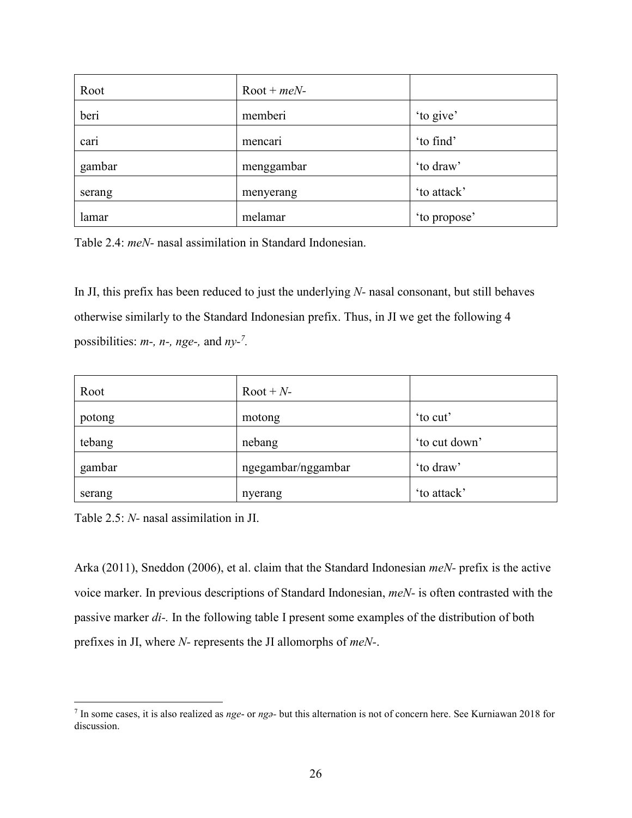| Root   | $Root + meN-$ |              |
|--------|---------------|--------------|
| beri   | memberi       | 'to give'    |
| cari   | mencari       | 'to find'    |
| gambar | menggambar    | 'to draw'    |
| serang | menyerang     | 'to attack'  |
| lamar  | melamar       | 'to propose' |

Table 2.4: *meN-* nasal assimilation in Standard Indonesian.

In JI, this prefix has been reduced to just the underlying *N-* nasal consonant, but still behaves otherwise similarly to the Standard Indonesian prefix. Thus, in JI we get the following 4 possibilities: *m-, n-, nge-,* and *ny-<sup>7</sup> .* 

| Root   | $Root + N$ -       |               |
|--------|--------------------|---------------|
| potong | motong             | 'to cut'      |
| tebang | nebang             | 'to cut down' |
| gambar | ngegambar/nggambar | 'to draw'     |
| serang | nyerang            | 'to attack'   |

Table 2.5: *N-* nasal assimilation in JI.

Arka (2011), Sneddon (2006), et al. claim that the Standard Indonesian *meN-* prefix is the active voice marker. In previous descriptions of Standard Indonesian, *meN-* is often contrasted with the passive marker *di-.* In the following table I present some examples of the distribution of both prefixes in JI, where *N-* represents the JI allomorphs of *meN-*.

<sup>&</sup>lt;u>.</u> 7 In some cases, it is also realized as *nge*- or *ngə-* but this alternation is not of concern here. See Kurniawan 2018 for discussion.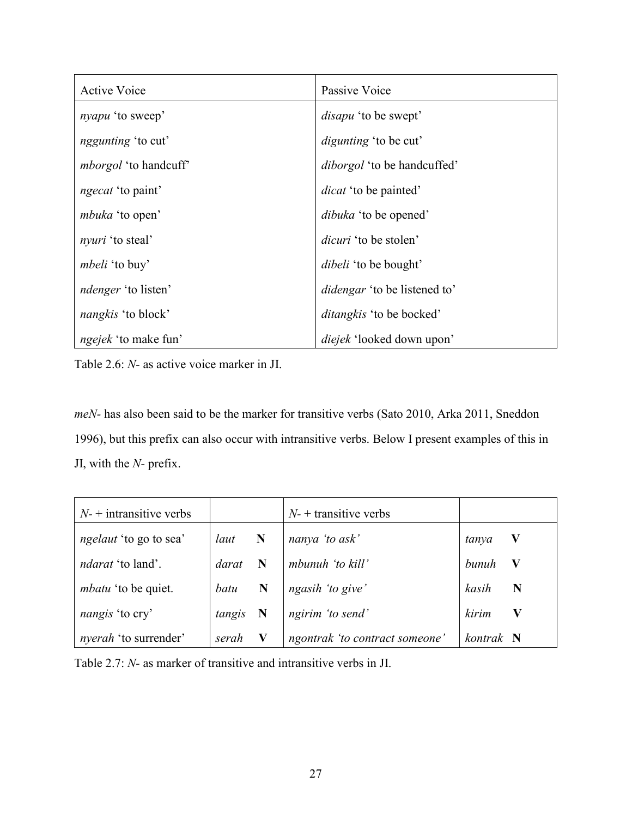| <b>Active Voice</b>          | Passive Voice                       |
|------------------------------|-------------------------------------|
| <i>nyapu</i> 'to sweep'      | <i>disapu</i> 'to be swept'         |
| <i>nggunting</i> 'to cut'    | <i>digunting</i> 'to be cut'        |
| <i>mborgol</i> 'to handcuff' | <i>diborgol</i> 'to be handcuffed'  |
| <i>ngecat</i> 'to paint'     | <i>dicat</i> 'to be painted'        |
| <i>mbuka</i> 'to open'       | <i>dibuka</i> 'to be opened'        |
| <i>nyuri</i> 'to steal'      | <i>dicuri</i> 'to be stolen'        |
| <i>mbeli</i> 'to buy'        | <i>dibeli</i> 'to be bought'        |
| <i>ndenger</i> 'to listen'   | <i>didengar</i> 'to be listened to' |
| <i>nangkis</i> 'to block'    | <i>ditangkis</i> 'to be bocked'     |
| <i>ngejek</i> 'to make fun'  | <i>diejek</i> 'looked down upon'    |

Table 2.6: *N-* as active voice marker in JI.

*meN-* has also been said to be the marker for transitive verbs (Sato 2010, Arka 2011, Sneddon 1996), but this prefix can also occur with intransitive verbs. Below I present examples of this in JI, with the *N-* prefix.

| $N$ - + intransitive verbs    |        |             | $N$ - + transitive verbs       |                      |
|-------------------------------|--------|-------------|--------------------------------|----------------------|
| <i>ngelaut</i> 'to go to sea' | laut   | $\mathbf N$ | nanya 'to ask'                 | $\mathbf V$<br>tanya |
| <i>ndarat</i> 'to land'.      | darat  |             | mbunuh 'to kill'               | bunuh<br>V           |
| <i>mbatu</i> 'to be quiet.    | batu   | N           | ngasih 'to give'               | kasih<br>N           |
| nangis 'to cry'               | tangis | $\mathbf N$ | ngirim 'to send'               | kirim                |
| <i>nyerah</i> 'to surrender'  | serah  |             | ngontrak 'to contract someone' | kontrak N            |

Table 2.7: *N-* as marker of transitive and intransitive verbs in JI.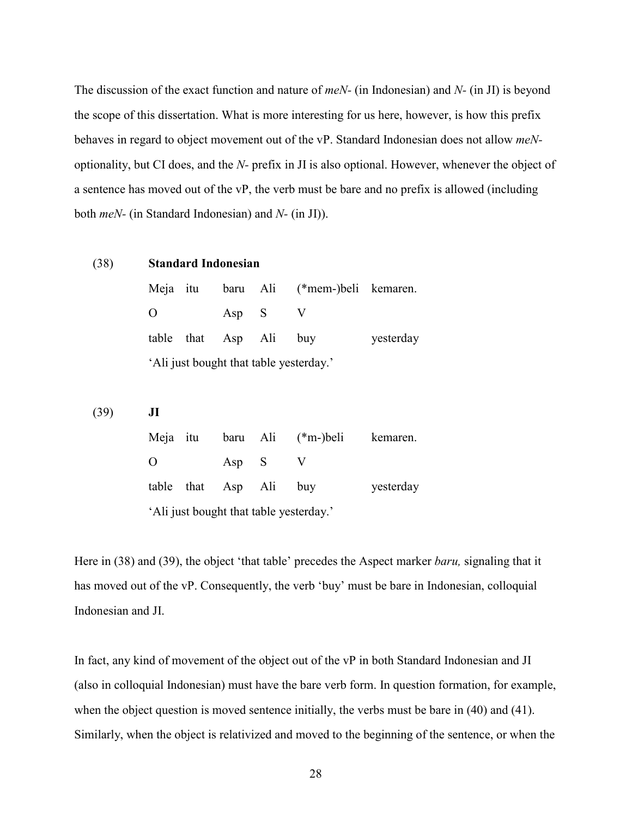The discussion of the exact function and nature of *meN-* (in Indonesian) and *N-* (in JI) is beyond the scope of this dissertation. What is more interesting for us here, however, is how this prefix behaves in regard to object movement out of the vP. Standard Indonesian does not allow *meN*optionality, but CI does, and the *N-* prefix in JI is also optional. However, whenever the object of a sentence has moved out of the vP, the verb must be bare and no prefix is allowed (including both *meN-* (in Standard Indonesian) and *N-* (in JI)).

(38) **Standard Indonesian**  Meja itu baru Ali (\*mem-)beli kemaren. O Asp S V table that Asp Ali buy yesterday 'Ali just bought that table yesterday.'

(39) **JI** 

| Meja itu |                                         |                        |  | baru Ali (*m-)beli | kemaren.  |  |  |  |  |  |  |  |
|----------|-----------------------------------------|------------------------|--|--------------------|-----------|--|--|--|--|--|--|--|
| O        |                                         | Asp S                  |  |                    |           |  |  |  |  |  |  |  |
|          |                                         | table that Asp Ali buy |  |                    | yesterday |  |  |  |  |  |  |  |
|          | 'Ali just bought that table yesterday.' |                        |  |                    |           |  |  |  |  |  |  |  |

Here in (38) and (39), the object 'that table' precedes the Aspect marker *baru,* signaling that it has moved out of the vP. Consequently, the verb 'buy' must be bare in Indonesian, colloquial Indonesian and JI.

In fact, any kind of movement of the object out of the vP in both Standard Indonesian and JI (also in colloquial Indonesian) must have the bare verb form. In question formation, for example, when the object question is moved sentence initially, the verbs must be bare in (40) and (41). Similarly, when the object is relativized and moved to the beginning of the sentence, or when the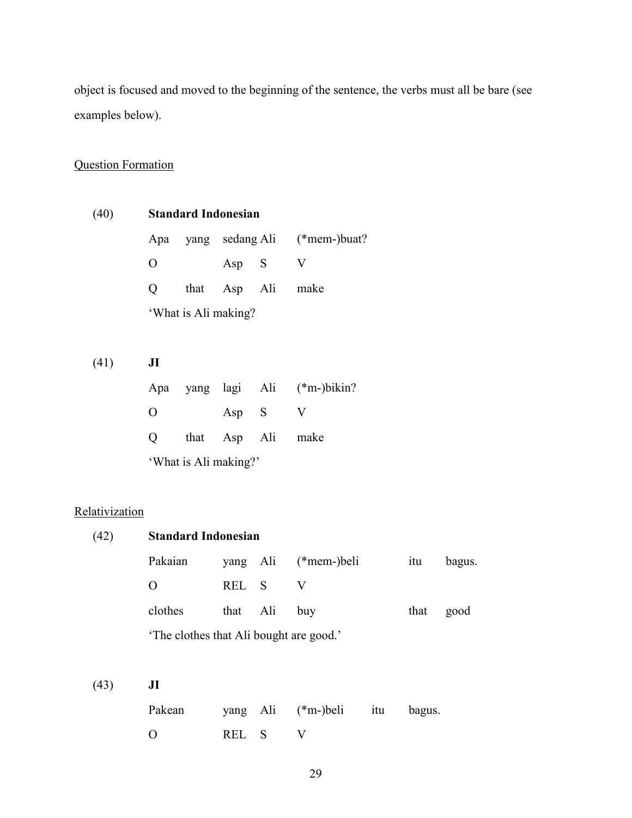object is focused and moved to the beginning of the sentence, the verbs must all be bare (see examples below).

## Question Formation

| (40) |                   |                      | <b>Standard Indonesian</b> |  |                                  |  |  |  |
|------|-------------------|----------------------|----------------------------|--|----------------------------------|--|--|--|
|      |                   |                      |                            |  | Apa yang sedang Ali (*mem-)buat? |  |  |  |
|      | $\mathbf{\Omega}$ |                      | Asp S                      |  |                                  |  |  |  |
|      | $\Omega$          |                      | that Asp Ali               |  | make                             |  |  |  |
|      |                   | 'What is Ali making? |                            |  |                                  |  |  |  |

(41) **JI**  Apa yang lagi Ali (\*m-)bikin? O Asp S V Q that Asp Ali make 'What is Ali making?'

## **Relativization**

| (42) | <b>Standard Indonesian</b>              |      |             |               |     |        |        |
|------|-----------------------------------------|------|-------------|---------------|-----|--------|--------|
|      | Pakaian                                 |      | yang Ali    | $(*mem)$ beli |     | itu    | bagus. |
|      | O                                       | REL  | $\mathbf S$ | V             |     |        |        |
|      | clothes                                 | that | Ali         | buy           |     | that   | good   |
|      | 'The clothes that Ali bought are good.' |      |             |               |     |        |        |
|      |                                         |      |             |               |     |        |        |
| (43) | J <sub>I</sub>                          |      |             |               |     |        |        |
|      | Pakean                                  | yang | Ali         | $(*m-)$ beli  | itu | bagus. |        |
|      | O                                       | REL  | S           | V             |     |        |        |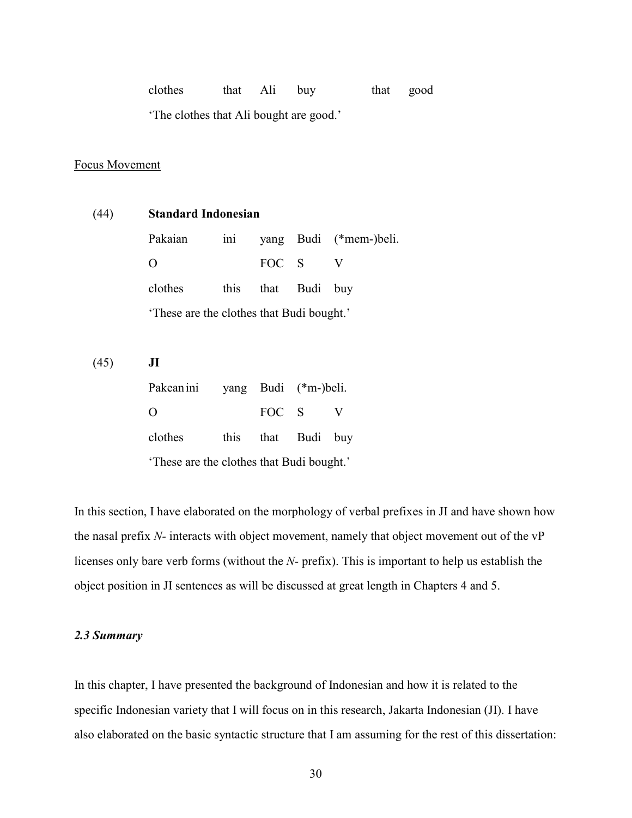| clothes | that Ali buy |  | that good |
|---------|--------------|--|-----------|

'The clothes that Ali bought are good.'

## Focus Movement

| (44) | <b>Standard Indonesian</b>                |      |                      |      |                        |  |  |  |  |
|------|-------------------------------------------|------|----------------------|------|------------------------|--|--|--|--|
|      | Pakaian                                   | ini  |                      |      | yang Budi (*mem-)beli. |  |  |  |  |
|      | O                                         |      | FOC S                |      | V                      |  |  |  |  |
|      | clothes                                   | this | that                 | Budi | buy                    |  |  |  |  |
|      | 'These are the clothes that Budi bought.' |      |                      |      |                        |  |  |  |  |
|      |                                           |      |                      |      |                        |  |  |  |  |
| (45) | $\mathbf{J}$                              |      |                      |      |                        |  |  |  |  |
|      | Pakean ini                                |      | yang Budi (*m-)beli. |      |                        |  |  |  |  |
|      | O                                         |      | FOC S                |      | V                      |  |  |  |  |
|      | clothes                                   | this | that                 | Budi | buy                    |  |  |  |  |
|      | These are the clothes that Budi bought.'  |      |                      |      |                        |  |  |  |  |

In this section, I have elaborated on the morphology of verbal prefixes in JI and have shown how the nasal prefix *N-* interacts with object movement, namely that object movement out of the vP licenses only bare verb forms (without the *N-* prefix). This is important to help us establish the object position in JI sentences as will be discussed at great length in Chapters 4 and 5.

## *2.3 Summary*

In this chapter, I have presented the background of Indonesian and how it is related to the specific Indonesian variety that I will focus on in this research, Jakarta Indonesian (JI). I have also elaborated on the basic syntactic structure that I am assuming for the rest of this dissertation: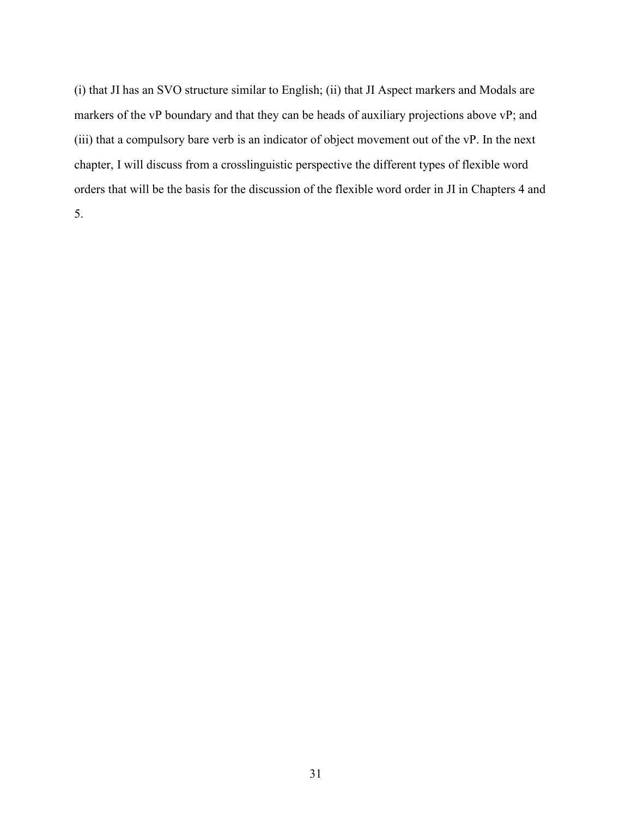(i) that JI has an SVO structure similar to English; (ii) that JI Aspect markers and Modals are markers of the vP boundary and that they can be heads of auxiliary projections above vP; and (iii) that a compulsory bare verb is an indicator of object movement out of the vP. In the next chapter, I will discuss from a crosslinguistic perspective the different types of flexible word orders that will be the basis for the discussion of the flexible word order in JI in Chapters 4 and 5.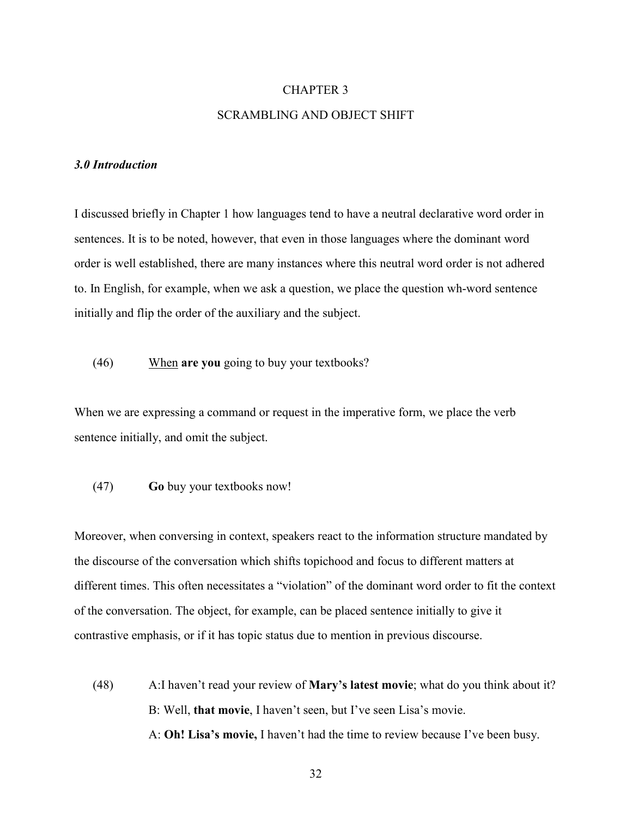## CHAPTER 3 SCRAMBLING AND OBJECT SHIFT

## *3.0 Introduction*

I discussed briefly in Chapter 1 how languages tend to have a neutral declarative word order in sentences. It is to be noted, however, that even in those languages where the dominant word order is well established, there are many instances where this neutral word order is not adhered to. In English, for example, when we ask a question, we place the question wh-word sentence initially and flip the order of the auxiliary and the subject.

(46) When **are you** going to buy your textbooks?

When we are expressing a command or request in the imperative form, we place the verb sentence initially, and omit the subject.

(47) **Go** buy your textbooks now!

Moreover, when conversing in context, speakers react to the information structure mandated by the discourse of the conversation which shifts topichood and focus to different matters at different times. This often necessitates a "violation" of the dominant word order to fit the context of the conversation. The object, for example, can be placed sentence initially to give it contrastive emphasis, or if it has topic status due to mention in previous discourse.

(48) A:I haven't read your review of **Mary's latest movie**; what do you think about it? B: Well, **that movie**, I haven't seen, but I've seen Lisa's movie. A: **Oh! Lisa's movie,** I haven't had the time to review because I've been busy.

32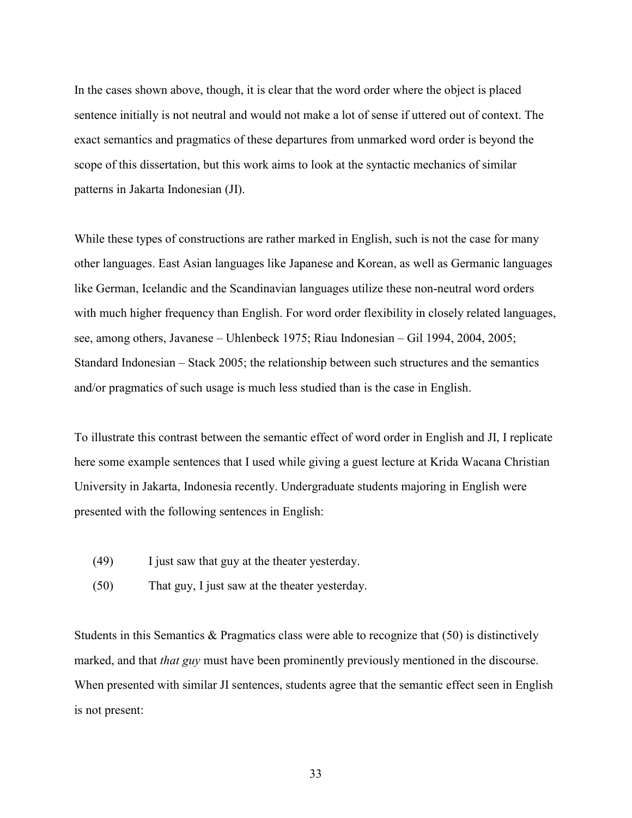In the cases shown above, though, it is clear that the word order where the object is placed sentence initially is not neutral and would not make a lot of sense if uttered out of context. The exact semantics and pragmatics of these departures from unmarked word order is beyond the scope of this dissertation, but this work aims to look at the syntactic mechanics of similar patterns in Jakarta Indonesian (JI).

While these types of constructions are rather marked in English, such is not the case for many other languages. East Asian languages like Japanese and Korean, as well as Germanic languages like German, Icelandic and the Scandinavian languages utilize these non-neutral word orders with much higher frequency than English. For word order flexibility in closely related languages, see, among others, Javanese – Uhlenbeck 1975; Riau Indonesian – Gil 1994, 2004, 2005; Standard Indonesian – Stack 2005; the relationship between such structures and the semantics and/or pragmatics of such usage is much less studied than is the case in English.

To illustrate this contrast between the semantic effect of word order in English and JI, I replicate here some example sentences that I used while giving a guest lecture at Krida Wacana Christian University in Jakarta, Indonesia recently. Undergraduate students majoring in English were presented with the following sentences in English:

- (49) I just saw that guy at the theater yesterday.
- (50) That guy, I just saw at the theater yesterday.

Students in this Semantics  $\&$  Pragmatics class were able to recognize that (50) is distinctively marked, and that *that guy* must have been prominently previously mentioned in the discourse. When presented with similar JI sentences, students agree that the semantic effect seen in English is not present: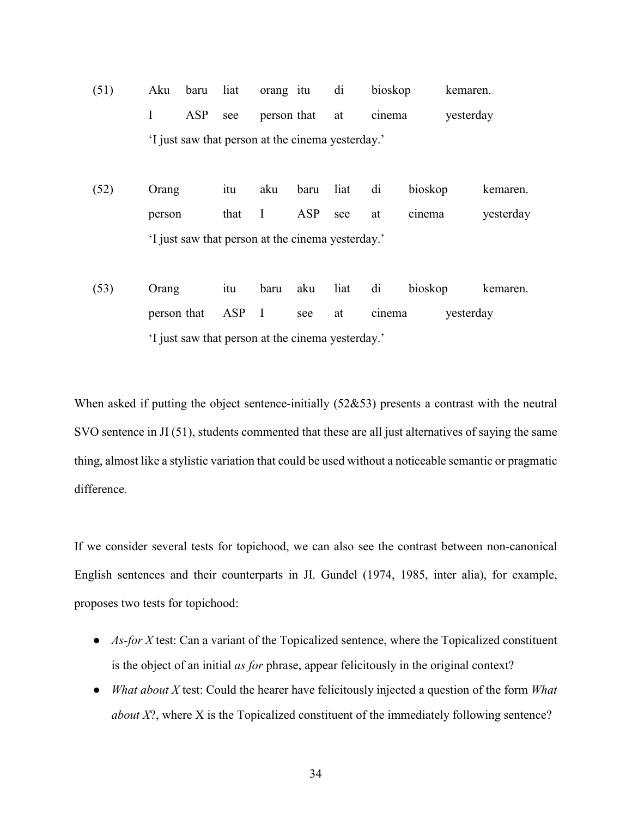- (51) Aku baru liat orang itu di bioskop kemaren. I ASP see person that at cinema yesterday 'I just saw that person at the cinema yesterday.'
- (52) Orang itu aku baru liat di bioskop kemaren. person that I ASP see at cinema yesterday 'I just saw that person at the cinema yesterday.'
- (53) Orang itu baru aku liat di bioskop kemaren. person that ASP I see at cinema yesterday 'I just saw that person at the cinema yesterday.'

When asked if putting the object sentence-initially (52&53) presents a contrast with the neutral SVO sentence in JI (51), students commented that these are all just alternatives of saying the same thing, almost like a stylistic variation that could be used without a noticeable semantic or pragmatic difference.

If we consider several tests for topichood, we can also see the contrast between non-canonical English sentences and their counterparts in JI. Gundel (1974, 1985, inter alia), for example, proposes two tests for topichood:

- *As-for X* test: Can a variant of the Topicalized sentence, where the Topicalized constituent is the object of an initial *as for* phrase, appear felicitously in the original context?
- *What about X* test: Could the hearer have felicitously injected a question of the form *What about X*?, where *X* is the Topicalized constituent of the immediately following sentence?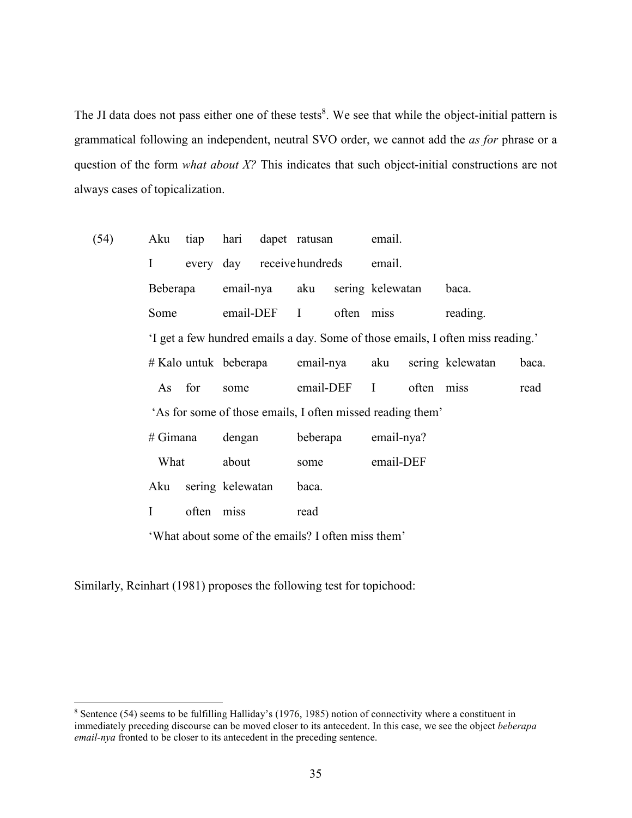The JI data does not pass either one of these tests<sup>8</sup>. We see that while the object-initial pattern is grammatical following an independent, neutral SVO order, we cannot add the *as for* phrase or a question of the form *what about X?* This indicates that such object-initial constructions are not always cases of topicalization.

| (54) | Aku                     | tiap       | hari                      |                                 | dapet ratusan                                              |                                      | email.           |            |                                                                                 |      |
|------|-------------------------|------------|---------------------------|---------------------------------|------------------------------------------------------------|--------------------------------------|------------------|------------|---------------------------------------------------------------------------------|------|
|      | Ι                       |            |                           |                                 |                                                            | every day receive hundreds<br>email. |                  |            |                                                                                 |      |
|      | Beberapa                |            |                           | email-nya<br>aku<br>email-DEF I |                                                            |                                      | sering kelewatan |            | baca.                                                                           |      |
|      | Some                    |            |                           |                                 |                                                            | often miss                           |                  |            | reading.                                                                        |      |
|      |                         |            |                           |                                 |                                                            |                                      |                  |            | 'I get a few hundred emails a day. Some of those emails, I often miss reading.' |      |
|      | $#$ Kalo untuk beberapa |            | email-nya                 |                                 | aku                                                        |                                      | sering kelewatan | baca.      |                                                                                 |      |
|      | As                      | for        | some                      |                                 |                                                            | email-DEF<br>$\mathbf{I}$            | often miss       |            |                                                                                 | read |
|      |                         |            |                           |                                 | 'As for some of those emails, I often missed reading them' |                                      |                  |            |                                                                                 |      |
|      | $#$ Gimana              |            |                           | dengan                          |                                                            | beberapa                             |                  | email-nya? |                                                                                 |      |
|      | What                    |            | about<br>sering kelewatan |                                 | some                                                       |                                      | email-DEF        |            |                                                                                 |      |
|      | Aku                     |            |                           |                                 | baca.                                                      |                                      |                  |            |                                                                                 |      |
|      | Ι                       | often miss |                           | read                            |                                                            |                                      |                  |            |                                                                                 |      |
|      |                         |            |                           |                                 | 'What about some of the emails? I often miss them'         |                                      |                  |            |                                                                                 |      |

Similarly, Reinhart (1981) proposes the following test for topichood:

<sup>&</sup>lt;sup>8</sup> Sentence (54) seems to be fulfilling Halliday's (1976, 1985) notion of connectivity where a constituent in immediately preceding discourse can be moved closer to its antecedent. In this case, we see the object *beberapa email-nya* fronted to be closer to its antecedent in the preceding sentence.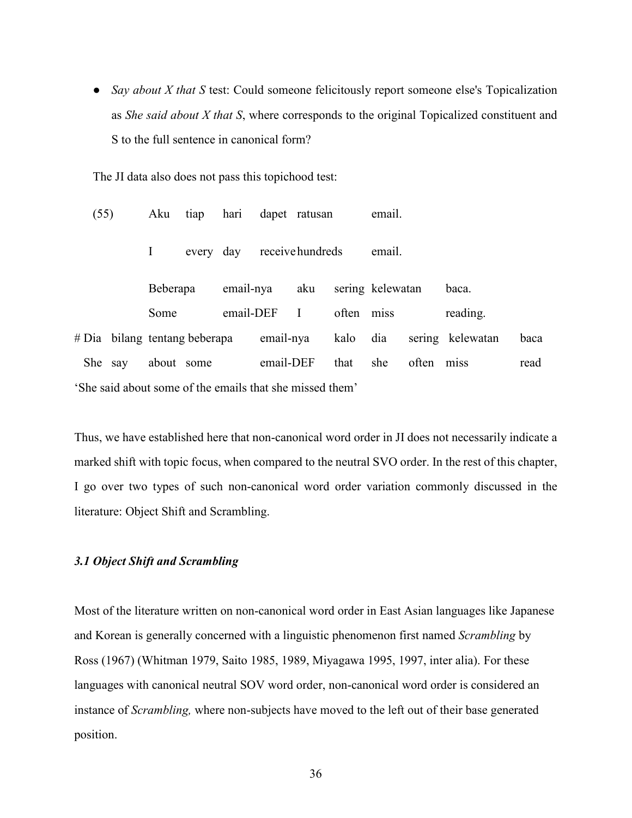• *Say about X that S* test: Could someone felicitously report someone else's Topicalization as *She said about X that S*, where corresponds to the original Topicalized constituent and S to the full sentence in canonical form?

The JI data also does not pass this topichood test:

| (55)    |                                                          | Aku        | tiap      | hari      |           | dapet ratusan    |       | email.           |       |                  |      |
|---------|----------------------------------------------------------|------------|-----------|-----------|-----------|------------------|-------|------------------|-------|------------------|------|
|         |                                                          |            | every day |           |           | receive hundreds |       | email.           |       |                  |      |
|         |                                                          | Beberapa   |           | email-nya |           | aku              |       | sering kelewatan |       | baca.            |      |
|         |                                                          | Some       |           | email-DEF |           | $\bf{I}$         | often | miss             |       | reading.         |      |
|         | # Dia bilang tentang beberapa                            |            |           |           | email-nya |                  | kalo  | dia              |       | sering kelewatan | baca |
| She say |                                                          | about some |           |           | email-DEF |                  | that  | she              | often | miss             | read |
|         | 'She said about some of the emails that she missed them' |            |           |           |           |                  |       |                  |       |                  |      |

Thus, we have established here that non-canonical word order in JI does not necessarily indicate a marked shift with topic focus, when compared to the neutral SVO order. In the rest of this chapter, I go over two types of such non-canonical word order variation commonly discussed in the literature: Object Shift and Scrambling.

### *3.1 Object Shift and Scrambling*

Most of the literature written on non-canonical word order in East Asian languages like Japanese and Korean is generally concerned with a linguistic phenomenon first named *Scrambling* by Ross (1967) (Whitman 1979, Saito 1985, 1989, Miyagawa 1995, 1997, inter alia). For these languages with canonical neutral SOV word order, non-canonical word order is considered an instance of *Scrambling,* where non-subjects have moved to the left out of their base generated position.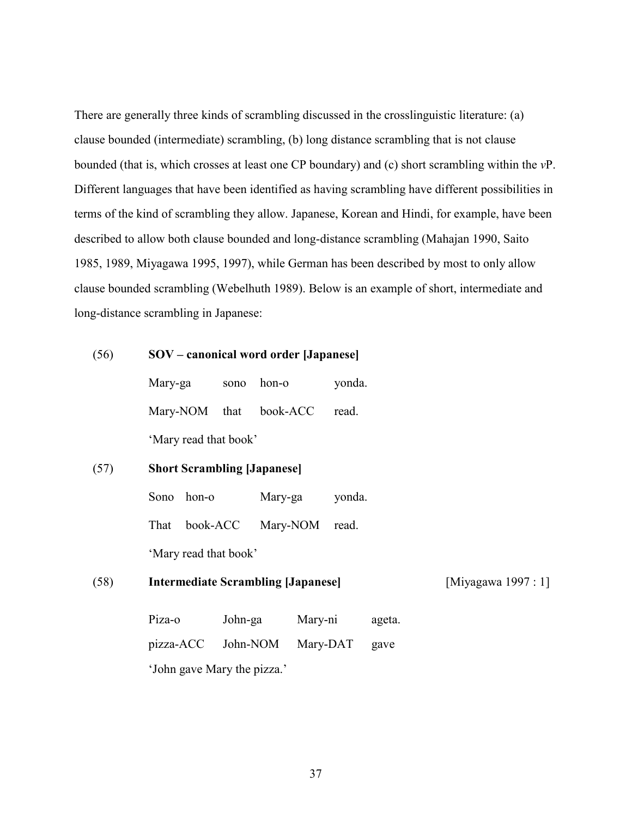There are generally three kinds of scrambling discussed in the crosslinguistic literature: (a) clause bounded (intermediate) scrambling, (b) long distance scrambling that is not clause bounded (that is, which crosses at least one CP boundary) and (c) short scrambling within the *v*P. Different languages that have been identified as having scrambling have different possibilities in terms of the kind of scrambling they allow. Japanese, Korean and Hindi, for example, have been described to allow both clause bounded and long-distance scrambling (Mahajan 1990, Saito 1985, 1989, Miyagawa 1995, 1997), while German has been described by most to only allow clause bounded scrambling (Webelhuth 1989). Below is an example of short, intermediate and long-distance scrambling in Japanese:

## (56) **SOV – canonical word order [Japanese]**

Mary-ga sono hon-o yonda. Mary-NOM that book-ACC read. 'Mary read that book'

## (57) **Short Scrambling [Japanese]**

Sono hon-o Mary-ga yonda. That book-ACC Mary-NOM read. 'Mary read that book'

## (58) **Intermediate Scrambling [Japanese]** [Miyagawa 1997 : 1]

| Piza-o                      | John-ga  | Mary-ni  | ageta. |  |  |  |  |
|-----------------------------|----------|----------|--------|--|--|--|--|
| pizza-ACC                   | John-NOM | Mary-DAT | gave   |  |  |  |  |
| 'John gave Mary the pizza.' |          |          |        |  |  |  |  |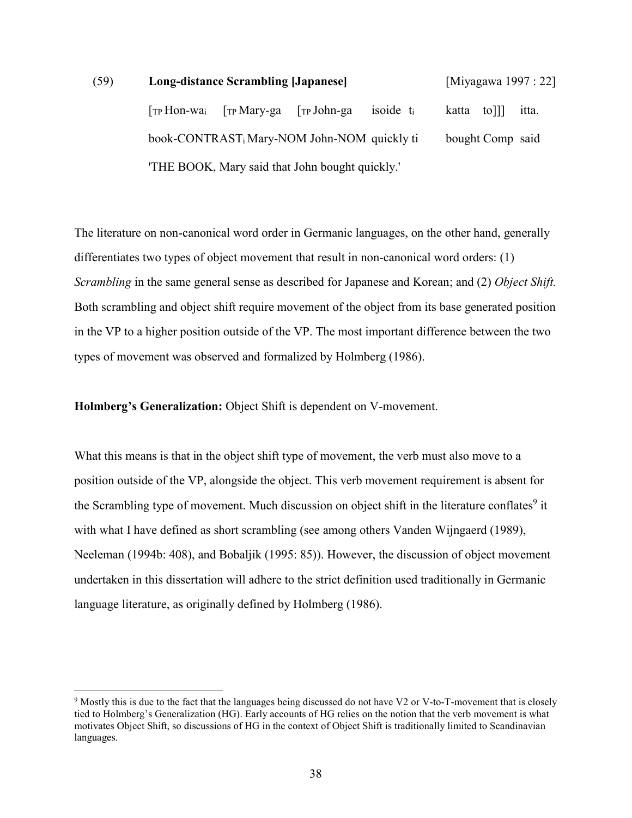# (59) **Long-distance Scrambling [Japanese]** [Miyagawa 1997 : 22] [TP Hon-wai [TP Mary-ga [TP John-ga isoide ti katta to]]] itta. book-CONTRASTi Mary-NOM John-NOM quickly ti bought Comp said 'THE BOOK, Mary said that John bought quickly.'

The literature on non-canonical word order in Germanic languages, on the other hand, generally differentiates two types of object movement that result in non-canonical word orders: (1) *Scrambling* in the same general sense as described for Japanese and Korean; and (2) *Object Shift.*  Both scrambling and object shift require movement of the object from its base generated position in the VP to a higher position outside of the VP. The most important difference between the two types of movement was observed and formalized by Holmberg (1986).

**Holmberg's Generalization:** Object Shift is dependent on V-movement.

-

What this means is that in the object shift type of movement, the verb must also move to a position outside of the VP, alongside the object. This verb movement requirement is absent for the Scrambling type of movement. Much discussion on object shift in the literature conflates<sup>9</sup> it with what I have defined as short scrambling (see among others Vanden Wijngaerd (1989), Neeleman (1994b: 408), and Bobaljik (1995: 85)). However, the discussion of object movement undertaken in this dissertation will adhere to the strict definition used traditionally in Germanic language literature, as originally defined by Holmberg (1986).

 $9$  Mostly this is due to the fact that the languages being discussed do not have V2 or V-to-T-movement that is closely tied to Holmberg's Generalization (HG). Early accounts of HG relies on the notion that the verb movement is what motivates Object Shift, so discussions of HG in the context of Object Shift is traditionally limited to Scandinavian languages.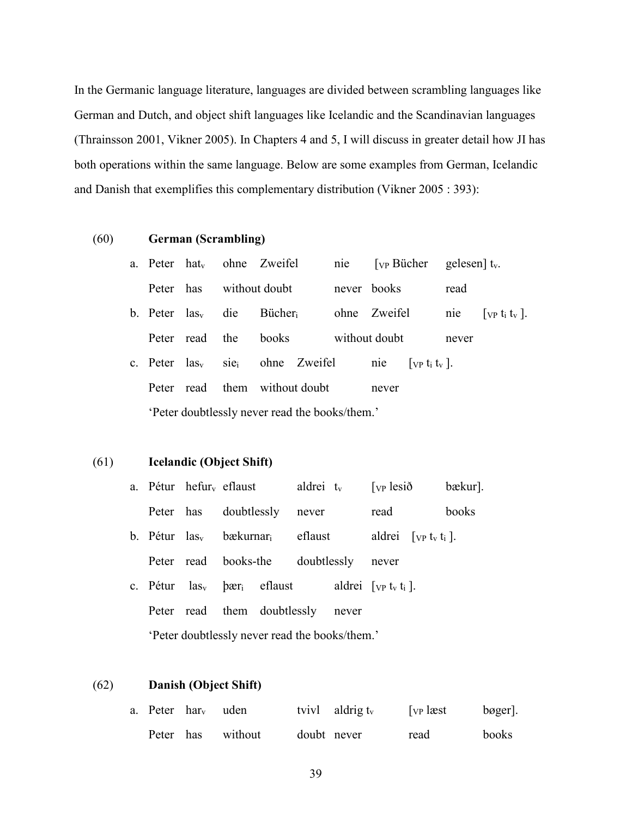In the Germanic language literature, languages are divided between scrambling languages like German and Dutch, and object shift languages like Icelandic and the Scandinavian languages (Thrainsson 2001, Vikner 2005). In Chapters 4 and 5, I will discuss in greater detail how JI has both operations within the same language. Below are some examples from German, Icelandic and Danish that exemplifies this complementary distribution (Vikner 2005 : 393):

#### (60) **German (Scrambling)**

| a. Peter hat <sub>v</sub>                     |            |         | ohne Zweifel       | nie | $[yP Bücher gelesen] t_v.$                                  |                                                             |  |  |  |
|-----------------------------------------------|------------|---------|--------------------|-----|-------------------------------------------------------------|-------------------------------------------------------------|--|--|--|
| Peter has                                     |            |         | without doubt      |     | never books                                                 | read                                                        |  |  |  |
| b. Peter $\text{las}_{v}$                     |            | die     | Bücher             |     | ohne Zweifel                                                | $\lceil$ vp t <sub>i</sub> t <sub>v</sub> $\lceil$ .<br>nie |  |  |  |
|                                               | Peter read | the     | books              |     | without doubt                                               | never                                                       |  |  |  |
| c. Peter $\text{las}_{v}$                     |            | $S1e_i$ | ohne Zweifel       |     | $\lceil$ vp t <sub>i</sub> t <sub>v</sub> $\lceil$ .<br>nie |                                                             |  |  |  |
| Peter                                         | read       |         | them without doubt |     | never                                                       |                                                             |  |  |  |
| Peter doubtlessly never read the books/them.' |            |         |                    |     |                                                             |                                                             |  |  |  |

## (61) **Icelandic (Object Shift)**

|  | a. Pétur hefur <sub>v</sub> eflaust | aldrei $t_v$ [ $v$   esið |      | bækur]. |
|--|-------------------------------------|---------------------------|------|---------|
|  | Peter has doubtlessly never         |                           | read | books   |

- b. Pétur  $las_v$  bækurnar<sub>i</sub> eflaust aldrei  $[VP]$  t<sub>v</sub> t<sub>i</sub> ]. Peter read books-the doubtlessly never
- c. Pétur  $\text{las}_{v}$   $\text{bar}_{i}$  eflaust aldrei  $\lceil v \cdot v \cdot v_{i} \rceil$ . Peter read them doubtlessly never 'Peter doubtlessly never read the books/them.'

#### (62) **Danish (Object Shift)**

| a. Peter har <sub>v</sub> uden |                   |             | tvivl aldrig $t_v$ | $\lceil v \rceil$ læst | $bøger$ . |
|--------------------------------|-------------------|-------------|--------------------|------------------------|-----------|
|                                | Peter has without | doubt never |                    | read                   | books     |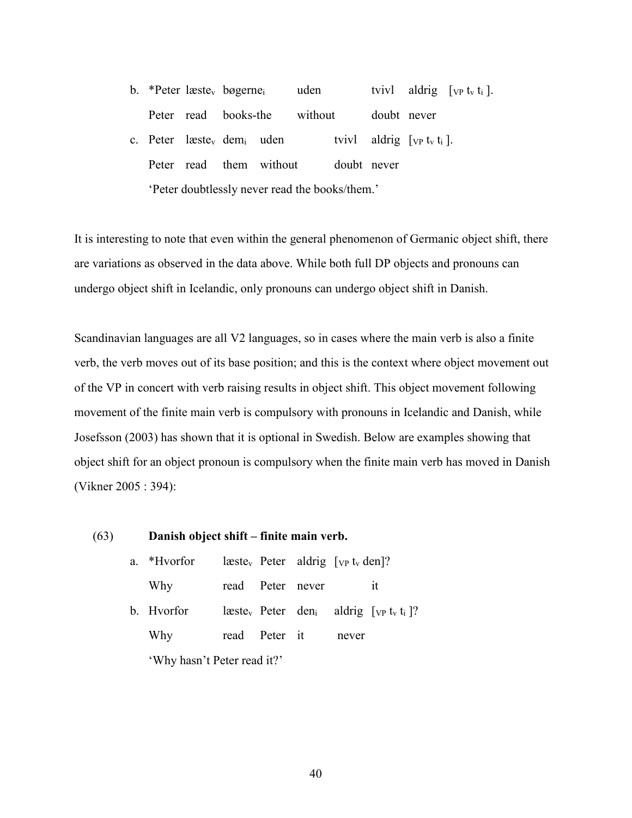b. \*Peter læste<sub>v</sub> bøgerne<sub>i</sub> uden tvivl aldrig  $[\text{vp } t_v t_i]$ . Peter read books-the without doubt never c. Peter læste<sub>v</sub> dem<sub>i</sub> uden tvivl aldrig  $[\nabla P]$  t<sub>v</sub> t<sub>i</sub> l. Peter read them without doubt never 'Peter doubtlessly never read the books/them.'

It is interesting to note that even within the general phenomenon of Germanic object shift, there are variations as observed in the data above. While both full DP objects and pronouns can undergo object shift in Icelandic, only pronouns can undergo object shift in Danish.

Scandinavian languages are all V2 languages, so in cases where the main verb is also a finite verb, the verb moves out of its base position; and this is the context where object movement out of the VP in concert with verb raising results in object shift. This object movement following movement of the finite main verb is compulsory with pronouns in Icelandic and Danish, while Josefsson (2003) has shown that it is optional in Swedish. Below are examples showing that object shift for an object pronoun is compulsory when the finite main verb has moved in Danish (Vikner 2005 : 394):

| (63) |                             | Danish object shift – finite main verb. |  |                  |                                                                  |       |                                                                                                   |  |
|------|-----------------------------|-----------------------------------------|--|------------------|------------------------------------------------------------------|-------|---------------------------------------------------------------------------------------------------|--|
|      | a.                          | *Hvorfor                                |  |                  | læste <sub>v</sub> Peter aldrig $[\text{vp } t_v \text{ den}]$ ? |       |                                                                                                   |  |
|      |                             | Why                                     |  | read Peter never |                                                                  |       | it                                                                                                |  |
|      |                             | b. Hyorfor                              |  |                  |                                                                  |       | læste <sub>v</sub> Peter den <sub>i</sub> aldrig $[\nabla P]$ t <sub>v</sub> t <sub>i</sub> $]$ ? |  |
|      |                             | Why                                     |  | read Peter it    |                                                                  | never |                                                                                                   |  |
|      | 'Why hasn't Peter read it?' |                                         |  |                  |                                                                  |       |                                                                                                   |  |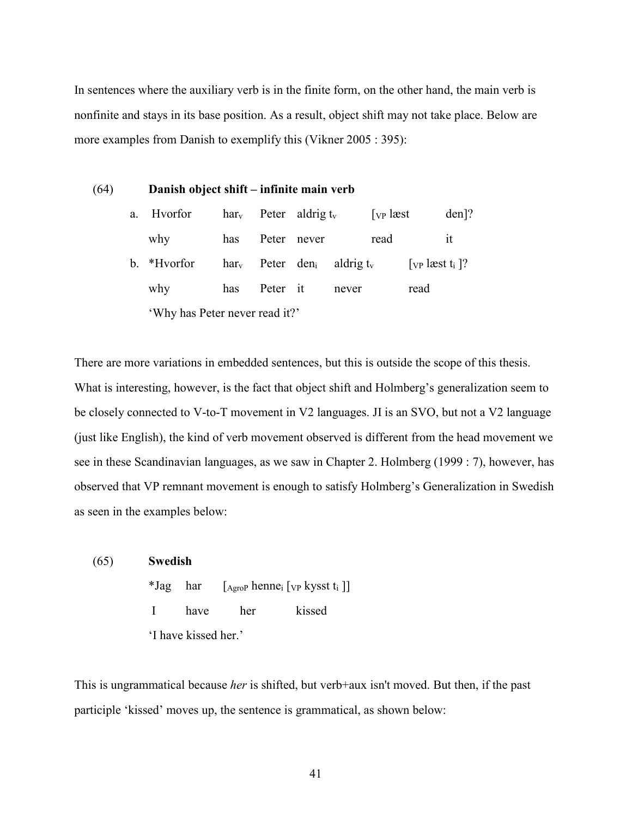In sentences where the auxiliary verb is in the finite form, on the other hand, the main verb is nonfinite and stays in its base position. As a result, object shift may not take place. Below are more examples from Danish to exemplify this (Vikner 2005 : 395):

#### (64) **Danish object shift – infinite main verb**

| a.                             | Hvorfor     |     |          | $harv$ Peter aldrig t <sub>v</sub> |                                                     | $\lceil v \rceil$ læst |                                             | $den$ ? |
|--------------------------------|-------------|-----|----------|------------------------------------|-----------------------------------------------------|------------------------|---------------------------------------------|---------|
|                                | why         | has |          | Peter never                        |                                                     | read                   |                                             | ıt      |
|                                | b. *Hvorfor |     |          |                                    | $harv$ Peter den <sub>i</sub> aldrig t <sub>v</sub> |                        | $[$ <sub>VP</sub> læst t <sub>i</sub> $]$ ? |         |
|                                | why         | has | Peter it |                                    | never                                               |                        | read                                        |         |
| 'Why has Peter never read it?' |             |     |          |                                    |                                                     |                        |                                             |         |

There are more variations in embedded sentences, but this is outside the scope of this thesis. What is interesting, however, is the fact that object shift and Holmberg's generalization seem to be closely connected to V-to-T movement in V2 languages. JI is an SVO, but not a V2 language (just like English), the kind of verb movement observed is different from the head movement we see in these Scandinavian languages, as we saw in Chapter 2. Holmberg (1999 : 7), however, has observed that VP remnant movement is enough to satisfy Holmberg's Generalization in Swedish as seen in the examples below:

| (65) | <b>Swedish</b> |                      |     |                                                                                               |
|------|----------------|----------------------|-----|-----------------------------------------------------------------------------------------------|
|      |                |                      |     | <i>*Jag</i> har $[A_{\text{groP}}$ henne <sub>i</sub> [ <sub>VP</sub> kysst t <sub>i</sub> ]] |
|      | $\mathbf{I}$   | have                 | her | kissed                                                                                        |
|      |                | 'I have kissed her.' |     |                                                                                               |

This is ungrammatical because *her* is shifted, but verb+aux isn't moved. But then, if the past participle 'kissed' moves up, the sentence is grammatical, as shown below: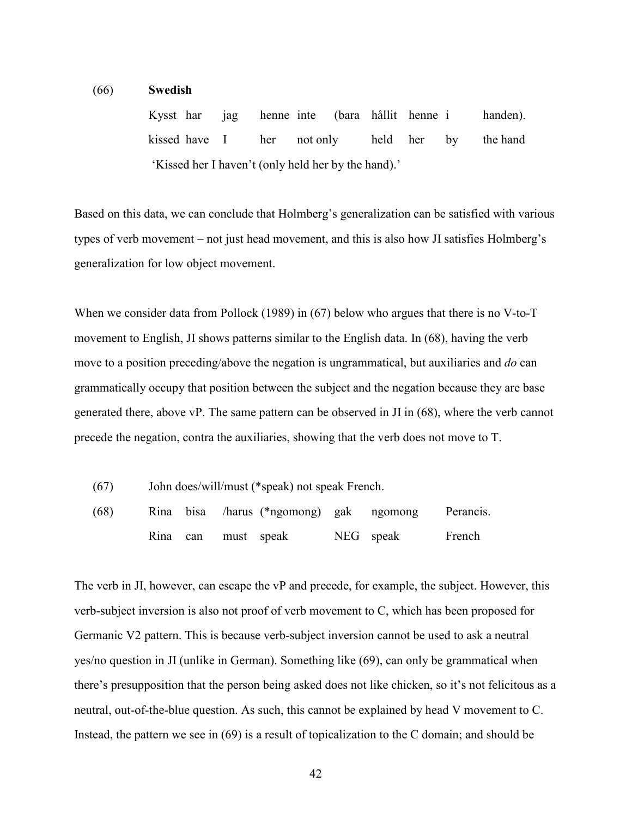#### (66) **Swedish**

Kysst har jag henne inte (bara hållit henne i handen). kissed have I her not only held her by the hand 'Kissed her I haven't (only held her by the hand).'

Based on this data, we can conclude that Holmberg's generalization can be satisfied with various types of verb movement – not just head movement, and this is also how JI satisfies Holmberg's generalization for low object movement.

When we consider data from Pollock (1989) in (67) below who argues that there is no V-to-T movement to English, JI shows patterns similar to the English data. In (68), having the verb move to a position preceding/above the negation is ungrammatical, but auxiliaries and *do* can grammatically occupy that position between the subject and the negation because they are base generated there, above vP. The same pattern can be observed in JI in (68), where the verb cannot precede the negation, contra the auxiliaries, showing that the verb does not move to T.

(67) John does/will/must (\*speak) not speak French.

| (68) |  |                     |  | Rina bisa /harus (*ngomong) gak ngomong Perancis. |        |
|------|--|---------------------|--|---------------------------------------------------|--------|
|      |  | Rina can must speak |  | NEG speak                                         | French |

The verb in JI, however, can escape the vP and precede, for example, the subject. However, this verb-subject inversion is also not proof of verb movement to C, which has been proposed for Germanic V2 pattern. This is because verb-subject inversion cannot be used to ask a neutral yes/no question in JI (unlike in German). Something like (69), can only be grammatical when there's presupposition that the person being asked does not like chicken, so it's not felicitous as a neutral, out-of-the-blue question. As such, this cannot be explained by head V movement to C. Instead, the pattern we see in (69) is a result of topicalization to the C domain; and should be

42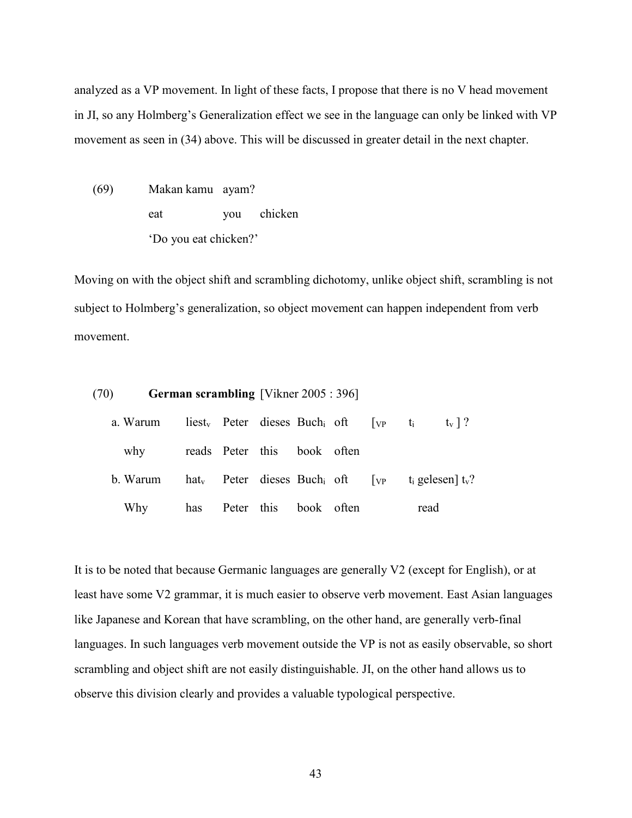analyzed as a VP movement. In light of these facts, I propose that there is no V head movement in JI, so any Holmberg's Generalization effect we see in the language can only be linked with VP movement as seen in (34) above. This will be discussed in greater detail in the next chapter.

(69) Makan kamu ayam? eat you chicken 'Do you eat chicken?'

Moving on with the object shift and scrambling dichotomy, unlike object shift, scrambling is not subject to Holmberg's generalization, so object movement can happen independent from verb movement.

| (70) |          | <b>German scrambling</b> [Vikner 2005 : 396] |                             |  |                                                                         |      |                                                                                              |
|------|----------|----------------------------------------------|-----------------------------|--|-------------------------------------------------------------------------|------|----------------------------------------------------------------------------------------------|
|      | a. Warum |                                              |                             |  | liest <sub>v</sub> Peter dieses Buch <sub>i</sub> of $[\text{vp } t_i]$ |      | $t_v$   ?                                                                                    |
|      | why      |                                              | reads Peter this book often |  |                                                                         |      |                                                                                              |
|      | b. Warum |                                              |                             |  |                                                                         |      | hat <sub>v</sub> Peter dieses Buch <sub>i</sub> oft $[\text{vp } t_i \text{ gelesen}] t_v$ ? |
|      | Why      |                                              | has Peter this book often   |  |                                                                         | read |                                                                                              |

It is to be noted that because Germanic languages are generally V2 (except for English), or at least have some V2 grammar, it is much easier to observe verb movement. East Asian languages like Japanese and Korean that have scrambling, on the other hand, are generally verb-final languages. In such languages verb movement outside the VP is not as easily observable, so short scrambling and object shift are not easily distinguishable. JI, on the other hand allows us to observe this division clearly and provides a valuable typological perspective.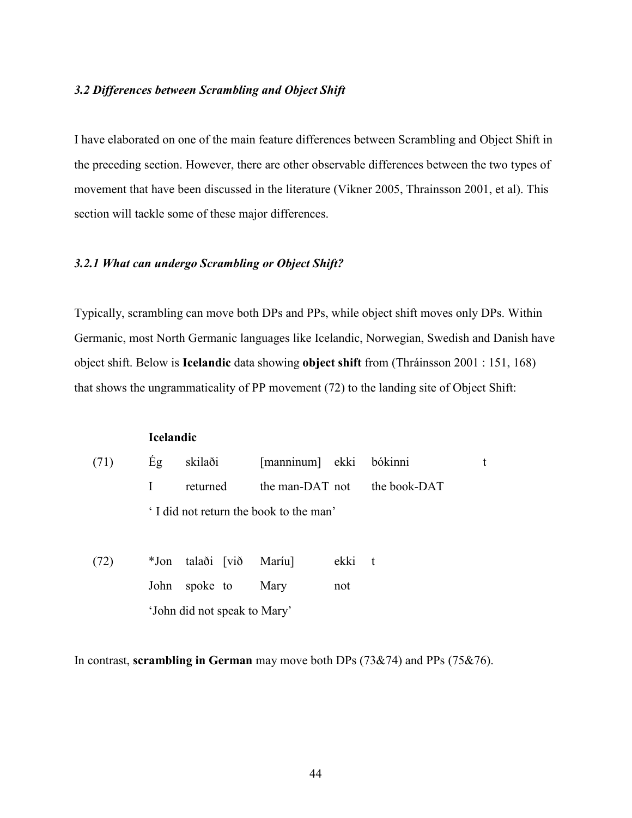#### *3.2 Differences between Scrambling and Object Shift*

I have elaborated on one of the main feature differences between Scrambling and Object Shift in the preceding section. However, there are other observable differences between the two types of movement that have been discussed in the literature (Vikner 2005, Thrainsson 2001, et al). This section will tackle some of these major differences.

## *3.2.1 What can undergo Scrambling or Object Shift?*

Typically, scrambling can move both DPs and PPs, while object shift moves only DPs. Within Germanic, most North Germanic languages like Icelandic, Norwegian, Swedish and Danish have object shift. Below is **Icelandic** data showing **object shift** from (Thráinsson 2001 : 151, 168) that shows the ungrammaticality of PP movement (72) to the landing site of Object Shift:

## **Icelandic**

| (71) |  | Eg skilaði [manninum] ekki bókinni    |  |
|------|--|---------------------------------------|--|
|      |  | returned the man-DAT not the book-DAT |  |
|      |  | I did not return the book to the man' |  |

(72) \*Jon talaði [við Maríu] ekki t John spoke to Mary not 'John did not speak to Mary'

In contrast, **scrambling in German** may move both DPs (73&74) and PPs (75&76).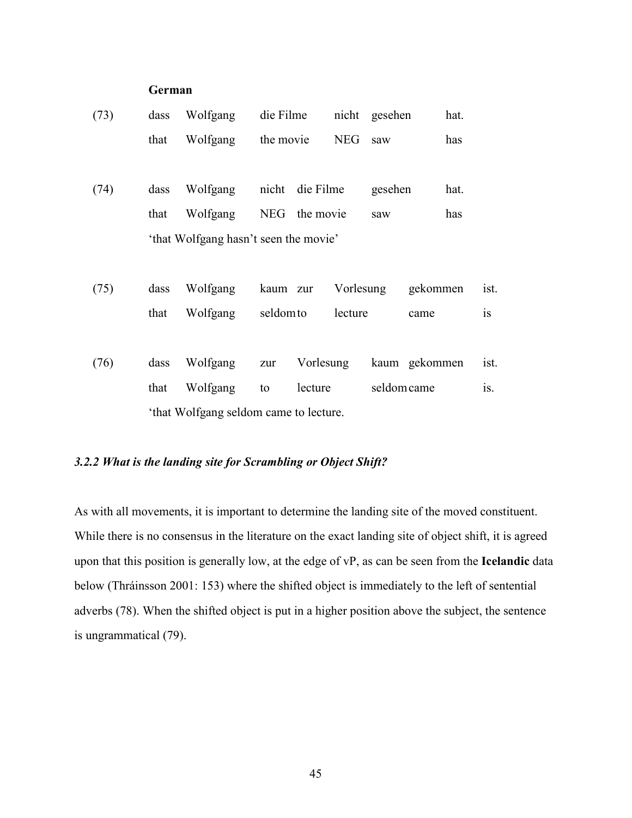## **German**

| (73) | dass | Wolfgang                               | die Filme |                 |            | nicht gesehen |               | hat. |           |
|------|------|----------------------------------------|-----------|-----------------|------------|---------------|---------------|------|-----------|
|      | that | Wolfgang                               | the movie |                 | <b>NEG</b> | saw           |               | has  |           |
|      |      |                                        |           |                 |            |               |               |      |           |
| (74) | dass | Wolfgang                               |           | nicht die Filme |            | gesehen       |               | hat. |           |
|      | that | Wolfgang                               |           | NEG the movie   |            | saw           |               | has  |           |
|      |      | 'that Wolfgang hasn't seen the movie'  |           |                 |            |               |               |      |           |
|      |      |                                        |           |                 |            |               |               |      |           |
| (75) | dass | Wolfgang                               | kaum zur  |                 | Vorlesung  |               | gekommen      |      | ist.      |
|      | that | Wolfgang                               | seldom to |                 | lecture    |               | came          |      | <i>is</i> |
|      |      |                                        |           |                 |            |               |               |      |           |
| (76) | dass | Wolfgang                               | zur       | Vorlesung       |            |               | kaum gekommen |      | ist.      |
|      | that | Wolfgang                               | to        | lecture         |            | seldom came   |               |      | is.       |
|      |      | 'that Wolfgang seldom came to lecture. |           |                 |            |               |               |      |           |

## *3.2.2 What is the landing site for Scrambling or Object Shift?*

As with all movements, it is important to determine the landing site of the moved constituent. While there is no consensus in the literature on the exact landing site of object shift, it is agreed upon that this position is generally low, at the edge of vP, as can be seen from the **Icelandic** data below (Thráinsson 2001: 153) where the shifted object is immediately to the left of sentential adverbs (78). When the shifted object is put in a higher position above the subject, the sentence is ungrammatical (79).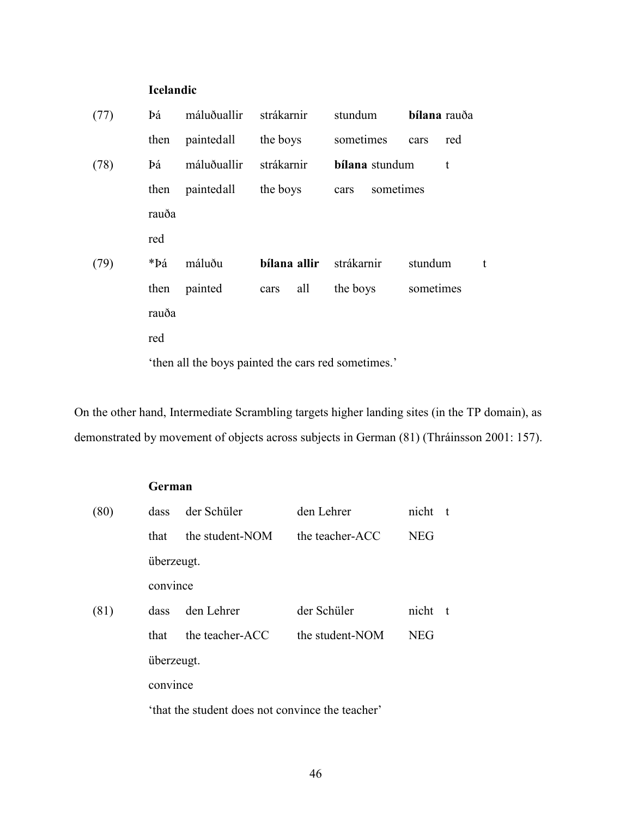## **Icelandic**

| (77) | Þá    | máluðuallir | strákarnir   | stundum                                             | bílana rauða |   |
|------|-------|-------------|--------------|-----------------------------------------------------|--------------|---|
|      | then  | paintedall  | the boys     | sometimes                                           | red<br>cars  |   |
| (78) | Þá    | máluðuallir | strákarnir   | bílana stundum                                      | t            |   |
|      | then  | paintedall  | the boys     | cars                                                | sometimes    |   |
|      | rauða |             |              |                                                     |              |   |
|      | red   |             |              |                                                     |              |   |
| (79) | *Þá   | máluðu      | bílana allir | strákarnir                                          | stundum      | t |
|      | then  | painted     | all<br>cars  | the boys                                            | sometimes    |   |
|      | rauða |             |              |                                                     |              |   |
|      | red   |             |              |                                                     |              |   |
|      |       |             |              | 'then all the boys painted the cars red sometimes.' |              |   |

On the other hand, Intermediate Scrambling targets higher landing sites (in the TP domain), as demonstrated by movement of objects across subjects in German (81) (Thráinsson 2001: 157).

## **German**

| (80) | dass       | der Schüler                                      | den Lehrer      | nicht      | - t |  |  |  |
|------|------------|--------------------------------------------------|-----------------|------------|-----|--|--|--|
|      | that       | the student-NOM                                  | the teacher-ACC | <b>NEG</b> |     |  |  |  |
|      | überzeugt. |                                                  |                 |            |     |  |  |  |
|      | convince   |                                                  |                 |            |     |  |  |  |
| (81) | dass       | den Lehrer                                       | der Schüler     | nicht      | - t |  |  |  |
|      | that       | the teacher-ACC                                  | the student-NOM | <b>NEG</b> |     |  |  |  |
|      | überzeugt. |                                                  |                 |            |     |  |  |  |
|      | convince   |                                                  |                 |            |     |  |  |  |
|      |            | 'that the student does not convince the teacher' |                 |            |     |  |  |  |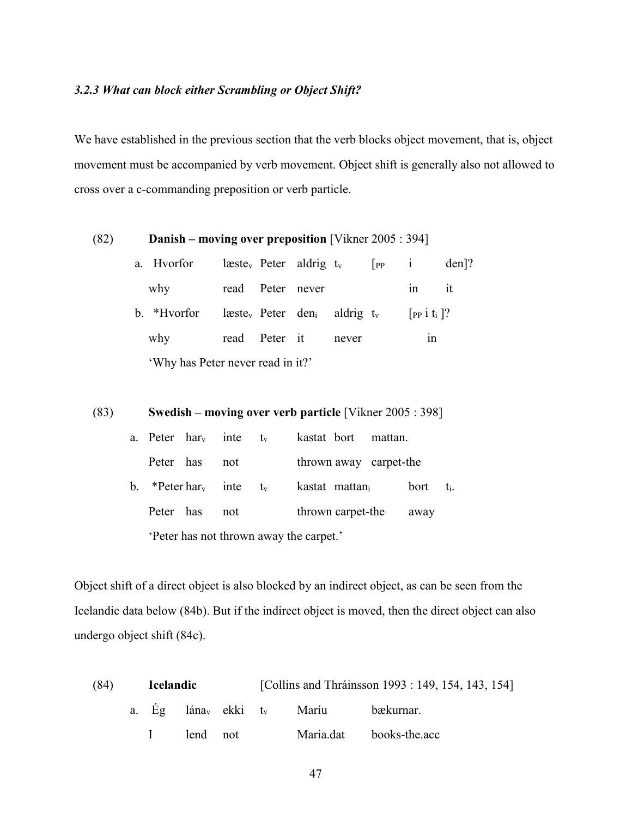## *3.2.3 What can block either Scrambling or Object Shift?*

We have established in the previous section that the verb blocks object movement, that is, object movement must be accompanied by verb movement. Object shift is generally also not allowed to cross over a c-commanding preposition or verb particle.

| (82)                              | <b>Danish – moving over preposition</b> [Vikner $2005 : 394$ ] |             |  |                                              |  |              |                       |                               |         |
|-----------------------------------|----------------------------------------------------------------|-------------|--|----------------------------------------------|--|--------------|-----------------------|-------------------------------|---------|
|                                   |                                                                | a. Hvorfor  |  | $\text{leste}_v$ Peter aldrig t <sub>v</sub> |  |              | $\vert$ PP $\qquad$ 1 |                               | $den$ ? |
|                                   |                                                                | why         |  | read Peter never                             |  |              |                       | 1n                            | it      |
|                                   |                                                                | b. *Hvorfor |  | $l$ æste <sub>v</sub> Peter den <sub>i</sub> |  | aldrig $t_v$ |                       | $[$ PP 1 t <sub>i</sub> $]$ ? |         |
|                                   |                                                                | why         |  | read Peter it                                |  | never        |                       | 1n                            |         |
| 'Why has Peter never read in it?' |                                                                |             |  |                                              |  |              |                       |                               |         |

## (83) **Swedish – moving over verb particle** [Vikner 2005 : 398]

|                                         |  | a. Peter $har_v$ inte $t_v$                    |  | kastat bort mattan.    |      |     |
|-----------------------------------------|--|------------------------------------------------|--|------------------------|------|-----|
| Peter has                               |  | not                                            |  | thrown away carpet-the |      |     |
|                                         |  | b. *Peter har <sub>v</sub> inte t <sub>v</sub> |  | kastat mattan          | bort | ti. |
| Peter has                               |  | not                                            |  | thrown carpet-the      | away |     |
| 'Peter has not thrown away the carpet.' |  |                                                |  |                        |      |     |

Object shift of a direct object is also blocked by an indirect object, as can be seen from the Icelandic data below (84b). But if the indirect object is moved, then the direct object can also undergo object shift (84c).

| (84) | <b>Icelandic</b> |  |          | [Collins and Thráinsson 1993 : 149, 154, 143, 154] |  |                                                   |                         |  |
|------|------------------|--|----------|----------------------------------------------------|--|---------------------------------------------------|-------------------------|--|
|      |                  |  |          |                                                    |  | a. Eg lána <sub>v</sub> ekki t <sub>v</sub> Maríu | bækurnar.               |  |
|      |                  |  | lend not |                                                    |  |                                                   | Maria.dat books-the.acc |  |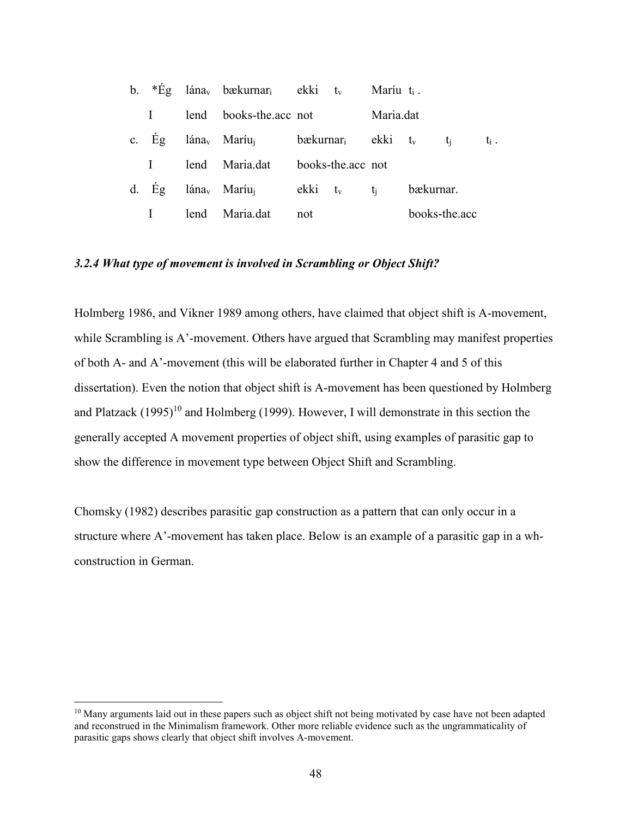|          |      | b. $*E_g$ lána <sub>v</sub> bækurnar <sub>i</sub> ekki t <sub>v</sub> |     |                                              | Maríu $t_i$ . |           |               |     |
|----------|------|-----------------------------------------------------------------------|-----|----------------------------------------------|---------------|-----------|---------------|-----|
|          |      | lend books-the.acc not                                                |     |                                              | Maria.dat     |           |               |     |
| c. Eg    |      | lána <sub>v</sub> Maríu <sub>i</sub>                                  |     | $b$ ækurnar <sub>i</sub> ekki t <sub>v</sub> |               | $t_i$     |               | ti. |
| $\bf{I}$ |      | lend Maria.dat                                                        |     | books-the.acc not                            |               |           |               |     |
| $d.$ Eg  |      | lána <sub>v</sub> Maríu <sub>i</sub>                                  |     | $ekki$ $t_v$ $t_i$                           |               | bækurnar. |               |     |
|          | lend | Maria.dat                                                             | not |                                              |               |           | books-the.acc |     |

## *3.2.4 What type of movement is involved in Scrambling or Object Shift?*

Holmberg 1986, and Vikner 1989 among others, have claimed that object shift is A-movement, while Scrambling is A'-movement. Others have argued that Scrambling may manifest properties of both A- and A'-movement (this will be elaborated further in Chapter 4 and 5 of this dissertation). Even the notion that object shift is A-movement has been questioned by Holmberg and Platzack  $(1995)^{10}$  and Holmberg (1999). However, I will demonstrate in this section the generally accepted A movement properties of object shift, using examples of parasitic gap to show the difference in movement type between Object Shift and Scrambling.

Chomsky (1982) describes parasitic gap construction as a pattern that can only occur in a structure where A'-movement has taken place. Below is an example of a parasitic gap in a whconstruction in German.

 $\overline{a}$ 

<sup>&</sup>lt;sup>10</sup> Many arguments laid out in these papers such as object shift not being motivated by case have not been adapted and reconstrued in the Minimalism framework. Other more reliable evidence such as the ungrammaticality of parasitic gaps shows clearly that object shift involves A-movement.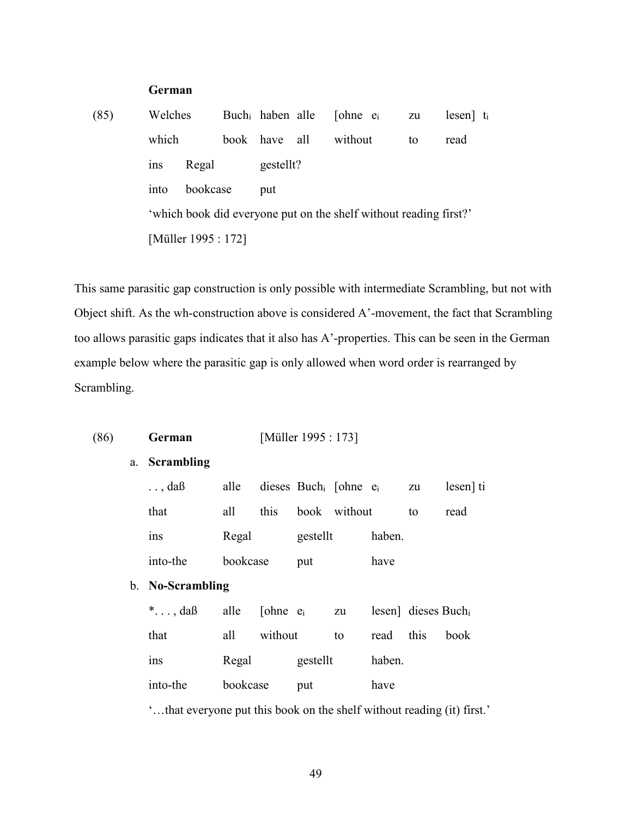## **German**

(85) Welches Buchi haben alle [ohne ei zu lesen] t<sup>i</sup> which book have all without to read ins Regal gestellt? into bookcase put 'which book did everyone put on the shelf without reading first?' [Müller 1995 : 172]

This same parasitic gap construction is only possible with intermediate Scrambling, but not with Object shift. As the wh-construction above is considered A'-movement, the fact that Scrambling too allows parasitic gaps indicates that it also has A'-properties. This can be seen in the German example below where the parasitic gap is only allowed when word order is rearranged by Scrambling.

(86) **German** [Müller 1995 : 173]

| a. Scrambling                                                          |          |                   |          |              |                                              |                                 |           |
|------------------------------------------------------------------------|----------|-------------------|----------|--------------|----------------------------------------------|---------------------------------|-----------|
| $\ldots$ , daß                                                         |          |                   |          |              | alle dieses Buch <sub>i</sub> [ohne $e_i$ zu |                                 | lesen] ti |
| that                                                                   | all      | this              |          | book without |                                              | to                              | read      |
| <sub>1</sub> n <sub>S</sub>                                            | Regal    |                   | gestellt |              | haben.                                       |                                 |           |
| into-the                                                               | bookcase |                   | put      |              | have                                         |                                 |           |
| b. No-Scrambling                                                       |          |                   |          |              |                                              |                                 |           |
| *, da $\beta$ alle [ohne $e_i$ zu                                      |          |                   |          |              |                                              | lesen] dieses Buch <sub>i</sub> |           |
| that                                                                   |          | all without       |          | to           | read this                                    |                                 | book      |
| 1 <sub>ns</sub>                                                        |          | Regal<br>gestellt |          |              | haben.                                       |                                 |           |
| into-the                                                               | bookcase |                   | put      |              | have                                         |                                 |           |
| 'that everyone put this book on the shelf without reading (it) first.' |          |                   |          |              |                                              |                                 |           |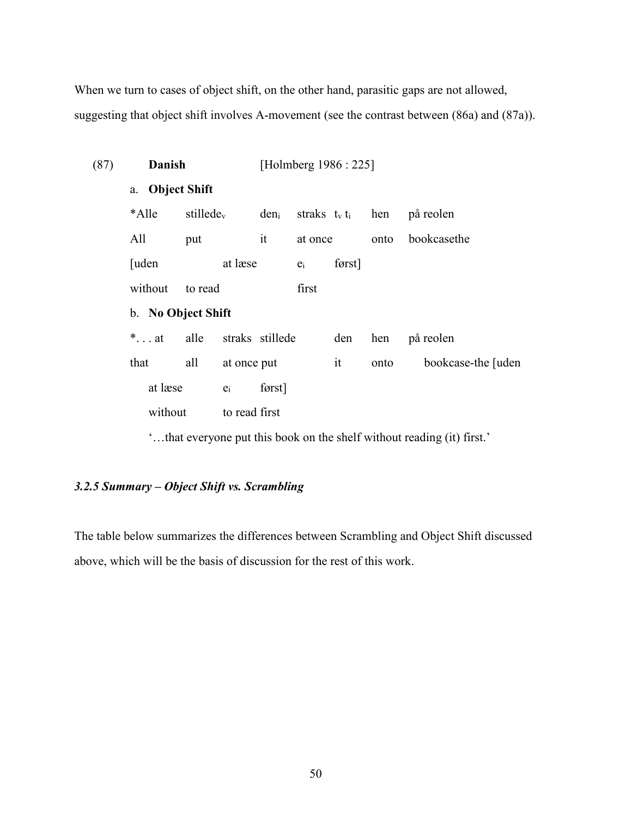When we turn to cases of object shift, on the other hand, parasitic gaps are not allowed, suggesting that object shift involves A-movement (see the contrast between (86a) and (87a)).

| (87) | Danish             |                 |               |                 | [Holmberg 1986 : 225] |                      |      |                                                                        |
|------|--------------------|-----------------|---------------|-----------------|-----------------------|----------------------|------|------------------------------------------------------------------------|
|      | a. Object Shift    |                 |               |                 |                       |                      |      |                                                                        |
|      | *Alle              | stillede $_{v}$ |               | $den_i$         |                       | straks $t_v t_i$ hen |      | på reolen                                                              |
|      | All                | put             |               | it              | at once               |                      | onto | bookcasethe                                                            |
|      | [uden]             |                 | at læse       |                 | $e_i$                 | først]               |      |                                                                        |
|      | without            | to read         |               |                 | first                 |                      |      |                                                                        |
|      | b. No Object Shift |                 |               |                 |                       |                      |      |                                                                        |
|      | *at                | alle            |               | straks stillede |                       | den                  | hen  | på reolen                                                              |
|      | that               | all             | at once put   |                 |                       | it                   | onto | bookcase-the [uden]                                                    |
|      | at læse            |                 | $e_i$         | først]          |                       |                      |      |                                                                        |
|      | without            |                 | to read first |                 |                       |                      |      |                                                                        |
|      |                    |                 |               |                 |                       |                      |      | 'that everyone put this book on the shelf without reading (it) first.' |

## *3.2.5 Summary – Object Shift vs. Scrambling*

The table below summarizes the differences between Scrambling and Object Shift discussed above, which will be the basis of discussion for the rest of this work.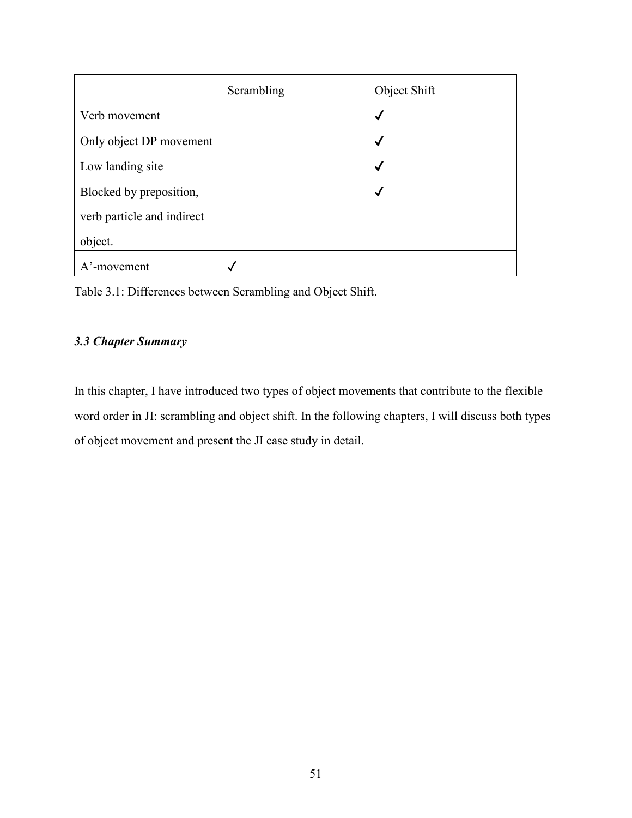|                            | Scrambling | Object Shift |
|----------------------------|------------|--------------|
| Verb movement              |            | $\checkmark$ |
| Only object DP movement    |            | √            |
| Low landing site           |            | √            |
| Blocked by preposition,    |            | √            |
| verb particle and indirect |            |              |
| object.                    |            |              |
| A'-movement                |            |              |

## *3.3 Chapter Summary*

In this chapter, I have introduced two types of object movements that contribute to the flexible word order in JI: scrambling and object shift. In the following chapters, I will discuss both types of object movement and present the JI case study in detail.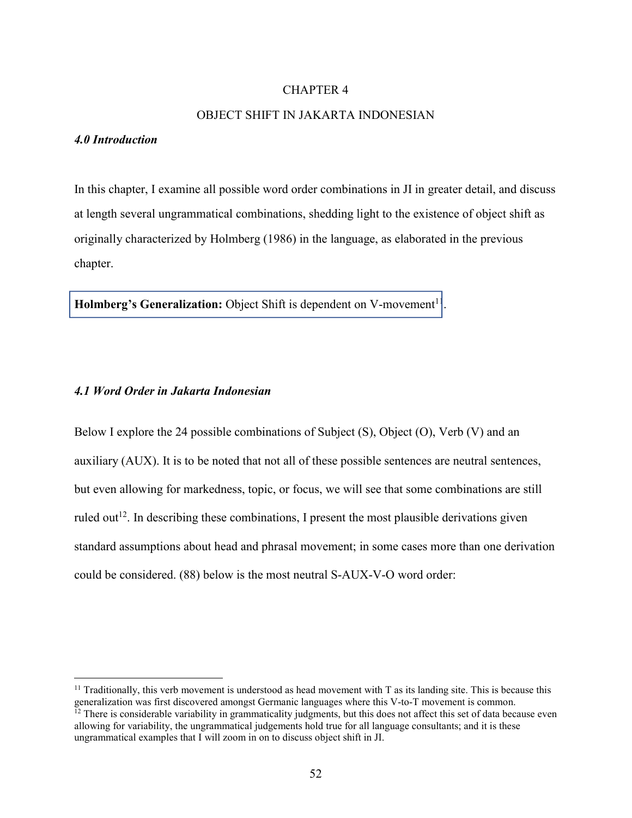### CHAPTER 4

## OBJECT SHIFT IN JAKARTA INDONESIAN

#### *4.0 Introduction*

-

In this chapter, I examine all possible word order combinations in JI in greater detail, and discuss at length several ungrammatical combinations, shedding light to the existence of object shift as originally characterized by Holmberg (1986) in the language, as elaborated in the previous chapter.

.

**Holmberg's Generalization:** Object Shift is dependent on V-movement<sup>11</sup>

#### *4.1 Word Order in Jakarta Indonesian*

Below I explore the 24 possible combinations of Subject (S), Object (O), Verb (V) and an auxiliary (AUX). It is to be noted that not all of these possible sentences are neutral sentences, but even allowing for markedness, topic, or focus, we will see that some combinations are still ruled out<sup>12</sup>. In describing these combinations, I present the most plausible derivations given standard assumptions about head and phrasal movement; in some cases more than one derivation could be considered. (88) below is the most neutral S-AUX-V-O word order:

<sup>&</sup>lt;sup>11</sup> Traditionally, this verb movement is understood as head movement with T as its landing site. This is because this generalization was first discovered amongst Germanic languages where this V-to-T movement is common.  $12$  There is considerable variability in grammaticality judgments, but this does not affect this set of data because even allowing for variability, the ungrammatical judgements hold true for all language consultants; and it is these ungrammatical examples that I will zoom in on to discuss object shift in JI.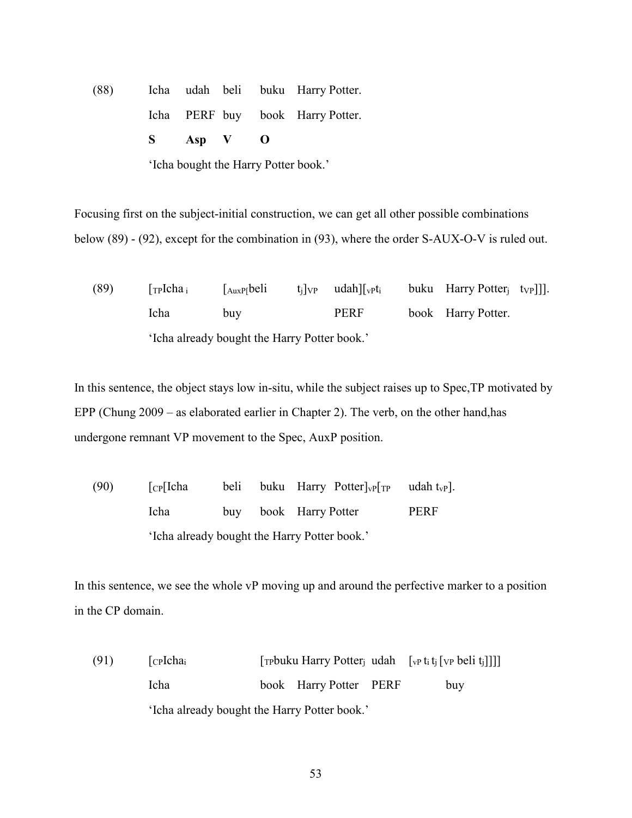(88) Icha udah beli buku Harry Potter. Icha PERF buy book Harry Potter. **S Asp V O** 

'Icha bought the Harry Potter book.'

Focusing first on the subject-initial construction, we can get all other possible combinations below (89) - (92), except for the combination in (93), where the order S-AUX-O-V is ruled out.

(89)  $\lceil \text{TPIcha}_i \rceil$   $\lceil \text{AuxP[beli} \rceil$  t<sub>i</sub> $\lceil \text{VP} \rceil$  udah $\lceil \text{VPt}_i \rceil$  buku Harry Potter<sub>i</sub> t<sub>VP</sub> Icha buy PERF book Harry Potter. 'Icha already bought the Harry Potter book.'

In this sentence, the object stays low in-situ, while the subject raises up to Spec,TP motivated by EPP (Chung 2009 – as elaborated earlier in Chapter 2). The verb, on the other hand,has undergone remnant VP movement to the Spec, AuxP position.

(90)  $[\text{CP}][\text{cha} \quad \text{beli} \quad \text{buku} \quad \text{Harry} \quad \text{Potter}]\text{VP}[\text{TP} \quad \text{udah}\text{tVP}].$  Icha buy book Harry Potter PERF 'Icha already bought the Harry Potter book.'

In this sentence, we see the whole vP moving up and around the perfective marker to a position in the CP domain.

(91)  $[\text{cplcha}_i$  [Trophenglerig udah  $[\text{vpt}, \text{t}_i][\text{vpt}, \text{beli}, \text{t}_i]]]$ ] Icha book Harry Potter PERF buy 'Icha already bought the Harry Potter book.'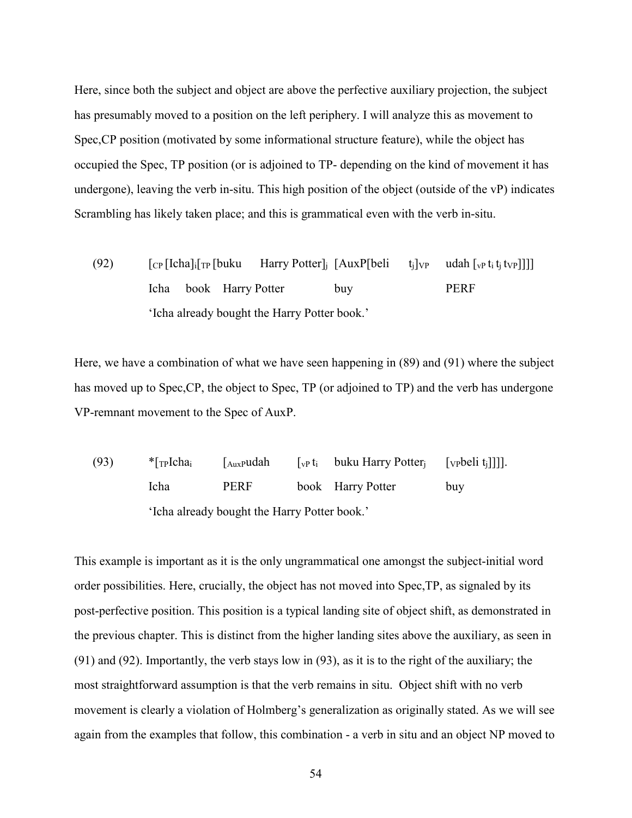Here, since both the subject and object are above the perfective auxiliary projection, the subject has presumably moved to a position on the left periphery. I will analyze this as movement to Spec,CP position (motivated by some informational structure feature), while the object has occupied the Spec, TP position (or is adjoined to TP- depending on the kind of movement it has undergone), leaving the verb in-situ. This high position of the object (outside of the vP) indicates Scrambling has likely taken place; and this is grammatical even with the verb in-situ.

(92)  $[\text{CP}[\text{Icha}]_{i}[\text{TP}[\text{buku} \text{Harry Potter}]_{j} [\text{AuxP}[\text{beli} \text{t}_{j}]\text{VP} \text{udah}[\text{VP} \text{t}_{i} \text{t}_{j} \text{t}_{V} \text{P}]]]]$  Icha book Harry Potter buy PERF 'Icha already bought the Harry Potter book.'

Here, we have a combination of what we have seen happening in (89) and (91) where the subject has moved up to Spec,CP, the object to Spec, TP (or adjoined to TP) and the verb has undergone VP-remnant movement to the Spec of AuxP.

(93)  $*$ [<sub>TP</sub>Icha<sub>i</sub> [<sub>AuxP</sub>udah [<sub>vP</sub> t<sub>i</sub> buku Harry Potter<sub>j</sub> [<sub>VP</sub>beli t<sub>i</sub>]]]]. Icha PERF book Harry Potter buy 'Icha already bought the Harry Potter book.'

This example is important as it is the only ungrammatical one amongst the subject-initial word order possibilities. Here, crucially, the object has not moved into Spec,TP, as signaled by its post-perfective position. This position is a typical landing site of object shift, as demonstrated in the previous chapter. This is distinct from the higher landing sites above the auxiliary, as seen in (91) and (92). Importantly, the verb stays low in (93), as it is to the right of the auxiliary; the most straightforward assumption is that the verb remains in situ. Object shift with no verb movement is clearly a violation of Holmberg's generalization as originally stated. As we will see again from the examples that follow, this combination - a verb in situ and an object NP moved to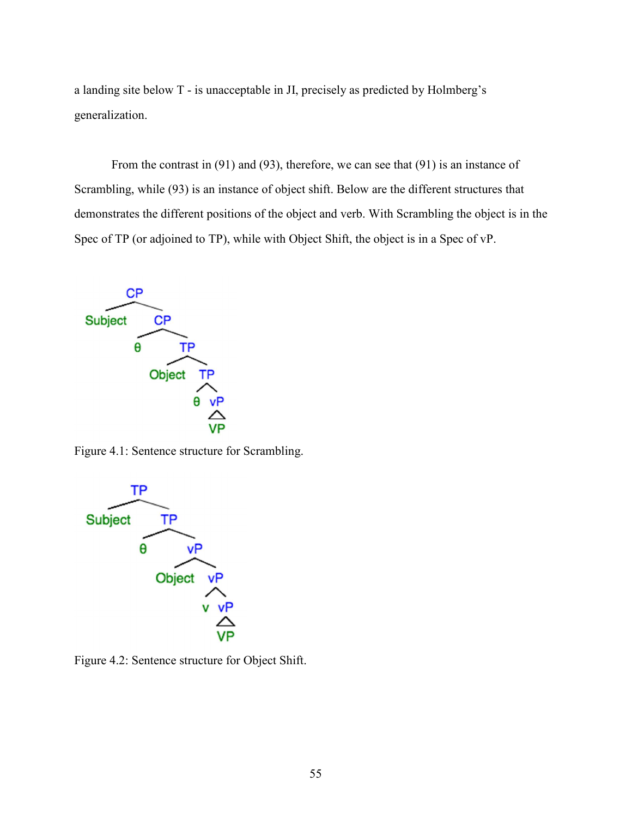a landing site below T - is unacceptable in JI, precisely as predicted by Holmberg's generalization.

 From the contrast in (91) and (93), therefore, we can see that (91) is an instance of Scrambling, while (93) is an instance of object shift. Below are the different structures that demonstrates the different positions of the object and verb. With Scrambling the object is in the Spec of TP (or adjoined to TP), while with Object Shift, the object is in a Spec of vP.



Figure 4.1: Sentence structure for Scrambling.



Figure 4.2: Sentence structure for Object Shift.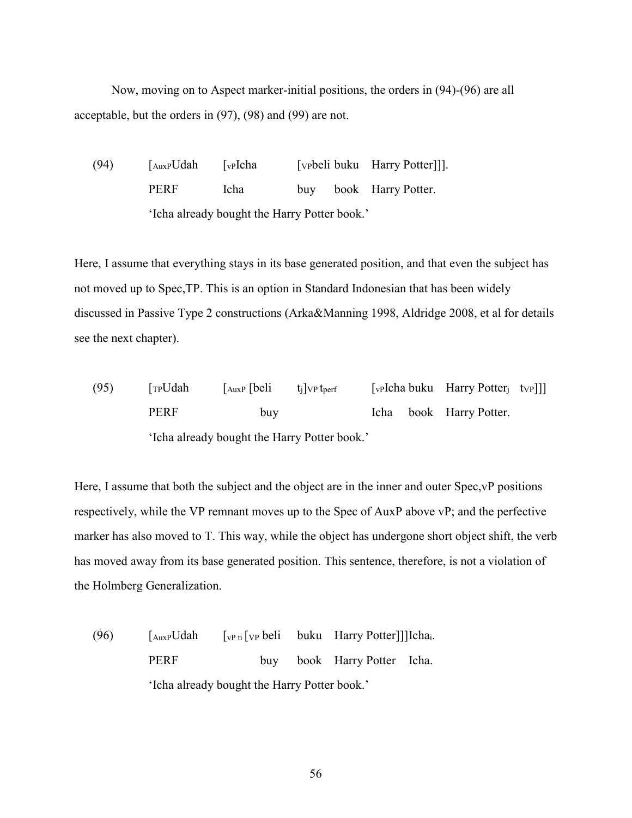Now, moving on to Aspect marker-initial positions, the orders in (94)-(96) are all acceptable, but the orders in (97), (98) and (99) are not.

(94) [AuxPUdah [vPIcha [VPbeli buku Harry Potter]]]. PERF Icha buy book Harry Potter. 'Icha already bought the Harry Potter book.'

Here, I assume that everything stays in its base generated position, and that even the subject has not moved up to Spec,TP. This is an option in Standard Indonesian that has been widely discussed in Passive Type 2 constructions (Arka&Manning 1998, Aldridge 2008, et al for details see the next chapter).

(95)  $\lceil T_P U da h \rceil$   $\lceil \text{AuxP} \rceil$   $\lceil \text{beli} \rceil$   $\lceil \text{Up} \rceil$   $\lceil \text{Up} \rceil$   $\lceil \text{veha bulk} \rceil$   $\lceil \text{Bary Potter}_i \rceil$   $\lceil \text{Up} \rceil$ PERF buy Icha book Harry Potter. 'Icha already bought the Harry Potter book.'

Here, I assume that both the subject and the object are in the inner and outer Spec,vP positions respectively, while the VP remnant moves up to the Spec of AuxP above vP; and the perfective marker has also moved to T. This way, while the object has undergone short object shift, the verb has moved away from its base generated position. This sentence, therefore, is not a violation of the Holmberg Generalization.

(96)  $\int_{Aux} U dah \quad \int_{v} P t \, \int_{v} VP \, beli \quad buku \quad Harry Potter]] [lcha_i.$ PERF buy book Harry Potter Icha. 'Icha already bought the Harry Potter book.'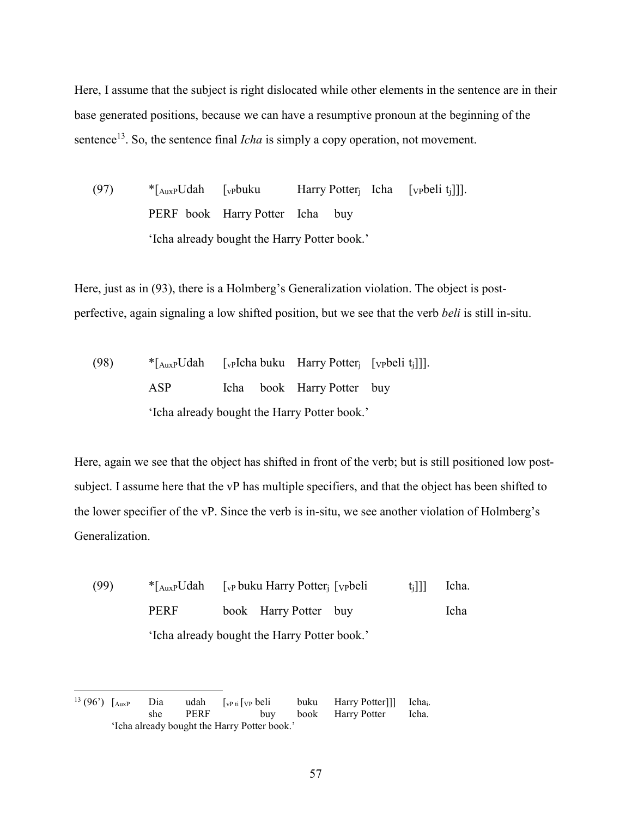Here, I assume that the subject is right dislocated while other elements in the sentence are in their base generated positions, because we can have a resumptive pronoun at the beginning of the sentence<sup>13</sup>. So, the sentence final *Icha* is simply a copy operation, not movement.

(97)  $*$ [<sub>AuxP</sub>Udah [<sub>vP</sub>buku Harry Potter<sub>i</sub> Icha [<sub>VP</sub>beli t<sub>i</sub>]]]. PERF book Harry Potter Icha buy 'Icha already bought the Harry Potter book.'

Here, just as in (93), there is a Holmberg's Generalization violation. The object is postperfective, again signaling a low shifted position, but we see that the verb *beli* is still in-situ.

(98)  $*$ [AuxpUdah [vpIcha buku Harry Potter<sub>i</sub> [vpbeli t<sub>i</sub>]]]. ASP Icha book Harry Potter buy 'Icha already bought the Harry Potter book.'

Here, again we see that the object has shifted in front of the verb; but is still positioned low postsubject. I assume here that the vP has multiple specifiers, and that the object has been shifted to the lower specifier of the vP. Since the verb is in-situ, we see another violation of Holmberg's Generalization.

(99)  $*$ [AuxpUdah [vp buku Harry Potter; [vp beli t<sub>i</sub>]]] Icha. PERF book Harry Potter buy Icha 'Icha already bought the Harry Potter book.'

<sup>-</sup><sup>13</sup> (96<sup>'</sup>)  $\begin{bmatrix} \text{AuxP} \\ \text{Shu} \\ \text{She} \end{bmatrix}$  Use  $\begin{bmatrix} \text{WPi} \\ \text{VPI} \\ \text{VPI} \end{bmatrix}$   $\begin{bmatrix} \text{UPIU} \\ \text{VPIU} \\ \text{VIIU} \end{bmatrix}$  buku Harry Potter]]] Icha<sub>i</sub>. she PERF buy book Harry Potter Icha. 'Icha already bought the Harry Potter book.'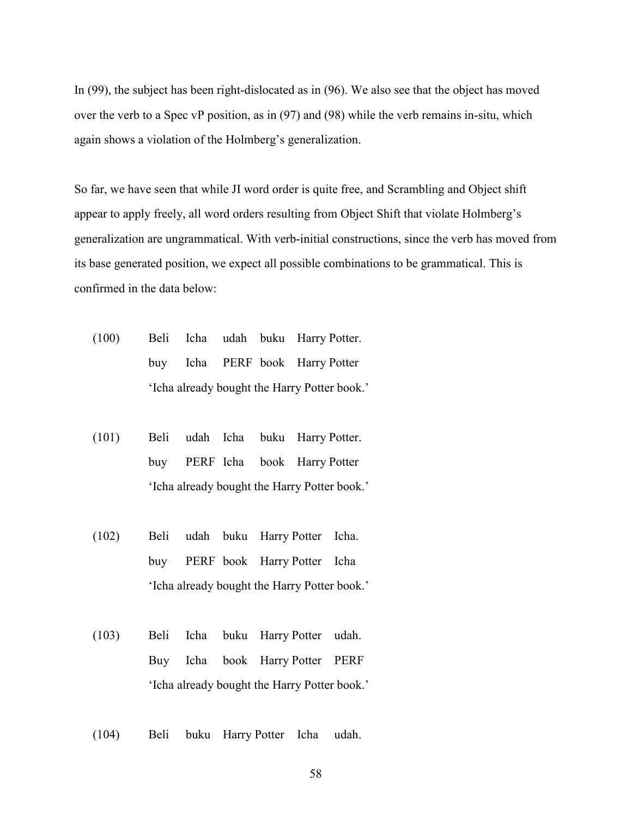In (99), the subject has been right-dislocated as in (96). We also see that the object has moved over the verb to a Spec vP position, as in (97) and (98) while the verb remains in-situ, which again shows a violation of the Holmberg's generalization.

So far, we have seen that while JI word order is quite free, and Scrambling and Object shift appear to apply freely, all word orders resulting from Object Shift that violate Holmberg's generalization are ungrammatical. With verb-initial constructions, since the verb has moved from its base generated position, we expect all possible combinations to be grammatical. This is confirmed in the data below:

- (100) Beli Icha udah buku Harry Potter. buy Icha PERF book Harry Potter 'Icha already bought the Harry Potter book.'
- (101) Beli udah Icha buku Harry Potter. buy PERF Icha book Harry Potter 'Icha already bought the Harry Potter book.'
- (102) Beli udah buku Harry Potter Icha. buy PERF book Harry Potter Icha 'Icha already bought the Harry Potter book.'
- (103) Beli Icha buku Harry Potter udah. Buy Icha book Harry Potter PERF 'Icha already bought the Harry Potter book.'
- (104) Beli buku Harry Potter Icha udah.
	- 58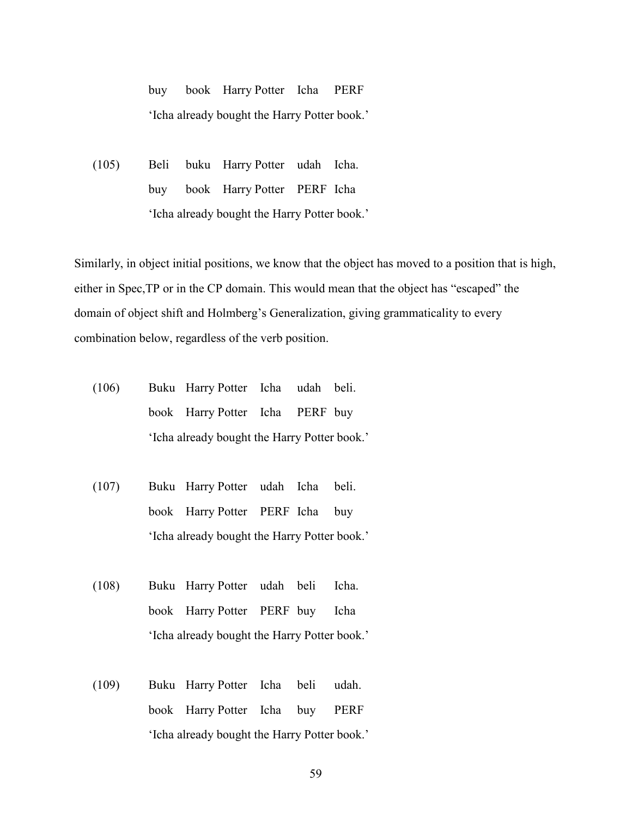buy book Harry Potter Icha PERF 'Icha already bought the Harry Potter book.'

(105) Beli buku Harry Potter udah Icha. buy book Harry Potter PERF Icha 'Icha already bought the Harry Potter book.'

Similarly, in object initial positions, we know that the object has moved to a position that is high, either in Spec,TP or in the CP domain. This would mean that the object has "escaped" the domain of object shift and Holmberg's Generalization, giving grammaticality to every combination below, regardless of the verb position.

- (106) Buku Harry Potter Icha udah beli. book Harry Potter Icha PERF buy 'Icha already bought the Harry Potter book.'
- (107) Buku Harry Potter udah Icha beli. book Harry Potter PERF Icha buy 'Icha already bought the Harry Potter book.'
- (108) Buku Harry Potter udah beli Icha. book Harry Potter PERF buy Icha 'Icha already bought the Harry Potter book.'
- (109) Buku Harry Potter Icha beli udah. book Harry Potter Icha buy PERF 'Icha already bought the Harry Potter book.'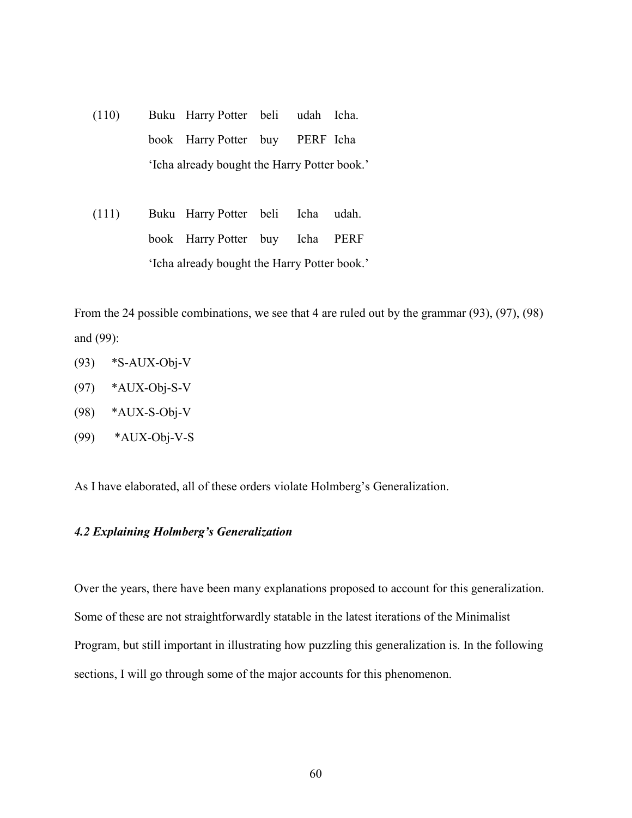- (110) Buku Harry Potter beli udah Icha. book Harry Potter buy PERF Icha 'Icha already bought the Harry Potter book.'
- (111) Buku Harry Potter beli Icha udah. book Harry Potter buy Icha PERF 'Icha already bought the Harry Potter book.'

From the 24 possible combinations, we see that 4 are ruled out by the grammar (93), (97), (98) and (99):

- (93) \*S-AUX-Obj-V
- $(97)$  \*AUX-Obj-S-V
- (98) \*AUX-S-Obj-V
- (99) \*AUX-Obj-V-S

As I have elaborated, all of these orders violate Holmberg's Generalization.

#### *4.2 Explaining Holmberg's Generalization*

Over the years, there have been many explanations proposed to account for this generalization. Some of these are not straightforwardly statable in the latest iterations of the Minimalist Program, but still important in illustrating how puzzling this generalization is. In the following sections, I will go through some of the major accounts for this phenomenon.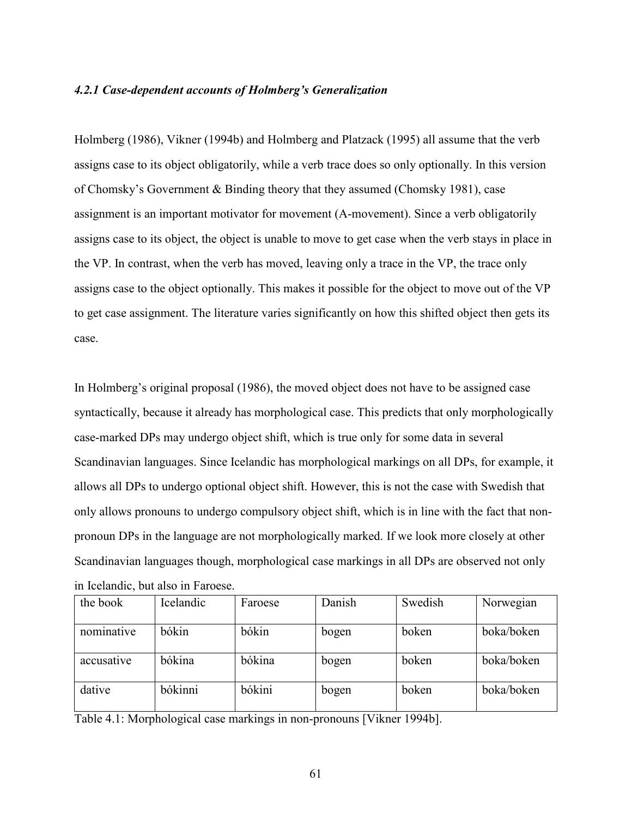#### *4.2.1 Case-dependent accounts of Holmberg's Generalization*

Holmberg (1986), Vikner (1994b) and Holmberg and Platzack (1995) all assume that the verb assigns case to its object obligatorily, while a verb trace does so only optionally. In this version of Chomsky's Government & Binding theory that they assumed (Chomsky 1981), case assignment is an important motivator for movement (A-movement). Since a verb obligatorily assigns case to its object, the object is unable to move to get case when the verb stays in place in the VP. In contrast, when the verb has moved, leaving only a trace in the VP, the trace only assigns case to the object optionally. This makes it possible for the object to move out of the VP to get case assignment. The literature varies significantly on how this shifted object then gets its case.

In Holmberg's original proposal (1986), the moved object does not have to be assigned case syntactically, because it already has morphological case. This predicts that only morphologically case-marked DPs may undergo object shift, which is true only for some data in several Scandinavian languages. Since Icelandic has morphological markings on all DPs, for example, it allows all DPs to undergo optional object shift. However, this is not the case with Swedish that only allows pronouns to undergo compulsory object shift, which is in line with the fact that nonpronoun DPs in the language are not morphologically marked. If we look more closely at other Scandinavian languages though, morphological case markings in all DPs are observed not only in Icelandic, but also in Faroese.

| the book   | Icelandic | Faroese | Danish | Swedish | Norwegian  |
|------------|-----------|---------|--------|---------|------------|
| nominative | bókin     | bókin   | bogen  | boken   | boka/boken |
| accusative | bókina    | bókina  | bogen  | boken   | boka/boken |
| dative     | bókinni   | bókini  | bogen  | boken   | boka/boken |

Table 4.1: Morphological case markings in non-pronouns [Vikner 1994b].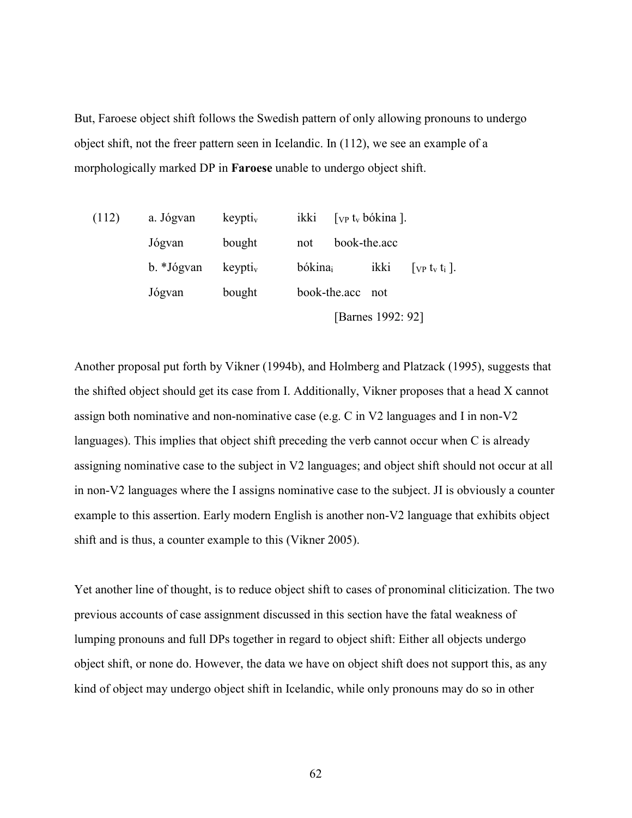But, Faroese object shift follows the Swedish pattern of only allowing pronouns to undergo object shift, not the freer pattern seen in Icelandic. In (112), we see an example of a morphologically marked DP in **Faroese** unable to undergo object shift.

| (112) | a. Jógvan  | keypti <sub>v</sub> | [ <i>VP ty bókina</i> ].<br>ikki                             |
|-------|------------|---------------------|--------------------------------------------------------------|
|       | Jógvan     | bought              | book-the.acc<br>not                                          |
|       | b. *Jógvan | keypti <sub>v</sub> | bókina<br>ikki<br>$[$ VP t <sub>v</sub> t <sub>i</sub> $]$ . |
|       | Jógvan     | bought              | book-the.acc not                                             |
|       |            |                     | [Barnes 1992: 92]                                            |

Another proposal put forth by Vikner (1994b), and Holmberg and Platzack (1995), suggests that the shifted object should get its case from I. Additionally, Vikner proposes that a head X cannot assign both nominative and non-nominative case (e.g. C in V2 languages and I in non-V2 languages). This implies that object shift preceding the verb cannot occur when C is already assigning nominative case to the subject in V2 languages; and object shift should not occur at all in non-V2 languages where the I assigns nominative case to the subject. JI is obviously a counter example to this assertion. Early modern English is another non-V2 language that exhibits object shift and is thus, a counter example to this (Vikner 2005).

Yet another line of thought, is to reduce object shift to cases of pronominal cliticization. The two previous accounts of case assignment discussed in this section have the fatal weakness of lumping pronouns and full DPs together in regard to object shift: Either all objects undergo object shift, or none do. However, the data we have on object shift does not support this, as any kind of object may undergo object shift in Icelandic, while only pronouns may do so in other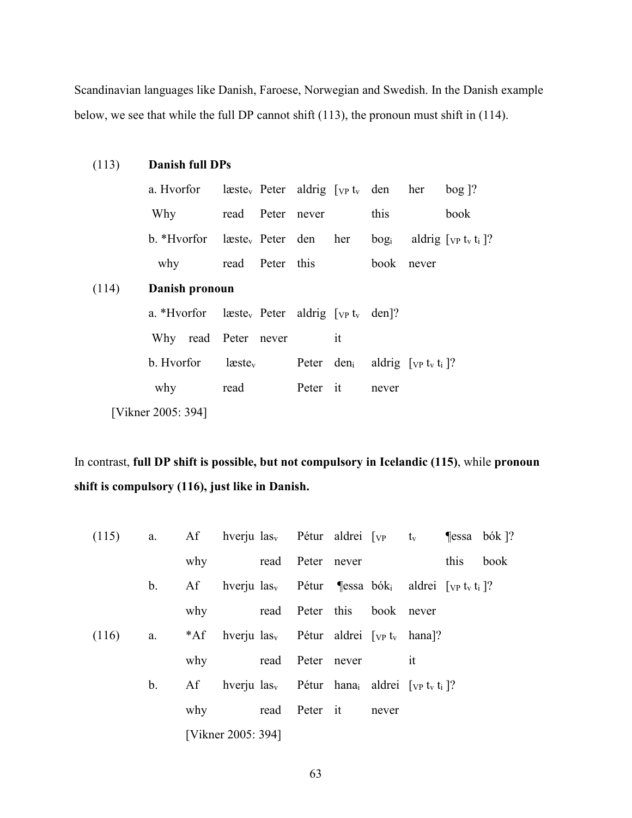Scandinavian languages like Danish, Faroese, Norwegian and Swedish. In the Danish example below, we see that while the full DP cannot shift (113), the pronoun must shift in (114).

| (113) | Danish full DPs    |                                                                                                                       |  |            |                                                        |      |
|-------|--------------------|-----------------------------------------------------------------------------------------------------------------------|--|------------|--------------------------------------------------------|------|
|       |                    | a. Hvorfor $l$ æste <sub>v</sub> Peter aldrig $[\text{vp } t_v$ den her bog ]?                                        |  |            |                                                        |      |
|       |                    | Why read Peter never                                                                                                  |  | this       |                                                        | book |
|       |                    | b. *Hvorfor læste <sub>v</sub> Peter den her bog <sub>i</sub> aldrig $[\nabla p]$ t <sub>v</sub> t <sub>i</sub> $]$ ? |  |            |                                                        |      |
|       |                    | why read Peter this                                                                                                   |  | book never |                                                        |      |
| (114) | Danish pronoun     |                                                                                                                       |  |            |                                                        |      |
|       |                    | a. *Hvorfor $l$ æste <sub>v</sub> Peter aldrig $[\text{vp } t_v$ den]?                                                |  |            |                                                        |      |
|       |                    | Why read Peter never it                                                                                               |  |            |                                                        |      |
|       |                    | $b.$ Hvorfor $\qquad$ læste <sub>v</sub>                                                                              |  |            | Peter den <sub>i</sub> aldrig $[\text{vp } t_v t_i]$ ? |      |
|       |                    | why read Peter it never                                                                                               |  |            |                                                        |      |
|       | [Vikner 2005: 394] |                                                                                                                       |  |            |                                                        |      |

In contrast, **full DP shift is possible, but not compulsory in Icelandic (115)**, while **pronoun shift is compulsory (116), just like in Danish.** 

| (115) |                |     | a. Af hverjulas <sub>v</sub> Pétur aldrei [ <sub>VP</sub> t <sub>v</sub> ¶essa bók]?                       |                  |                            |                           |      |      |
|-------|----------------|-----|------------------------------------------------------------------------------------------------------------|------------------|----------------------------|---------------------------|------|------|
|       |                |     | why read Peter never                                                                                       |                  |                            |                           | this | book |
|       | $\mathbf{b}$ . | Af  | hverju las <sub>v</sub> Pétur ¶essa bók <sub>i</sub> aldrei [vp t <sub>v</sub> t <sub>i</sub> ]?           |                  |                            |                           |      |      |
|       |                | why |                                                                                                            |                  | read Peter this book never |                           |      |      |
| (116) |                |     | a. $*AF$ hverju las <sub>v</sub> Pétur aldrei [ <sub>VP</sub> t <sub>v</sub> hana]?                        |                  |                            |                           |      |      |
|       |                | why |                                                                                                            | read Peter never |                            | $\overline{\mathfrak{m}}$ |      |      |
|       | b.             |     | Af hverju $\text{las}_{v}$ Pétur hana <sub>i</sub> aldrei [ <sub>VP</sub> t <sub>v</sub> t <sub>i</sub> ]? |                  |                            |                           |      |      |
|       |                | why |                                                                                                            |                  | read Peter it never        |                           |      |      |
|       |                |     | [Vikner 2005: 394]                                                                                         |                  |                            |                           |      |      |

63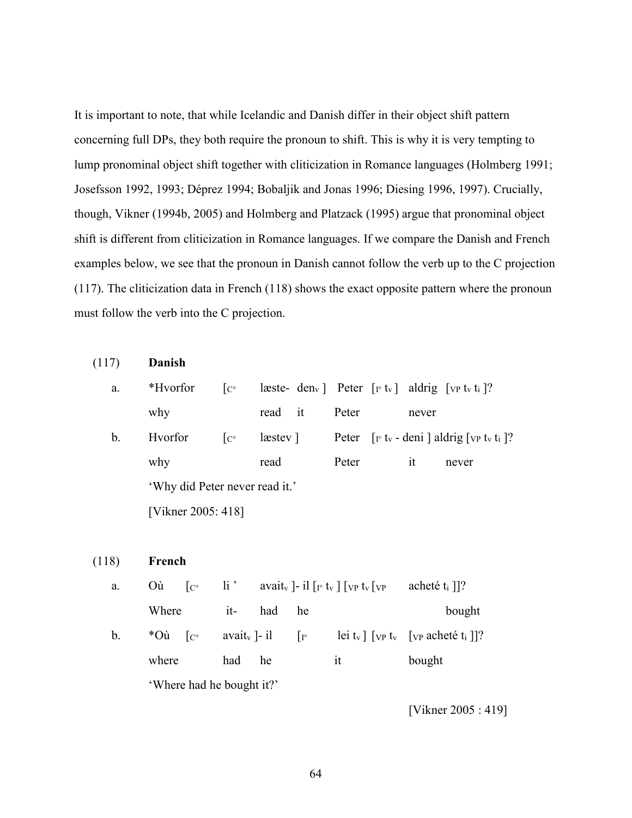It is important to note, that while Icelandic and Danish differ in their object shift pattern concerning full DPs, they both require the pronoun to shift. This is why it is very tempting to lump pronominal object shift together with cliticization in Romance languages (Holmberg 1991; Josefsson 1992, 1993; Déprez 1994; Bobaljik and Jonas 1996; Diesing 1996, 1997). Crucially, though, Vikner (1994b, 2005) and Holmberg and Platzack (1995) argue that pronominal object shift is different from cliticization in Romance languages. If we compare the Danish and French examples below, we see that the pronoun in Danish cannot follow the verb up to the C projection (117). The cliticization data in French (118) shows the exact opposite pattern where the pronoun must follow the verb into the C projection.

| (117) | Danish                         |               |             |  |       |  |       |                                                                                             |
|-------|--------------------------------|---------------|-------------|--|-------|--|-------|---------------------------------------------------------------------------------------------|
| a.    | *Hvorfor                       | $\int_{C}$    |             |  |       |  |       | læste- den <sub>v</sub>   Peter $[r t_v]$ aldrig $[y p t_v t_i]$ ?                          |
|       | why                            |               | read it     |  | Peter |  | never |                                                                                             |
| b.    | Hvorfor                        | $ C^{\circ} $ | $leastev$ ] |  |       |  |       | Peter $[\Gamma_{\rm F} t_{\rm v}$ - deni   aldrig $[\Gamma_{\rm VP} t_{\rm v} t_{\rm i}]$ ? |
|       | why                            |               | read        |  | Peter |  | it    | never                                                                                       |
|       | 'Why did Peter never read it.' |               |             |  |       |  |       |                                                                                             |
|       | [Vikner 2005: 418]             |               |             |  |       |  |       |                                                                                             |

(118) **French**

| a.            | Où.<br>$ _{C^{\circ}}$                                                                                                    |     |         |    | $\ln$ $\frac{1}{2}$ avait <sub>y</sub> $\ln \ln \left[ \frac{1}{2} \right]$ [vp t <sub>v</sub> [vp | acheté $t_i$ ]?                                                       |  |  |
|---------------|---------------------------------------------------------------------------------------------------------------------------|-----|---------|----|----------------------------------------------------------------------------------------------------|-----------------------------------------------------------------------|--|--|
|               | Where                                                                                                                     |     | it- had | he |                                                                                                    | bought                                                                |  |  |
| $\mathbf b$ . | avait <sub>y</sub> $\left  -i \right $ $\left  \right $ $\left  \right $<br>* $\overrightarrow{O}$ u $\overrightarrow{C}$ |     |         |    |                                                                                                    | lei t <sub>v</sub> ] [vp t <sub>v</sub> [vp acheté t <sub>i</sub> ]]? |  |  |
|               | where                                                                                                                     | had | he      |    | 1t                                                                                                 | bought                                                                |  |  |
|               | 'Where had he bought it?'                                                                                                 |     |         |    |                                                                                                    |                                                                       |  |  |

[Vikner 2005 : 419]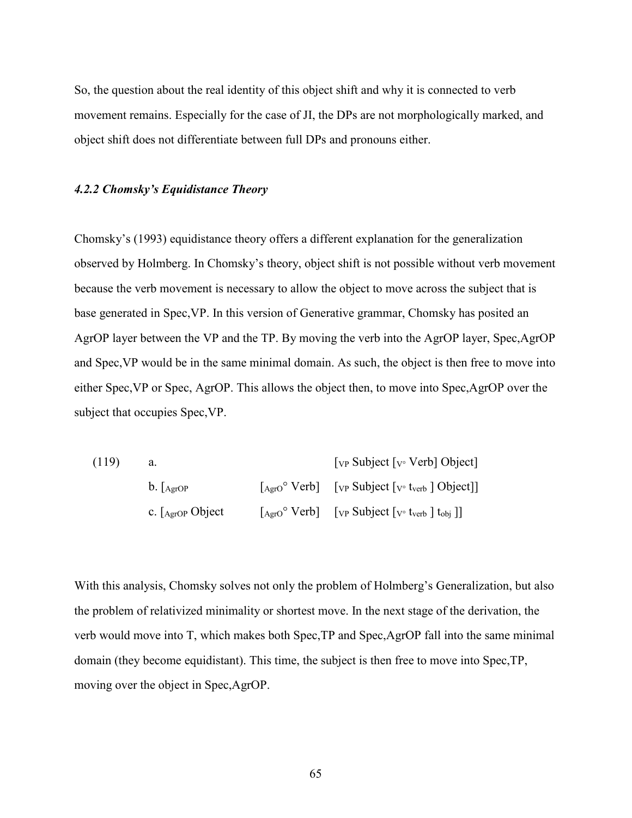So, the question about the real identity of this object shift and why it is connected to verb movement remains. Especially for the case of JI, the DPs are not morphologically marked, and object shift does not differentiate between full DPs and pronouns either.

#### *4.2.2 Chomsky's Equidistance Theory*

Chomsky's (1993) equidistance theory offers a different explanation for the generalization observed by Holmberg. In Chomsky's theory, object shift is not possible without verb movement because the verb movement is necessary to allow the object to move across the subject that is base generated in Spec,VP. In this version of Generative grammar, Chomsky has posited an AgrOP layer between the VP and the TP. By moving the verb into the AgrOP layer, Spec,AgrOP and Spec,VP would be in the same minimal domain. As such, the object is then free to move into either Spec,VP or Spec, AgrOP. This allows the object then, to move into Spec,AgrOP over the subject that occupies Spec,VP.

| (119) |                                  | $[VP$ Subject $[V$ <sup>o</sup> Verb] Object]                                                                                                                   |  |  |
|-------|----------------------------------|-----------------------------------------------------------------------------------------------------------------------------------------------------------------|--|--|
|       | $\mathbf{b}$ . $A_{\text{grOP}}$ | $\lceil_{\text{Agro}}^{\circ} \text{Verb} \rceil$ $\lceil_{\text{VP}} \text{Subject} \rceil_{\text{V}^{\circ}}$ t <sub>verb</sub> $\lceil \text{Object} \rceil$ |  |  |
|       | c. $\int_{\text{AgroP}}$ Object  | $\begin{bmatrix} \text{Agro}^{\circ} \text{Verb} \end{bmatrix}$ [vp Subject [v tverb ] $\text{t}_{\text{obj}}$ ]]                                               |  |  |

With this analysis, Chomsky solves not only the problem of Holmberg's Generalization, but also the problem of relativized minimality or shortest move. In the next stage of the derivation, the verb would move into T, which makes both Spec,TP and Spec,AgrOP fall into the same minimal domain (they become equidistant). This time, the subject is then free to move into Spec,TP, moving over the object in Spec,AgrOP.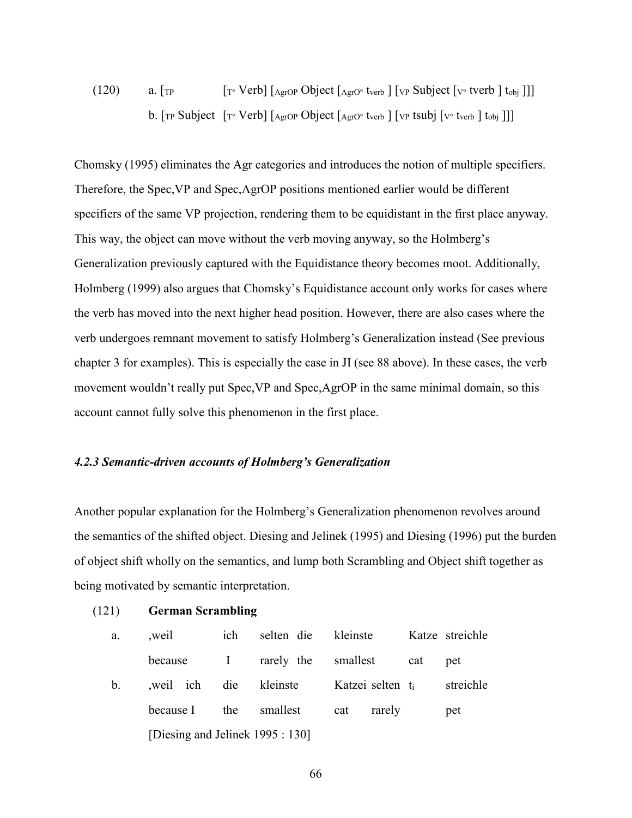# (120) a.  $[\text{TP} \quad [\text{TP} \text{Verb}]$   $[\text{Agrop Object} \text{Agro} \cdot \text{tverb} ] [\text{VP} \text{Subject} \text{ [V} \cdot \text{tverb} ] \text{ to} ]]$ b.  $[\text{TP} \text{ Subject} \; [\text{TP} \; \text{Verb}] [\text{Agrop} \; \text{Object} \; [\text{Agro} \; \text{tverb} \;] [\text{VP} \; \text{tsub}] [\text{V} \; \text{tverb} \;] \; \text{tobj} \;]]]$

Chomsky (1995) eliminates the Agr categories and introduces the notion of multiple specifiers. Therefore, the Spec,VP and Spec,AgrOP positions mentioned earlier would be different specifiers of the same VP projection, rendering them to be equidistant in the first place anyway. This way, the object can move without the verb moving anyway, so the Holmberg's Generalization previously captured with the Equidistance theory becomes moot. Additionally, Holmberg (1999) also argues that Chomsky's Equidistance account only works for cases where the verb has moved into the next higher head position. However, there are also cases where the verb undergoes remnant movement to satisfy Holmberg's Generalization instead (See previous chapter 3 for examples). This is especially the case in JI (see 88 above). In these cases, the verb movement wouldn't really put Spec,VP and Spec,AgrOP in the same minimal domain, so this account cannot fully solve this phenomenon in the first place.

#### *4.2.3 Semantic-driven accounts of Holmberg's Generalization*

Another popular explanation for the Holmberg's Generalization phenomenon revolves around the semantics of the shifted object. Diesing and Jelinek (1995) and Diesing (1996) put the burden of object shift wholly on the semantics, and lump both Scrambling and Object shift together as being motivated by semantic interpretation.

#### (121) **German Scrambling**

| a.            | weil                             | ich          | selten die | kleinste                     |     | Katze streichle |  |  |  |
|---------------|----------------------------------|--------------|------------|------------------------------|-----|-----------------|--|--|--|
|               | because                          | $\mathbf{I}$ | rarely the | smallest                     | cat | pet             |  |  |  |
| $\mathbf b$ . | weil ich die                     |              | kleinste   | Katzei selten t <sub>i</sub> |     | streichle       |  |  |  |
|               | because I                        | the          | smallest   | rarely<br>cat                |     | pet             |  |  |  |
|               | [Diesing and Jelinek 1995 : 130] |              |            |                              |     |                 |  |  |  |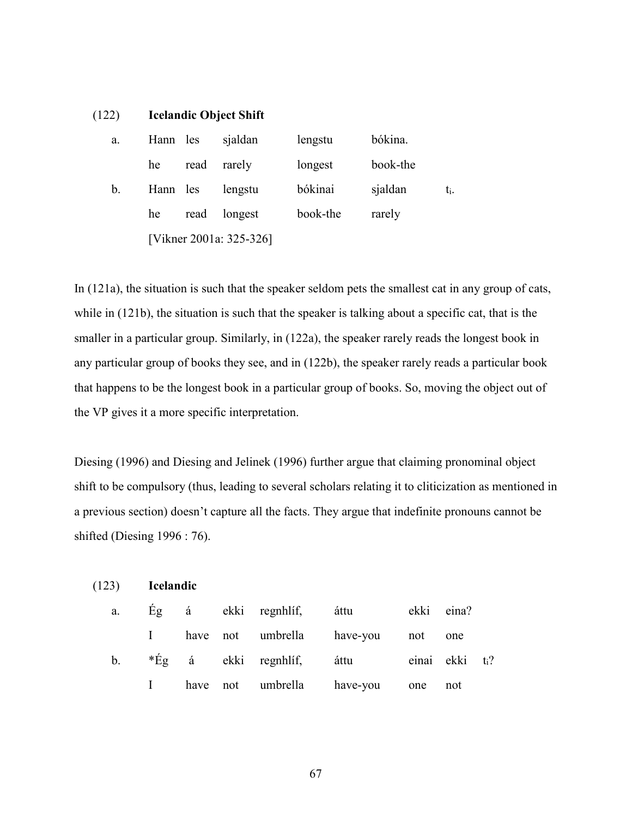| (122) | <b>Icelandic Object Shift</b> |  |
|-------|-------------------------------|--|
|-------|-------------------------------|--|

| a.          | Hann les |      | sjaldan                 | lengstu  | bókina.  |     |
|-------------|----------|------|-------------------------|----------|----------|-----|
|             | he       | read | rarely                  | longest  | book-the |     |
| $b_{\cdot}$ | Hann les |      | lengstu                 | bókinai  | sjaldan  | ti. |
|             | he       | read | longest                 | book-the | rarely   |     |
|             |          |      | [Vikner 2001a: 325-326] |          |          |     |

In (121a), the situation is such that the speaker seldom pets the smallest cat in any group of cats, while in (121b), the situation is such that the speaker is talking about a specific cat, that is the smaller in a particular group. Similarly, in (122a), the speaker rarely reads the longest book in any particular group of books they see, and in (122b), the speaker rarely reads a particular book that happens to be the longest book in a particular group of books. So, moving the object out of the VP gives it a more specific interpretation.

Diesing (1996) and Diesing and Jelinek (1996) further argue that claiming pronominal object shift to be compulsory (thus, leading to several scholars relating it to cliticization as mentioned in a previous section) doesn't capture all the facts. They argue that indefinite pronouns cannot be shifted (Diesing 1996 : 76).

| (123)       | <b>Icelandic</b> |  |                         |          |     |                             |  |
|-------------|------------------|--|-------------------------|----------|-----|-----------------------------|--|
| a.          |                  |  | Eg á ekki regnhlíf,     | áttu     |     | ekki eina?                  |  |
|             |                  |  | have not umbrella       | have-you | not | one                         |  |
| $b_{\cdot}$ |                  |  | $*E_g$ á ekki regnhlíf, | áttu     |     | einai ekki t <sub>i</sub> ? |  |
|             |                  |  | have not umbrella       | have-you | one | not                         |  |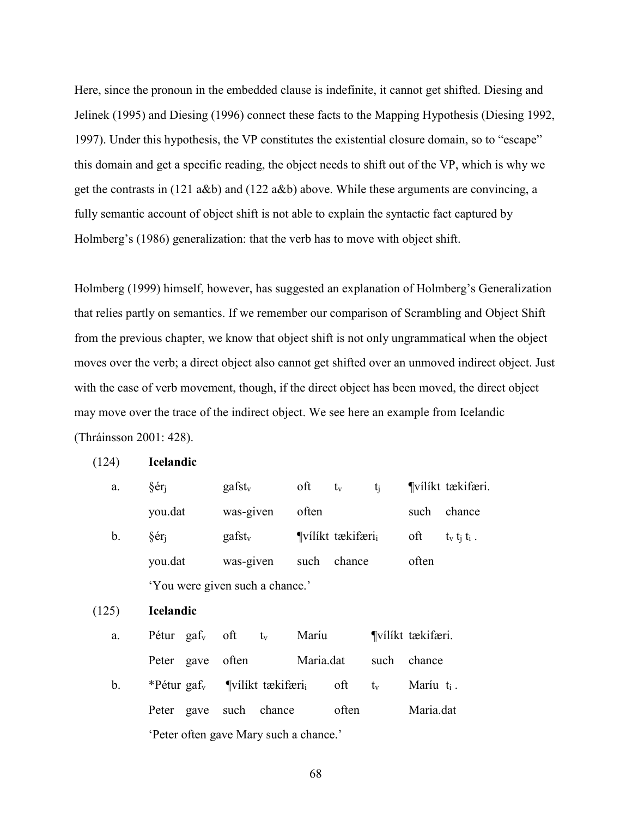Here, since the pronoun in the embedded clause is indefinite, it cannot get shifted. Diesing and Jelinek (1995) and Diesing (1996) connect these facts to the Mapping Hypothesis (Diesing 1992, 1997). Under this hypothesis, the VP constitutes the existential closure domain, so to "escape" this domain and get a specific reading, the object needs to shift out of the VP, which is why we get the contrasts in (121 a&b) and (122 a&b) above. While these arguments are convincing, a fully semantic account of object shift is not able to explain the syntactic fact captured by Holmberg's (1986) generalization: that the verb has to move with object shift.

Holmberg (1999) himself, however, has suggested an explanation of Holmberg's Generalization that relies partly on semantics. If we remember our comparison of Scrambling and Object Shift from the previous chapter, we know that object shift is not only ungrammatical when the object moves over the verb; a direct object also cannot get shifted over an unmoved indirect object. Just with the case of verb movement, though, if the direct object has been moved, the direct object may move over the trace of the indirect object. We see here an example from Icelandic (Thráinsson 2001: 428).

| a.          | §ér <sub>i</sub>                                      |                                 | $gafst_v$ |           |           | $\text{oft}$ $t_v$          | $t_i$   |                  | Vilíkt tækifæri.    |  |  |
|-------------|-------------------------------------------------------|---------------------------------|-----------|-----------|-----------|-----------------------------|---------|------------------|---------------------|--|--|
|             | you.dat                                               |                                 | was-given |           | often     |                             |         |                  | such chance         |  |  |
| $b_{\cdot}$ | §ér <sub>i</sub>                                      |                                 |           | $gafst_v$ |           | $\P$ vílíkt tækifæri $_{i}$ |         | oft              | $t_v$ $t_i$ $t_i$ . |  |  |
|             | you.dat                                               |                                 |           | was-given |           | such chance                 |         | often            |                     |  |  |
|             |                                                       | 'You were given such a chance.' |           |           |           |                             |         |                  |                     |  |  |
| (125)       | <b>Icelandic</b>                                      |                                 |           |           |           |                             |         |                  |                     |  |  |
| a.          | Pétur gaf <sub>v</sub> oft $t_v$ Maríu                |                                 |           |           |           |                             |         | Vilíkt tækifæri. |                     |  |  |
|             | Peter gave often                                      |                                 |           |           | Maria.dat |                             |         | such chance      |                     |  |  |
| b.          | *Pétur gaf <sub>v</sub> ¶vílíkt tækifæri <sub>i</sub> |                                 |           |           |           | oft                         | $t_{v}$ | Maríu $t_i$ .    |                     |  |  |
|             | Peter gave such chance often                          |                                 |           |           |           |                             |         | Maria.dat        |                     |  |  |
|             | 'Peter often gave Mary such a chance.'                |                                 |           |           |           |                             |         |                  |                     |  |  |

(124) **Icelandic**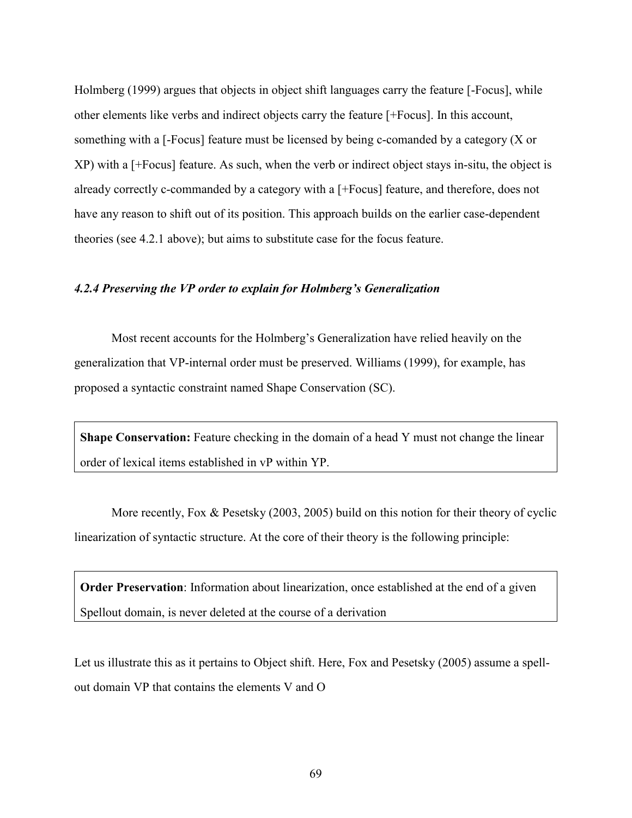Holmberg (1999) argues that objects in object shift languages carry the feature [-Focus], while other elements like verbs and indirect objects carry the feature [+Focus]. In this account, something with a [-Focus] feature must be licensed by being c-comanded by a category (X or XP) with a [+Focus] feature. As such, when the verb or indirect object stays in-situ, the object is already correctly c-commanded by a category with a [+Focus] feature, and therefore, does not have any reason to shift out of its position. This approach builds on the earlier case-dependent theories (see 4.2.1 above); but aims to substitute case for the focus feature.

#### *4.2.4 Preserving the VP order to explain for Holmberg's Generalization*

 Most recent accounts for the Holmberg's Generalization have relied heavily on the generalization that VP-internal order must be preserved. Williams (1999), for example, has proposed a syntactic constraint named Shape Conservation (SC).

**Shape Conservation:** Feature checking in the domain of a head Y must not change the linear order of lexical items established in vP within YP.

 More recently, Fox & Pesetsky (2003, 2005) build on this notion for their theory of cyclic linearization of syntactic structure. At the core of their theory is the following principle:

**Order Preservation**: Information about linearization, once established at the end of a given Spellout domain, is never deleted at the course of a derivation

Let us illustrate this as it pertains to Object shift. Here, Fox and Pesetsky (2005) assume a spellout domain VP that contains the elements V and O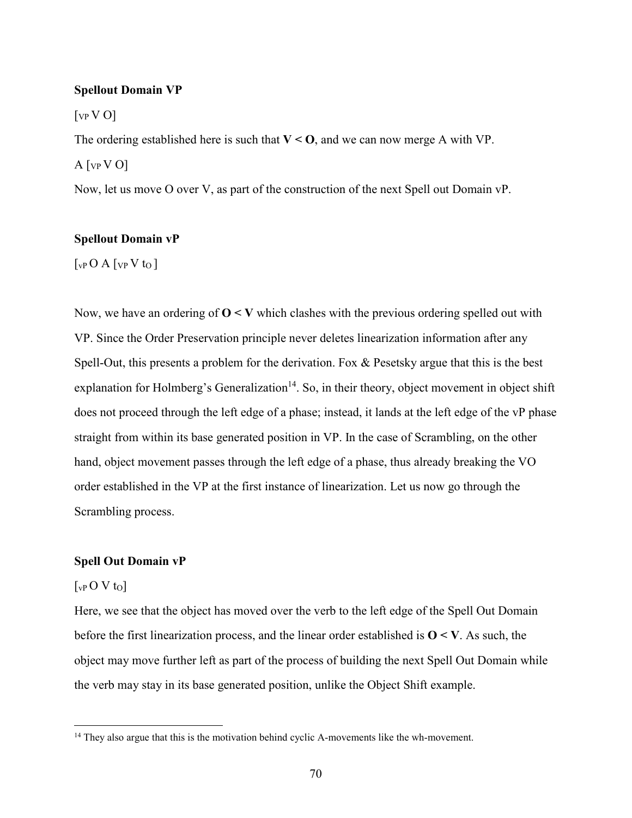#### **Spellout Domain VP**

 $\lceil v \cdot \nabla \cdot \nabla \cdot \nabla \cdot \nabla \cdot \nabla \cdot \nabla \cdot \nabla \cdot \nabla \cdot \nabla \cdot \nabla \cdot \nabla \cdot \nabla \cdot \nabla \cdot \nabla \cdot \nabla \cdot \nabla \cdot \nabla \cdot \nabla \cdot \nabla \cdot \nabla \cdot \nabla \cdot \nabla \cdot \nabla \cdot \nabla \cdot \nabla \cdot \nabla \cdot \nabla \cdot \nabla \cdot \nabla \cdot \nabla \cdot \nabla \cdot \nabla \cdot \nabla \cdot \nabla \cdot \nabla \cdot \nabla$ 

The ordering established here is such that  $V < 0$ , and we can now merge A with VP.

 $A[vP V O]$ 

Now, let us move O over V, as part of the construction of the next Spell out Domain vP.

### **Spellout Domain vP**

 $\lceil_{\text{vP}}$  O A  $\lceil_{\text{VP}}$  V t<sub>o</sub>  $\rceil$ 

Now, we have an ordering of **O < V** which clashes with the previous ordering spelled out with VP. Since the Order Preservation principle never deletes linearization information after any Spell-Out, this presents a problem for the derivation. Fox & Pesetsky argue that this is the best explanation for Holmberg's Generalization<sup>14</sup>. So, in their theory, object movement in object shift does not proceed through the left edge of a phase; instead, it lands at the left edge of the vP phase straight from within its base generated position in VP. In the case of Scrambling, on the other hand, object movement passes through the left edge of a phase, thus already breaking the VO order established in the VP at the first instance of linearization. Let us now go through the Scrambling process.

#### **Spell Out Domain vP**

#### $\lceil v \cdot P \cdot O \cdot V \cdot o \rceil$

 $\overline{a}$ 

Here, we see that the object has moved over the verb to the left edge of the Spell Out Domain before the first linearization process, and the linear order established is  $O \le V$ . As such, the object may move further left as part of the process of building the next Spell Out Domain while the verb may stay in its base generated position, unlike the Object Shift example.

<sup>&</sup>lt;sup>14</sup> They also argue that this is the motivation behind cyclic A-movements like the wh-movement.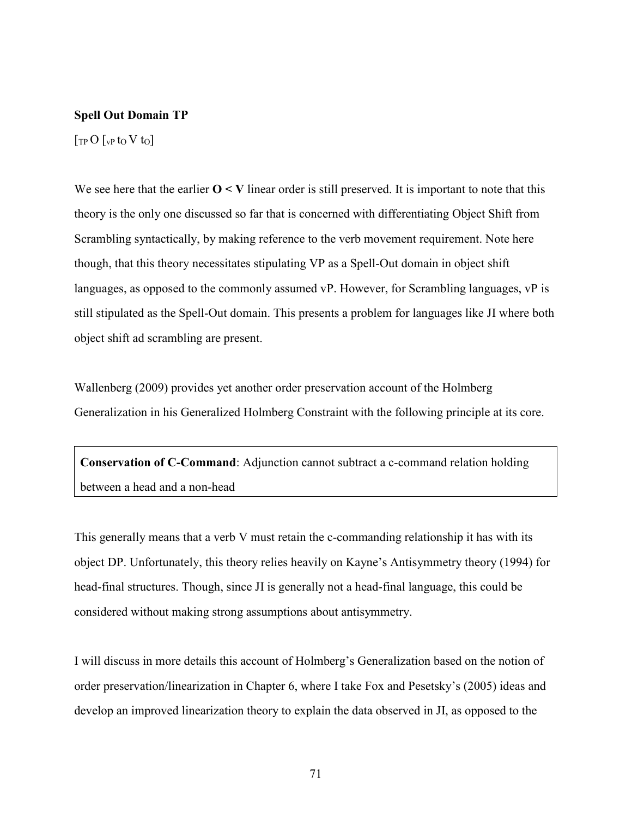#### **Spell Out Domain TP**

 $\lceil \text{TP} \, O \, \rceil_{\text{VP}}$  to V to  $\lceil$ 

We see here that the earlier  $O \leq V$  linear order is still preserved. It is important to note that this theory is the only one discussed so far that is concerned with differentiating Object Shift from Scrambling syntactically, by making reference to the verb movement requirement. Note here though, that this theory necessitates stipulating VP as a Spell-Out domain in object shift languages, as opposed to the commonly assumed vP. However, for Scrambling languages, vP is still stipulated as the Spell-Out domain. This presents a problem for languages like JI where both object shift ad scrambling are present.

Wallenberg (2009) provides yet another order preservation account of the Holmberg Generalization in his Generalized Holmberg Constraint with the following principle at its core.

**Conservation of C-Command**: Adjunction cannot subtract a c-command relation holding between a head and a non-head

This generally means that a verb V must retain the c-commanding relationship it has with its object DP. Unfortunately, this theory relies heavily on Kayne's Antisymmetry theory (1994) for head-final structures. Though, since JI is generally not a head-final language, this could be considered without making strong assumptions about antisymmetry.

I will discuss in more details this account of Holmberg's Generalization based on the notion of order preservation/linearization in Chapter 6, where I take Fox and Pesetsky's (2005) ideas and develop an improved linearization theory to explain the data observed in JI, as opposed to the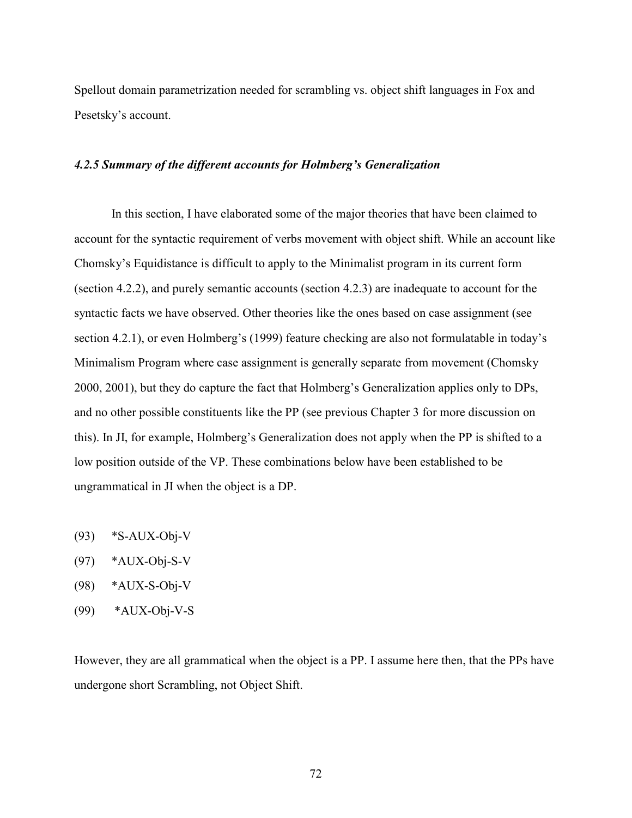Spellout domain parametrization needed for scrambling vs. object shift languages in Fox and Pesetsky's account.

### *4.2.5 Summary of the different accounts for Holmberg's Generalization*

 In this section, I have elaborated some of the major theories that have been claimed to account for the syntactic requirement of verbs movement with object shift. While an account like Chomsky's Equidistance is difficult to apply to the Minimalist program in its current form (section 4.2.2), and purely semantic accounts (section 4.2.3) are inadequate to account for the syntactic facts we have observed. Other theories like the ones based on case assignment (see section 4.2.1), or even Holmberg's (1999) feature checking are also not formulatable in today's Minimalism Program where case assignment is generally separate from movement (Chomsky 2000, 2001), but they do capture the fact that Holmberg's Generalization applies only to DPs, and no other possible constituents like the PP (see previous Chapter 3 for more discussion on this). In JI, for example, Holmberg's Generalization does not apply when the PP is shifted to a low position outside of the VP. These combinations below have been established to be ungrammatical in JI when the object is a DP.

- $(93)$  \*S-AUX-Obj-V
- (97) \*AUX-Obj-S-V
- (98) \*AUX-S-Obj-V
- (99) \*AUX-Obj-V-S

However, they are all grammatical when the object is a PP. I assume here then, that the PPs have undergone short Scrambling, not Object Shift.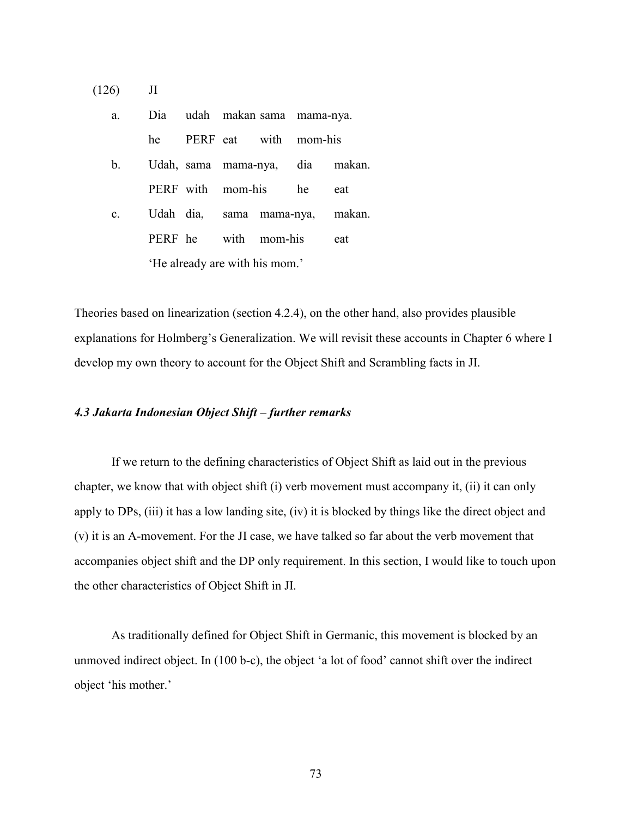(126) JI

| a.          |    | Dia udah makan sama mama-nya.  |  |                                 |
|-------------|----|--------------------------------|--|---------------------------------|
|             | he | PERF eat with mom-his          |  |                                 |
| b.          |    |                                |  | Udah, sama mama-nya, dia makan. |
|             |    | PERF with mom-his he           |  | eat                             |
| $c_{\cdot}$ |    | Udah dia, sama mama-nya,       |  | makan.                          |
|             |    | PERF he with mom-his           |  | eat                             |
|             |    | 'He already are with his mom.' |  |                                 |

Theories based on linearization (section 4.2.4), on the other hand, also provides plausible explanations for Holmberg's Generalization. We will revisit these accounts in Chapter 6 where I develop my own theory to account for the Object Shift and Scrambling facts in JI.

#### *4.3 Jakarta Indonesian Object Shift – further remarks*

If we return to the defining characteristics of Object Shift as laid out in the previous chapter, we know that with object shift (i) verb movement must accompany it, (ii) it can only apply to DPs, (iii) it has a low landing site, (iv) it is blocked by things like the direct object and (v) it is an A-movement. For the JI case, we have talked so far about the verb movement that accompanies object shift and the DP only requirement. In this section, I would like to touch upon the other characteristics of Object Shift in JI.

As traditionally defined for Object Shift in Germanic, this movement is blocked by an unmoved indirect object. In (100 b-c), the object 'a lot of food' cannot shift over the indirect object 'his mother.'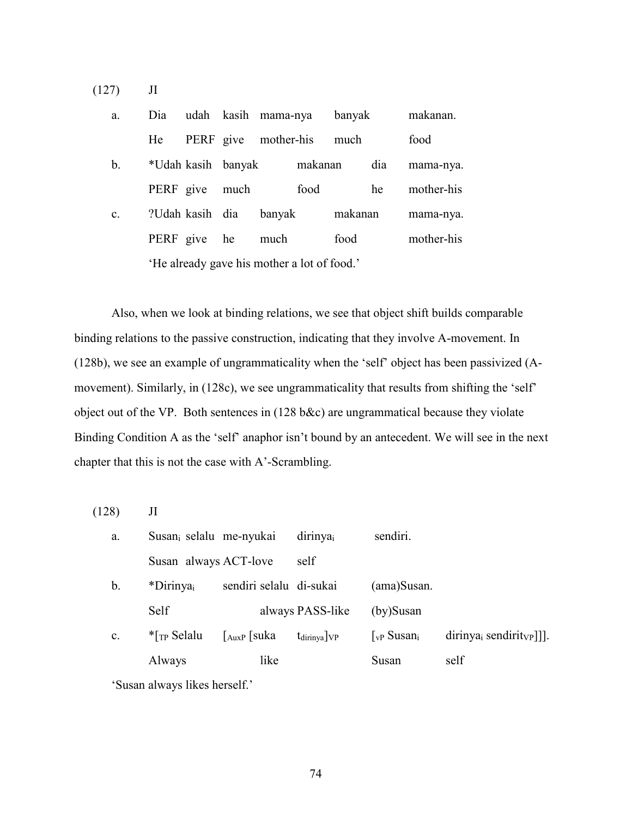(127) JI

| a.             | Dia             |                    | udah kasih mama-nya                         | banyak  |     | makanan.   |
|----------------|-----------------|--------------------|---------------------------------------------|---------|-----|------------|
|                | He              |                    | PERF give mother-his                        | much    |     | food       |
| b.             |                 | *Udah kasih banyak | makanan                                     |         | dia | mama-nya.  |
|                | PERF give       | much               | food                                        |         | he  | mother-his |
| $\mathbf{c}$ . | ?Udah kasih dia |                    | banyak                                      | makanan |     | mama-nya.  |
|                | PERF give       | he                 | much                                        | food    |     | mother-his |
|                |                 |                    | 'He already gave his mother a lot of food.' |         |     |            |

 Also, when we look at binding relations, we see that object shift builds comparable binding relations to the passive construction, indicating that they involve A-movement. In (128b), we see an example of ungrammaticality when the 'self' object has been passivized (Amovement). Similarly, in (128c), we see ungrammaticality that results from shifting the 'self' object out of the VP. Both sentences in (128 b&c) are ungrammatical because they violate Binding Condition A as the 'self' anaphor isn't bound by an antecedent. We will see in the next chapter that this is not the case with A'-Scrambling.

(128) JI

| a. | Susan <sub>i</sub> selalu me-nyukai |                               | dirinya <sub>i</sub>             | sendiri.                                |                           |
|----|-------------------------------------|-------------------------------|----------------------------------|-----------------------------------------|---------------------------|
|    | Susan always ACT-love               |                               | self                             |                                         |                           |
| b. | *Dirinya <sub>i</sub>               | sendiri selalu di-sukai       |                                  | (ama)Susan.                             |                           |
|    | Self                                |                               | always PASS-like                 | $(by)$ Susan                            |                           |
| c. | $\Gamma$ <sub>TP</sub> Selalu       | $\lfloor_{\text{AuxP}}$ [suka | $t_{\text{dirinya}}$ $\sqrt{VP}$ | $\lceil_{\text{vP}}$ Susan <sub>i</sub> | $dirinyai sendirityP$ ]]. |
|    | Always                              | like                          |                                  | Susan                                   | self                      |
|    |                                     |                               |                                  |                                         |                           |

'Susan always likes herself.'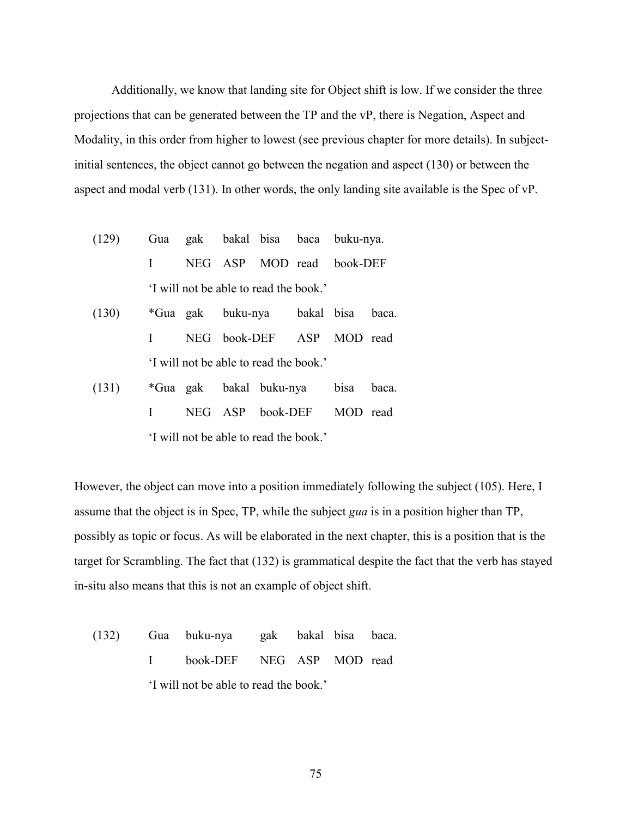Additionally, we know that landing site for Object shift is low. If we consider the three projections that can be generated between the TP and the vP, there is Negation, Aspect and Modality, in this order from higher to lowest (see previous chapter for more details). In subjectinitial sentences, the object cannot go between the negation and aspect (130) or between the aspect and modal verb (131). In other words, the only landing site available is the Spec of vP.

- (129) Gua gak bakal bisa baca buku-nya. I NEG ASP MOD read book-DEF 'I will not be able to read the book.'
- (130) \*Gua gak buku-nya bakal bisa baca. I NEG book-DEF ASP MOD read 'I will not be able to read the book.'
- (131) \*Gua gak bakal buku-nya bisa baca. I NEG ASP book-DEF MOD read 'I will not be able to read the book.'

However, the object can move into a position immediately following the subject (105). Here, I assume that the object is in Spec, TP, while the subject *gua* is in a position higher than TP, possibly as topic or focus. As will be elaborated in the next chapter, this is a position that is the target for Scrambling. The fact that (132) is grammatical despite the fact that the verb has stayed in-situ also means that this is not an example of object shift.

(132) Gua buku-nya gak bakal bisa baca. I book-DEF NEG ASP MOD read 'I will not be able to read the book.'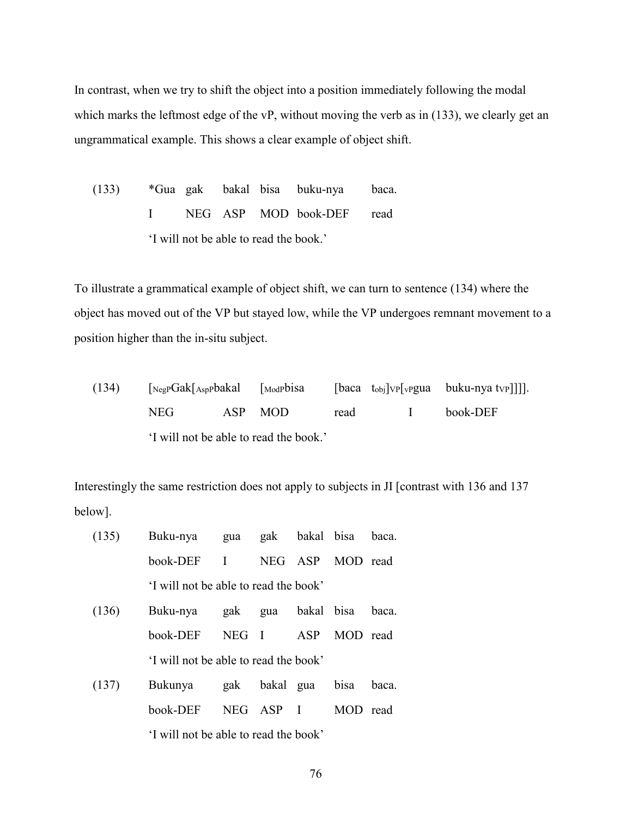In contrast, when we try to shift the object into a position immediately following the modal which marks the leftmost edge of the vP, without moving the verb as in (133), we clearly get an ungrammatical example. This shows a clear example of object shift.

(133) \*Gua gak bakal bisa buku-nya baca. I NEG ASP MOD book-DEF read 'I will not be able to read the book.'

To illustrate a grammatical example of object shift, we can turn to sentence (134) where the object has moved out of the VP but stayed low, while the VP undergoes remnant movement to a position higher than the in-situ subject.

(134)  $\lceil \text{NegPGak}[{\text{AspPbaka}}] \rceil = \lceil \text{ModPbisa} \rceil = \lceil \text{baca tobj}[{\text{vp}}[{\text{vPgua} \tbox{buku-nya tvP}}]] \rceil.$  NEG ASP MOD read I book-DEF 'I will not be able to read the book.'

Interestingly the same restriction does not apply to subjects in JI [contrast with 136 and 137 below].

| (135) | Buku-nya                              | gua          | gak          | bakal bisa |          | baca. |
|-------|---------------------------------------|--------------|--------------|------------|----------|-------|
|       | book-DEF                              | $\mathbf{I}$ | NEG.         | ASP        | MOD read |       |
|       | 'I will not be able to read the book' |              |              |            |          |       |
| (136) | Buku-nya                              | gak          | gua          | bakal bisa |          | baca. |
|       | book-DEF                              | <b>NEG</b>   | $\mathbf{I}$ | ASP        | MOD read |       |
|       | I will not be able to read the book'  |              |              |            |          |       |
| (137) | Bukunya                               | gak          | bakal gua    |            | bisa     | baca. |
|       | book-DEF                              | <b>NEG</b>   | ASP I        |            | MOD read |       |
|       | I will not be able to read the book'  |              |              |            |          |       |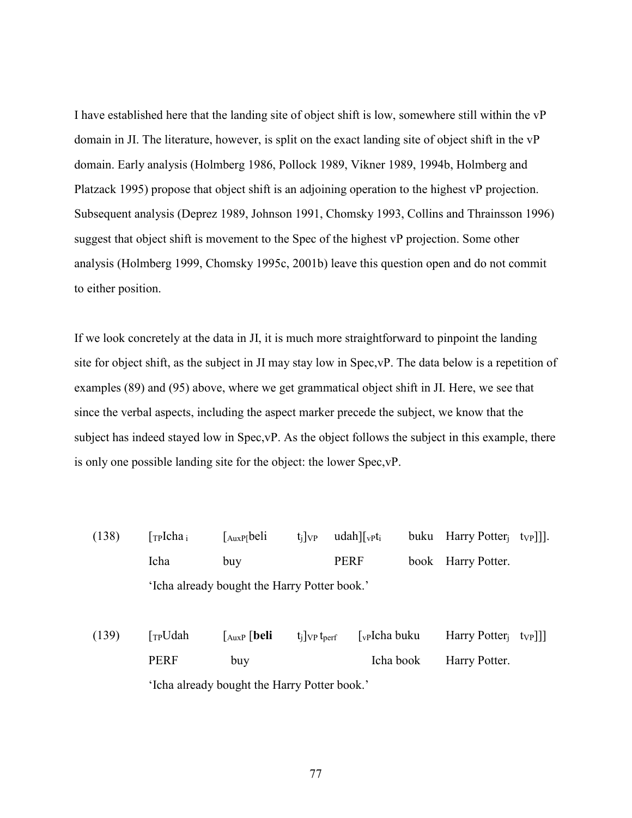I have established here that the landing site of object shift is low, somewhere still within the vP domain in JI. The literature, however, is split on the exact landing site of object shift in the vP domain. Early analysis (Holmberg 1986, Pollock 1989, Vikner 1989, 1994b, Holmberg and Platzack 1995) propose that object shift is an adjoining operation to the highest vP projection. Subsequent analysis (Deprez 1989, Johnson 1991, Chomsky 1993, Collins and Thrainsson 1996) suggest that object shift is movement to the Spec of the highest vP projection. Some other analysis (Holmberg 1999, Chomsky 1995c, 2001b) leave this question open and do not commit to either position.

If we look concretely at the data in JI, it is much more straightforward to pinpoint the landing site for object shift, as the subject in JI may stay low in Spec,vP. The data below is a repetition of examples (89) and (95) above, where we get grammatical object shift in JI. Here, we see that since the verbal aspects, including the aspect marker precede the subject, we know that the subject has indeed stayed low in Spec,vP. As the object follows the subject in this example, there is only one possible landing site for the object: the lower Spec,vP.

- (138)  $\lceil \text{TPIcha}_i \rceil$   $\lceil \text{AuxP[beli} \rceil$  t<sub>i</sub> $\lceil \text{VP} \rceil$  udah $\lceil \text{Vpt}_i \rceil$  buku Harry Potter<sub>i</sub> t<sub>VP</sub>]]. Icha buy PERF book Harry Potter. 'Icha already bought the Harry Potter book.'
- (139)  $\lceil T_P U da h \rceil \lceil \frac{\text{huxP}}{\text{[139]}} \rceil$   $\lceil \frac{\text{huvP}}{\text{[139]}} \rceil$   $\lceil \frac{\text{huvP}}{\text{[139]}} \rceil$ PERF buy **Icha book** Harry Potter. 'Icha already bought the Harry Potter book.'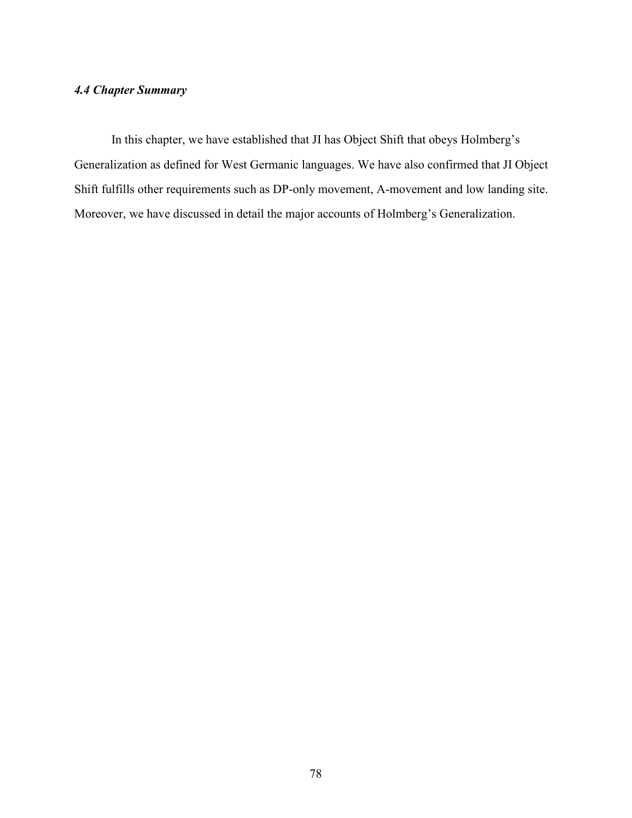# *4.4 Chapter Summary*

 In this chapter, we have established that JI has Object Shift that obeys Holmberg's Generalization as defined for West Germanic languages. We have also confirmed that JI Object Shift fulfills other requirements such as DP-only movement, A-movement and low landing site. Moreover, we have discussed in detail the major accounts of Holmberg's Generalization.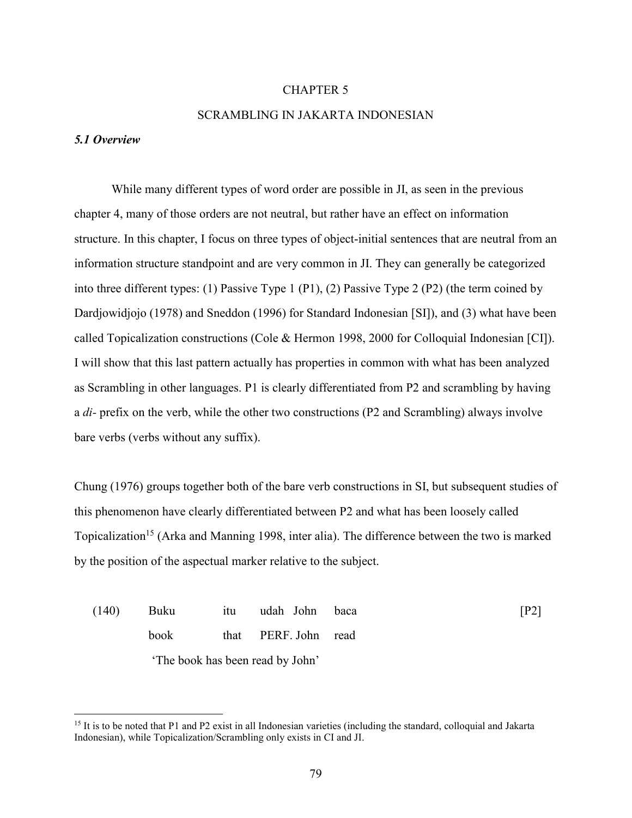#### CHAPTER 5

#### SCRAMBLING IN JAKARTA INDONESIAN

#### *5.1 Overview*

 $\overline{a}$ 

While many different types of word order are possible in JI, as seen in the previous chapter 4, many of those orders are not neutral, but rather have an effect on information structure. In this chapter, I focus on three types of object-initial sentences that are neutral from an information structure standpoint and are very common in JI. They can generally be categorized into three different types: (1) Passive Type 1 (P1), (2) Passive Type 2 (P2) (the term coined by Dardjowidjojo (1978) and Sneddon (1996) for Standard Indonesian [SI]), and (3) what have been called Topicalization constructions (Cole & Hermon 1998, 2000 for Colloquial Indonesian [CI]). I will show that this last pattern actually has properties in common with what has been analyzed as Scrambling in other languages. P1 is clearly differentiated from P2 and scrambling by having a *di-* prefix on the verb, while the other two constructions (P2 and Scrambling) always involve bare verbs (verbs without any suffix).

Chung (1976) groups together both of the bare verb constructions in SI, but subsequent studies of this phenomenon have clearly differentiated between P2 and what has been loosely called Topicalization<sup>15</sup> (Arka and Manning 1998, inter alia). The difference between the two is marked by the position of the aspectual marker relative to the subject.

| (140) | Buku        | itu | udah John                       | baca | $\lceil P2 \rceil$ |
|-------|-------------|-----|---------------------------------|------|--------------------|
|       | <b>book</b> |     | that PERF John read             |      |                    |
|       |             |     | The book has been read by John' |      |                    |

<sup>&</sup>lt;sup>15</sup> It is to be noted that P1 and P2 exist in all Indonesian varieties (including the standard, colloquial and Jakarta Indonesian), while Topicalization/Scrambling only exists in CI and JI.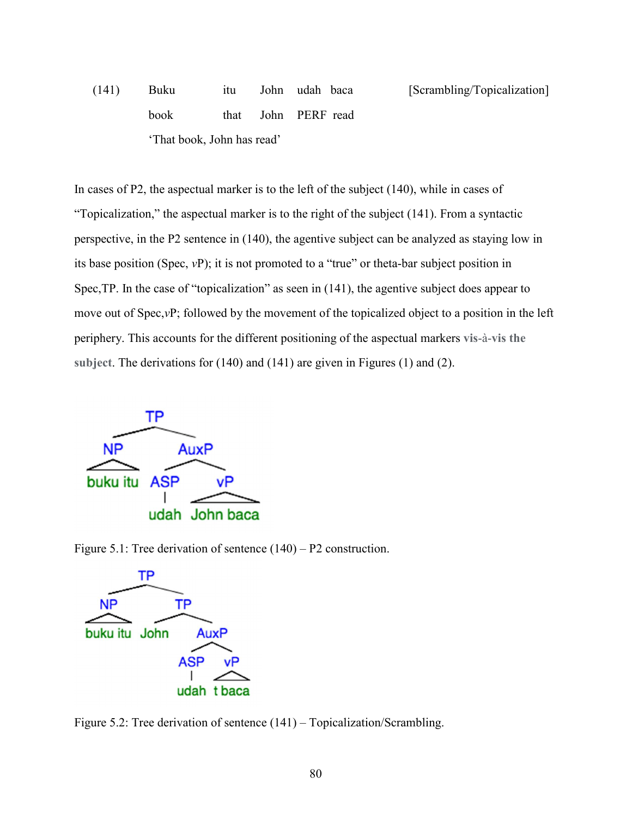(141) Buku itu John udah baca [Scrambling/Topicalization] book that John PERF read 'That book, John has read'

In cases of P2, the aspectual marker is to the left of the subject (140), while in cases of "Topicalization," the aspectual marker is to the right of the subject (141). From a syntactic perspective, in the P2 sentence in (140), the agentive subject can be analyzed as staying low in its base position (Spec, *v*P); it is not promoted to a "true" or theta-bar subject position in Spec,TP. In the case of "topicalization" as seen in (141), the agentive subject does appear to move out of Spec,*v*P; followed by the movement of the topicalized object to a position in the left periphery. This accounts for the different positioning of the aspectual markers **vis**-à-**vis the subject**. The derivations for (140) and (141) are given in Figures (1) and (2).



Figure 5.1: Tree derivation of sentence (140) – P2 construction.



Figure 5.2: Tree derivation of sentence (141) – Topicalization/Scrambling.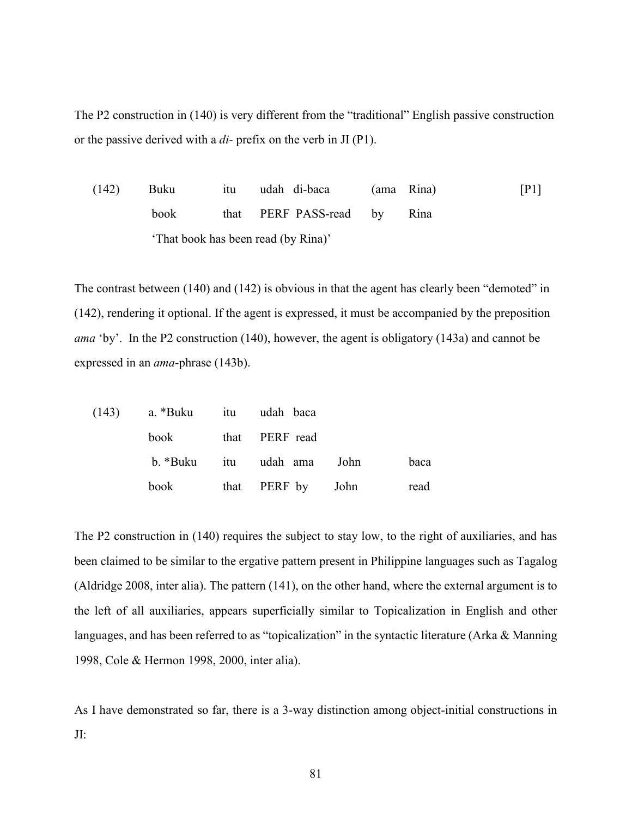The P2 construction in (140) is very different from the "traditional" English passive construction or the passive derived with a *di-* prefix on the verb in JI (P1).

(142) Buku itu udah di-baca (ama Rina) [P1] book that PERF PASS-read by Rina 'That book has been read (by Rina)'

The contrast between (140) and (142) is obvious in that the agent has clearly been "demoted" in (142), rendering it optional. If the agent is expressed, it must be accompanied by the preposition *ama* 'by'. In the P2 construction (140), however, the agent is obligatory (143a) and cannot be expressed in an *ama*-phrase (143b).

|  | $(143)$ a. *Buku itu udah baca |                            |      |
|--|--------------------------------|----------------------------|------|
|  |                                | book that PERF read        |      |
|  |                                | b. *Buku itu udah ama John | baca |
|  |                                | book that PERF by John     | read |

The P2 construction in (140) requires the subject to stay low, to the right of auxiliaries, and has been claimed to be similar to the ergative pattern present in Philippine languages such as Tagalog (Aldridge 2008, inter alia). The pattern (141), on the other hand, where the external argument is to the left of all auxiliaries, appears superficially similar to Topicalization in English and other languages, and has been referred to as "topicalization" in the syntactic literature (Arka & Manning 1998, Cole & Hermon 1998, 2000, inter alia).

As I have demonstrated so far, there is a 3-way distinction among object-initial constructions in JI: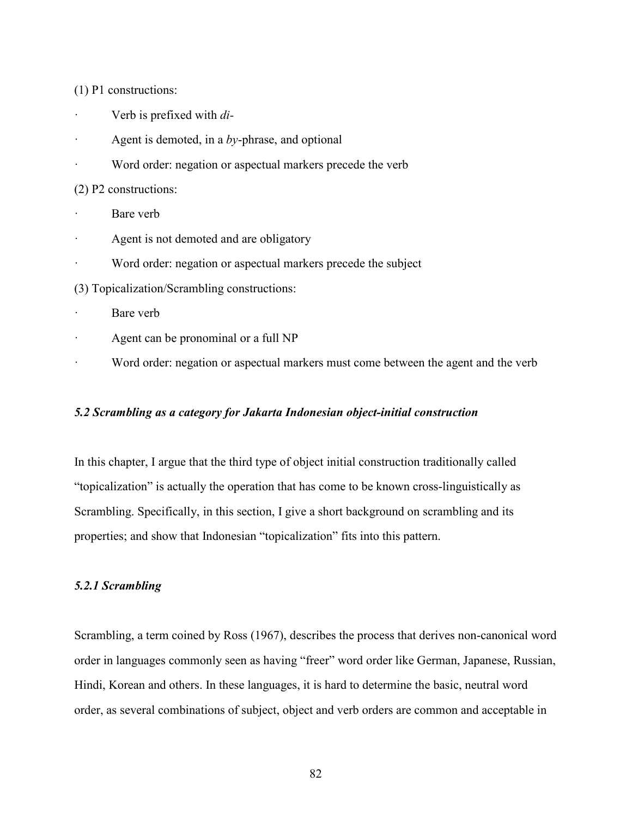(1) P1 constructions:

- · Verb is prefixed with *di-*
- Agent is demoted, in a *by*-phrase, and optional
- Word order: negation or aspectual markers precede the verb

(2) P2 constructions:

- Bare verb
- Agent is not demoted and are obligatory
- · Word order: negation or aspectual markers precede the subject
- (3) Topicalization/Scrambling constructions:
- · Bare verb
- Agent can be pronominal or a full NP
- Word order: negation or aspectual markers must come between the agent and the verb

#### *5.2 Scrambling as a category for Jakarta Indonesian object-initial construction*

In this chapter, I argue that the third type of object initial construction traditionally called "topicalization" is actually the operation that has come to be known cross-linguistically as Scrambling. Specifically, in this section, I give a short background on scrambling and its properties; and show that Indonesian "topicalization" fits into this pattern.

#### *5.2.1 Scrambling*

Scrambling, a term coined by Ross (1967), describes the process that derives non-canonical word order in languages commonly seen as having "freer" word order like German, Japanese, Russian, Hindi, Korean and others. In these languages, it is hard to determine the basic, neutral word order, as several combinations of subject, object and verb orders are common and acceptable in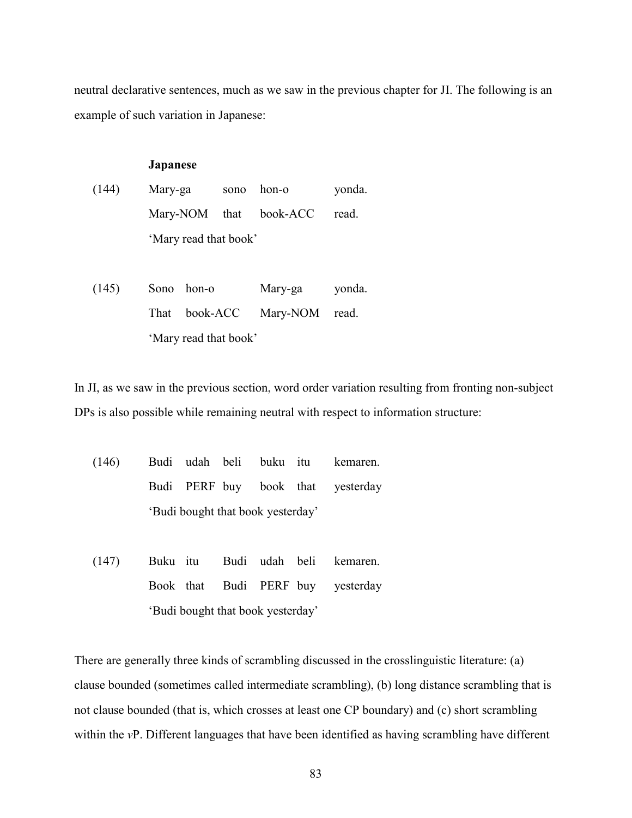neutral declarative sentences, much as we saw in the previous chapter for JI. The following is an example of such variation in Japanese:

#### **Japanese**

- (144) Mary-ga sono hon-o yonda. Mary-NOM that book-ACC read. 'Mary read that book'
- (145) Sono hon-o Mary-ga yonda. That book-ACC Mary-NOM read. 'Mary read that book'

In JI, as we saw in the previous section, word order variation resulting from fronting non-subject DPs is also possible while remaining neutral with respect to information structure:

- (146) Budi udah beli buku itu kemaren. Budi PERF buy book that yesterday 'Budi bought that book yesterday'
- (147) Buku itu Budi udah beli kemaren. Book that Budi PERF buy yesterday 'Budi bought that book yesterday'

There are generally three kinds of scrambling discussed in the crosslinguistic literature: (a) clause bounded (sometimes called intermediate scrambling), (b) long distance scrambling that is not clause bounded (that is, which crosses at least one CP boundary) and (c) short scrambling within the *vP*. Different languages that have been identified as having scrambling have different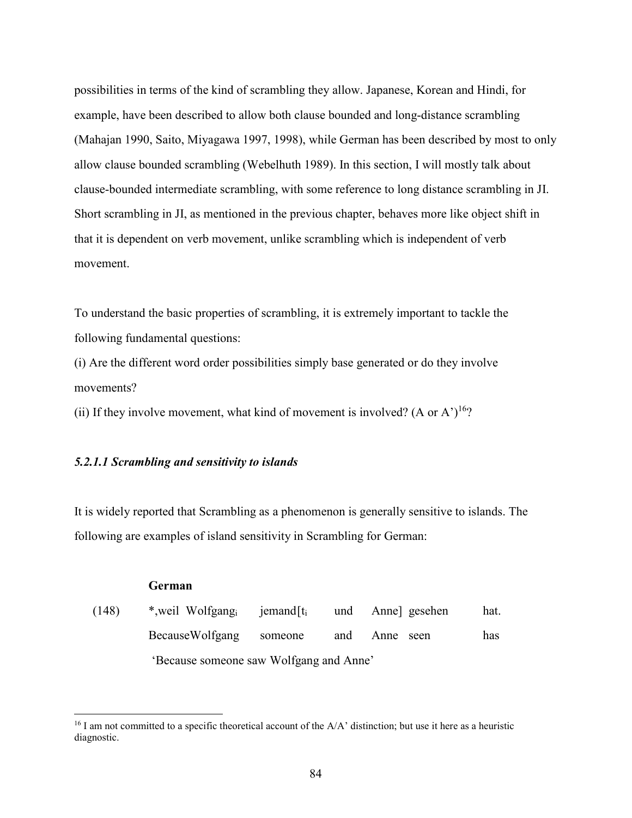possibilities in terms of the kind of scrambling they allow. Japanese, Korean and Hindi, for example, have been described to allow both clause bounded and long-distance scrambling (Mahajan 1990, Saito, Miyagawa 1997, 1998), while German has been described by most to only allow clause bounded scrambling (Webelhuth 1989). In this section, I will mostly talk about clause-bounded intermediate scrambling, with some reference to long distance scrambling in JI. Short scrambling in JI, as mentioned in the previous chapter, behaves more like object shift in that it is dependent on verb movement, unlike scrambling which is independent of verb movement.

To understand the basic properties of scrambling, it is extremely important to tackle the following fundamental questions:

(i) Are the different word order possibilities simply base generated or do they involve movements?

(ii) If they involve movement, what kind of movement is involved? (A or A')<sup>16</sup>?

#### *5.2.1.1 Scrambling and sensitivity to islands*

**German** 

 $\overline{a}$ 

It is widely reported that Scrambling as a phenomenon is generally sensitive to islands. The following are examples of island sensitivity in Scrambling for German:

| (148) | *, weil Wolfgang iemand $[t_i]$         |         |     | und Anne] gesehen | hat. |
|-------|-----------------------------------------|---------|-----|-------------------|------|
|       | <b>BecauseWolfgang</b>                  | someone | and | Anne seen         | has  |
|       | 'Because someone saw Wolfgang and Anne' |         |     |                   |      |

 $^{16}$  I am not committed to a specific theoretical account of the A/A' distinction; but use it here as a heuristic diagnostic.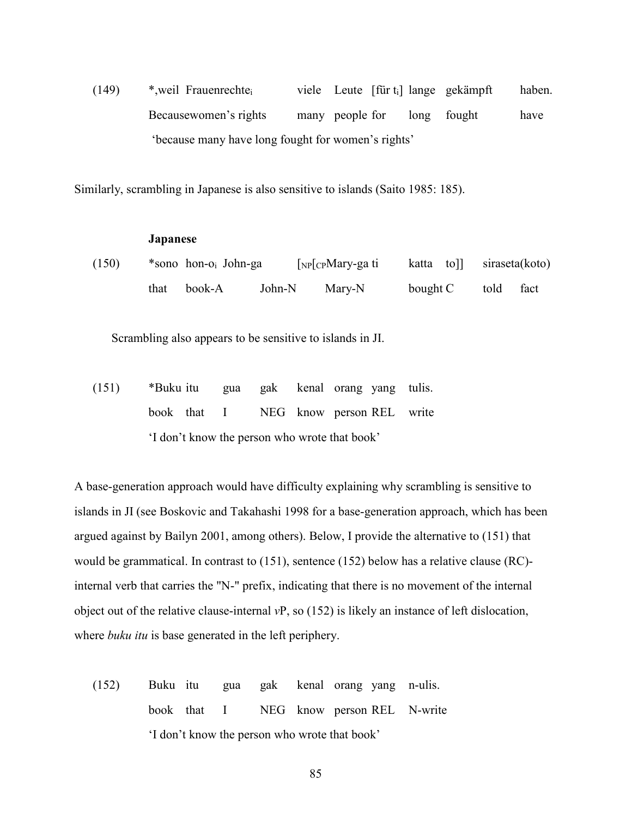(149) \*,weil Frauenrechtei viele Leute [für ti] lange gekämpft haben. Becausewomen's rights many people for long fought have 'because many have long fought for women's rights'

Similarly, scrambling in Japanese is also sensitive to islands (Saito 1985: 185).

#### **Japanese**

| (150) | *sono hon-o <sub>i</sub> John-ga |        | $\lceil_{NP}\rceil$ CPMary-ga ti | katta toll siraseta(koto) |           |  |
|-------|----------------------------------|--------|----------------------------------|---------------------------|-----------|--|
|       | that book-A                      | John-N | Mary-N                           | bought C                  | told fact |  |

Scrambling also appears to be sensitive to islands in JI.

(151) \*Buku itu gua gak kenal orang yang tulis. book that I NEG know person REL write 'I don't know the person who wrote that book'

A base-generation approach would have difficulty explaining why scrambling is sensitive to islands in JI (see Boskovic and Takahashi 1998 for a base-generation approach, which has been argued against by Bailyn 2001, among others). Below, I provide the alternative to (151) that would be grammatical. In contrast to (151), sentence (152) below has a relative clause (RC) internal verb that carries the "N-" prefix, indicating that there is no movement of the internal object out of the relative clause-internal *v*P, so (152) is likely an instance of left dislocation, where *buku itu* is base generated in the left periphery.

(152) Buku itu gua gak kenal orang yang n-ulis. book that I NEG know person REL N-write 'I don't know the person who wrote that book'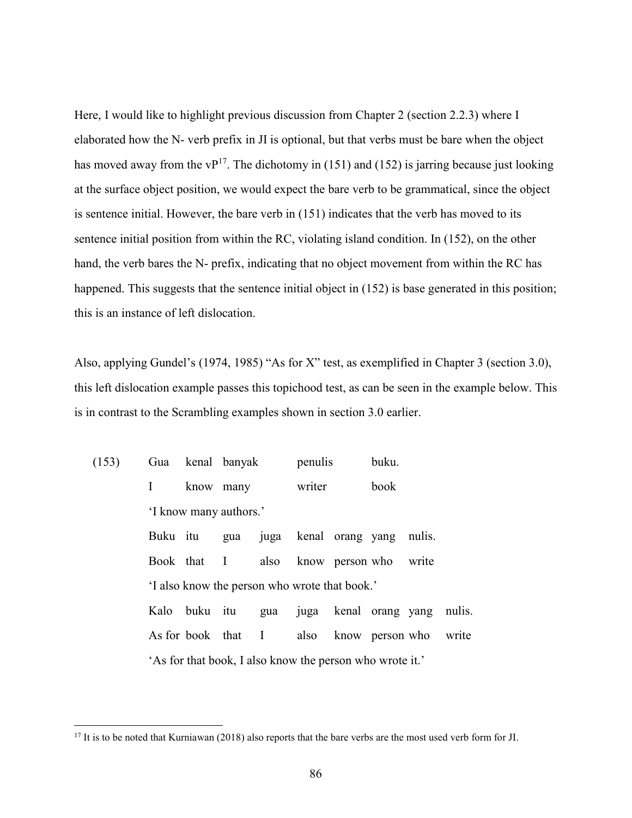Here, I would like to highlight previous discussion from Chapter 2 (section 2.2.3) where I elaborated how the N- verb prefix in JI is optional, but that verbs must be bare when the object has moved away from the  $vP^{17}$ . The dichotomy in (151) and (152) is jarring because just looking at the surface object position, we would expect the bare verb to be grammatical, since the object is sentence initial. However, the bare verb in (151) indicates that the verb has moved to its sentence initial position from within the RC, violating island condition. In (152), on the other hand, the verb bares the N- prefix, indicating that no object movement from within the RC has happened. This suggests that the sentence initial object in (152) is base generated in this position; this is an instance of left dislocation.

Also, applying Gundel's (1974, 1985) "As for X" test, as exemplified in Chapter 3 (section 3.0), this left dislocation example passes this topichood test, as can be seen in the example below. This is in contrast to the Scrambling examples shown in section 3.0 earlier.

| (153) |          | Gua kenal banyak                                         |           |     | penulis |                              | buku. |        |       |
|-------|----------|----------------------------------------------------------|-----------|-----|---------|------------------------------|-------|--------|-------|
|       | I        |                                                          | know many |     | writer  |                              | book  |        |       |
|       |          | 'I know many authors.'                                   |           |     |         |                              |       |        |       |
|       | Buku itu |                                                          | gua       |     |         | juga kenal orang yang        |       | nulis. |       |
|       |          | Book that I                                              |           |     |         | also know person who         |       | write  |       |
|       |          | 'I also know the person who wrote that book.'            |           |     |         |                              |       |        |       |
|       |          | Kalo buku itu                                            |           | gua |         | juga kenal orang yang nulis. |       |        |       |
|       |          | As for book that I                                       |           |     |         | also know person who         |       |        | write |
|       |          | 'As for that book, I also know the person who wrote it.' |           |     |         |                              |       |        |       |

<u>.</u>

<sup>&</sup>lt;sup>17</sup> It is to be noted that Kurniawan (2018) also reports that the bare verbs are the most used verb form for JI.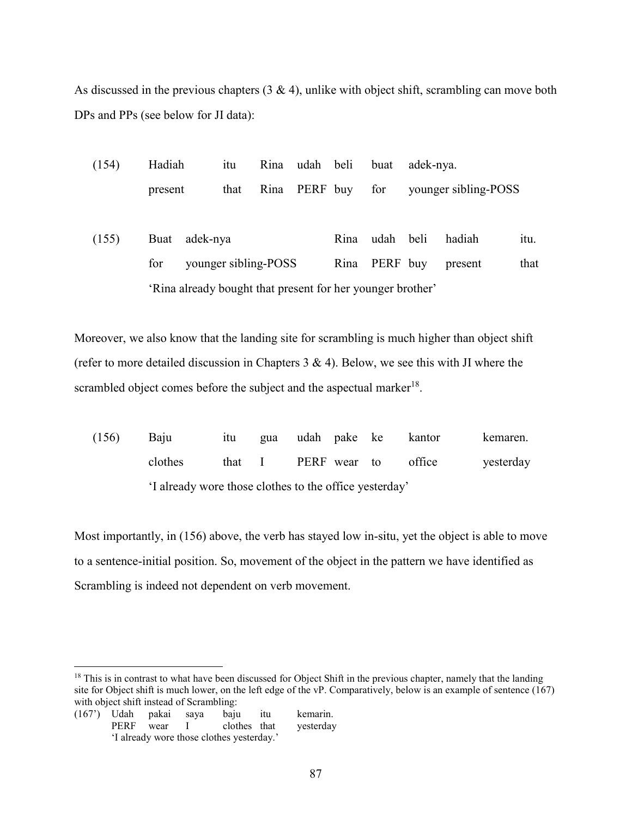As discussed in the previous chapters  $(3 \& 4)$ , unlike with object shift, scrambling can move both DPs and PPs (see below for JI data):

| (154) | Hadiah  |                                                            | itu                  |      | Rina udah beli |      | buat      | adek-nya. |                      |      |
|-------|---------|------------------------------------------------------------|----------------------|------|----------------|------|-----------|-----------|----------------------|------|
|       | present |                                                            | that                 | Rina | PERF buy       |      | for       |           | younger sibling-POSS |      |
| (155) | Buat    | adek-nya                                                   |                      |      |                | Rina | udah beli |           | hadiah               | itu. |
|       | for     |                                                            | younger sibling-POSS |      |                | Rina | PERF buy  |           | present              | that |
|       |         | 'Rina already bought that present for her younger brother' |                      |      |                |      |           |           |                      |      |

Moreover, we also know that the landing site for scrambling is much higher than object shift (refer to more detailed discussion in Chapters  $3 \& 4$ ). Below, we see this with JI where the scrambled object comes before the subject and the aspectual marker<sup>18</sup>.

| (156) | Baiu                                                  | 1tu –  |  |              | gua udah pake ke kantor | kemaren.  |
|-------|-------------------------------------------------------|--------|--|--------------|-------------------------|-----------|
|       | clothes                                               | that I |  | PERF wear to | office                  | yesterday |
|       | I already wore those clothes to the office yesterday' |        |  |              |                         |           |

Most importantly, in (156) above, the verb has stayed low in-situ, yet the object is able to move to a sentence-initial position. So, movement of the object in the pattern we have identified as Scrambling is indeed not dependent on verb movement.

 $\overline{a}$  $18$  This is in contrast to what have been discussed for Object Shift in the previous chapter, namely that the landing site for Object shift is much lower, on the left edge of the vP. Comparatively, below is an example of sentence (167) with object shift instead of Scrambling:

<sup>(167&#</sup>x27;) Udah pakai saya baju itu kemarin. PERF wear I clothes that yesterday 'I already wore those clothes yesterday.'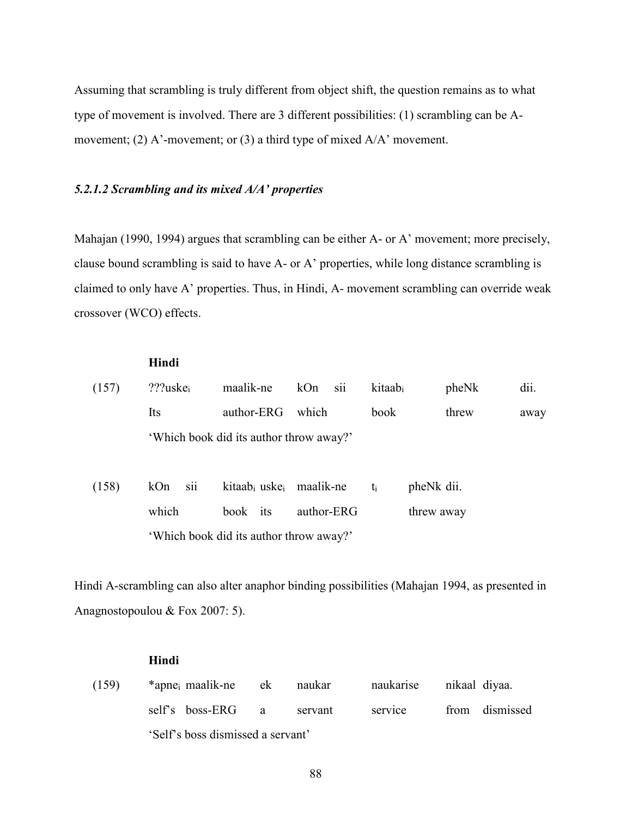Assuming that scrambling is truly different from object shift, the question remains as to what type of movement is involved. There are 3 different possibilities: (1) scrambling can be Amovement; (2) A'-movement; or (3) a third type of mixed A/A' movement.

#### *5.2.1.2 Scrambling and its mixed A/A' properties*

Mahajan (1990, 1994) argues that scrambling can be either A- or A' movement; more precisely, clause bound scrambling is said to have A- or A' properties, while long distance scrambling is claimed to only have A' properties. Thus, in Hindi, A- movement scrambling can override weak crossover (WCO) effects.

# **Hindi**  (157) ???uskei maalik-ne kOn sii kitaabi pheNk dii. Its author-ERG which book threw away 'Which book did its author throw away?' (158) kOn sii kitaabi uskei maalik-ne ti pheNk dii. which book its author-ERG threw away 'Which book did its author throw away?'

Hindi A-scrambling can also alter anaphor binding possibilities (Mahajan 1994, as presented in Anagnostopoulou & Fox 2007: 5).

#### **Hindi**

(159) \*apnei maalik-ne ek naukar naukarise nikaal diyaa. self's boss-ERG a servant service from dismissed 'Self's boss dismissed a servant'

88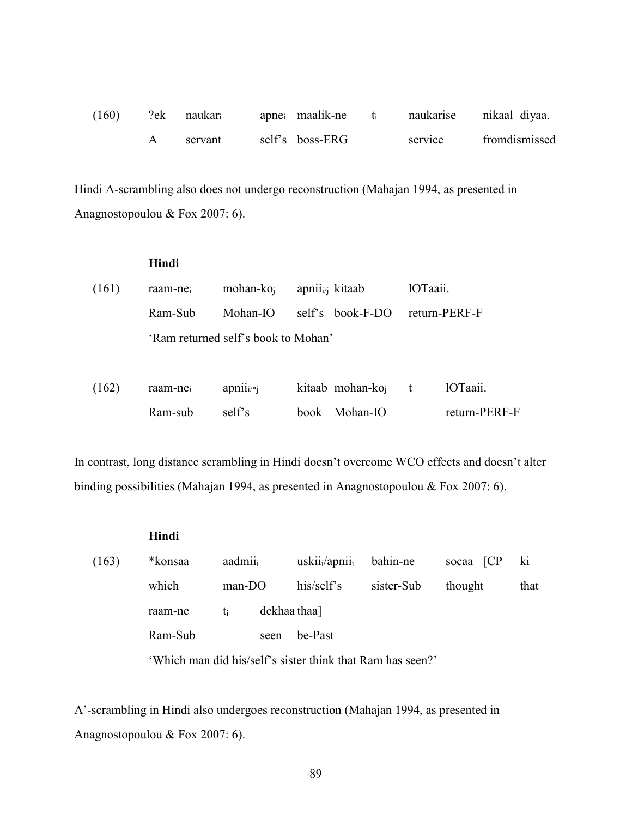| (160) | $?ek$ naukar <sub>i</sub> | apne <sub>i</sub> maalik-ne |         | naukarise nikaal diyaa. |
|-------|---------------------------|-----------------------------|---------|-------------------------|
|       | servant                   | self's boss-ERG             | service | fromdismissed           |

Hindi A-scrambling also does not undergo reconstruction (Mahajan 1994, as presented in Anagnostopoulou & Fox 2007: 6).

|       | Hindi   |                                     |       |                             |          |               |
|-------|---------|-------------------------------------|-------|-----------------------------|----------|---------------|
| (161) | raam-ne | mohan- $koi$                        |       | apnii <sub>i/i</sub> kitaab | 1OTaaii. |               |
|       | Ram-Sub | Mohan-IO                            |       | self's book-F-DO            |          | return-PERF-F |
|       |         | 'Ram returned self's book to Mohan' |       |                             |          |               |
|       |         |                                     |       |                             |          |               |
| (162) | raam-ne | apnii <sub>i</sub>                  |       | kitaab mohan-ko             | t        | 10Taaii.      |
|       | Ram-sub | self's                              | book. | Mohan-IO                    |          | return-PERF-F |

In contrast, long distance scrambling in Hindi doesn't overcome WCO effects and doesn't alter binding possibilities (Mahajan 1994, as presented in Anagnostopoulou & Fox 2007: 6).

|       | Hindi                                                      |          |      |                                        |            |           |      |  |  |
|-------|------------------------------------------------------------|----------|------|----------------------------------------|------------|-----------|------|--|--|
| (163) | *konsaa                                                    | aadmii   |      | uskii <sub>i</sub> /apnii <sub>i</sub> | bahin-ne   | socaa [CP | ki   |  |  |
|       | which                                                      | $man-DO$ |      | his/self's                             | sister-Sub | thought   | that |  |  |
|       | raam-ne                                                    | ti       |      | dekhaa thaa]                           |            |           |      |  |  |
|       | Ram-Sub                                                    |          | seen | be-Past                                |            |           |      |  |  |
|       | 'Which man did his/self's sister think that Ram has seen?' |          |      |                                        |            |           |      |  |  |

A'-scrambling in Hindi also undergoes reconstruction (Mahajan 1994, as presented in Anagnostopoulou & Fox 2007: 6).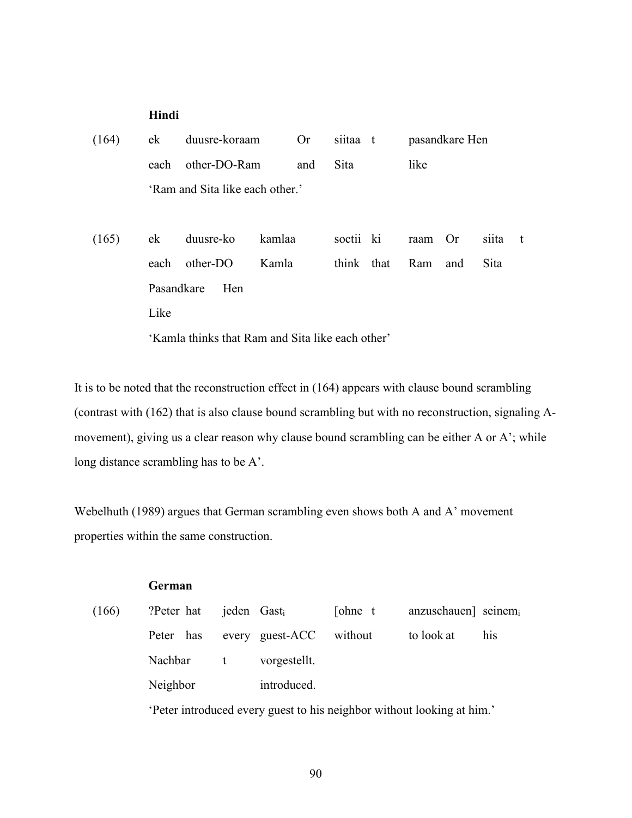#### **Hindi**

| (164) | ek                                               | duusre-koraam                   |        | <b>Or</b> | siitaa t    |  |         | pasandkare Hen |       |      |
|-------|--------------------------------------------------|---------------------------------|--------|-----------|-------------|--|---------|----------------|-------|------|
|       | each                                             | other-DO-Ram                    |        | and       | <b>Sita</b> |  | like    |                |       |      |
|       |                                                  | 'Ram and Sita like each other.' |        |           |             |  |         |                |       |      |
|       |                                                  |                                 |        |           |             |  |         |                |       |      |
| (165) | ek                                               | duusre-ko                       | kamlaa |           | soctii ki   |  | raam Or |                | siita | $-t$ |
|       | each                                             | other-DO                        | Kamla  |           | think that  |  | Ram     | and            | Sita  |      |
|       | Pasandkare                                       | Hen                             |        |           |             |  |         |                |       |      |
|       | Like                                             |                                 |        |           |             |  |         |                |       |      |
|       | 'Kamla thinks that Ram and Sita like each other' |                                 |        |           |             |  |         |                |       |      |

It is to be noted that the reconstruction effect in (164) appears with clause bound scrambling (contrast with (162) that is also clause bound scrambling but with no reconstruction, signaling Amovement), giving us a clear reason why clause bound scrambling can be either A or A'; while long distance scrambling has to be A'.

Webelhuth (1989) argues that German scrambling even shows both A and A' movement properties within the same construction.

#### **German**

| (166) | ?Peter hat jeden Gast |                                   | [ohne t | anzuschauen] seinemi |     |
|-------|-----------------------|-----------------------------------|---------|----------------------|-----|
|       |                       | Peter has every guest-ACC without |         | to look at           | his |
|       | Nachbar t             | vorgestellt.                      |         |                      |     |
|       | Neighbor              | introduced.                       |         |                      |     |
|       |                       |                                   |         |                      |     |

'Peter introduced every guest to his neighbor without looking at him.'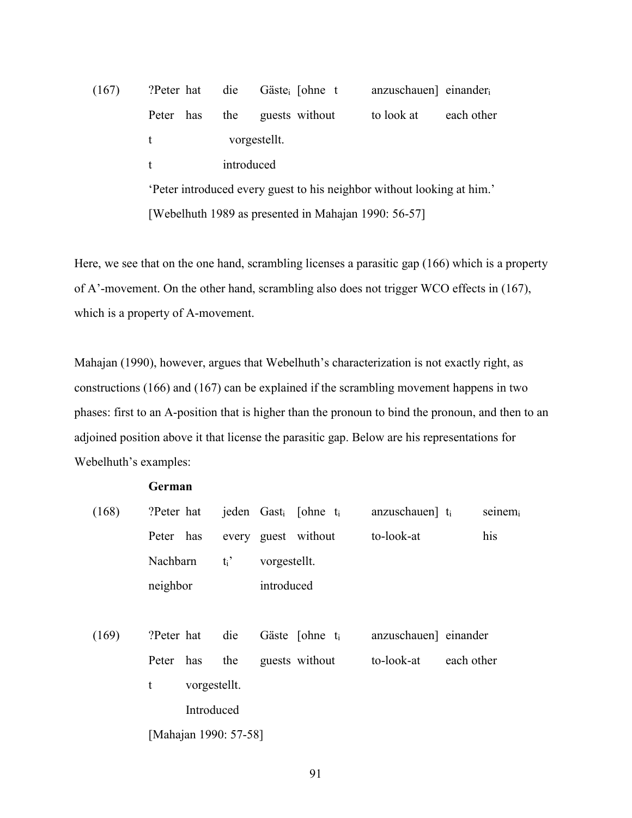# (167) ?Peter hat die Gästei [ohne t anzuschauen] einander<sup>i</sup> Peter has the guests without to look at each other t vorgestellt. t introduced 'Peter introduced every guest to his neighbor without looking at him.' [Webelhuth 1989 as presented in Mahajan 1990: 56-57]

Here, we see that on the one hand, scrambling licenses a parasitic gap (166) which is a property of A'-movement. On the other hand, scrambling also does not trigger WCO effects in (167), which is a property of A-movement.

Mahajan (1990), however, argues that Webelhuth's characterization is not exactly right, as constructions (166) and (167) can be explained if the scrambling movement happens in two phases: first to an A-position that is higher than the pronoun to bind the pronoun, and then to an adjoined position above it that license the parasitic gap. Below are his representations for Webelhuth's examples:

#### **German**

| (168) | ?Peter hat  |              |                       |              | jeden Gast <sub>i</sub> [ohne t <sub>i</sub> | anzuschauen $\mathbf{t}_i$ |            | $seinem_i$ |
|-------|-------------|--------------|-----------------------|--------------|----------------------------------------------|----------------------------|------------|------------|
|       | Peter has   |              |                       |              | every guest without                          | to-look-at                 |            | his        |
|       | Nachbarn    |              | $t_i$ '               | vorgestellt. |                                              |                            |            |            |
|       | neighbor    |              |                       | introduced   |                                              |                            |            |            |
|       |             |              |                       |              |                                              |                            |            |            |
| (169) | ?Peter hat  |              | die                   |              | Gäste [ohne $t_i$ ]                          | anzuschauen] einander      |            |            |
|       |             | Peter has    | the                   |              | guests without                               | to-look-at                 | each other |            |
|       | $\mathbf t$ | vorgestellt. |                       |              |                                              |                            |            |            |
|       |             | Introduced   |                       |              |                                              |                            |            |            |
|       |             |              | [Mahajan 1990: 57-58] |              |                                              |                            |            |            |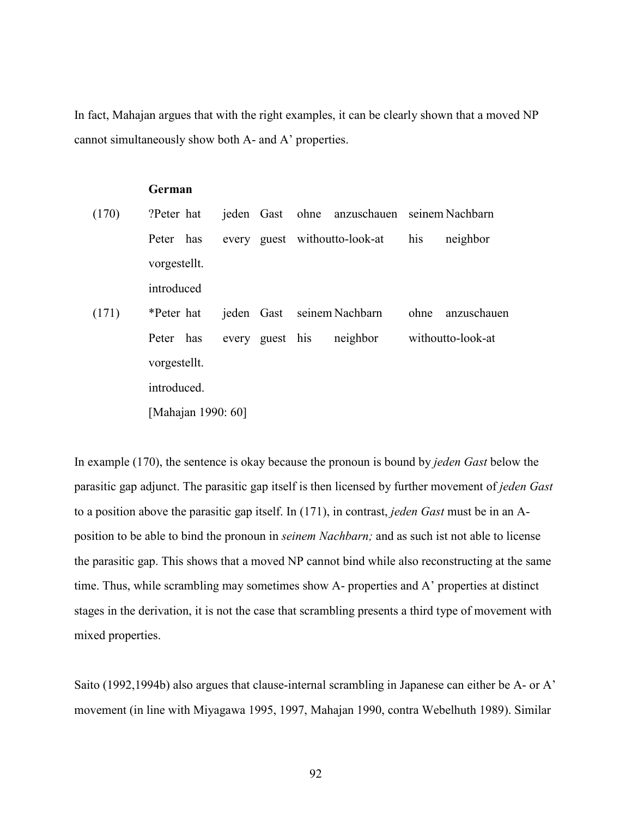In fact, Mahajan argues that with the right examples, it can be clearly shown that a moved NP cannot simultaneously show both A- and A' properties.

#### **German**

| (170) | ?Peter hat   |                    |                 | jeden Gast ohne anzuschauen seinem Nachbarn |     |                   |
|-------|--------------|--------------------|-----------------|---------------------------------------------|-----|-------------------|
|       | Peter has    |                    |                 | every guest without to-look-at              | his | neighbor          |
|       | vorgestellt. |                    |                 |                                             |     |                   |
|       | introduced   |                    |                 |                                             |     |                   |
| (171) | *Peter hat   |                    |                 | jeden Gast seinem Nachbarn                  |     | ohne anzuschauen  |
|       | Peter has    |                    | every guest his | neighbor                                    |     | withoutto-look-at |
|       | vorgestellt. |                    |                 |                                             |     |                   |
|       | introduced.  |                    |                 |                                             |     |                   |
|       |              | [Mahajan 1990: 60] |                 |                                             |     |                   |

In example (170), the sentence is okay because the pronoun is bound by *jeden Gast* below the parasitic gap adjunct. The parasitic gap itself is then licensed by further movement of *jeden Gast*  to a position above the parasitic gap itself. In (171), in contrast, *jeden Gast* must be in an Aposition to be able to bind the pronoun in *seinem Nachbarn;* and as such ist not able to license the parasitic gap. This shows that a moved NP cannot bind while also reconstructing at the same time. Thus, while scrambling may sometimes show A- properties and A' properties at distinct stages in the derivation, it is not the case that scrambling presents a third type of movement with mixed properties.

Saito (1992,1994b) also argues that clause-internal scrambling in Japanese can either be A- or A' movement (in line with Miyagawa 1995, 1997, Mahajan 1990, contra Webelhuth 1989). Similar

92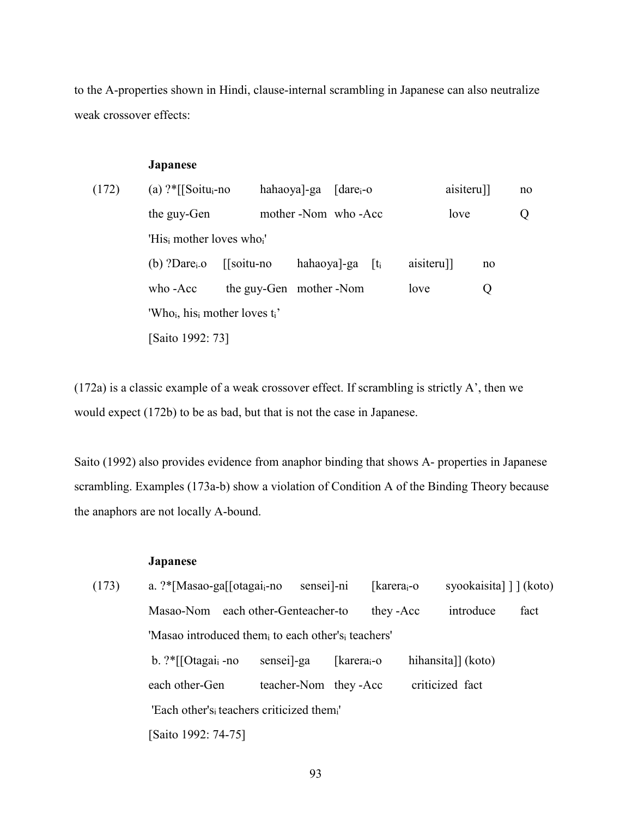to the A-properties shown in Hindi, clause-internal scrambling in Japanese can also neutralize weak crossover effects:

#### **Japanese**

| (172) | (a) $?$ <sup>*</sup> [[Soitu <sub>i</sub> -no]                     |                   | hahaoya]-ga [dare <sub>i</sub> -o |  | aisiteru]] |    | no |  |  |
|-------|--------------------------------------------------------------------|-------------------|-----------------------------------|--|------------|----|----|--|--|
|       | the guy-Gen                                                        |                   | mother -Nom who -Acc              |  | love       |    | Ő  |  |  |
|       | 'His <sub>i</sub> mother loves who <sub>i</sub> '                  |                   |                                   |  |            |    |    |  |  |
|       | (b) ?Dare $_{i}$ -0                                                | $\sqrt{\sqrt{2}}$ | hahaoya]-ga $[t_i]$               |  | aisiteru]] | no |    |  |  |
|       | who -Acc                                                           |                   | the guy-Gen mother -Nom           |  | love       | Ő  |    |  |  |
|       | 'Who <sub>i</sub> , his <sub>i</sub> mother loves t <sub>i</sub> ' |                   |                                   |  |            |    |    |  |  |
|       | [Saito 1992: 73]                                                   |                   |                                   |  |            |    |    |  |  |

(172a) is a classic example of a weak crossover effect. If scrambling is strictly A', then we would expect (172b) to be as bad, but that is not the case in Japanese.

Saito (1992) also provides evidence from anaphor binding that shows A- properties in Japanese scrambling. Examples (173a-b) show a violation of Condition A of the Binding Theory because the anaphors are not locally A-bound.

## **Japanese**

| (173) | a. $?$ <sup>*</sup> [Masao-ga[[otagai <sub>i</sub> -no             | sensei]-ni               |                          | [karera <sub>i</sub> -o | syookaisita] [] (koto) |      |  |  |  |
|-------|--------------------------------------------------------------------|--------------------------|--------------------------|-------------------------|------------------------|------|--|--|--|
|       | Masao-Nom                                                          | each other-Genteacher-to |                          | they -Acc               | introduce              | fact |  |  |  |
|       | 'Masao introduced them, to each other's, teachers'                 |                          |                          |                         |                        |      |  |  |  |
|       | $b.$ ?*[[Otagai <sub>i</sub> -no                                   | sensei <sup>-ga</sup>    | [karera <sub>i</sub> -o] |                         | hihansita]] (koto)     |      |  |  |  |
|       | each other-Gen                                                     | teacher-Nom they-Acc     |                          |                         | criticized fact        |      |  |  |  |
|       | 'Each other's <sub>i</sub> teachers criticized them <sub>i</sub> ' |                          |                          |                         |                        |      |  |  |  |
|       | [Saito 1992: 74-75]                                                |                          |                          |                         |                        |      |  |  |  |
|       |                                                                    |                          |                          |                         |                        |      |  |  |  |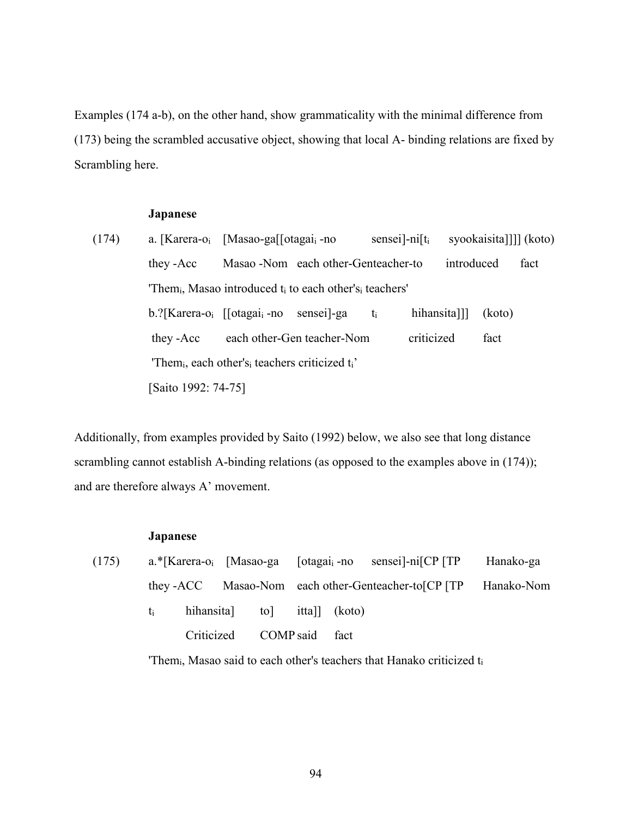Examples (174 a-b), on the other hand, show grammaticality with the minimal difference from (173) being the scrambled accusative object, showing that local A- binding relations are fixed by Scrambling here.

#### **Japanese**

(174) a. [Karera-oi [Masao-ga[[otagaii -no sensei]-ni[ti syookaisita]]]] (koto) they -Acc Masao -Nom each other-Genteacher-to introduced fact 'Them<sub>i</sub>, Masao introduced t<sub>i</sub> to each other's<sub>i</sub> teachers' b.?[Karera-oi [[otagaii -no sensei]-ga ti hihansita]]] (koto) they -Acc each other-Gen teacher-Nom criticized fact 'Themi, each other'si teachers criticized ti' [Saito 1992: 74-75]

Additionally, from examples provided by Saito (1992) below, we also see that long distance scrambling cannot establish A-binding relations (as opposed to the examples above in  $(174)$ ); and are therefore always A' movement.

#### **Japanese**

| (175) |      |  |                           |      | $a.*$ [Karera-o <sub>i</sub> [Masao-ga [otagai <sub>i</sub> -no sensei]-ni <sub>[CP</sub> [TP] | Hanako-ga                                                      |  |
|-------|------|--|---------------------------|------|------------------------------------------------------------------------------------------------|----------------------------------------------------------------|--|
|       |      |  |                           |      |                                                                                                | they -ACC Masao-Nom each other-Genteacher-to[CP [TP Hanako-Nom |  |
|       | ti – |  | hihansita to ittal (koto) |      |                                                                                                |                                                                |  |
|       |      |  | Criticized COMP said      | fact |                                                                                                |                                                                |  |
|       |      |  |                           |      |                                                                                                |                                                                |  |

'Themi, Masao said to each other's teachers that Hanako criticized ti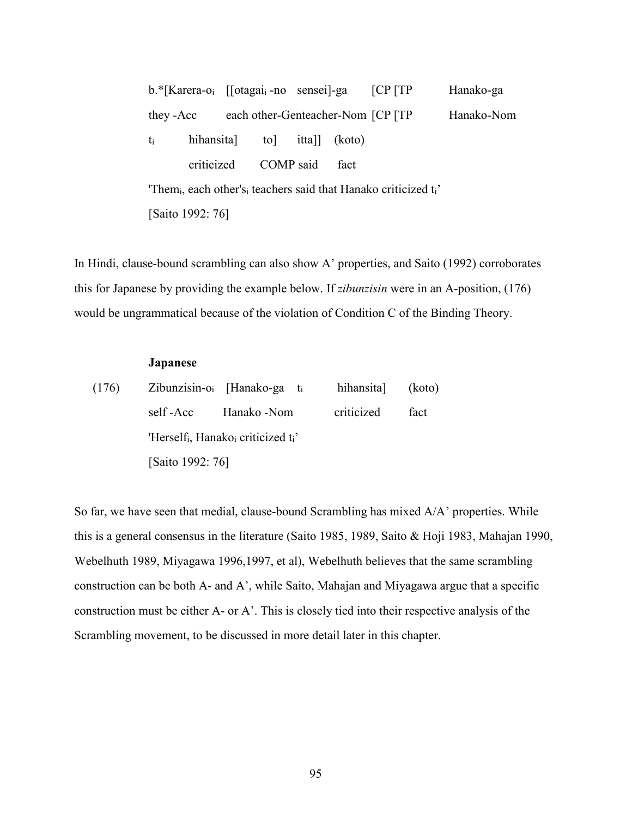b.\*[Karera-o<sub>i</sub> [[otagai<sub>i</sub>-no sensei]-ga [CP [TP Hanako-ga they -Acc each other-Genteacher-Nom [CP [TP Hanako-Nom ti hihansita] to] itta]] (koto) criticized COMP said fact 'Themi, each other'si teachers said that Hanako criticized ti' [Saito 1992: 76]

In Hindi, clause-bound scrambling can also show A' properties, and Saito (1992) corroborates this for Japanese by providing the example below. If *zibunzisin* were in an A-position, (176) would be ungrammatical because of the violation of Condition C of the Binding Theory.

#### **Japanese**

| (176) |                  | Zibunzisin-o <sub>i</sub> [Hanako-ga t <sub>i</sub>                     | hihansita (koto) |      |  |  |  |  |  |
|-------|------------------|-------------------------------------------------------------------------|------------------|------|--|--|--|--|--|
|       | self-Acc         | Hanako -Nom                                                             | criticized       | fact |  |  |  |  |  |
|       |                  | 'Herself <sub>i</sub> , Hanako <sub>i</sub> criticized t <sub>i</sub> ' |                  |      |  |  |  |  |  |
|       | [Saito 1992: 76] |                                                                         |                  |      |  |  |  |  |  |

So far, we have seen that medial, clause-bound Scrambling has mixed A/A' properties. While this is a general consensus in the literature (Saito 1985, 1989, Saito & Hoji 1983, Mahajan 1990, Webelhuth 1989, Miyagawa 1996,1997, et al), Webelhuth believes that the same scrambling construction can be both A- and A', while Saito, Mahajan and Miyagawa argue that a specific construction must be either A- or A'. This is closely tied into their respective analysis of the Scrambling movement, to be discussed in more detail later in this chapter.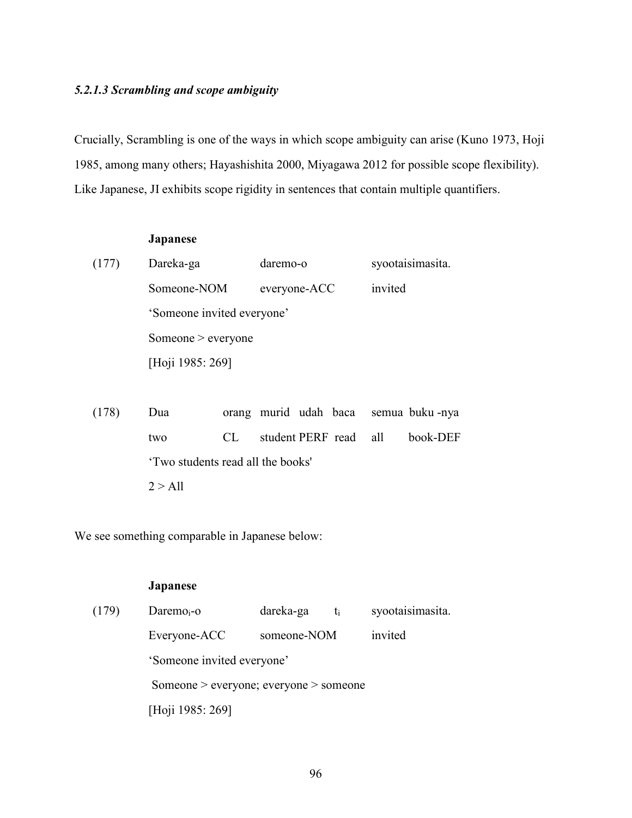### *5.2.1.3 Scrambling and scope ambiguity*

Crucially, Scrambling is one of the ways in which scope ambiguity can arise (Kuno 1973, Hoji 1985, among many others; Hayashishita 2000, Miyagawa 2012 for possible scope flexibility). Like Japanese, JI exhibits scope rigidity in sentences that contain multiple quantifiers.

# **Japanese**  (177) Dareka-ga daremo-o syootaisimasita. Someone-NOM everyone-ACC invited 'Someone invited everyone' Someone > everyone [Hoji 1985: 269]

(178) Dua orang murid udah baca semua buku -nya two CL student PERF read all book-DEF 'Two students read all the books'  $2 > A11$ 

We see something comparable in Japanese below:

### **Japanese**

| (179) | Daremo $_{i}$ -o                       | dareka-ga   | syootaisimasita.<br>$t_i$ |  |  |  |
|-------|----------------------------------------|-------------|---------------------------|--|--|--|
|       | Everyone-ACC                           | someone-NOM | invited                   |  |  |  |
|       | 'Someone invited everyone'             |             |                           |  |  |  |
|       | Someone > everyone; everyone > someone |             |                           |  |  |  |
|       | [Hoji 1985: 269]                       |             |                           |  |  |  |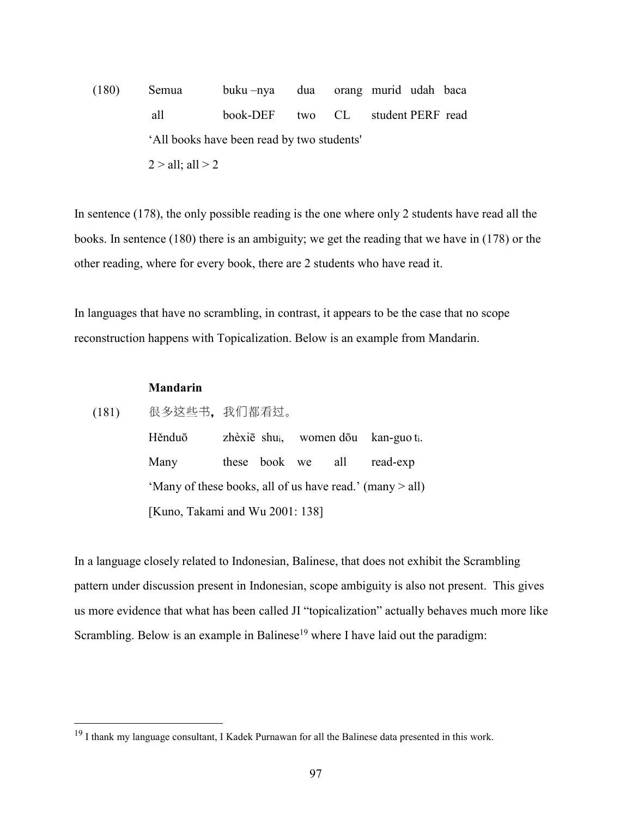(180) Semua buku –nya dua orang murid udah baca all book-DEF two CL student PERF read 'All books have been read by two students'  $2 > all$ ; all  $> 2$ 

In sentence (178), the only possible reading is the one where only 2 students have read all the books. In sentence (180) there is an ambiguity; we get the reading that we have in (178) or the other reading, where for every book, there are 2 students who have read it.

In languages that have no scrambling, in contrast, it appears to be the case that no scope reconstruction happens with Topicalization. Below is an example from Mandarin.

### **Mandarin**

 $\overline{a}$ 

(181) 很 这些书,我们 过。 Hěnduō zhèxiē shu<sub>i</sub>, women dōu kan-guo t<sub>i</sub>. Many these book we all read-exp 'Many of these books, all of us have read.' (many > all) [Kuno, Takami and Wu 2001: 138]

In a language closely related to Indonesian, Balinese, that does not exhibit the Scrambling pattern under discussion present in Indonesian, scope ambiguity is also not present. This gives us more evidence that what has been called JI "topicalization" actually behaves much more like Scrambling. Below is an example in Balinese<sup>19</sup> where I have laid out the paradigm:

<sup>&</sup>lt;sup>19</sup> I thank my language consultant, I Kadek Purnawan for all the Balinese data presented in this work.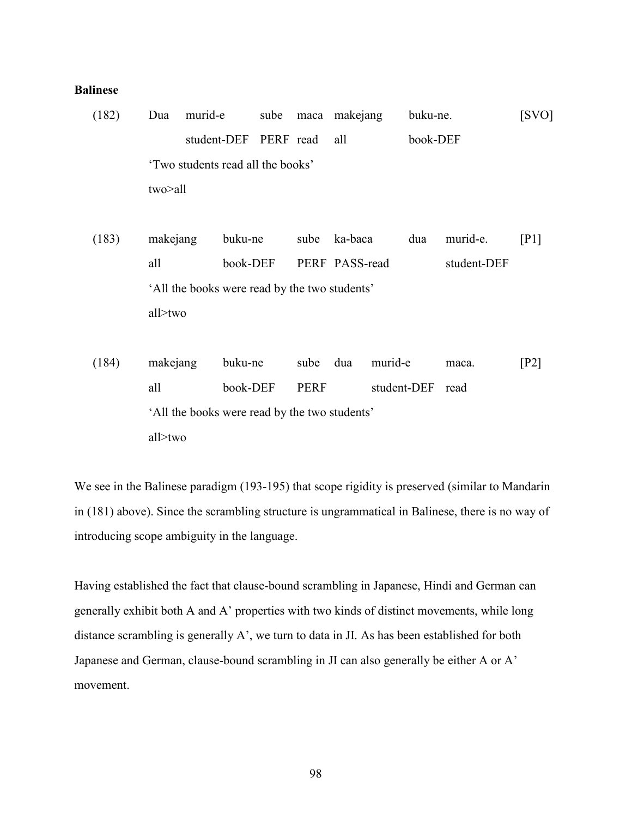### **Balinese**

- (182) Dua murid-e sube maca makejang buku-ne. [SVO] student-DEF PERF read all book-DEF 'Two students read all the books' two>all
- (183) makejang buku-ne sube ka-baca dua murid-e. [P1] all book-DEF PERF PASS-read student-DEF 'All the books were read by the two students' all>two
- (184) makejang buku-ne sube dua murid-e maca. [P2] all book-DEF PERF student-DEF read 'All the books were read by the two students' all>two

We see in the Balinese paradigm (193-195) that scope rigidity is preserved (similar to Mandarin in (181) above). Since the scrambling structure is ungrammatical in Balinese, there is no way of introducing scope ambiguity in the language.

Having established the fact that clause-bound scrambling in Japanese, Hindi and German can generally exhibit both A and A' properties with two kinds of distinct movements, while long distance scrambling is generally A', we turn to data in JI. As has been established for both Japanese and German, clause-bound scrambling in JI can also generally be either A or A' movement.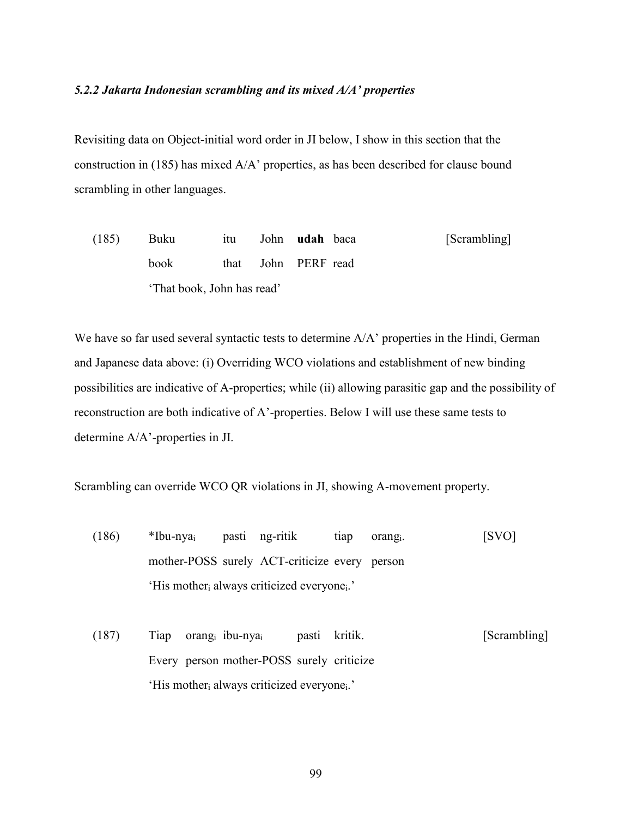### *5.2.2 Jakarta Indonesian scrambling and its mixed A/A' properties*

Revisiting data on Object-initial word order in JI below, I show in this section that the construction in (185) has mixed A/A' properties, as has been described for clause bound scrambling in other languages.

(185) Buku itu John **udah** baca [Scrambling] book that John PERF read 'That book, John has read'

We have so far used several syntactic tests to determine  $A/A'$  properties in the Hindi, German and Japanese data above: (i) Overriding WCO violations and establishment of new binding possibilities are indicative of A-properties; while (ii) allowing parasitic gap and the possibility of reconstruction are both indicative of A'-properties. Below I will use these same tests to determine A/A'-properties in JI.

Scrambling can override WCO QR violations in JI, showing A-movement property.

- (186) \*Ibu-nyai pasti ng-ritik tiap orangi. [SVO] mother-POSS surely ACT-criticize every person 'His mother<sub>i</sub> always criticized everyone<sub>i</sub>.'
- (187) Tiap orangi ibu-nyai pasti kritik. [Scrambling] Every person mother-POSS surely criticize 'His mother<sub>i</sub> always criticized everyone<sub>i</sub>.'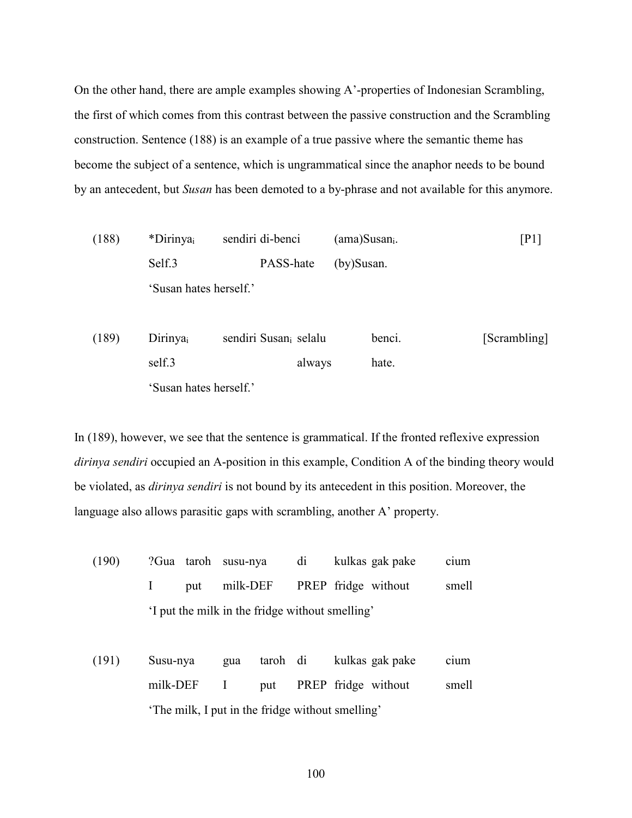On the other hand, there are ample examples showing A'-properties of Indonesian Scrambling, the first of which comes from this contrast between the passive construction and the Scrambling construction. Sentence (188) is an example of a true passive where the semantic theme has become the subject of a sentence, which is ungrammatical since the anaphor needs to be bound by an antecedent, but *Susan* has been demoted to a by-phrase and not available for this anymore.

(188) \*Dirinyai sendiri di-benci (ama)Susani. [P1] Self.3 **PASS-hate** (by)Susan. 'Susan hates herself.'

(189) Dirinyai sendiri Susani selalu benci. [Scrambling] self.3 always hate. 'Susan hates herself.'

In (189), however, we see that the sentence is grammatical. If the fronted reflexive expression *dirinya sendiri* occupied an A-position in this example, Condition A of the binding theory would be violated, as *dirinya sendiri* is not bound by its antecedent in this position. Moreover, the language also allows parasitic gaps with scrambling, another A' property.

- (190) ?Gua taroh susu-nya di kulkas gak pake cium I put milk-DEF PREP fridge without smell 'I put the milk in the fridge without smelling'
- (191) Susu-nya gua taroh di kulkas gak pake cium milk-DEF I put PREP fridge without smell 'The milk, I put in the fridge without smelling'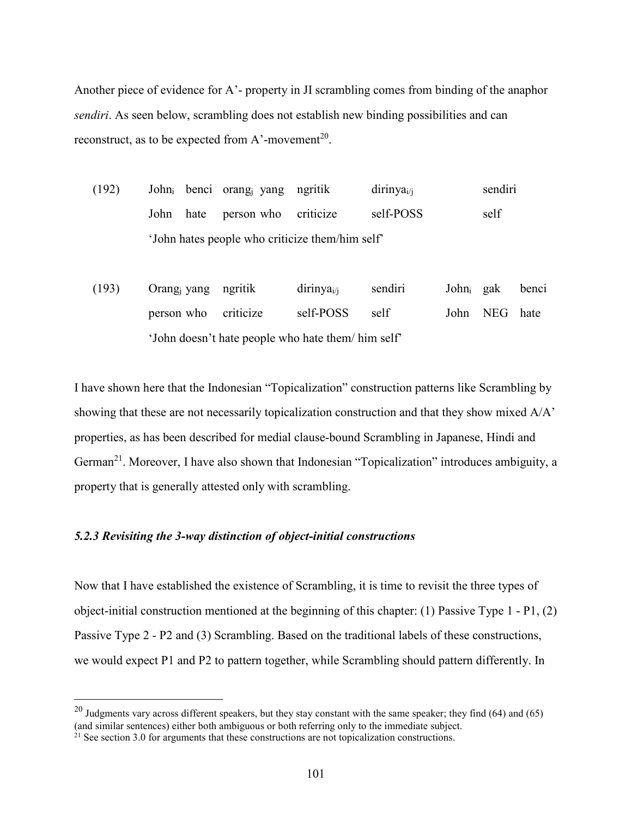Another piece of evidence for A'- property in JI scrambling comes from binding of the anaphor *sendiri*. As seen below, scrambling does not establish new binding possibilities and can reconstruct, as to be expected from A'-movement<sup>20</sup>.

- (192) Johni benci orangj yang ngritik dirinyai/j sendiri John hate person who criticize self-POSS self 'John hates people who criticize them/him self'
- (193) Orangj yang ngritik dirinyai/j sendiri Johni gak benci person who criticize self-POSS self John NEG hate 'John doesn't hate people who hate them/ him self'

I have shown here that the Indonesian "Topicalization" construction patterns like Scrambling by showing that these are not necessarily topicalization construction and that they show mixed A/A' properties, as has been described for medial clause-bound Scrambling in Japanese, Hindi and German<sup>21</sup>. Moreover, I have also shown that Indonesian "Topicalization" introduces ambiguity, a property that is generally attested only with scrambling.

### *5.2.3 Revisiting the 3-way distinction of object-initial constructions*

Now that I have established the existence of Scrambling, it is time to revisit the three types of object-initial construction mentioned at the beginning of this chapter: (1) Passive Type 1 - P1, (2) Passive Type 2 - P2 and (3) Scrambling. Based on the traditional labels of these constructions, we would expect P1 and P2 to pattern together, while Scrambling should pattern differently. In

 $\overline{a}$ 

 $^{20}$  Judgments vary across different speakers, but they stay constant with the same speaker; they find (64) and (65) (and similar sentences) either both ambiguous or both referring only to the immediate subject.

 $21$  See section 3.0 for arguments that these constructions are not topicalization constructions.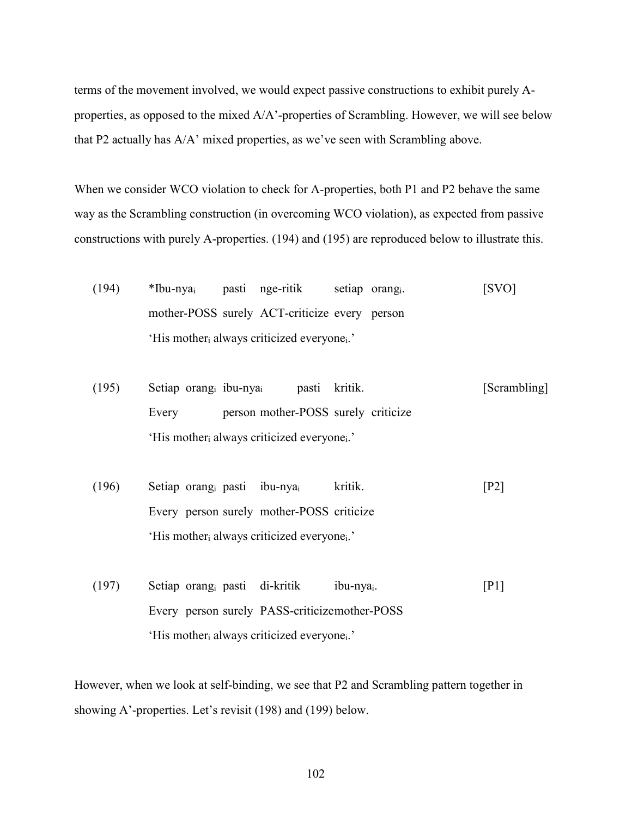terms of the movement involved, we would expect passive constructions to exhibit purely Aproperties, as opposed to the mixed A/A'-properties of Scrambling. However, we will see below that P2 actually has A/A' mixed properties, as we've seen with Scrambling above.

When we consider WCO violation to check for A-properties, both P1 and P2 behave the same way as the Scrambling construction (in overcoming WCO violation), as expected from passive constructions with purely A-properties. (194) and (195) are reproduced below to illustrate this.

- (194) \*Ibu-nyai pasti nge-ritik setiap orangi. [SVO] mother-POSS surely ACT-criticize every person 'His mother<sub>i</sub> always criticized everyone<sub>i</sub>.'
- (195) Setiap orangi ibu-nyai pasti kritik. [Scrambling] Every person mother-POSS surely criticize 'His mother<sub>i</sub> always criticized everyone<sub>i</sub>.'
- (196) Setiap orangi pasti ibu-nyai kritik. [P2] Every person surely mother-POSS criticize 'His mother<sub>i</sub> always criticized everyone<sub>i</sub>.'
- (197) Setiap orangi pasti di-kritik ibu-nyai. [P1] Every person surely PASS-criticize mother-POSS 'His mother<sub>i</sub> always criticized everyone<sub>i</sub>.'

However, when we look at self-binding, we see that P2 and Scrambling pattern together in showing A'-properties. Let's revisit (198) and (199) below.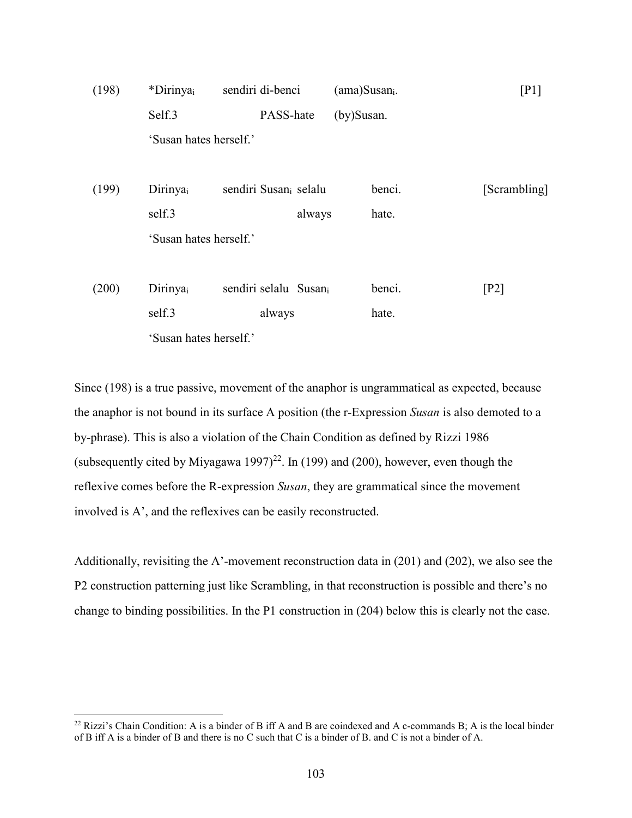| (198) | *Dirinyai                   | sendiri di-benci                  |        | $(am)Susani$ . | [P1]         |
|-------|-----------------------------|-----------------------------------|--------|----------------|--------------|
|       | Self.3                      | PASS-hate                         |        | (by)Susan.     |              |
|       | 'Susan hates herself.'      |                                   |        |                |              |
|       |                             |                                   |        |                |              |
| (199) | Dirinyai                    | sendiri Susan <sub>i</sub> selalu |        | benci.         | [Scrambling] |
|       | self.3                      |                                   | always | hate.          |              |
|       | 'Susan hates herself.'      |                                   |        |                |              |
|       |                             |                                   |        |                |              |
| (200) | <b>Dirinya</b> <sub>i</sub> | sendiri selalu Susani             |        | benci.         | [P2]         |
|       | self.3                      | always                            |        | hate.          |              |
|       | 'Susan hates herself.'      |                                   |        |                |              |

Since (198) is a true passive, movement of the anaphor is ungrammatical as expected, because the anaphor is not bound in its surface A position (the r-Expression *Susan* is also demoted to a by-phrase). This is also a violation of the Chain Condition as defined by Rizzi 1986 (subsequently cited by Miyagawa 1997)<sup>22</sup>. In (199) and (200), however, even though the reflexive comes before the R-expression *Susan*, they are grammatical since the movement involved is A', and the reflexives can be easily reconstructed.

Additionally, revisiting the A'-movement reconstruction data in (201) and (202), we also see the P2 construction patterning just like Scrambling, in that reconstruction is possible and there's no change to binding possibilities. In the P1 construction in (204) below this is clearly not the case.

 $\overline{a}$ 

 $^{22}$  Rizzi's Chain Condition: A is a binder of B iff A and B are coindexed and A c-commands B; A is the local binder of B iff A is a binder of B and there is no C such that C is a binder of B. and C is not a binder of A.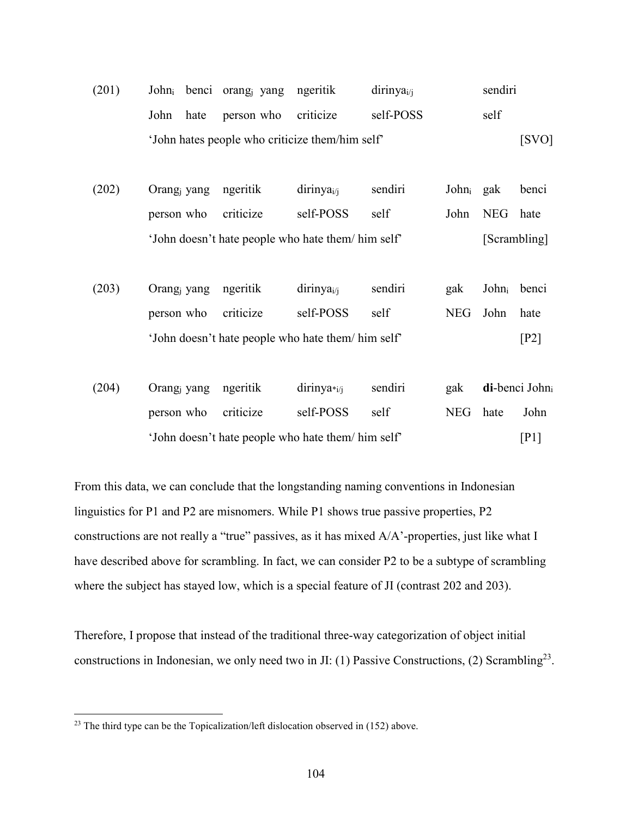| (201) |  | John <sub>i</sub> benci orang <sub>i</sub> yang ngeritik |                                                 | dirinya <sub>i/i</sub> | sendiri |
|-------|--|----------------------------------------------------------|-------------------------------------------------|------------------------|---------|
|       |  | John hate person who criticize                           |                                                 | self-POSS              | self    |
|       |  |                                                          | 'John hates people who criticize them/him self' |                        | [SVO]   |

| (202) | Orang <sub>i</sub> yang ngeritik | dirinya <sub>i/i</sub>                            | sendiri | John <sub>i</sub> gak |               | benci        |
|-------|----------------------------------|---------------------------------------------------|---------|-----------------------|---------------|--------------|
|       | person who criticize             | self-POSS                                         | self    |                       | John NEG hate |              |
|       |                                  | 'John doesn't hate people who hate them/him self' |         |                       |               | [Scrambling] |

| (203) | Orang <sub>i</sub> yang ngeritik | dirinya <sub>i/i</sub>                            | sendiri | gak | John <sub>i</sub> benci |      |
|-------|----------------------------------|---------------------------------------------------|---------|-----|-------------------------|------|
|       | person who criticize             | self-POSS                                         | self    |     | NEG John hate           |      |
|       |                                  | 'John doesn't hate people who hate them/him self' |         |     |                         | [P2] |

| (204) | Orang <sub>i</sub> yang ngeritik | dirinya <sub>i/i</sub>                            | sendiri |          | gak di-benci John |
|-------|----------------------------------|---------------------------------------------------|---------|----------|-------------------|
|       | person who criticize             | self-POSS                                         | self    | NEG hate | John              |
|       |                                  | 'John doesn't hate people who hate them/him self' |         |          | [P <sub>1</sub> ] |

From this data, we can conclude that the longstanding naming conventions in Indonesian linguistics for P1 and P2 are misnomers. While P1 shows true passive properties, P2 constructions are not really a "true" passives, as it has mixed A/A'-properties, just like what I have described above for scrambling. In fact, we can consider P2 to be a subtype of scrambling where the subject has stayed low, which is a special feature of JI (contrast 202 and 203).

Therefore, I propose that instead of the traditional three-way categorization of object initial constructions in Indonesian, we only need two in JI: (1) Passive Constructions, (2) Scrambling<sup>23</sup>.

-

 $2<sup>23</sup>$  The third type can be the Topicalization/left dislocation observed in (152) above.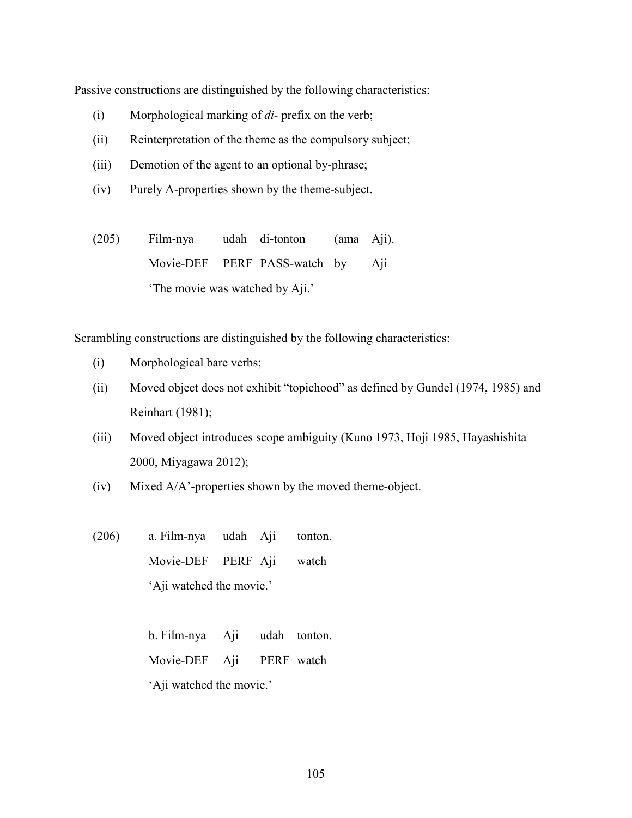Passive constructions are distinguished by the following characteristics:

- (i) Morphological marking of *di-* prefix on the verb;
- (ii) Reinterpretation of the theme as the compulsory subject;
- (iii) Demotion of the agent to an optional by-phrase;
- (iv) Purely A-properties shown by the theme-subject.
- (205) Film-nya udah di-tonton (ama Aji). Movie-DEF PERF PASS-watch by Aji 'The movie was watched by Aji.'

Scrambling constructions are distinguished by the following characteristics:

- (i) Morphological bare verbs;
- (ii) Moved object does not exhibit "topichood" as defined by Gundel (1974, 1985) and Reinhart (1981);
- (iii) Moved object introduces scope ambiguity (Kuno 1973, Hoji 1985, Hayashishita 2000, Miyagawa 2012);
- (iv) Mixed A/A'-properties shown by the moved theme-object.
- (206) a. Film-nya udah Aji tonton. Movie-DEF PERF Aji watch 'Aji watched the movie.'

b. Film-nya Aji udah tonton. Movie-DEF Aji PERF watch 'Aji watched the movie.'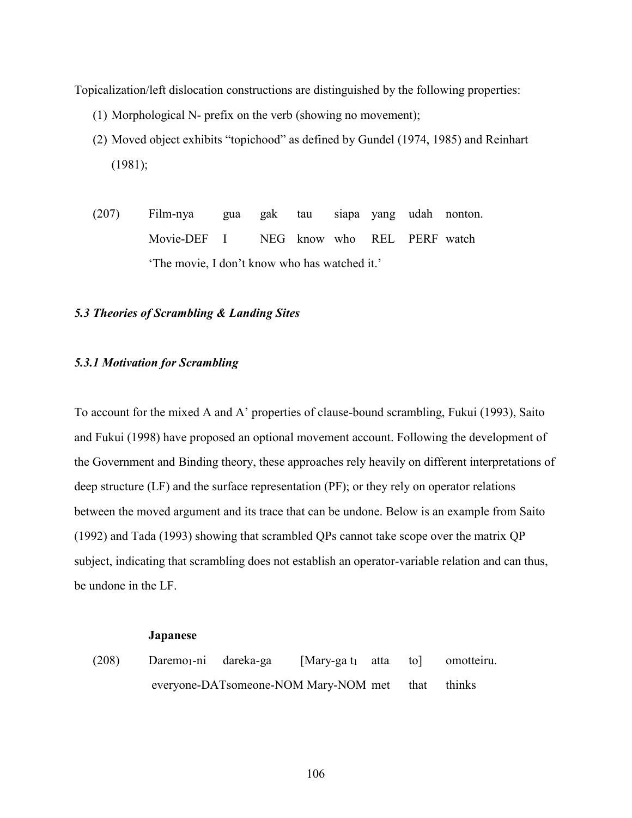Topicalization/left dislocation constructions are distinguished by the following properties:

- (1) Morphological N- prefix on the verb (showing no movement);
- (2) Moved object exhibits "topichood" as defined by Gundel (1974, 1985) and Reinhart (1981);
- (207) Film-nya gua gak tau siapa yang udah nonton. Movie-DEF I NEG know who REL PERF watch 'The movie, I don't know who has watched it.'

### *5.3 Theories of Scrambling & Landing Sites*

### *5.3.1 Motivation for Scrambling*

To account for the mixed A and A' properties of clause-bound scrambling, Fukui (1993), Saito and Fukui (1998) have proposed an optional movement account. Following the development of the Government and Binding theory, these approaches rely heavily on different interpretations of deep structure (LF) and the surface representation (PF); or they rely on operator relations between the moved argument and its trace that can be undone. Below is an example from Saito (1992) and Tada (1993) showing that scrambled QPs cannot take scope over the matrix QP subject, indicating that scrambling does not establish an operator-variable relation and can thus, be undone in the LF.

#### **Japanese**

(208) Daremo<sub>1</sub>-ni dareka-ga [Mary-ga t<sub>1</sub> atta to] omotteiru. everyone-DATsomeone-NOM Mary-NOM met that thinks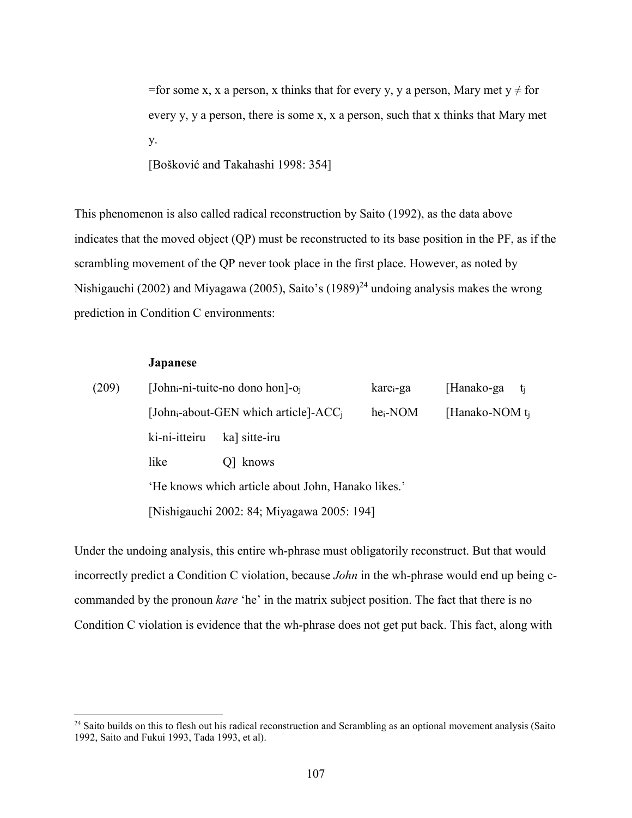=for some x, x a person, x thinks that for every y, y a person, Mary met  $y \neq$  for every y, y a person, there is some x, x a person, such that x thinks that Mary met y.

[Bošković and Takahashi 1998: 354]

This phenomenon is also called radical reconstruction by Saito (1992), as the data above indicates that the moved object (QP) must be reconstructed to its base position in the PF, as if the scrambling movement of the QP never took place in the first place. However, as noted by Nishigauchi (2002) and Miyagawa (2005), Saito's (1989)<sup>24</sup> undoing analysis makes the wrong prediction in Condition C environments:

### **Japanese**

 $\overline{a}$ 

| (209) |               | [John <sub>i</sub> -ni-tuite-no dono hon]- $o_i$     | kare <sub>i</sub> -ga | [Hanako-ga $t_i$ ]  |  |
|-------|---------------|------------------------------------------------------|-----------------------|---------------------|--|
|       |               | [John <sub>i</sub> -about-GEN which article]- $ACCi$ | $he_i-NOM$            | [Hanako-NOM $t_i$ ] |  |
|       | ki-ni-itteiru | ka] sitte-iru                                        |                       |                     |  |
|       | like          | Q knows                                              |                       |                     |  |
|       |               | 'He knows which article about John, Hanako likes.'   |                       |                     |  |
|       |               | [Nishigauchi 2002: 84; Miyagawa 2005: 194]           |                       |                     |  |

Under the undoing analysis, this entire wh-phrase must obligatorily reconstruct. But that would incorrectly predict a Condition C violation, because *John* in the wh-phrase would end up being ccommanded by the pronoun *kare* 'he' in the matrix subject position. The fact that there is no Condition C violation is evidence that the wh-phrase does not get put back. This fact, along with

 $24$  Saito builds on this to flesh out his radical reconstruction and Scrambling as an optional movement analysis (Saito 1992, Saito and Fukui 1993, Tada 1993, et al).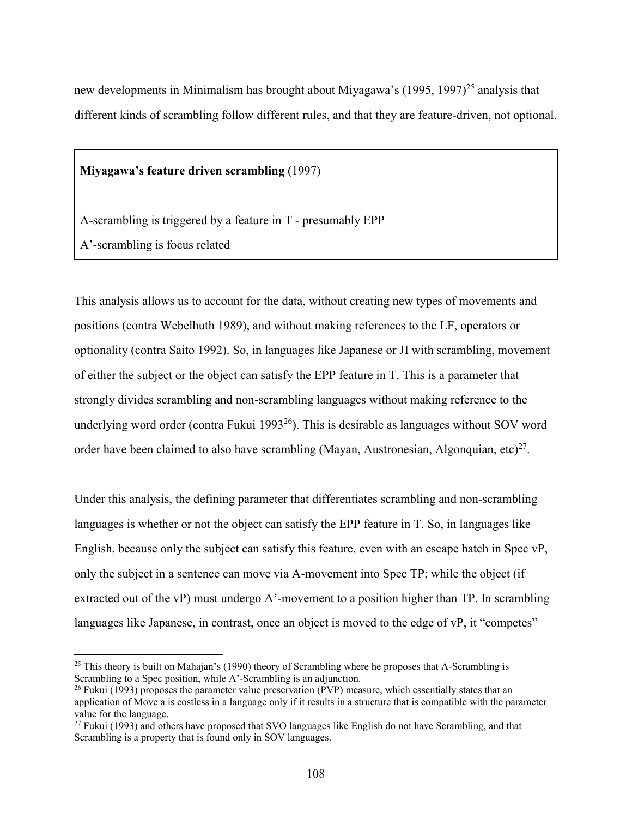new developments in Minimalism has brought about Miyagawa's  $(1995, 1997)^{25}$  analysis that different kinds of scrambling follow different rules, and that they are feature-driven, not optional.

**Miyagawa's feature driven scrambling** (1997)

A-scrambling is triggered by a feature in T - presumably EPP

A'-scrambling is focus related

 $\overline{a}$ 

This analysis allows us to account for the data, without creating new types of movements and positions (contra Webelhuth 1989), and without making references to the LF, operators or optionality (contra Saito 1992). So, in languages like Japanese or JI with scrambling, movement of either the subject or the object can satisfy the EPP feature in T. This is a parameter that strongly divides scrambling and non-scrambling languages without making reference to the underlying word order (contra Fukui 1993<sup>26</sup>). This is desirable as languages without SOV word order have been claimed to also have scrambling (Mayan, Austronesian, Algonquian, etc)<sup>27</sup>.

Under this analysis, the defining parameter that differentiates scrambling and non-scrambling languages is whether or not the object can satisfy the EPP feature in T. So, in languages like English, because only the subject can satisfy this feature, even with an escape hatch in Spec vP, only the subject in a sentence can move via A-movement into Spec TP; while the object (if extracted out of the vP) must undergo A'-movement to a position higher than TP. In scrambling languages like Japanese, in contrast, once an object is moved to the edge of vP, it "competes"

<sup>&</sup>lt;sup>25</sup> This theory is built on Mahajan's (1990) theory of Scrambling where he proposes that A-Scrambling is Scrambling to a Spec position, while A'-Scrambling is an adjunction.

<sup>&</sup>lt;sup>26</sup> Fukui (1993) proposes the parameter value preservation (PVP) measure, which essentially states that an application of Move a is costless in a language only if it results in a structure that is compatible with the parameter value for the language.

 $27$  Fukui (1993) and others have proposed that SVO languages like English do not have Scrambling, and that Scrambling is a property that is found only in SOV languages.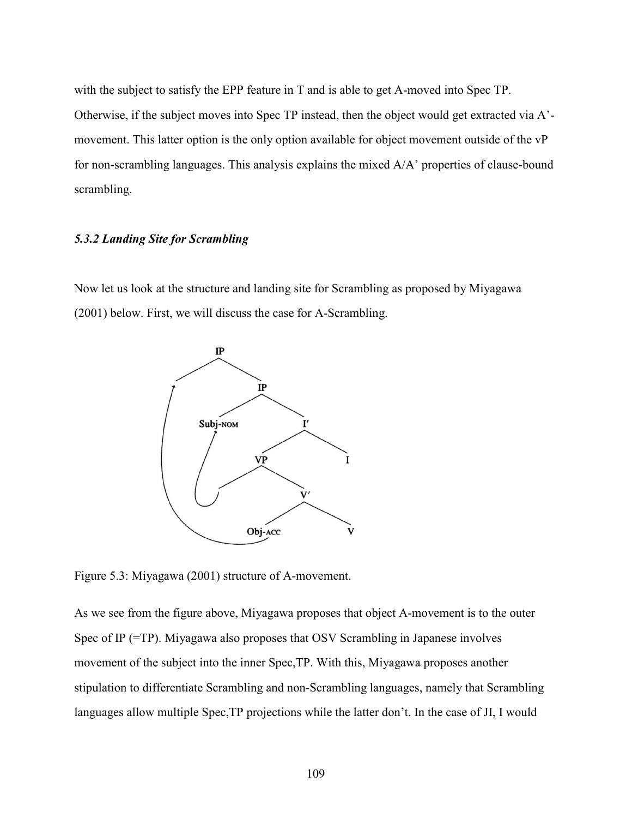with the subject to satisfy the EPP feature in T and is able to get A-moved into Spec TP. Otherwise, if the subject moves into Spec TP instead, then the object would get extracted via A' movement. This latter option is the only option available for object movement outside of the vP for non-scrambling languages. This analysis explains the mixed A/A' properties of clause-bound scrambling.

### *5.3.2 Landing Site for Scrambling*

Now let us look at the structure and landing site for Scrambling as proposed by Miyagawa (2001) below. First, we will discuss the case for A-Scrambling.



Figure 5.3: Miyagawa (2001) structure of A-movement.

As we see from the figure above, Miyagawa proposes that object A-movement is to the outer Spec of IP (=TP). Miyagawa also proposes that OSV Scrambling in Japanese involves movement of the subject into the inner Spec,TP. With this, Miyagawa proposes another stipulation to differentiate Scrambling and non-Scrambling languages, namely that Scrambling languages allow multiple Spec,TP projections while the latter don't. In the case of JI, I would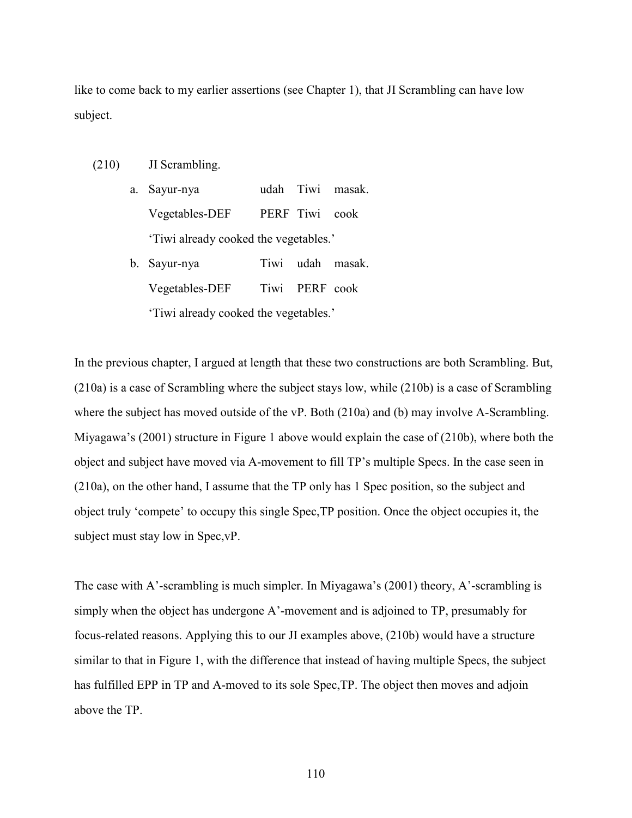like to come back to my earlier assertions (see Chapter 1), that JI Scrambling can have low subject.

(210) JI Scrambling.

a. Sayur-nya udah Tiwi masak. Vegetables-DEF PERF Tiwi cook 'Tiwi already cooked the vegetables.'

b. Sayur-nya Tiwi udah masak. Vegetables-DEF Tiwi PERF cook 'Tiwi already cooked the vegetables.'

In the previous chapter, I argued at length that these two constructions are both Scrambling. But, (210a) is a case of Scrambling where the subject stays low, while (210b) is a case of Scrambling where the subject has moved outside of the vP. Both (210a) and (b) may involve A-Scrambling. Miyagawa's (2001) structure in Figure 1 above would explain the case of (210b), where both the object and subject have moved via A-movement to fill TP's multiple Specs. In the case seen in (210a), on the other hand, I assume that the TP only has 1 Spec position, so the subject and object truly 'compete' to occupy this single Spec,TP position. Once the object occupies it, the subject must stay low in Spec,vP.

The case with A'-scrambling is much simpler. In Miyagawa's (2001) theory, A'-scrambling is simply when the object has undergone A'-movement and is adjoined to TP, presumably for focus-related reasons. Applying this to our JI examples above, (210b) would have a structure similar to that in Figure 1, with the difference that instead of having multiple Specs, the subject has fulfilled EPP in TP and A-moved to its sole Spec,TP. The object then moves and adjoin above the TP.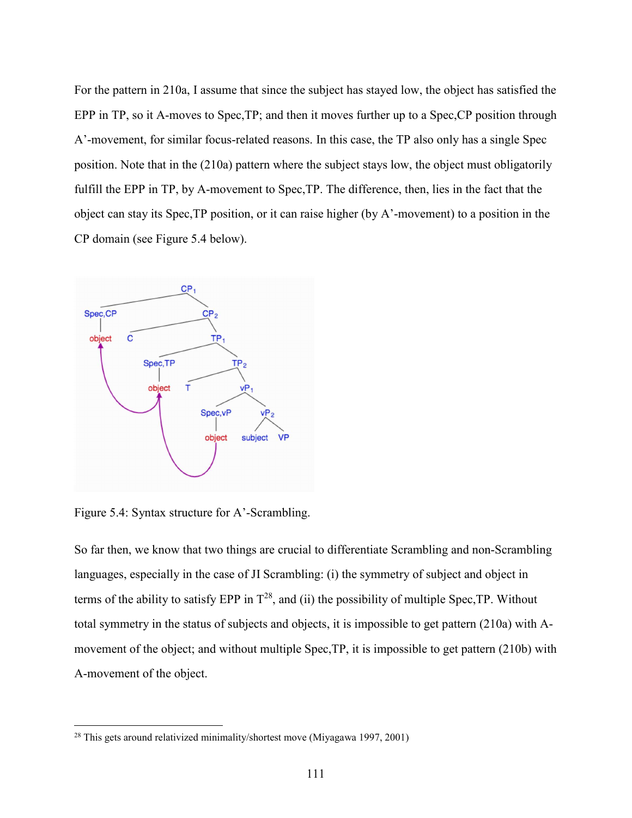For the pattern in 210a, I assume that since the subject has stayed low, the object has satisfied the EPP in TP, so it A-moves to Spec,TP; and then it moves further up to a Spec,CP position through A'-movement, for similar focus-related reasons. In this case, the TP also only has a single Spec position. Note that in the (210a) pattern where the subject stays low, the object must obligatorily fulfill the EPP in TP, by A-movement to Spec,TP. The difference, then, lies in the fact that the object can stay its Spec,TP position, or it can raise higher (by A'-movement) to a position in the CP domain (see Figure 5.4 below).



Figure 5.4: Syntax structure for A'-Scrambling.

<u>.</u>

So far then, we know that two things are crucial to differentiate Scrambling and non-Scrambling languages, especially in the case of JI Scrambling: (i) the symmetry of subject and object in terms of the ability to satisfy EPP in  $T^{28}$ , and (ii) the possibility of multiple Spec, TP. Without total symmetry in the status of subjects and objects, it is impossible to get pattern (210a) with Amovement of the object; and without multiple Spec,TP, it is impossible to get pattern (210b) with A-movement of the object.

<sup>28</sup> This gets around relativized minimality/shortest move (Miyagawa 1997, 2001)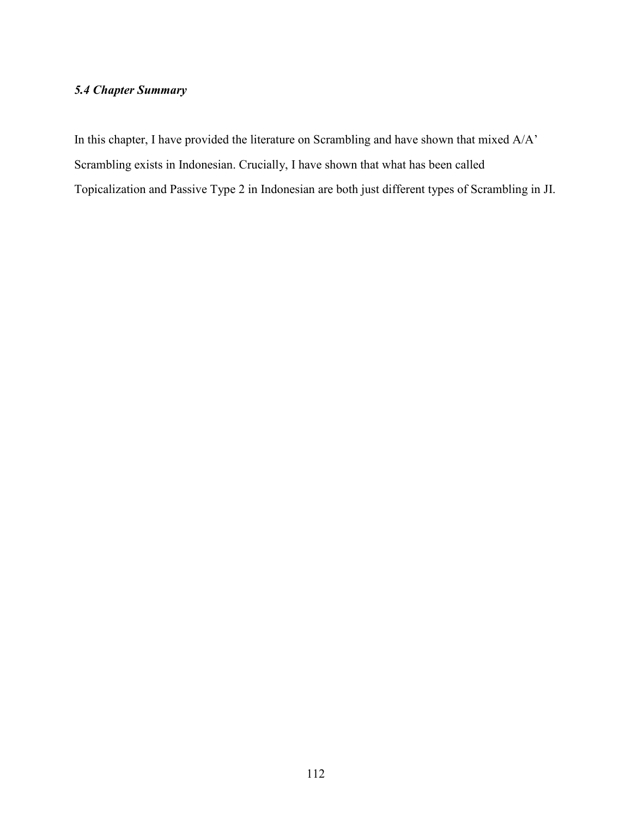### *5.4 Chapter Summary*

In this chapter, I have provided the literature on Scrambling and have shown that mixed A/A' Scrambling exists in Indonesian. Crucially, I have shown that what has been called Topicalization and Passive Type 2 in Indonesian are both just different types of Scrambling in JI.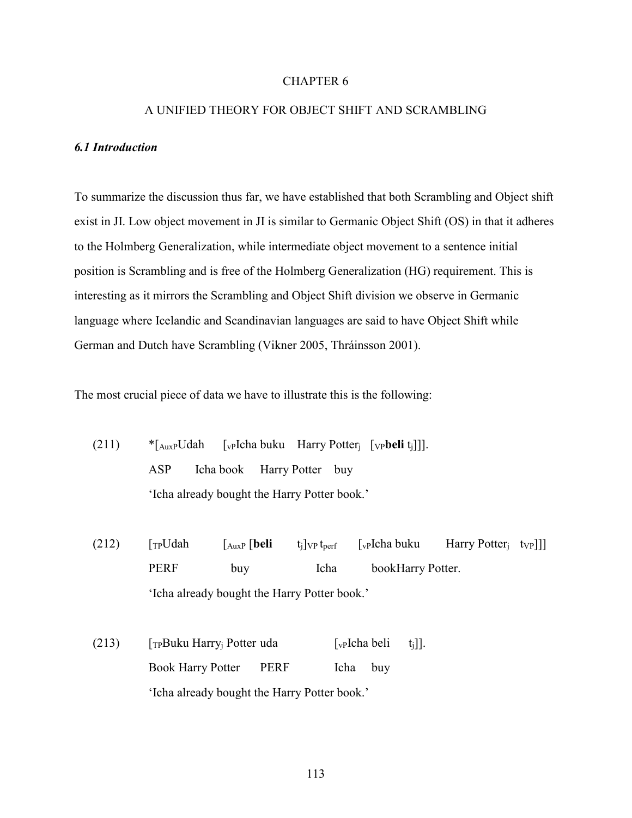### CHAPTER 6

### A UNIFIED THEORY FOR OBJECT SHIFT AND SCRAMBLING

### *6.1 Introduction*

To summarize the discussion thus far, we have established that both Scrambling and Object shift exist in JI. Low object movement in JI is similar to Germanic Object Shift (OS) in that it adheres to the Holmberg Generalization, while intermediate object movement to a sentence initial position is Scrambling and is free of the Holmberg Generalization (HG) requirement. This is interesting as it mirrors the Scrambling and Object Shift division we observe in Germanic language where Icelandic and Scandinavian languages are said to have Object Shift while German and Dutch have Scrambling (Vikner 2005, Thráinsson 2001).

The most crucial piece of data we have to illustrate this is the following:

- (211) \*[AuxPUdah [vPIcha buku Harry Potterj [VP**beli** tj]]]. ASP Icha book Harry Potter buy 'Icha already bought the Harry Potter book.'
- (212)  $\lceil T_P U d\rceil \rceil \lceil T_{AuxP} | \textbf{beli} \rceil \rceil \lceil T_{VP} U_{\textbf{perf}} \rceil \rceil \lceil T_{VP} U_{\textbf{perf}} \rceil \rceil \rceil \lceil T_{VP} U_{\textbf{perf}} \rceil \rceil$ PERF buy Icha bookHarry Potter. 'Icha already bought the Harry Potter book.'
- (213)  $[\text{TPBuku Harry}]$  Potter uda  $[\text{VPIcha beli t_i}]]$ . Book Harry Potter PERF Icha buy 'Icha already bought the Harry Potter book.'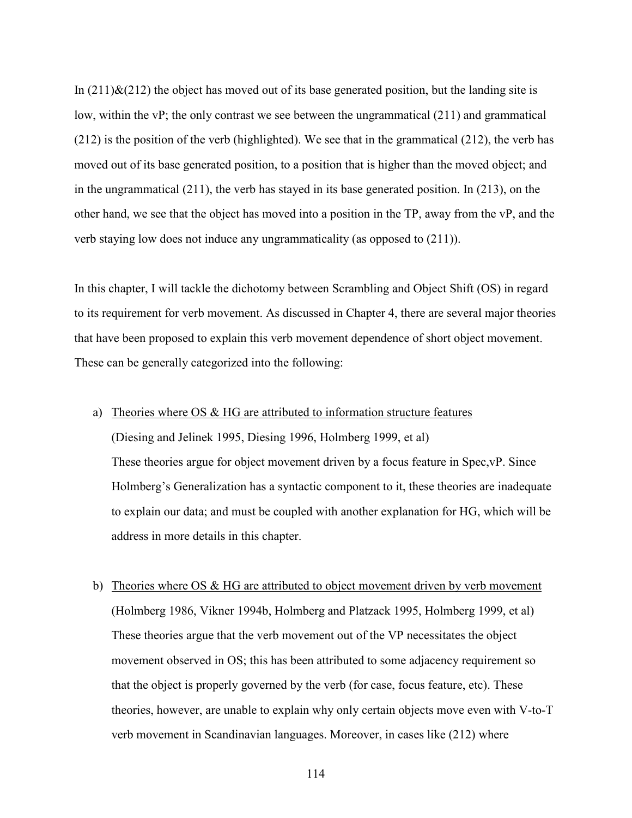In  $(211)\&(212)$  the object has moved out of its base generated position, but the landing site is low, within the vP; the only contrast we see between the ungrammatical (211) and grammatical (212) is the position of the verb (highlighted). We see that in the grammatical (212), the verb has moved out of its base generated position, to a position that is higher than the moved object; and in the ungrammatical (211), the verb has stayed in its base generated position. In (213), on the other hand, we see that the object has moved into a position in the TP, away from the vP, and the verb staying low does not induce any ungrammaticality (as opposed to (211)).

In this chapter, I will tackle the dichotomy between Scrambling and Object Shift (OS) in regard to its requirement for verb movement. As discussed in Chapter 4, there are several major theories that have been proposed to explain this verb movement dependence of short object movement. These can be generally categorized into the following:

a) Theories where OS & HG are attributed to information structure features

(Diesing and Jelinek 1995, Diesing 1996, Holmberg 1999, et al) These theories argue for object movement driven by a focus feature in Spec,vP. Since Holmberg's Generalization has a syntactic component to it, these theories are inadequate to explain our data; and must be coupled with another explanation for HG, which will be address in more details in this chapter.

b) Theories where OS & HG are attributed to object movement driven by verb movement (Holmberg 1986, Vikner 1994b, Holmberg and Platzack 1995, Holmberg 1999, et al) These theories argue that the verb movement out of the VP necessitates the object movement observed in OS; this has been attributed to some adjacency requirement so that the object is properly governed by the verb (for case, focus feature, etc). These theories, however, are unable to explain why only certain objects move even with V-to-T verb movement in Scandinavian languages. Moreover, in cases like (212) where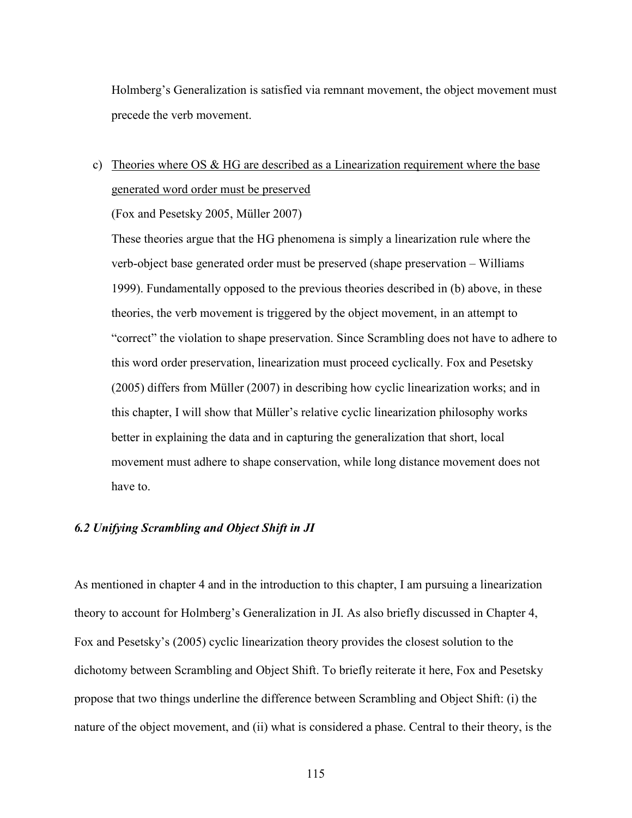Holmberg's Generalization is satisfied via remnant movement, the object movement must precede the verb movement.

## c) Theories where OS  $& HG$  are described as a Linearization requirement where the base generated word order must be preserved

(Fox and Pesetsky 2005, Müller 2007)

These theories argue that the HG phenomena is simply a linearization rule where the verb-object base generated order must be preserved (shape preservation – Williams 1999). Fundamentally opposed to the previous theories described in (b) above, in these theories, the verb movement is triggered by the object movement, in an attempt to "correct" the violation to shape preservation. Since Scrambling does not have to adhere to this word order preservation, linearization must proceed cyclically. Fox and Pesetsky (2005) differs from Müller (2007) in describing how cyclic linearization works; and in this chapter, I will show that Müller's relative cyclic linearization philosophy works better in explaining the data and in capturing the generalization that short, local movement must adhere to shape conservation, while long distance movement does not have to.

### *6.2 Unifying Scrambling and Object Shift in JI*

As mentioned in chapter 4 and in the introduction to this chapter, I am pursuing a linearization theory to account for Holmberg's Generalization in JI. As also briefly discussed in Chapter 4, Fox and Pesetsky's (2005) cyclic linearization theory provides the closest solution to the dichotomy between Scrambling and Object Shift. To briefly reiterate it here, Fox and Pesetsky propose that two things underline the difference between Scrambling and Object Shift: (i) the nature of the object movement, and (ii) what is considered a phase. Central to their theory, is the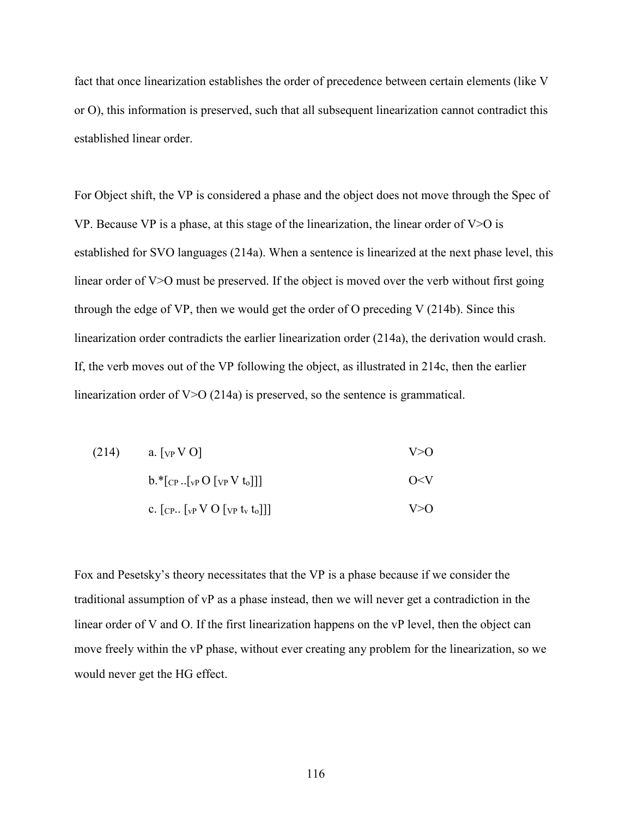fact that once linearization establishes the order of precedence between certain elements (like V or O), this information is preserved, such that all subsequent linearization cannot contradict this established linear order.

For Object shift, the VP is considered a phase and the object does not move through the Spec of VP. Because VP is a phase, at this stage of the linearization, the linear order of  $V > 0$  is established for SVO languages (214a). When a sentence is linearized at the next phase level, this linear order of V>O must be preserved. If the object is moved over the verb without first going through the edge of VP, then we would get the order of O preceding V (214b). Since this linearization order contradicts the earlier linearization order (214a), the derivation would crash. If, the verb moves out of the VP following the object, as illustrated in 214c, then the earlier linearization order of V>O (214a) is preserved, so the sentence is grammatical.

| (214) | a. [ $VP$ V O]                            | V > 0    |
|-------|-------------------------------------------|----------|
|       | $b.*[_{CP}[_{VP}O [_{VP}V t_0]]]$         | $O\ll V$ |
|       | c. $[CP\sqrt{VPV}O[\text{VP}t_{v}t_{o}]]$ | V > 0    |

Fox and Pesetsky's theory necessitates that the VP is a phase because if we consider the traditional assumption of vP as a phase instead, then we will never get a contradiction in the linear order of V and O. If the first linearization happens on the vP level, then the object can move freely within the vP phase, without ever creating any problem for the linearization, so we would never get the HG effect.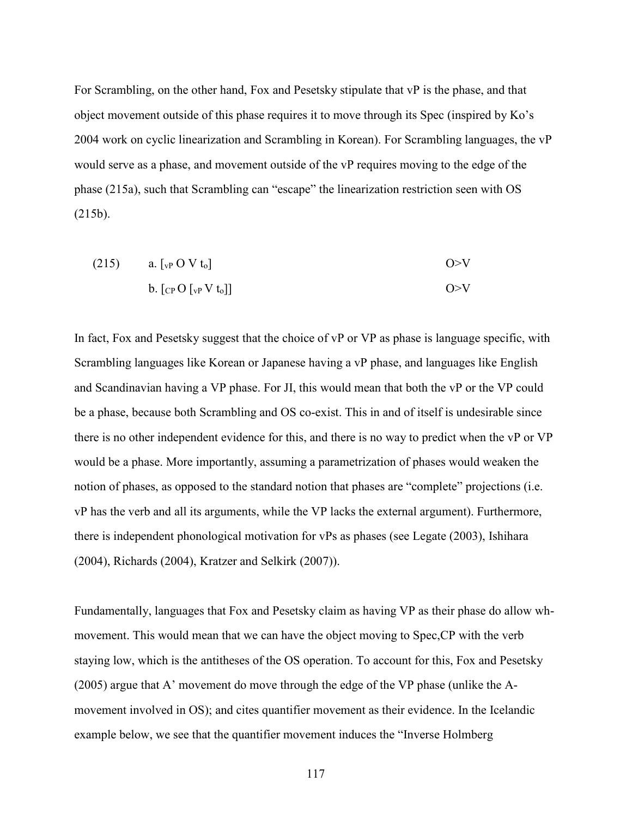For Scrambling, on the other hand, Fox and Pesetsky stipulate that vP is the phase, and that object movement outside of this phase requires it to move through its Spec (inspired by Ko's 2004 work on cyclic linearization and Scrambling in Korean). For Scrambling languages, the vP would serve as a phase, and movement outside of the vP requires moving to the edge of the phase (215a), such that Scrambling can "escape" the linearization restriction seen with OS (215b).

(215) a. 
$$
\left[\begin{array}{cc}v_{P}O V t_{o}\end{array}\right]
$$
 b. 
$$
\left[\begin{array}{cc}C P O \left[v_{P} V t_{o}\right]\end{array}\right]
$$
 
$$
O > V
$$

In fact, Fox and Pesetsky suggest that the choice of vP or VP as phase is language specific, with Scrambling languages like Korean or Japanese having a vP phase, and languages like English and Scandinavian having a VP phase. For JI, this would mean that both the vP or the VP could be a phase, because both Scrambling and OS co-exist. This in and of itself is undesirable since there is no other independent evidence for this, and there is no way to predict when the vP or VP would be a phase. More importantly, assuming a parametrization of phases would weaken the notion of phases, as opposed to the standard notion that phases are "complete" projections (i.e. vP has the verb and all its arguments, while the VP lacks the external argument). Furthermore, there is independent phonological motivation for vPs as phases (see Legate (2003), Ishihara (2004), Richards (2004), Kratzer and Selkirk (2007)).

Fundamentally, languages that Fox and Pesetsky claim as having VP as their phase do allow whmovement. This would mean that we can have the object moving to Spec,CP with the verb staying low, which is the antitheses of the OS operation. To account for this, Fox and Pesetsky (2005) argue that A' movement do move through the edge of the VP phase (unlike the Amovement involved in OS); and cites quantifier movement as their evidence. In the Icelandic example below, we see that the quantifier movement induces the "Inverse Holmberg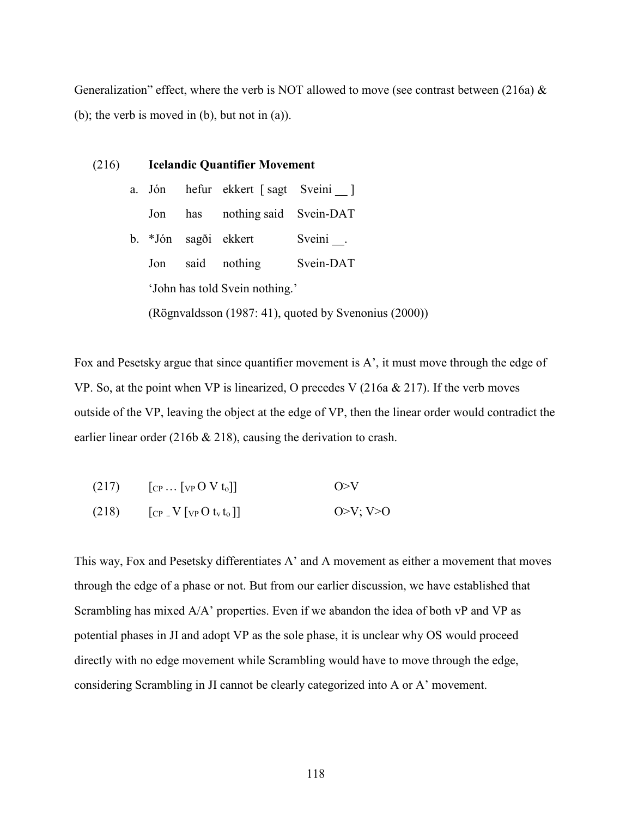Generalization" effect, where the verb is NOT allowed to move (see contrast between (216a)  $\&$ (b); the verb is moved in (b), but not in (a)).

|  |        | (216) Icelandic Quantifier Movement |                                |                                                       |  |
|--|--------|-------------------------------------|--------------------------------|-------------------------------------------------------|--|
|  | a. Jón |                                     | hefur ekkert [sagt Sveini _]   |                                                       |  |
|  | Jon    |                                     | has nothing said Svein-DAT     |                                                       |  |
|  |        |                                     | b. *Jón sagði ekkert           | Sveini.                                               |  |
|  | Jon    |                                     | said nothing                   | Svein-DAT                                             |  |
|  |        |                                     | 'John has told Svein nothing.' |                                                       |  |
|  |        |                                     |                                | (Rögnvaldsson (1987: 41), quoted by Svenonius (2000)) |  |

Fox and Pesetsky argue that since quantifier movement is A', it must move through the edge of VP. So, at the point when VP is linearized, O precedes V (216a & 217). If the verb moves outside of the VP, leaving the object at the edge of VP, then the linear order would contradict the earlier linear order (216b & 218), causing the derivation to crash.

| (217) | $[\text{CP} \dots [\text{VP} \, O \, V \, t_0]]$ | O>N      |
|-------|--------------------------------------------------|----------|
| (218) | $[\text{CP}$ . $V[\text{VP} \cdot V(t_0)]$       | O>V: V>0 |

This way, Fox and Pesetsky differentiates A' and A movement as either a movement that moves through the edge of a phase or not. But from our earlier discussion, we have established that Scrambling has mixed A/A' properties. Even if we abandon the idea of both vP and VP as potential phases in JI and adopt VP as the sole phase, it is unclear why OS would proceed directly with no edge movement while Scrambling would have to move through the edge, considering Scrambling in JI cannot be clearly categorized into A or A' movement.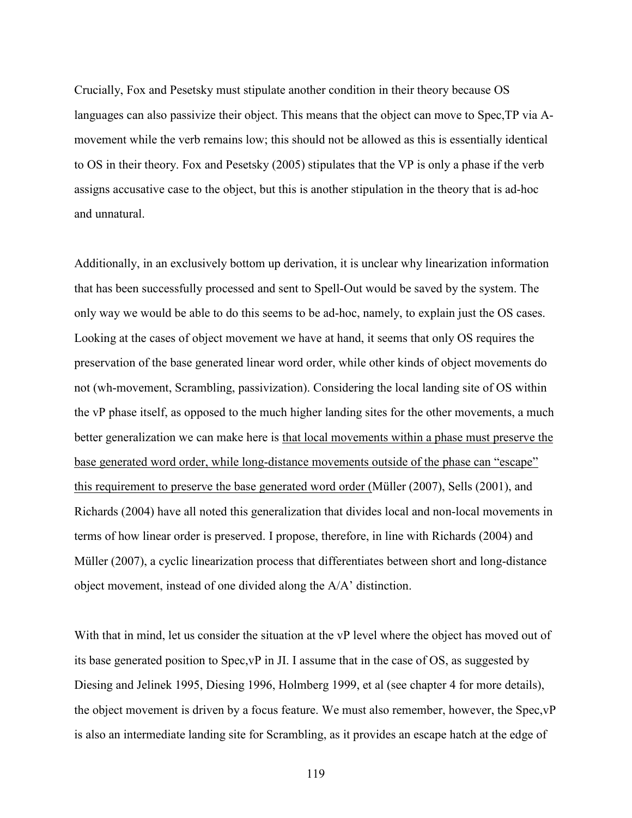Crucially, Fox and Pesetsky must stipulate another condition in their theory because OS languages can also passivize their object. This means that the object can move to Spec,TP via Amovement while the verb remains low; this should not be allowed as this is essentially identical to OS in their theory. Fox and Pesetsky (2005) stipulates that the VP is only a phase if the verb assigns accusative case to the object, but this is another stipulation in the theory that is ad-hoc and unnatural.

Additionally, in an exclusively bottom up derivation, it is unclear why linearization information that has been successfully processed and sent to Spell-Out would be saved by the system. The only way we would be able to do this seems to be ad-hoc, namely, to explain just the OS cases. Looking at the cases of object movement we have at hand, it seems that only OS requires the preservation of the base generated linear word order, while other kinds of object movements do not (wh-movement, Scrambling, passivization). Considering the local landing site of OS within the vP phase itself, as opposed to the much higher landing sites for the other movements, a much better generalization we can make here is that local movements within a phase must preserve the base generated word order, while long-distance movements outside of the phase can "escape" this requirement to preserve the base generated word order (Müller (2007), Sells (2001), and Richards (2004) have all noted this generalization that divides local and non-local movements in terms of how linear order is preserved. I propose, therefore, in line with Richards (2004) and Müller (2007), a cyclic linearization process that differentiates between short and long-distance object movement, instead of one divided along the A/A' distinction.

With that in mind, let us consider the situation at the vP level where the object has moved out of its base generated position to Spec,vP in JI. I assume that in the case of OS, as suggested by Diesing and Jelinek 1995, Diesing 1996, Holmberg 1999, et al (see chapter 4 for more details), the object movement is driven by a focus feature. We must also remember, however, the Spec,vP is also an intermediate landing site for Scrambling, as it provides an escape hatch at the edge of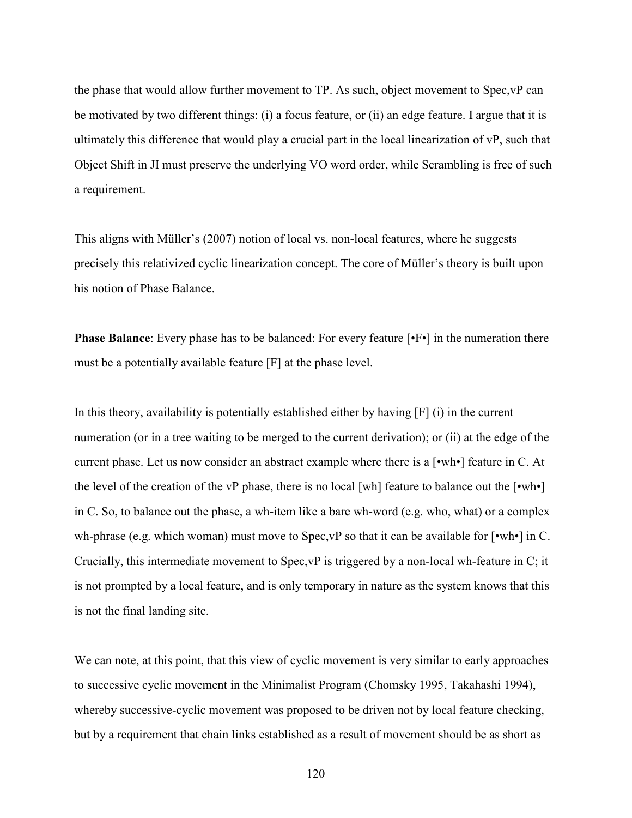the phase that would allow further movement to TP. As such, object movement to Spec,vP can be motivated by two different things: (i) a focus feature, or (ii) an edge feature. I argue that it is ultimately this difference that would play a crucial part in the local linearization of vP, such that Object Shift in JI must preserve the underlying VO word order, while Scrambling is free of such a requirement.

This aligns with Müller's (2007) notion of local vs. non-local features, where he suggests precisely this relativized cyclic linearization concept. The core of Müller's theory is built upon his notion of Phase Balance.

**Phase Balance**: Every phase has to be balanced: For every feature  $[\cdot \cdot \cdot]$  in the numeration there must be a potentially available feature [F] at the phase level.

In this theory, availability is potentially established either by having [F] (i) in the current numeration (or in a tree waiting to be merged to the current derivation); or (ii) at the edge of the current phase. Let us now consider an abstract example where there is a [•wh•] feature in C. At the level of the creation of the vP phase, there is no local [wh] feature to balance out the [•wh•] in C. So, to balance out the phase, a wh-item like a bare wh-word (e.g. who, what) or a complex wh-phrase (e.g. which woman) must move to Spec,  $vP$  so that it can be available for [•wh•] in C. Crucially, this intermediate movement to Spec,vP is triggered by a non-local wh-feature in C; it is not prompted by a local feature, and is only temporary in nature as the system knows that this is not the final landing site.

We can note, at this point, that this view of cyclic movement is very similar to early approaches to successive cyclic movement in the Minimalist Program (Chomsky 1995, Takahashi 1994), whereby successive-cyclic movement was proposed to be driven not by local feature checking, but by a requirement that chain links established as a result of movement should be as short as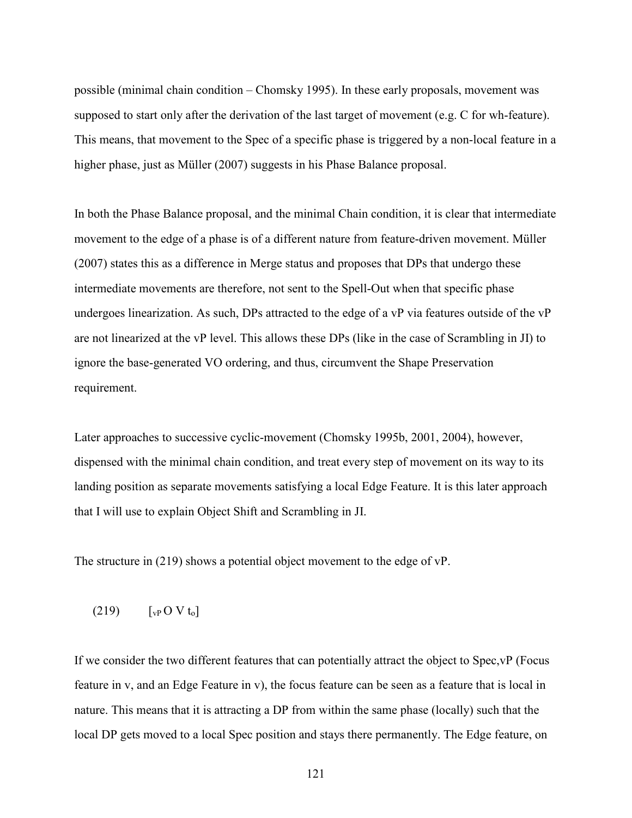possible (minimal chain condition – Chomsky 1995). In these early proposals, movement was supposed to start only after the derivation of the last target of movement (e.g. C for wh-feature). This means, that movement to the Spec of a specific phase is triggered by a non-local feature in a higher phase, just as Müller (2007) suggests in his Phase Balance proposal.

In both the Phase Balance proposal, and the minimal Chain condition, it is clear that intermediate movement to the edge of a phase is of a different nature from feature-driven movement. Müller (2007) states this as a difference in Merge status and proposes that DPs that undergo these intermediate movements are therefore, not sent to the Spell-Out when that specific phase undergoes linearization. As such, DPs attracted to the edge of a vP via features outside of the vP are not linearized at the vP level. This allows these DPs (like in the case of Scrambling in JI) to ignore the base-generated VO ordering, and thus, circumvent the Shape Preservation requirement.

Later approaches to successive cyclic-movement (Chomsky 1995b, 2001, 2004), however, dispensed with the minimal chain condition, and treat every step of movement on its way to its landing position as separate movements satisfying a local Edge Feature. It is this later approach that I will use to explain Object Shift and Scrambling in JI.

The structure in (219) shows a potential object movement to the edge of vP.

 $(219)$   $[vP O V t_0]$ 

If we consider the two different features that can potentially attract the object to Spec,vP (Focus feature in v, and an Edge Feature in v), the focus feature can be seen as a feature that is local in nature. This means that it is attracting a DP from within the same phase (locally) such that the local DP gets moved to a local Spec position and stays there permanently. The Edge feature, on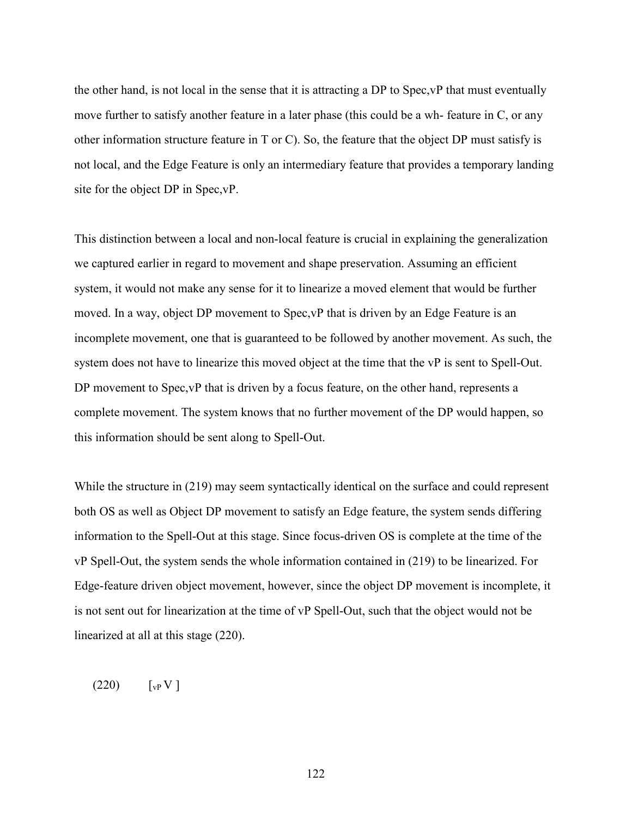the other hand, is not local in the sense that it is attracting a DP to Spec,vP that must eventually move further to satisfy another feature in a later phase (this could be a wh- feature in C, or any other information structure feature in T or C). So, the feature that the object DP must satisfy is not local, and the Edge Feature is only an intermediary feature that provides a temporary landing site for the object DP in Spec,vP.

This distinction between a local and non-local feature is crucial in explaining the generalization we captured earlier in regard to movement and shape preservation. Assuming an efficient system, it would not make any sense for it to linearize a moved element that would be further moved. In a way, object DP movement to Spec,vP that is driven by an Edge Feature is an incomplete movement, one that is guaranteed to be followed by another movement. As such, the system does not have to linearize this moved object at the time that the vP is sent to Spell-Out. DP movement to Spec,  $vP$  that is driven by a focus feature, on the other hand, represents a complete movement. The system knows that no further movement of the DP would happen, so this information should be sent along to Spell-Out.

While the structure in (219) may seem syntactically identical on the surface and could represent both OS as well as Object DP movement to satisfy an Edge feature, the system sends differing information to the Spell-Out at this stage. Since focus-driven OS is complete at the time of the vP Spell-Out, the system sends the whole information contained in (219) to be linearized. For Edge-feature driven object movement, however, since the object DP movement is incomplete, it is not sent out for linearization at the time of vP Spell-Out, such that the object would not be linearized at all at this stage (220).

 $(220)$   $[vP V]$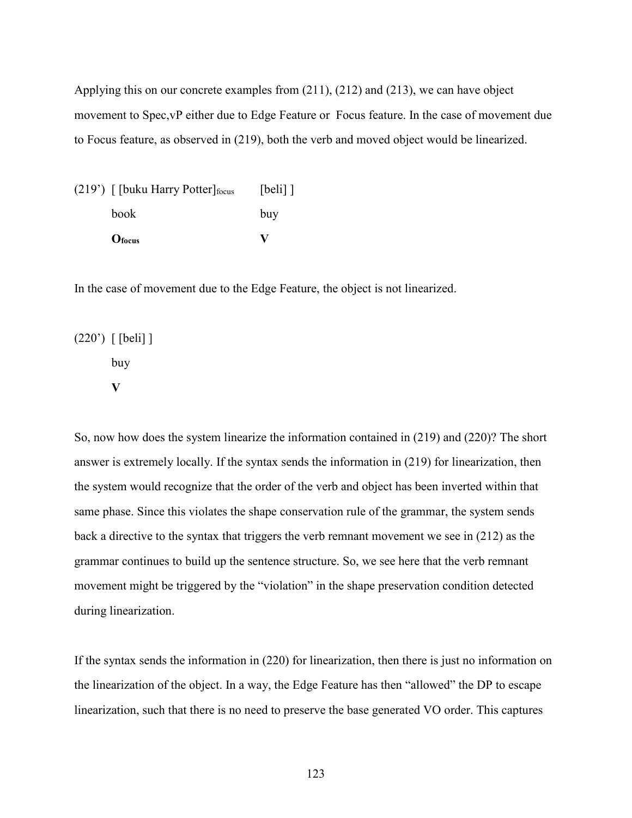Applying this on our concrete examples from (211), (212) and (213), we can have object movement to Spec,vP either due to Edge Feature or Focus feature. In the case of movement due to Focus feature, as observed in (219), both the verb and moved object would be linearized.

| $(219)$ [[buku Harry Potter] focus | $[beli]$ ] |
|------------------------------------|------------|
| <b>book</b>                        | buy        |
| O <sub>focus</sub>                 | v          |

In the case of movement due to the Edge Feature, the object is not linearized.

(220') [ [beli] ] buy **V** 

So, now how does the system linearize the information contained in (219) and (220)? The short answer is extremely locally. If the syntax sends the information in (219) for linearization, then the system would recognize that the order of the verb and object has been inverted within that same phase. Since this violates the shape conservation rule of the grammar, the system sends back a directive to the syntax that triggers the verb remnant movement we see in (212) as the grammar continues to build up the sentence structure. So, we see here that the verb remnant movement might be triggered by the "violation" in the shape preservation condition detected during linearization.

If the syntax sends the information in (220) for linearization, then there is just no information on the linearization of the object. In a way, the Edge Feature has then "allowed" the DP to escape linearization, such that there is no need to preserve the base generated VO order. This captures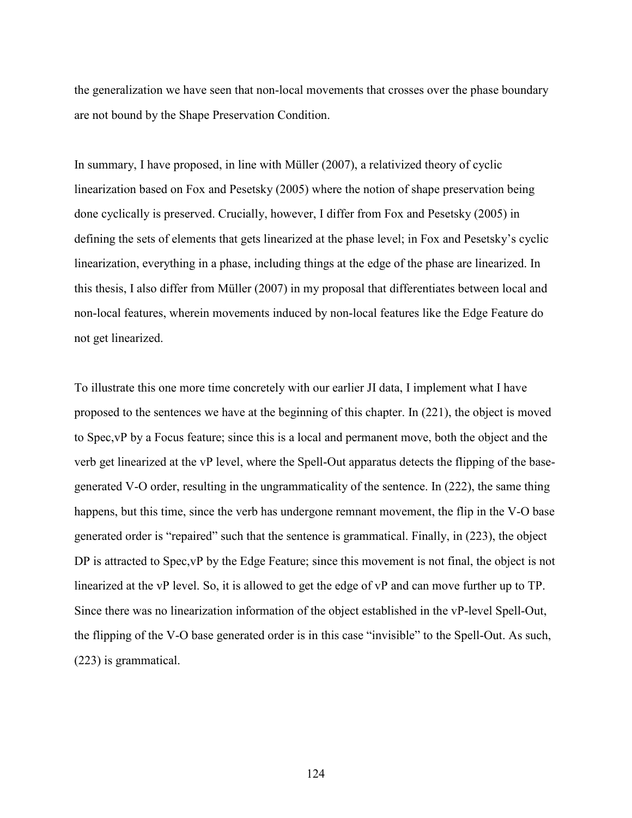the generalization we have seen that non-local movements that crosses over the phase boundary are not bound by the Shape Preservation Condition.

In summary, I have proposed, in line with Müller (2007), a relativized theory of cyclic linearization based on Fox and Pesetsky (2005) where the notion of shape preservation being done cyclically is preserved. Crucially, however, I differ from Fox and Pesetsky (2005) in defining the sets of elements that gets linearized at the phase level; in Fox and Pesetsky's cyclic linearization, everything in a phase, including things at the edge of the phase are linearized. In this thesis, I also differ from Müller (2007) in my proposal that differentiates between local and non-local features, wherein movements induced by non-local features like the Edge Feature do not get linearized.

To illustrate this one more time concretely with our earlier JI data, I implement what I have proposed to the sentences we have at the beginning of this chapter. In (221), the object is moved to Spec,vP by a Focus feature; since this is a local and permanent move, both the object and the verb get linearized at the vP level, where the Spell-Out apparatus detects the flipping of the basegenerated V-O order, resulting in the ungrammaticality of the sentence. In (222), the same thing happens, but this time, since the verb has undergone remnant movement, the flip in the V-O base generated order is "repaired" such that the sentence is grammatical. Finally, in (223), the object DP is attracted to Spec,vP by the Edge Feature; since this movement is not final, the object is not linearized at the vP level. So, it is allowed to get the edge of vP and can move further up to TP. Since there was no linearization information of the object established in the vP-level Spell-Out, the flipping of the V-O base generated order is in this case "invisible" to the Spell-Out. As such, (223) is grammatical.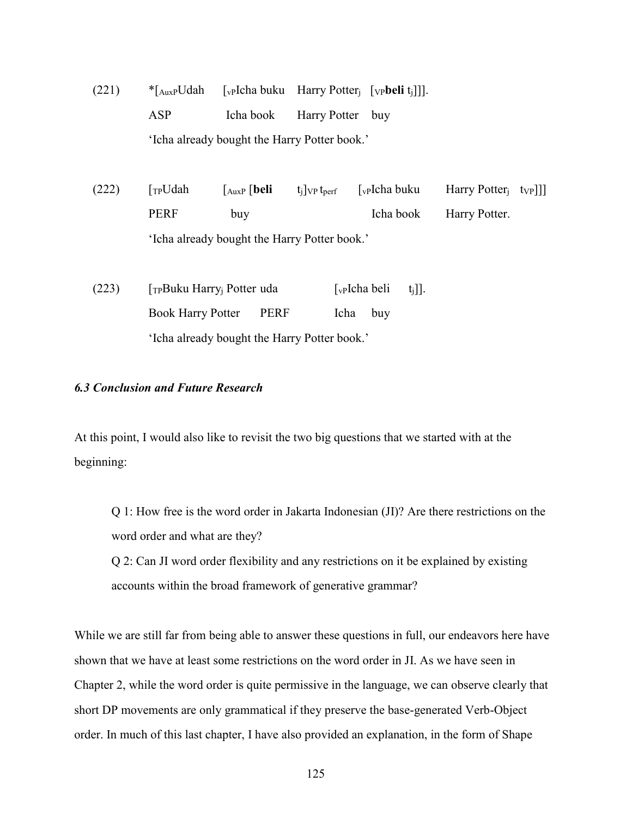(221) \*[AuxPUdah [vPIcha buku Harry Potterj [VP**beli** tj]]]. ASP Icha book Harry Potter buy 'Icha already bought the Harry Potter book.'

(222)  $\lceil T_P U da h \rceil \lceil \text{bulk} \rceil$  [auxp  $\lceil \text{bell} \rceil$  t<sub>i</sub>]  $\lceil \text{vP} \rceil$   $\lceil \text{vP} \rceil$  [v<sub>P</sub>] [cha buku Harry Potter<sub>j</sub> t<sub>VP</sub>]]] PERF buy **Icha book** Harry Potter. 'Icha already bought the Harry Potter book.'

(223) [TPBuku Harry<sub>i</sub> Potter uda [vPIcha beli t<sub>i</sub>]]. Book Harry Potter PERF Icha buy 'Icha already bought the Harry Potter book.'

### *6.3 Conclusion and Future Research*

At this point, I would also like to revisit the two big questions that we started with at the beginning:

Q 1: How free is the word order in Jakarta Indonesian (JI)? Are there restrictions on the word order and what are they?

Q 2: Can JI word order flexibility and any restrictions on it be explained by existing accounts within the broad framework of generative grammar?

While we are still far from being able to answer these questions in full, our endeavors here have shown that we have at least some restrictions on the word order in JI. As we have seen in Chapter 2, while the word order is quite permissive in the language, we can observe clearly that short DP movements are only grammatical if they preserve the base-generated Verb-Object order. In much of this last chapter, I have also provided an explanation, in the form of Shape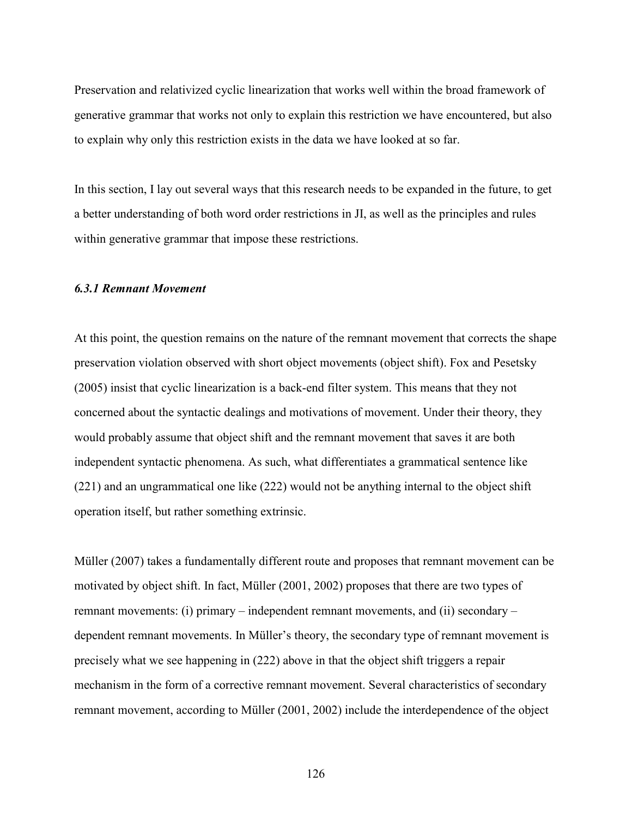Preservation and relativized cyclic linearization that works well within the broad framework of generative grammar that works not only to explain this restriction we have encountered, but also to explain why only this restriction exists in the data we have looked at so far.

In this section, I lay out several ways that this research needs to be expanded in the future, to get a better understanding of both word order restrictions in JI, as well as the principles and rules within generative grammar that impose these restrictions.

### *6.3.1 Remnant Movement*

At this point, the question remains on the nature of the remnant movement that corrects the shape preservation violation observed with short object movements (object shift). Fox and Pesetsky (2005) insist that cyclic linearization is a back-end filter system. This means that they not concerned about the syntactic dealings and motivations of movement. Under their theory, they would probably assume that object shift and the remnant movement that saves it are both independent syntactic phenomena. As such, what differentiates a grammatical sentence like (221) and an ungrammatical one like (222) would not be anything internal to the object shift operation itself, but rather something extrinsic.

Müller (2007) takes a fundamentally different route and proposes that remnant movement can be motivated by object shift. In fact, Müller (2001, 2002) proposes that there are two types of remnant movements: (i) primary – independent remnant movements, and (ii) secondary – dependent remnant movements. In Müller's theory, the secondary type of remnant movement is precisely what we see happening in (222) above in that the object shift triggers a repair mechanism in the form of a corrective remnant movement. Several characteristics of secondary remnant movement, according to Müller (2001, 2002) include the interdependence of the object

126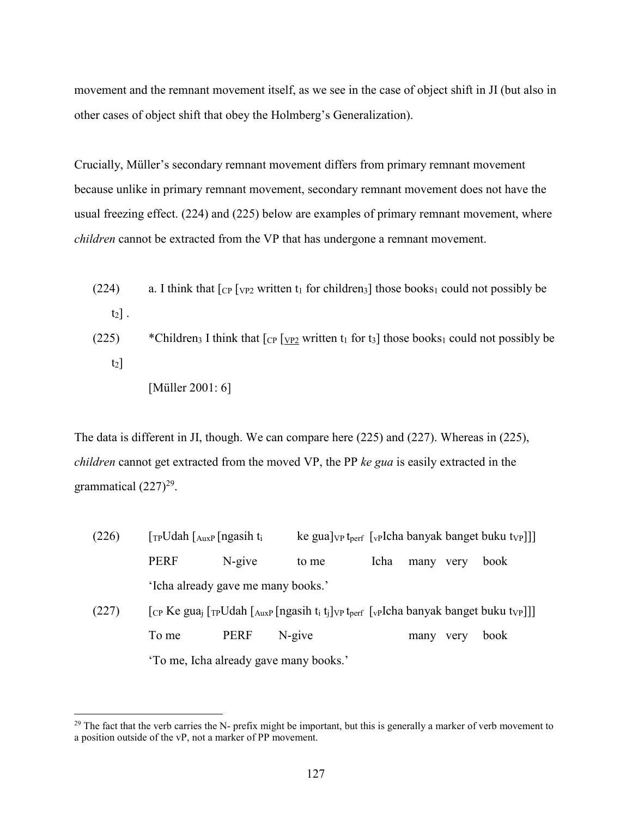movement and the remnant movement itself, as we see in the case of object shift in JI (but also in other cases of object shift that obey the Holmberg's Generalization).

Crucially, Müller's secondary remnant movement differs from primary remnant movement because unlike in primary remnant movement, secondary remnant movement does not have the usual freezing effect. (224) and (225) below are examples of primary remnant movement, where *children* cannot be extracted from the VP that has undergone a remnant movement.

- (224) a. I think that  $\lceil_{CP} \rceil$  ( $\lceil_{VP2}$  written  $t_1$  for children<sub>3</sub>) those books<sub>1</sub> could not possibly be  $t_2$ ].
- (225) \*Children<sub>3</sub> I think that  $\lceil \text{CP} \rceil$  vez written t<sub>1</sub> for t<sub>3</sub> those books<sub>1</sub> could not possibly be  $t_2$ ]
	- [Müller 2001: 6]

The data is different in JI, though. We can compare here (225) and (227). Whereas in (225), *children* cannot get extracted from the moved VP, the PP *ke gua* is easily extracted in the grammatical  $(227)^{29}$ .

(226)  $[\text{TPUdah } [\text{AuxP}[\text{ngasih } t_i \quad \text{ke}[\text{gua}] \lor \text{p}[\text{t}_\text{perf}[\text{v}_\text{P}]\text{Leha}[\text{b}]\text{angle}[\text{b}]\text{du}]$ PERF N-give to me Icha many very book 'Icha already gave me many books.' (227)  $\left[$  [CP Ke gua<sub>j</sub>  $\left[$ TPUdah  $\left[$  AuxP  $\left[$  ngasih t<sub>i</sub> t<sub>i</sub> $\right]$ <sub>VP</sub> t<sub>perf</sub>  $\left[$ <sub>V</sub>PIcha banyak banget buku t<sub>VP</sub>]] To me PERF N-give many very book 'To me, Icha already gave many books.'

<sup>-</sup> $29$  The fact that the verb carries the N- prefix might be important, but this is generally a marker of verb movement to a position outside of the vP, not a marker of PP movement.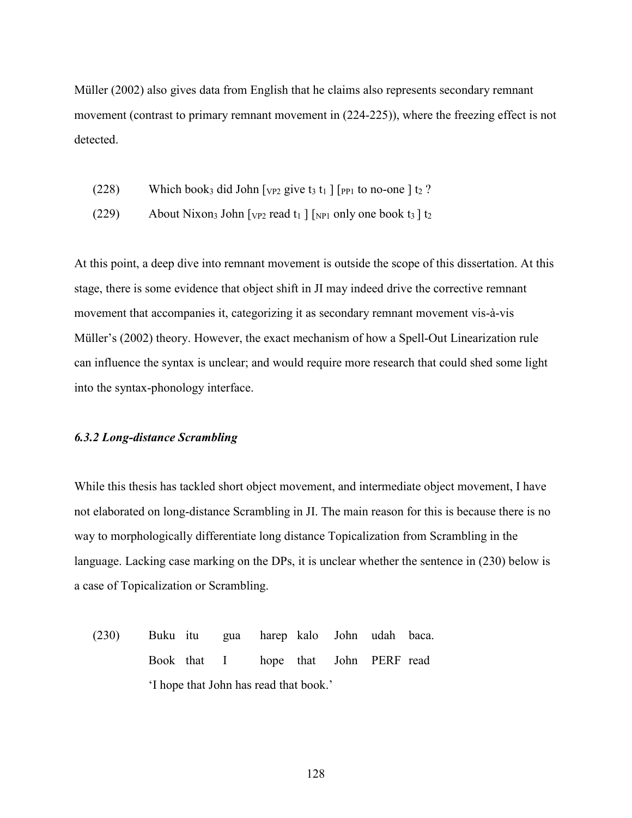Müller (2002) also gives data from English that he claims also represents secondary remnant movement (contrast to primary remnant movement in (224-225)), where the freezing effect is not detected.

- (228) Which book<sub>3</sub> did John  $[\text{v}_{P2} \text{ give } t_3 \text{ t}_1 ] [\text{p}_{P1} \text{ to no-one } t_2$ ?
- (229) About Nixon<sub>3</sub> John  $\lceil v_{P2} \rceil$  read  $t_1$   $\lceil v_{P1} \rceil$  only one book  $t_3 \rceil$  t<sub>2</sub>

At this point, a deep dive into remnant movement is outside the scope of this dissertation. At this stage, there is some evidence that object shift in JI may indeed drive the corrective remnant movement that accompanies it, categorizing it as secondary remnant movement vis-à-vis Müller's (2002) theory. However, the exact mechanism of how a Spell-Out Linearization rule can influence the syntax is unclear; and would require more research that could shed some light into the syntax-phonology interface.

### *6.3.2 Long-distance Scrambling*

While this thesis has tackled short object movement, and intermediate object movement, I have not elaborated on long-distance Scrambling in JI. The main reason for this is because there is no way to morphologically differentiate long distance Topicalization from Scrambling in the language. Lacking case marking on the DPs, it is unclear whether the sentence in (230) below is a case of Topicalization or Scrambling.

(230) Buku itu gua harep kalo John udah baca. Book that I hope that John PERF read 'I hope that John has read that book.'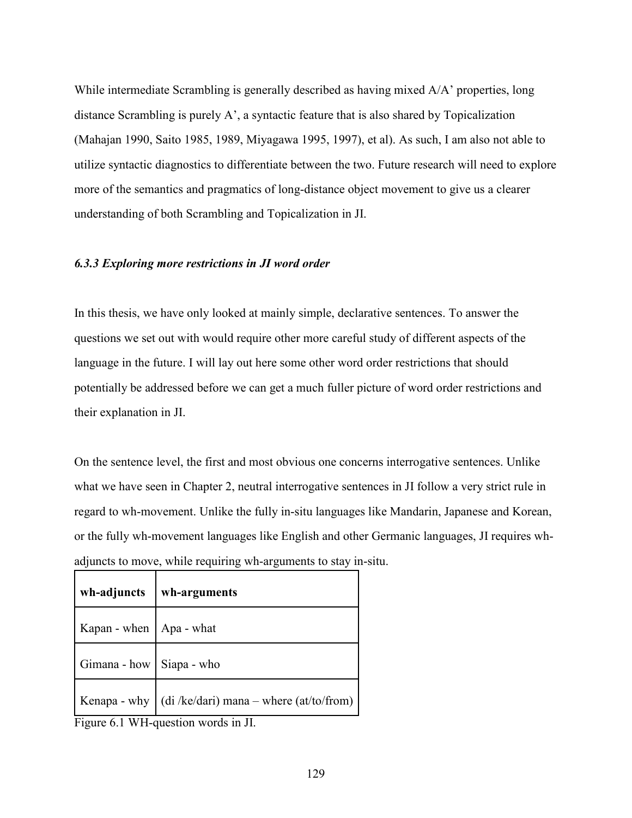While intermediate Scrambling is generally described as having mixed A/A' properties, long distance Scrambling is purely A', a syntactic feature that is also shared by Topicalization (Mahajan 1990, Saito 1985, 1989, Miyagawa 1995, 1997), et al). As such, I am also not able to utilize syntactic diagnostics to differentiate between the two. Future research will need to explore more of the semantics and pragmatics of long-distance object movement to give us a clearer understanding of both Scrambling and Topicalization in JI.

### *6.3.3 Exploring more restrictions in JI word order*

In this thesis, we have only looked at mainly simple, declarative sentences. To answer the questions we set out with would require other more careful study of different aspects of the language in the future. I will lay out here some other word order restrictions that should potentially be addressed before we can get a much fuller picture of word order restrictions and their explanation in JI.

On the sentence level, the first and most obvious one concerns interrogative sentences. Unlike what we have seen in Chapter 2, neutral interrogative sentences in JI follow a very strict rule in regard to wh-movement. Unlike the fully in-situ languages like Mandarin, Japanese and Korean, or the fully wh-movement languages like English and other Germanic languages, JI requires whadjuncts to move, while requiring wh-arguments to stay in-situ.

| wh-adjuncts                 | wh-arguments                                                |
|-----------------------------|-------------------------------------------------------------|
| Kapan - when $ $ Apa - what |                                                             |
| Gimana - how   Siapa - who  |                                                             |
|                             | Kenapa - why $\int$ (di /ke/dari) mana – where (at/to/from) |

Figure 6.1 WH-question words in JI.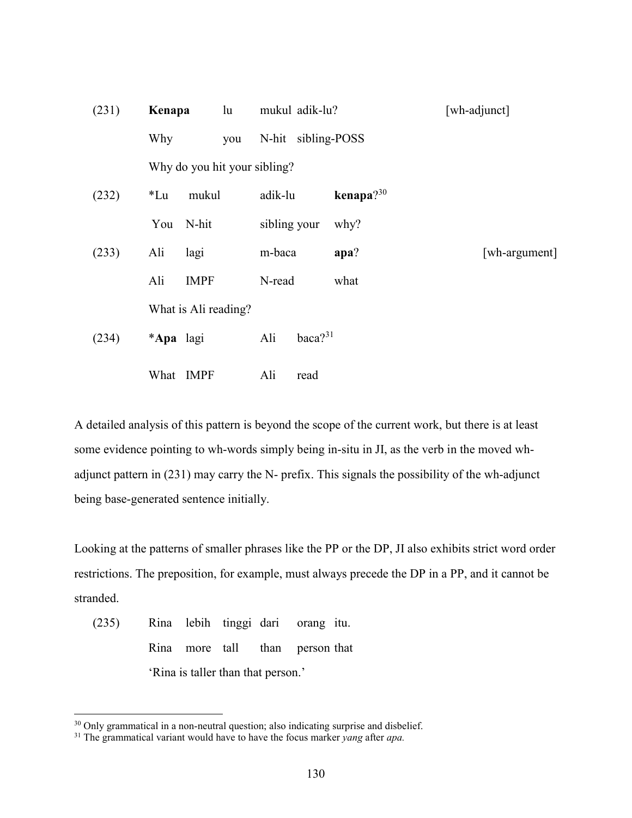| (231) | Kenapa                       |                      | mukul adik-lu? |                     |                 | [wh-adjunct]  |  |
|-------|------------------------------|----------------------|----------------|---------------------|-----------------|---------------|--|
|       | Why                          | you                  |                | N-hit sibling-POSS  |                 |               |  |
|       | Why do you hit your sibling? |                      |                |                     |                 |               |  |
| (232) | $*Lu$                        | mukul                | adik-lu        |                     | kenapa $?^{30}$ |               |  |
|       | You                          | N-hit                |                | sibling your        | why?            |               |  |
| (233) | Ali                          | lagi                 | m-baca         |                     | apa?            | [wh-argument] |  |
|       | Ali                          | <b>IMPF</b>          | N-read         |                     | what            |               |  |
|       |                              | What is Ali reading? |                |                     |                 |               |  |
| (234) | *Apa lagi                    |                      | Ali            | baca? <sup>31</sup> |                 |               |  |
|       | What                         | <b>IMPF</b>          | Ali            | read                |                 |               |  |

A detailed analysis of this pattern is beyond the scope of the current work, but there is at least some evidence pointing to wh-words simply being in-situ in JI, as the verb in the moved whadjunct pattern in (231) may carry the N- prefix. This signals the possibility of the wh-adjunct being base-generated sentence initially.

Looking at the patterns of smaller phrases like the PP or the DP, JI also exhibits strict word order restrictions. The preposition, for example, must always precede the DP in a PP, and it cannot be stranded.

(235) Rina lebih tinggi dari orang itu. Rina more tall than person that 'Rina is taller than that person.'

-

<sup>&</sup>lt;sup>30</sup> Only grammatical in a non-neutral question; also indicating surprise and disbelief.

<sup>31</sup> The grammatical variant would have to have the focus marker *yang* after *apa.*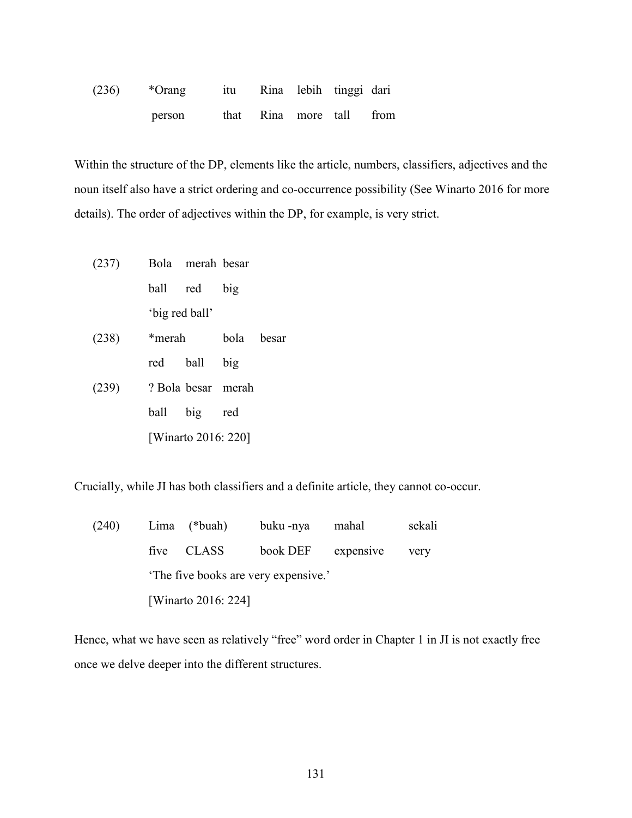| (236) | *Orang |  | itu Rina lebih tinggi dari |  |
|-------|--------|--|----------------------------|--|
|       | person |  | that Rina more tall from   |  |

Within the structure of the DP, elements like the article, numbers, classifiers, adjectives and the noun itself also have a strict ordering and co-occurrence possibility (See Winarto 2016 for more details). The order of adjectives within the DP, for example, is very strict.

- (237) Bola merah besar ball red big 'big red ball'
- (238) \*merah bola besar red ball big (239) ? Bola besar merah ball big red [Winarto 2016: 220]

Crucially, while JI has both classifiers and a definite article, they cannot co-occur.

| (240) |                                      | Lima (*buah) | buku -nya | mahal              | sekali |  |  |  |  |
|-------|--------------------------------------|--------------|-----------|--------------------|--------|--|--|--|--|
|       |                                      | five CLASS   |           | book DEF expensive | very   |  |  |  |  |
|       | 'The five books are very expensive.' |              |           |                    |        |  |  |  |  |
|       | [Winarto 2016: 224]                  |              |           |                    |        |  |  |  |  |

Hence, what we have seen as relatively "free" word order in Chapter 1 in JI is not exactly free once we delve deeper into the different structures.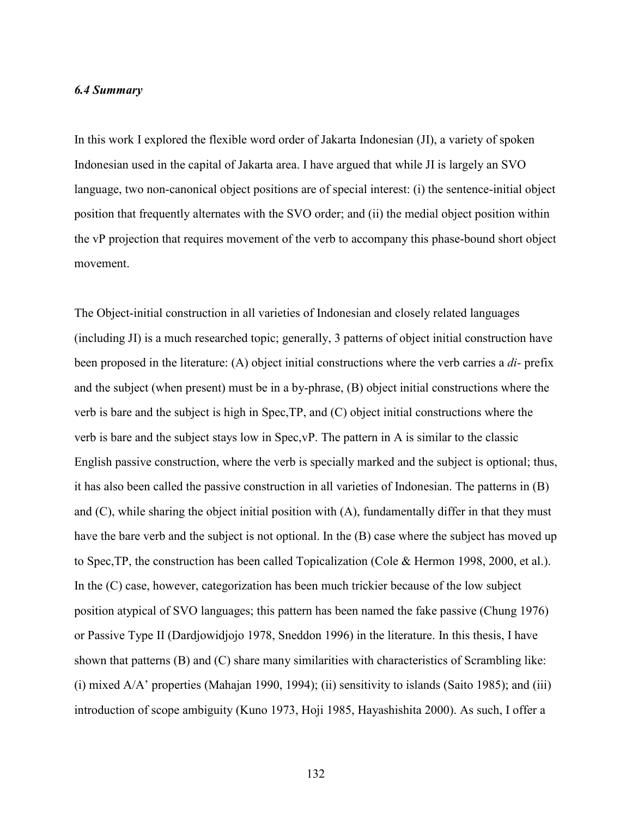## *6.4 Summary*

In this work I explored the flexible word order of Jakarta Indonesian (JI), a variety of spoken Indonesian used in the capital of Jakarta area. I have argued that while JI is largely an SVO language, two non-canonical object positions are of special interest: (i) the sentence-initial object position that frequently alternates with the SVO order; and (ii) the medial object position within the vP projection that requires movement of the verb to accompany this phase-bound short object movement.

The Object-initial construction in all varieties of Indonesian and closely related languages (including JI) is a much researched topic; generally, 3 patterns of object initial construction have been proposed in the literature: (A) object initial constructions where the verb carries a *di-* prefix and the subject (when present) must be in a by-phrase, (B) object initial constructions where the verb is bare and the subject is high in Spec,TP, and (C) object initial constructions where the verb is bare and the subject stays low in Spec,vP. The pattern in A is similar to the classic English passive construction, where the verb is specially marked and the subject is optional; thus, it has also been called the passive construction in all varieties of Indonesian. The patterns in (B) and  $(C)$ , while sharing the object initial position with  $(A)$ , fundamentally differ in that they must have the bare verb and the subject is not optional. In the (B) case where the subject has moved up to Spec,TP, the construction has been called Topicalization (Cole & Hermon 1998, 2000, et al.). In the (C) case, however, categorization has been much trickier because of the low subject position atypical of SVO languages; this pattern has been named the fake passive (Chung 1976) or Passive Type II (Dardjowidjojo 1978, Sneddon 1996) in the literature. In this thesis, I have shown that patterns (B) and (C) share many similarities with characteristics of Scrambling like: (i) mixed A/A' properties (Mahajan 1990, 1994); (ii) sensitivity to islands (Saito 1985); and (iii) introduction of scope ambiguity (Kuno 1973, Hoji 1985, Hayashishita 2000). As such, I offer a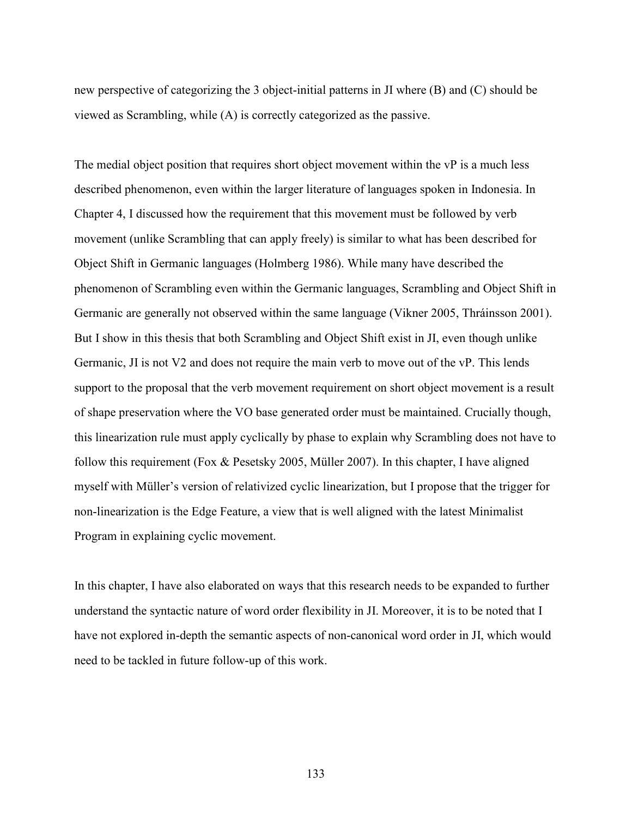new perspective of categorizing the 3 object-initial patterns in JI where (B) and (C) should be viewed as Scrambling, while (A) is correctly categorized as the passive.

The medial object position that requires short object movement within the vP is a much less described phenomenon, even within the larger literature of languages spoken in Indonesia. In Chapter 4, I discussed how the requirement that this movement must be followed by verb movement (unlike Scrambling that can apply freely) is similar to what has been described for Object Shift in Germanic languages (Holmberg 1986). While many have described the phenomenon of Scrambling even within the Germanic languages, Scrambling and Object Shift in Germanic are generally not observed within the same language (Vikner 2005, Thráinsson 2001). But I show in this thesis that both Scrambling and Object Shift exist in JI, even though unlike Germanic, JI is not V2 and does not require the main verb to move out of the vP. This lends support to the proposal that the verb movement requirement on short object movement is a result of shape preservation where the VO base generated order must be maintained. Crucially though, this linearization rule must apply cyclically by phase to explain why Scrambling does not have to follow this requirement (Fox & Pesetsky 2005, Müller 2007). In this chapter, I have aligned myself with Müller's version of relativized cyclic linearization, but I propose that the trigger for non-linearization is the Edge Feature, a view that is well aligned with the latest Minimalist Program in explaining cyclic movement.

In this chapter, I have also elaborated on ways that this research needs to be expanded to further understand the syntactic nature of word order flexibility in JI. Moreover, it is to be noted that I have not explored in-depth the semantic aspects of non-canonical word order in JI, which would need to be tackled in future follow-up of this work.

133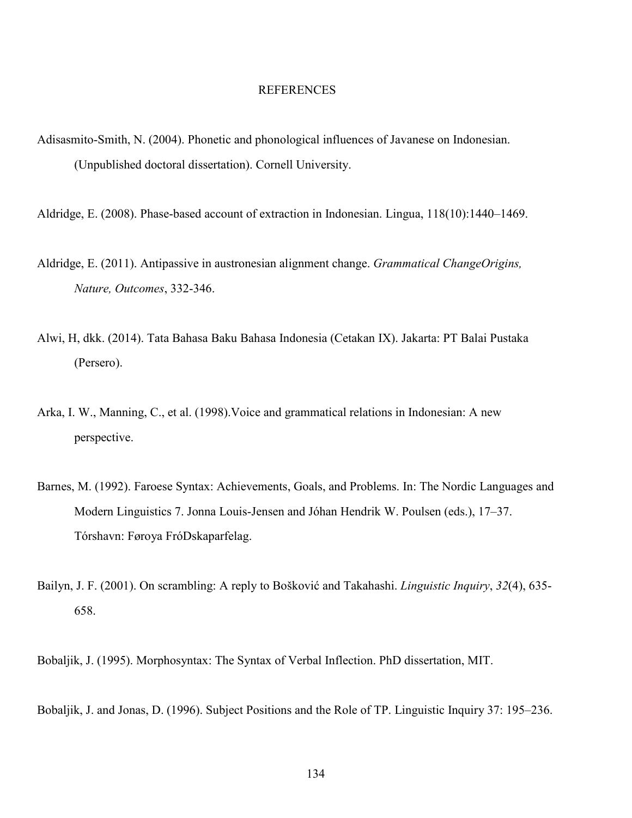## REFERENCES

- Adisasmito-Smith, N. (2004). Phonetic and phonological influences of Javanese on Indonesian. (Unpublished doctoral dissertation). Cornell University.
- Aldridge, E. (2008). Phase-based account of extraction in Indonesian. Lingua, 118(10):1440–1469.
- Aldridge, E. (2011). Antipassive in austronesian alignment change. *Grammatical ChangeOrigins, Nature, Outcomes*, 332-346.
- Alwi, H, dkk. (2014). Tata Bahasa Baku Bahasa Indonesia (Cetakan IX). Jakarta: PT Balai Pustaka (Persero).
- Arka, I. W., Manning, C., et al. (1998).Voice and grammatical relations in Indonesian: A new perspective.
- Barnes, M. (1992). Faroese Syntax: Achievements, Goals, and Problems. In: The Nordic Languages and Modern Linguistics 7. Jonna Louis-Jensen and Jóhan Hendrik W. Poulsen (eds.), 17–37. Tórshavn: Føroya FróDskaparfelag.
- Bailyn, J. F. (2001). On scrambling: A reply to Bošković and Takahashi. *Linguistic Inquiry*, *32*(4), 635- 658.

Bobaljik, J. (1995). Morphosyntax: The Syntax of Verbal Inflection. PhD dissertation, MIT.

Bobaljik, J. and Jonas, D. (1996). Subject Positions and the Role of TP. Linguistic Inquiry 37: 195–236.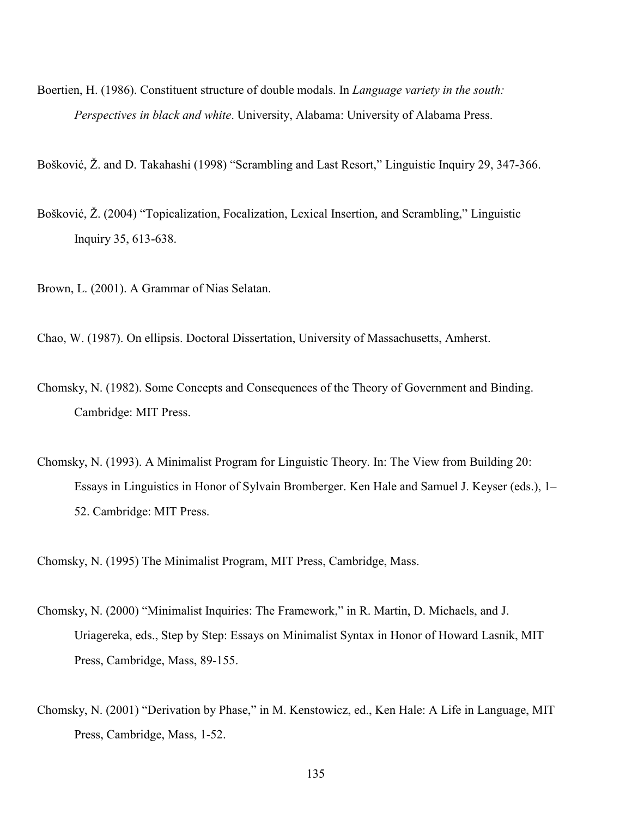- Boertien, H. (1986). Constituent structure of double modals. In *Language variety in the south: Perspectives in black and white*. University, Alabama: University of Alabama Press.
- Bošković, Ž. and D. Takahashi (1998) "Scrambling and Last Resort," Linguistic Inquiry 29, 347-366.
- Bošković, Ž. (2004) "Topicalization, Focalization, Lexical Insertion, and Scrambling," Linguistic Inquiry 35, 613-638.
- Brown, L. (2001). A Grammar of Nias Selatan.
- Chao, W. (1987). On ellipsis. Doctoral Dissertation, University of Massachusetts, Amherst.
- Chomsky, N. (1982). Some Concepts and Consequences of the Theory of Government and Binding. Cambridge: MIT Press.
- Chomsky, N. (1993). A Minimalist Program for Linguistic Theory. In: The View from Building 20: Essays in Linguistics in Honor of Sylvain Bromberger. Ken Hale and Samuel J. Keyser (eds.), 1– 52. Cambridge: MIT Press.
- Chomsky, N. (1995) The Minimalist Program, MIT Press, Cambridge, Mass.
- Chomsky, N. (2000) "Minimalist Inquiries: The Framework," in R. Martin, D. Michaels, and J. Uriagereka, eds., Step by Step: Essays on Minimalist Syntax in Honor of Howard Lasnik, MIT Press, Cambridge, Mass, 89-155.
- Chomsky, N. (2001) "Derivation by Phase," in M. Kenstowicz, ed., Ken Hale: A Life in Language, MIT Press, Cambridge, Mass, 1-52.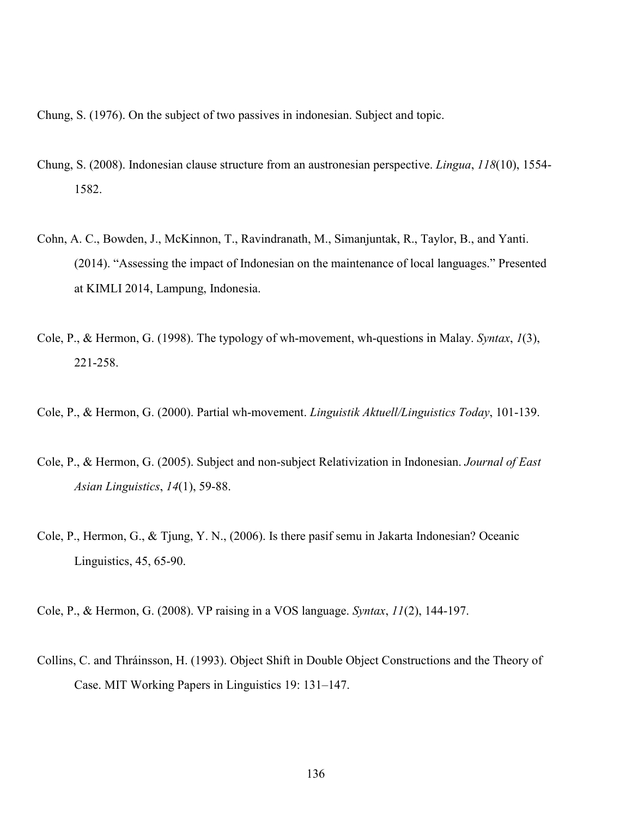Chung, S. (1976). On the subject of two passives in indonesian. Subject and topic.

- Chung, S. (2008). Indonesian clause structure from an austronesian perspective. *Lingua*, *118*(10), 1554- 1582.
- Cohn, A. C., Bowden, J., McKinnon, T., Ravindranath, M., Simanjuntak, R., Taylor, B., and Yanti. (2014). "Assessing the impact of Indonesian on the maintenance of local languages." Presented at KIMLI 2014, Lampung, Indonesia.
- Cole, P., & Hermon, G. (1998). The typology of wh-movement, wh-questions in Malay. *Syntax*, *1*(3), 221-258.

Cole, P., & Hermon, G. (2000). Partial wh-movement. *Linguistik Aktuell/Linguistics Today*, 101-139.

- Cole, P., & Hermon, G. (2005). Subject and non-subject Relativization in Indonesian. *Journal of East Asian Linguistics*, *14*(1), 59-88.
- Cole, P., Hermon, G., & Tjung, Y. N., (2006). Is there pasif semu in Jakarta Indonesian? Oceanic Linguistics, 45, 65-90.

Cole, P., & Hermon, G. (2008). VP raising in a VOS language. *Syntax*, *11*(2), 144-197.

Collins, C. and Thráinsson, H. (1993). Object Shift in Double Object Constructions and the Theory of Case. MIT Working Papers in Linguistics 19: 131–147.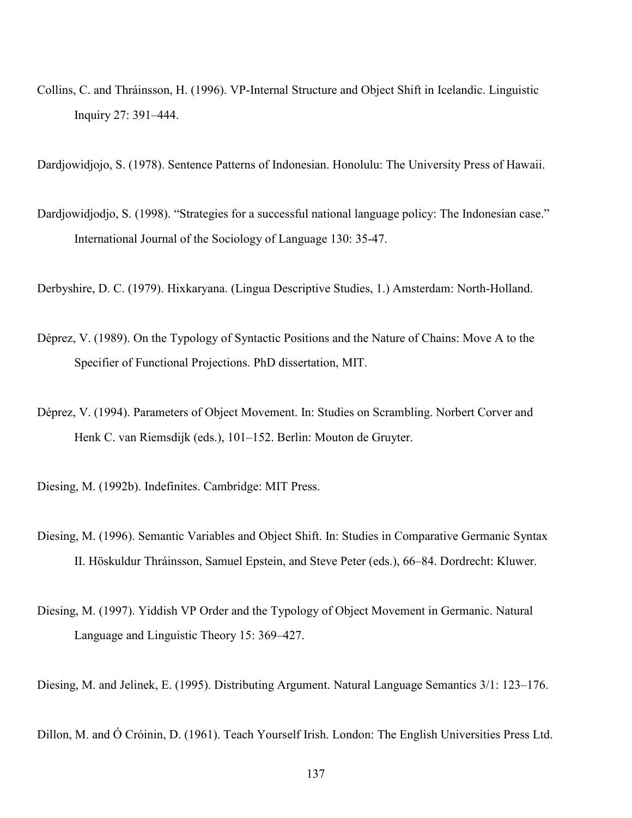Collins, C. and Thráinsson, H. (1996). VP-Internal Structure and Object Shift in Icelandic. Linguistic Inquiry 27: 391–444.

Dardjowidjojo, S. (1978). Sentence Patterns of Indonesian. Honolulu: The University Press of Hawaii.

Dardjowidjodjo, S. (1998). "Strategies for a successful national language policy: The Indonesian case." International Journal of the Sociology of Language 130: 35-47.

Derbyshire, D. C. (1979). Hixkaryana. (Lingua Descriptive Studies, 1.) Amsterdam: North-Holland.

- Déprez, V. (1989). On the Typology of Syntactic Positions and the Nature of Chains: Move A to the Specifier of Functional Projections. PhD dissertation, MIT.
- Déprez, V. (1994). Parameters of Object Movement. In: Studies on Scrambling. Norbert Corver and Henk C. van Riemsdijk (eds.), 101–152. Berlin: Mouton de Gruyter.

Diesing, M. (1992b). Indefinites. Cambridge: MIT Press.

- Diesing, M. (1996). Semantic Variables and Object Shift. In: Studies in Comparative Germanic Syntax II. Höskuldur Thráinsson, Samuel Epstein, and Steve Peter (eds.), 66–84. Dordrecht: Kluwer.
- Diesing, M. (1997). Yiddish VP Order and the Typology of Object Movement in Germanic. Natural Language and Linguistic Theory 15: 369–427.

Diesing, M. and Jelinek, E. (1995). Distributing Argument. Natural Language Semantics 3/1: 123–176.

Dillon, M. and Ó Cróinin, D. (1961). Teach Yourself Irish. London: The English Universities Press Ltd.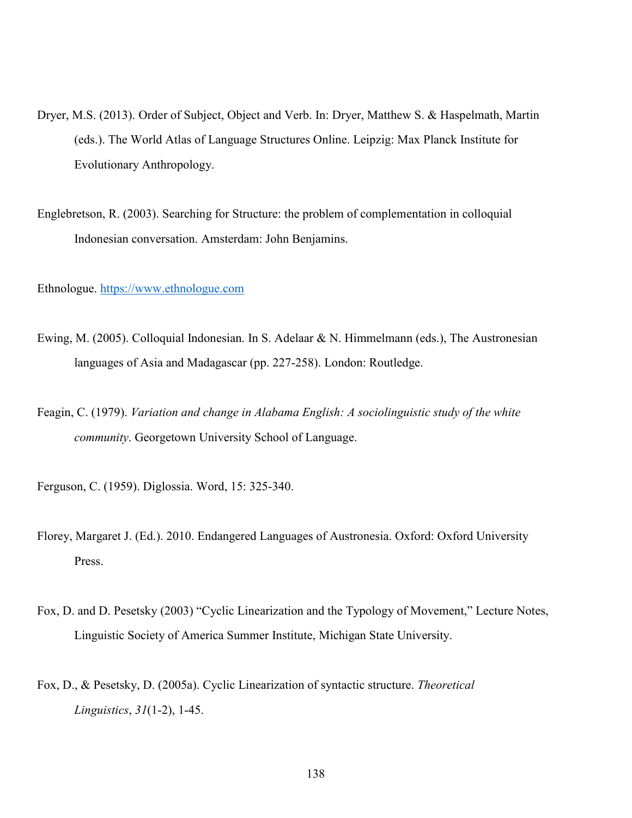- Dryer, M.S. (2013). Order of Subject, Object and Verb. In: Dryer, Matthew S. & Haspelmath, Martin (eds.). The World Atlas of Language Structures Online. Leipzig: Max Planck Institute for Evolutionary Anthropology.
- Englebretson, R. (2003). Searching for Structure: the problem of complementation in colloquial Indonesian conversation. Amsterdam: John Benjamins.

Ethnologue. https://www.ethnologue.com

- Ewing, M. (2005). Colloquial Indonesian. In S. Adelaar & N. Himmelmann (eds.), The Austronesian languages of Asia and Madagascar (pp. 227-258). London: Routledge.
- Feagin, C. (1979). *Variation and change in Alabama English: A sociolinguistic study of the white community*. Georgetown University School of Language.
- Ferguson, C. (1959). Diglossia. Word, 15: 325-340.
- Florey, Margaret J. (Ed.). 2010. Endangered Languages of Austronesia. Oxford: Oxford University Press.
- Fox, D. and D. Pesetsky (2003) "Cyclic Linearization and the Typology of Movement," Lecture Notes, Linguistic Society of America Summer Institute, Michigan State University.
- Fox, D., & Pesetsky, D. (2005a). Cyclic Linearization of syntactic structure. *Theoretical Linguistics*, *31*(1-2), 1-45.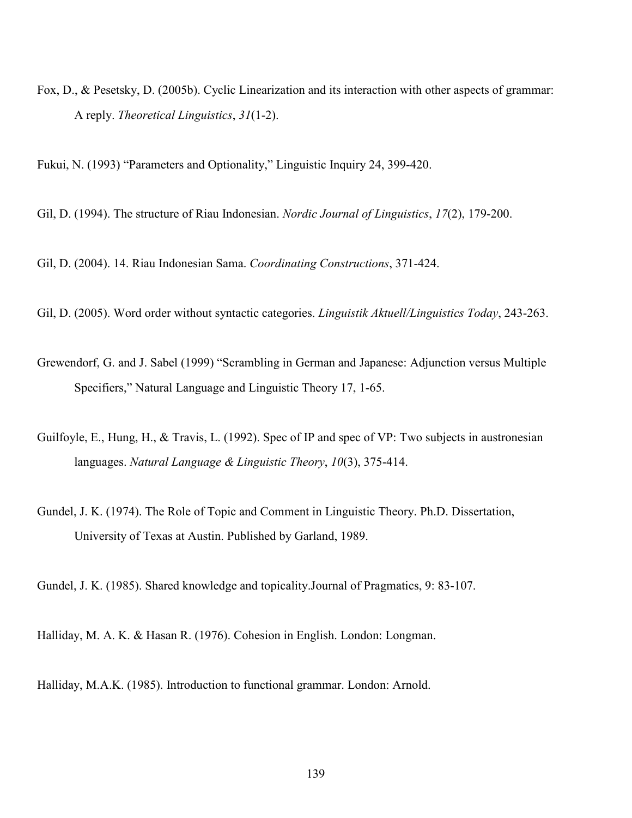Fox, D., & Pesetsky, D. (2005b). Cyclic Linearization and its interaction with other aspects of grammar: A reply. *Theoretical Linguistics*, *31*(1-2).

Fukui, N. (1993) "Parameters and Optionality," Linguistic Inquiry 24, 399-420.

Gil, D. (1994). The structure of Riau Indonesian. *Nordic Journal of Linguistics*, *17*(2), 179-200.

Gil, D. (2004). 14. Riau Indonesian Sama. *Coordinating Constructions*, 371-424.

Gil, D. (2005). Word order without syntactic categories. *Linguistik Aktuell/Linguistics Today*, 243-263.

- Grewendorf, G. and J. Sabel (1999) "Scrambling in German and Japanese: Adjunction versus Multiple Specifiers," Natural Language and Linguistic Theory 17, 1-65.
- Guilfoyle, E., Hung, H., & Travis, L. (1992). Spec of IP and spec of VP: Two subjects in austronesian languages. *Natural Language & Linguistic Theory*, *10*(3), 375-414.
- Gundel, J. K. (1974). The Role of Topic and Comment in Linguistic Theory. Ph.D. Dissertation, University of Texas at Austin. Published by Garland, 1989.

Gundel, J. K. (1985). Shared knowledge and topicality.Journal of Pragmatics, 9: 83-107.

Halliday, M. A. K. & Hasan R. (1976). Cohesion in English. London: Longman.

Halliday, M.A.K. (1985). Introduction to functional grammar. London: Arnold.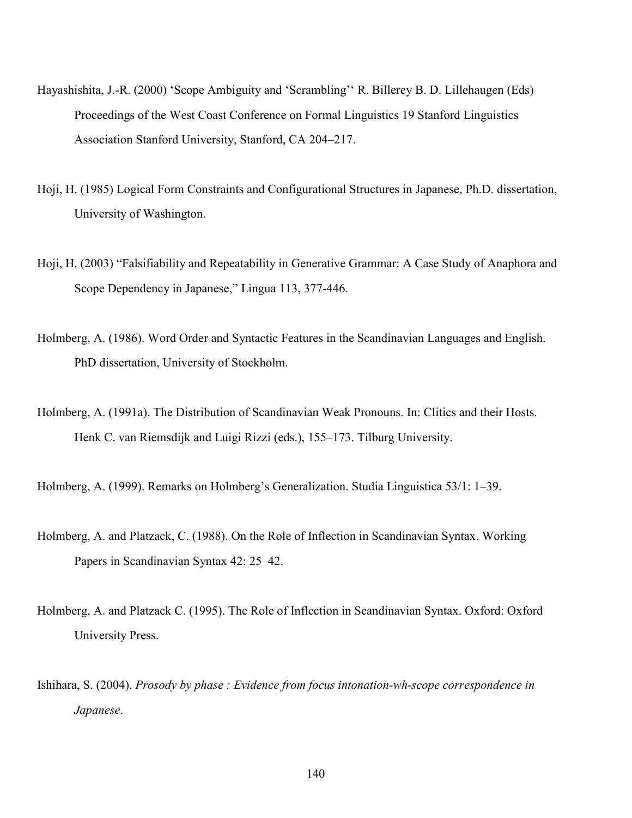- Hayashishita, J.-R. (2000) 'Scope Ambiguity and 'Scrambling'' R. Billerey B. D. Lillehaugen (Eds) Proceedings of the West Coast Conference on Formal Linguistics 19 Stanford Linguistics Association Stanford University, Stanford, CA 204–217.
- Hoji, H. (1985) Logical Form Constraints and Configurational Structures in Japanese, Ph.D. dissertation, University of Washington.
- Hoji, H. (2003) "Falsifiability and Repeatability in Generative Grammar: A Case Study of Anaphora and Scope Dependency in Japanese," Lingua 113, 377-446.
- Holmberg, A. (1986). Word Order and Syntactic Features in the Scandinavian Languages and English. PhD dissertation, University of Stockholm.
- Holmberg, A. (1991a). The Distribution of Scandinavian Weak Pronouns. In: Clitics and their Hosts. Henk C. van Riemsdijk and Luigi Rizzi (eds.), 155–173. Tilburg University.
- Holmberg, A. (1999). Remarks on Holmberg's Generalization. Studia Linguistica 53/1: 1–39.
- Holmberg, A. and Platzack, C. (1988). On the Role of Inflection in Scandinavian Syntax. Working Papers in Scandinavian Syntax 42: 25–42.
- Holmberg, A. and Platzack C. (1995). The Role of Inflection in Scandinavian Syntax. Oxford: Oxford University Press.
- Ishihara, S. (2004). *Prosody by phase : Evidence from focus intonation-wh-scope correspondence in Japanese*.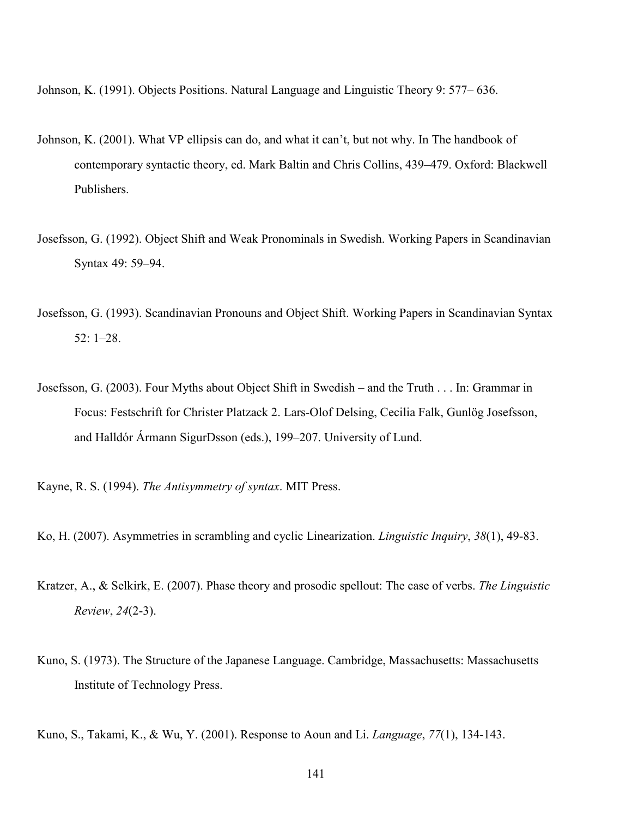Johnson, K. (1991). Objects Positions. Natural Language and Linguistic Theory 9: 577– 636.

- Johnson, K. (2001). What VP ellipsis can do, and what it can't, but not why. In The handbook of contemporary syntactic theory, ed. Mark Baltin and Chris Collins, 439–479. Oxford: Blackwell Publishers.
- Josefsson, G. (1992). Object Shift and Weak Pronominals in Swedish. Working Papers in Scandinavian Syntax 49: 59–94.
- Josefsson, G. (1993). Scandinavian Pronouns and Object Shift. Working Papers in Scandinavian Syntax 52: 1–28.
- Josefsson, G. (2003). Four Myths about Object Shift in Swedish and the Truth . . . In: Grammar in Focus: Festschrift for Christer Platzack 2. Lars-Olof Delsing, Cecilia Falk, Gunlög Josefsson, and Halldór Ármann SigurDsson (eds.), 199–207. University of Lund.

Kayne, R. S. (1994). *The Antisymmetry of syntax*. MIT Press.

- Ko, H. (2007). Asymmetries in scrambling and cyclic Linearization. *Linguistic Inquiry*, *38*(1), 49-83.
- Kratzer, A., & Selkirk, E. (2007). Phase theory and prosodic spellout: The case of verbs. *The Linguistic Review*, *24*(2-3).
- Kuno, S. (1973). The Structure of the Japanese Language. Cambridge, Massachusetts: Massachusetts Institute of Technology Press.

Kuno, S., Takami, K., & Wu, Y. (2001). Response to Aoun and Li. *Language*, *77*(1), 134-143.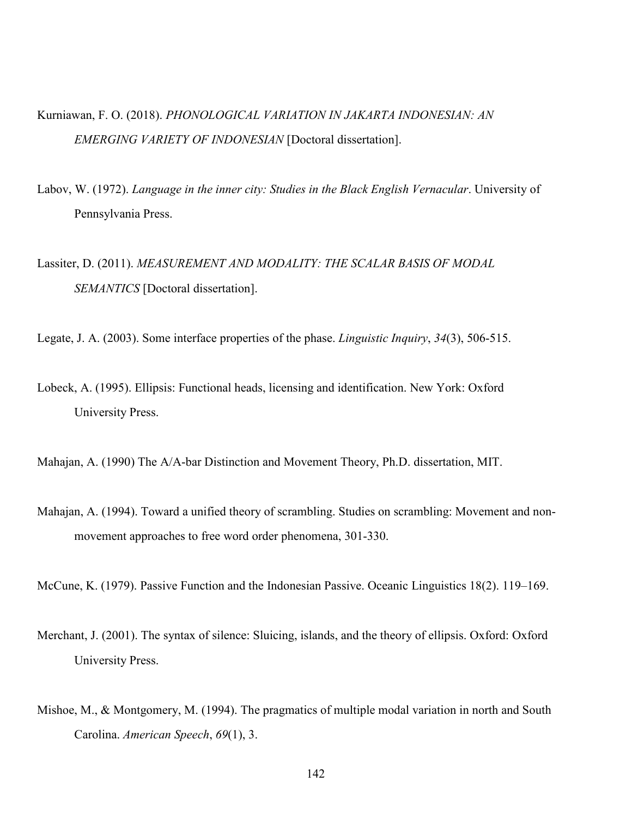- Kurniawan, F. O. (2018). *PHONOLOGICAL VARIATION IN JAKARTA INDONESIAN: AN EMERGING VARIETY OF INDONESIAN* [Doctoral dissertation].
- Labov, W. (1972). *Language in the inner city: Studies in the Black English Vernacular*. University of Pennsylvania Press.
- Lassiter, D. (2011). *MEASUREMENT AND MODALITY: THE SCALAR BASIS OF MODAL SEMANTICS* [Doctoral dissertation].
- Legate, J. A. (2003). Some interface properties of the phase. *Linguistic Inquiry*, *34*(3), 506-515.
- Lobeck, A. (1995). Ellipsis: Functional heads, licensing and identification. New York: Oxford University Press.
- Mahajan, A. (1990) The A/A-bar Distinction and Movement Theory, Ph.D. dissertation, MIT.
- Mahajan, A. (1994). Toward a unified theory of scrambling. Studies on scrambling: Movement and nonmovement approaches to free word order phenomena, 301-330.

McCune, K. (1979). Passive Function and the Indonesian Passive. Oceanic Linguistics 18(2). 119–169.

- Merchant, J. (2001). The syntax of silence: Sluicing, islands, and the theory of ellipsis. Oxford: Oxford University Press.
- Mishoe, M., & Montgomery, M. (1994). The pragmatics of multiple modal variation in north and South Carolina. *American Speech*, *69*(1), 3.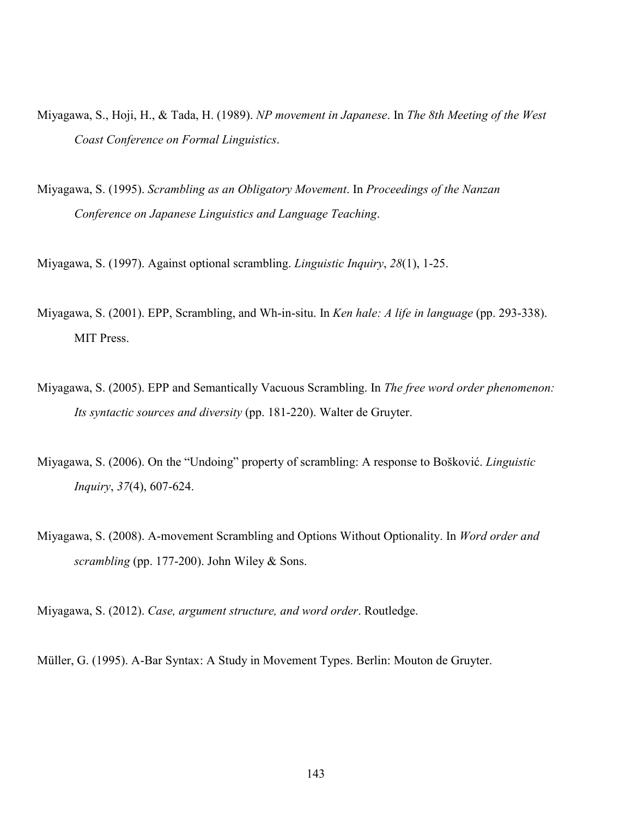- Miyagawa, S., Hoji, H., & Tada, H. (1989). *NP movement in Japanese*. In *The 8th Meeting of the West Coast Conference on Formal Linguistics*.
- Miyagawa, S. (1995). *Scrambling as an Obligatory Movement*. In *Proceedings of the Nanzan Conference on Japanese Linguistics and Language Teaching*.

Miyagawa, S. (1997). Against optional scrambling. *Linguistic Inquiry*, *28*(1), 1-25.

- Miyagawa, S. (2001). EPP, Scrambling, and Wh-in-situ. In *Ken hale: A life in language* (pp. 293-338). MIT Press.
- Miyagawa, S. (2005). EPP and Semantically Vacuous Scrambling. In *The free word order phenomenon: Its syntactic sources and diversity* (pp. 181-220). Walter de Gruyter.
- Miyagawa, S. (2006). On the "Undoing" property of scrambling: A response to Bošković. *Linguistic Inquiry*, *37*(4), 607-624.
- Miyagawa, S. (2008). A-movement Scrambling and Options Without Optionality. In *Word order and scrambling* (pp. 177-200). John Wiley & Sons.

Miyagawa, S. (2012). *Case, argument structure, and word order*. Routledge.

Müller, G. (1995). A-Bar Syntax: A Study in Movement Types. Berlin: Mouton de Gruyter.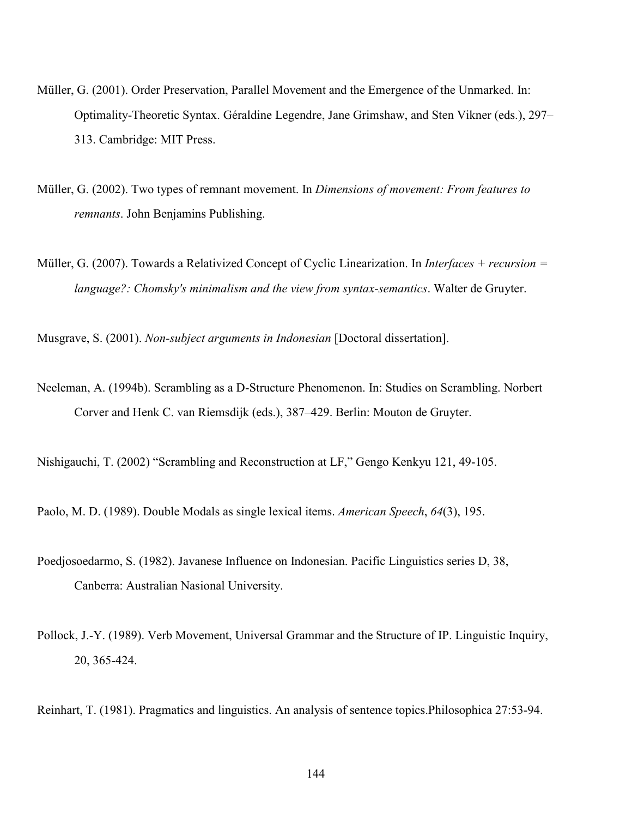- Müller, G. (2001). Order Preservation, Parallel Movement and the Emergence of the Unmarked. In: Optimality-Theoretic Syntax. Géraldine Legendre, Jane Grimshaw, and Sten Vikner (eds.), 297– 313. Cambridge: MIT Press.
- Müller, G. (2002). Two types of remnant movement. In *Dimensions of movement: From features to remnants*. John Benjamins Publishing.
- Müller, G. (2007). Towards a Relativized Concept of Cyclic Linearization. In *Interfaces + recursion = language?: Chomsky's minimalism and the view from syntax-semantics*. Walter de Gruyter.

Musgrave, S. (2001). *Non-subject arguments in Indonesian* [Doctoral dissertation].

Neeleman, A. (1994b). Scrambling as a D-Structure Phenomenon. In: Studies on Scrambling. Norbert Corver and Henk C. van Riemsdijk (eds.), 387–429. Berlin: Mouton de Gruyter.

Nishigauchi, T. (2002) "Scrambling and Reconstruction at LF," Gengo Kenkyu 121, 49-105.

Paolo, M. D. (1989). Double Modals as single lexical items. *American Speech*, *64*(3), 195.

- Poedjosoedarmo, S. (1982). Javanese Influence on Indonesian. Pacific Linguistics series D, 38, Canberra: Australian Nasional University.
- Pollock, J.-Y. (1989). Verb Movement, Universal Grammar and the Structure of IP. Linguistic Inquiry, 20, 365-424.

Reinhart, T. (1981). Pragmatics and linguistics. An analysis of sentence topics.Philosophica 27:53-94.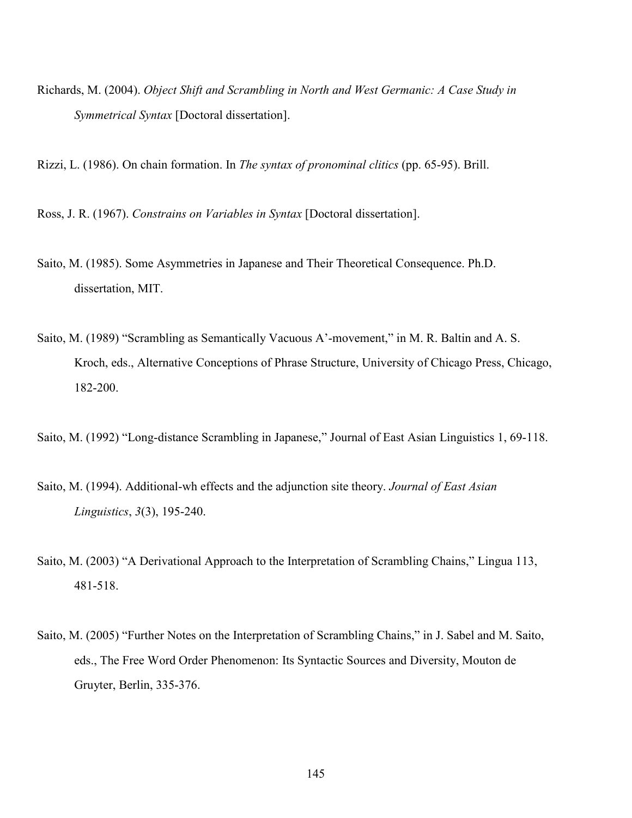Richards, M. (2004). *Object Shift and Scrambling in North and West Germanic: A Case Study in Symmetrical Syntax* [Doctoral dissertation].

Rizzi, L. (1986). On chain formation. In *The syntax of pronominal clitics* (pp. 65-95). Brill.

Ross, J. R. (1967). *Constrains on Variables in Syntax* [Doctoral dissertation].

- Saito, M. (1985). Some Asymmetries in Japanese and Their Theoretical Consequence. Ph.D. dissertation, MIT.
- Saito, M. (1989) "Scrambling as Semantically Vacuous A'-movement," in M. R. Baltin and A. S. Kroch, eds., Alternative Conceptions of Phrase Structure, University of Chicago Press, Chicago, 182-200.

Saito, M. (1992) "Long-distance Scrambling in Japanese," Journal of East Asian Linguistics 1, 69-118.

- Saito, M. (1994). Additional-wh effects and the adjunction site theory. *Journal of East Asian Linguistics*, *3*(3), 195-240.
- Saito, M. (2003) "A Derivational Approach to the Interpretation of Scrambling Chains," Lingua 113, 481-518.
- Saito, M. (2005) "Further Notes on the Interpretation of Scrambling Chains," in J. Sabel and M. Saito, eds., The Free Word Order Phenomenon: Its Syntactic Sources and Diversity, Mouton de Gruyter, Berlin, 335-376.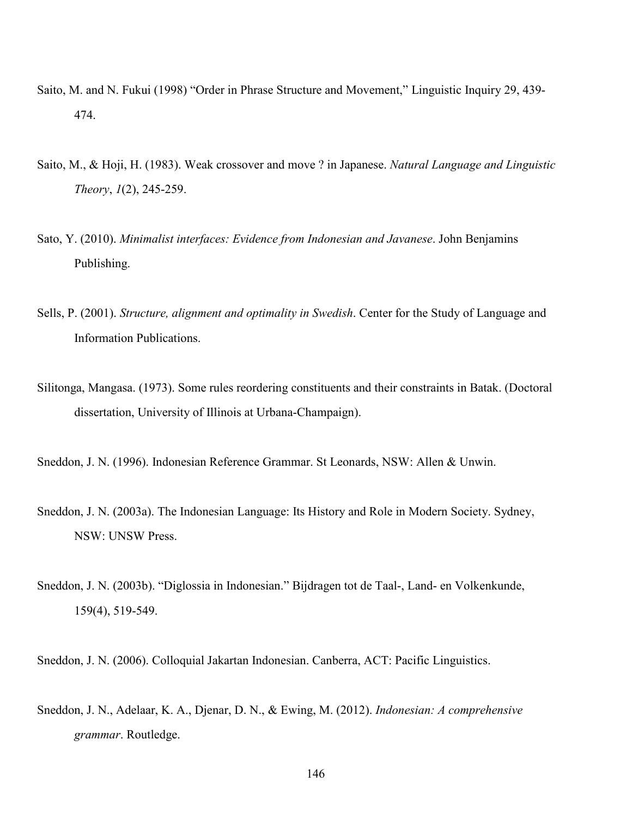- Saito, M. and N. Fukui (1998) "Order in Phrase Structure and Movement," Linguistic Inquiry 29, 439- 474.
- Saito, M., & Hoji, H. (1983). Weak crossover and move ? in Japanese. *Natural Language and Linguistic Theory*, *1*(2), 245-259.
- Sato, Y. (2010). *Minimalist interfaces: Evidence from Indonesian and Javanese*. John Benjamins Publishing.
- Sells, P. (2001). *Structure, alignment and optimality in Swedish*. Center for the Study of Language and Information Publications.
- Silitonga, Mangasa. (1973). Some rules reordering constituents and their constraints in Batak. (Doctoral dissertation, University of Illinois at Urbana-Champaign).

Sneddon, J. N. (1996). Indonesian Reference Grammar. St Leonards, NSW: Allen & Unwin.

- Sneddon, J. N. (2003a). The Indonesian Language: Its History and Role in Modern Society. Sydney, NSW: UNSW Press.
- Sneddon, J. N. (2003b). "Diglossia in Indonesian." Bijdragen tot de Taal-, Land- en Volkenkunde, 159(4), 519-549.

Sneddon, J. N. (2006). Colloquial Jakartan Indonesian. Canberra, ACT: Pacific Linguistics.

Sneddon, J. N., Adelaar, K. A., Djenar, D. N., & Ewing, M. (2012). *Indonesian: A comprehensive grammar*. Routledge.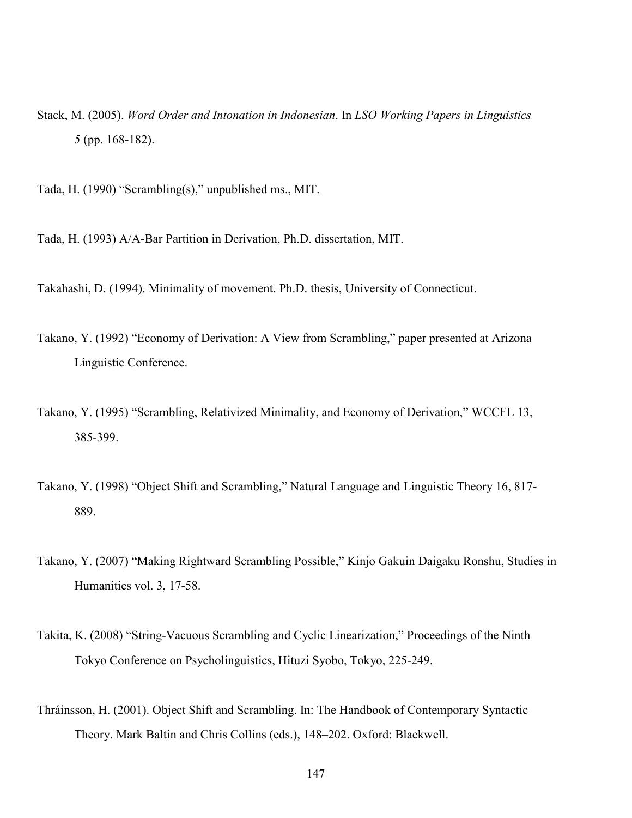Stack, M. (2005). *Word Order and Intonation in Indonesian*. In *LSO Working Papers in Linguistics 5* (pp. 168-182).

Tada, H. (1990) "Scrambling(s)," unpublished ms., MIT.

Tada, H. (1993) A/A-Bar Partition in Derivation, Ph.D. dissertation, MIT.

Takahashi, D. (1994). Minimality of movement. Ph.D. thesis, University of Connecticut.

- Takano, Y. (1992) "Economy of Derivation: A View from Scrambling," paper presented at Arizona Linguistic Conference.
- Takano, Y. (1995) "Scrambling, Relativized Minimality, and Economy of Derivation," WCCFL 13, 385-399.
- Takano, Y. (1998) "Object Shift and Scrambling," Natural Language and Linguistic Theory 16, 817- 889.
- Takano, Y. (2007) "Making Rightward Scrambling Possible," Kinjo Gakuin Daigaku Ronshu, Studies in Humanities vol. 3, 17-58.
- Takita, K. (2008) "String-Vacuous Scrambling and Cyclic Linearization," Proceedings of the Ninth Tokyo Conference on Psycholinguistics, Hituzi Syobo, Tokyo, 225-249.
- Thráinsson, H. (2001). Object Shift and Scrambling. In: The Handbook of Contemporary Syntactic Theory. Mark Baltin and Chris Collins (eds.), 148–202. Oxford: Blackwell.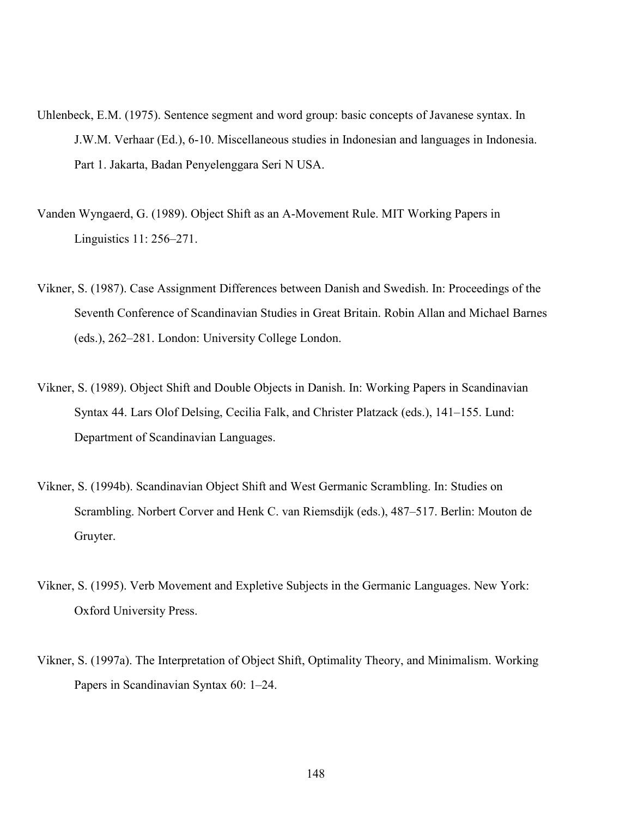- Uhlenbeck, E.M. (1975). Sentence segment and word group: basic concepts of Javanese syntax. In J.W.M. Verhaar (Ed.), 6-10. Miscellaneous studies in Indonesian and languages in Indonesia. Part 1. Jakarta, Badan Penyelenggara Seri N USA.
- Vanden Wyngaerd, G. (1989). Object Shift as an A-Movement Rule. MIT Working Papers in Linguistics 11: 256–271.
- Vikner, S. (1987). Case Assignment Differences between Danish and Swedish. In: Proceedings of the Seventh Conference of Scandinavian Studies in Great Britain. Robin Allan and Michael Barnes (eds.), 262–281. London: University College London.
- Vikner, S. (1989). Object Shift and Double Objects in Danish. In: Working Papers in Scandinavian Syntax 44. Lars Olof Delsing, Cecilia Falk, and Christer Platzack (eds.), 141–155. Lund: Department of Scandinavian Languages.
- Vikner, S. (1994b). Scandinavian Object Shift and West Germanic Scrambling. In: Studies on Scrambling. Norbert Corver and Henk C. van Riemsdijk (eds.), 487–517. Berlin: Mouton de Gruyter.
- Vikner, S. (1995). Verb Movement and Expletive Subjects in the Germanic Languages. New York: Oxford University Press.
- Vikner, S. (1997a). The Interpretation of Object Shift, Optimality Theory, and Minimalism. Working Papers in Scandinavian Syntax 60: 1–24.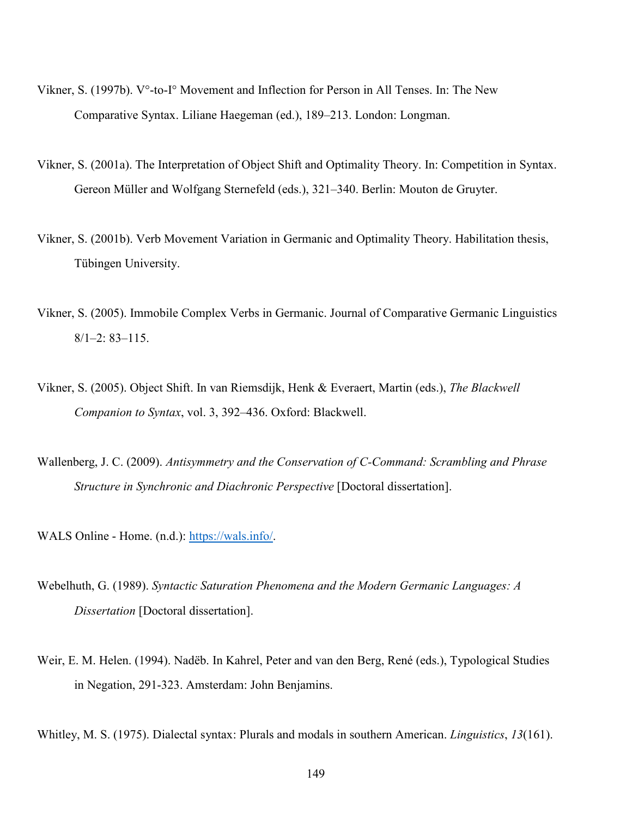- Vikner, S. (1997b). V°-to-I° Movement and Inflection for Person in All Tenses. In: The New Comparative Syntax. Liliane Haegeman (ed.), 189–213. London: Longman.
- Vikner, S. (2001a). The Interpretation of Object Shift and Optimality Theory. In: Competition in Syntax. Gereon Müller and Wolfgang Sternefeld (eds.), 321–340. Berlin: Mouton de Gruyter.
- Vikner, S. (2001b). Verb Movement Variation in Germanic and Optimality Theory. Habilitation thesis, Tübingen University.
- Vikner, S. (2005). Immobile Complex Verbs in Germanic. Journal of Comparative Germanic Linguistics 8/1–2: 83–115.
- Vikner, S. (2005). Object Shift. In van Riemsdijk, Henk & Everaert, Martin (eds.), *The Blackwell Companion to Syntax*, vol. 3, 392–436. Oxford: Blackwell.
- Wallenberg, J. C. (2009). *Antisymmetry and the Conservation of C-Command: Scrambling and Phrase Structure in Synchronic and Diachronic Perspective* [Doctoral dissertation].

WALS Online - Home. (n.d.): https://wals.info/.

- Webelhuth, G. (1989). *Syntactic Saturation Phenomena and the Modern Germanic Languages: A Dissertation* [Doctoral dissertation].
- Weir, E. M. Helen. (1994). Nadëb. In Kahrel, Peter and van den Berg, René (eds.), Typological Studies in Negation, 291-323. Amsterdam: John Benjamins.

Whitley, M. S. (1975). Dialectal syntax: Plurals and modals in southern American. *Linguistics*, *13*(161).